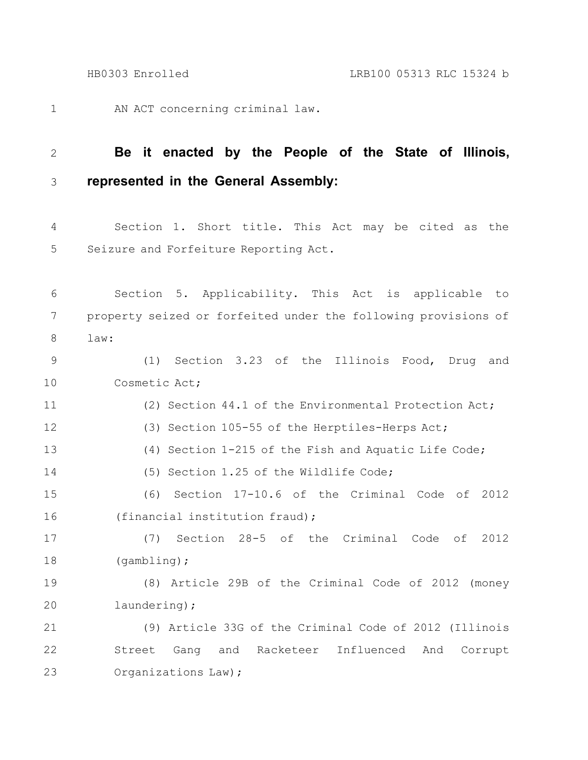AN ACT concerning criminal law. 1

## **Be it enacted by the People of the State of Illinois, represented in the General Assembly:** 2 3

Section 1. Short title. This Act may be cited as the Seizure and Forfeiture Reporting Act. 4 5

Section 5. Applicability. This Act is applicable to property seized or forfeited under the following provisions of law: (1) Section 3.23 of the Illinois Food, Drug and Cosmetic Act; (2) Section 44.1 of the Environmental Protection Act; (3) Section 105-55 of the Herptiles-Herps Act; (4) Section 1-215 of the Fish and Aquatic Life Code; 6 7 8 9 10 11 12 13

(5) Section 1.25 of the Wildlife Code; 14

(6) Section 17-10.6 of the Criminal Code of 2012 (financial institution fraud); 15 16

(7) Section 28-5 of the Criminal Code of 2012 (gambling); 17 18

(8) Article 29B of the Criminal Code of 2012 (money laundering); 19 20

(9) Article 33G of the Criminal Code of 2012 (Illinois Street Gang and Racketeer Influenced And Corrupt Organizations Law); 21 22 23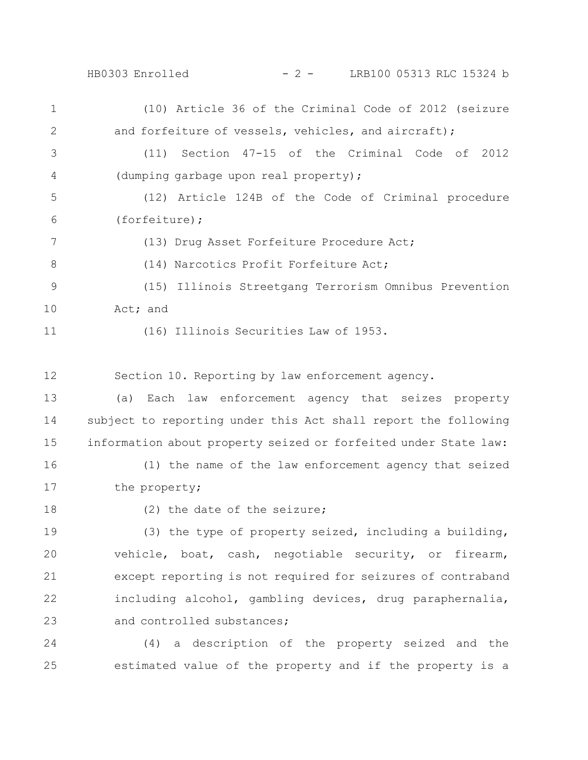HB0303 Enrolled - 2 - LRB100 05313 RLC 15324 b

(10) Article 36 of the Criminal Code of 2012 (seizure and forfeiture of vessels, vehicles, and aircraft); (11) Section 47-15 of the Criminal Code of 2012 (dumping garbage upon real property); (12) Article 124B of the Code of Criminal procedure (forfeiture); (13) Drug Asset Forfeiture Procedure Act; (14) Narcotics Profit Forfeiture Act; (15) Illinois Streetgang Terrorism Omnibus Prevention Act; and 1 2 3 4 5 6 7 8 9 10

11

(16) Illinois Securities Law of 1953.

Section 10. Reporting by law enforcement agency. 12

(a) Each law enforcement agency that seizes property subject to reporting under this Act shall report the following information about property seized or forfeited under State law: 13 14 15

(1) the name of the law enforcement agency that seized the property; 16 17

18

(2) the date of the seizure;

(3) the type of property seized, including a building, vehicle, boat, cash, negotiable security, or firearm, except reporting is not required for seizures of contraband including alcohol, gambling devices, drug paraphernalia, and controlled substances; 19 20 21 22 23

(4) a description of the property seized and the estimated value of the property and if the property is a 24 25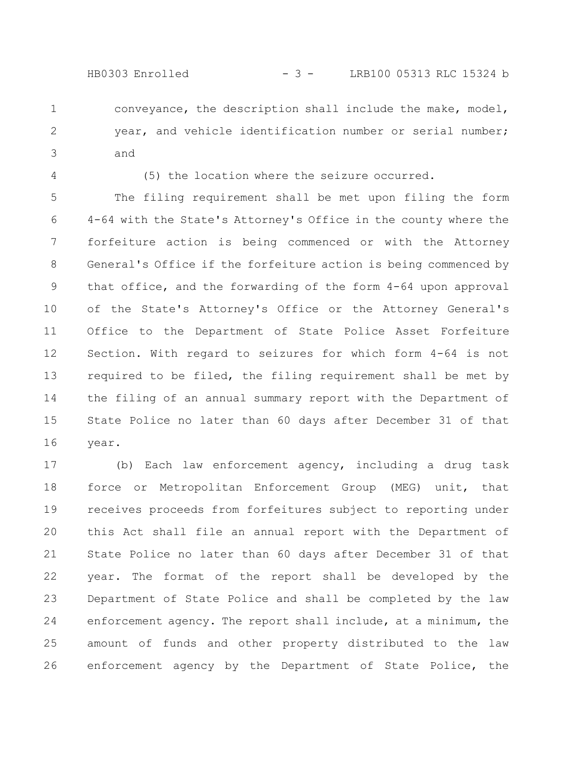- conveyance, the description shall include the make, model, year, and vehicle identification number or serial number; and 1 2 3
- 4

(5) the location where the seizure occurred.

The filing requirement shall be met upon filing the form 4-64 with the State's Attorney's Office in the county where the forfeiture action is being commenced or with the Attorney General's Office if the forfeiture action is being commenced by that office, and the forwarding of the form 4-64 upon approval of the State's Attorney's Office or the Attorney General's Office to the Department of State Police Asset Forfeiture Section. With regard to seizures for which form 4-64 is not required to be filed, the filing requirement shall be met by the filing of an annual summary report with the Department of State Police no later than 60 days after December 31 of that year. 5 6 7 8 9 10 11 12 13 14 15 16

(b) Each law enforcement agency, including a drug task force or Metropolitan Enforcement Group (MEG) unit, that receives proceeds from forfeitures subject to reporting under this Act shall file an annual report with the Department of State Police no later than 60 days after December 31 of that year. The format of the report shall be developed by the Department of State Police and shall be completed by the law enforcement agency. The report shall include, at a minimum, the amount of funds and other property distributed to the law enforcement agency by the Department of State Police, the 17 18 19 20 21 22 23 24 25 26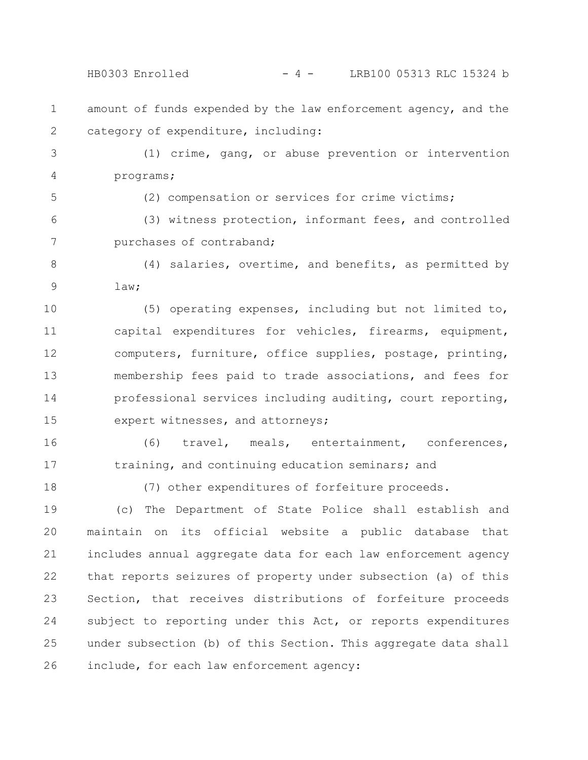HB0303 Enrolled - 4 - LRB100 05313 RLC 15324 b

- amount of funds expended by the law enforcement agency, and the category of expenditure, including: 1 2
- (1) crime, gang, or abuse prevention or intervention programs; 3 4
- 5

(2) compensation or services for crime victims;

(3) witness protection, informant fees, and controlled purchases of contraband; 6 7

(4) salaries, overtime, and benefits, as permitted by law; 8 9

(5) operating expenses, including but not limited to, capital expenditures for vehicles, firearms, equipment, computers, furniture, office supplies, postage, printing, membership fees paid to trade associations, and fees for professional services including auditing, court reporting, expert witnesses, and attorneys; 10 11 12 13 14 15

(6) travel, meals, entertainment, conferences, training, and continuing education seminars; and 16 17

18

(7) other expenditures of forfeiture proceeds.

(c) The Department of State Police shall establish and maintain on its official website a public database that includes annual aggregate data for each law enforcement agency that reports seizures of property under subsection (a) of this Section, that receives distributions of forfeiture proceeds subject to reporting under this Act, or reports expenditures under subsection (b) of this Section. This aggregate data shall include, for each law enforcement agency: 19 20 21 22 23 24 25 26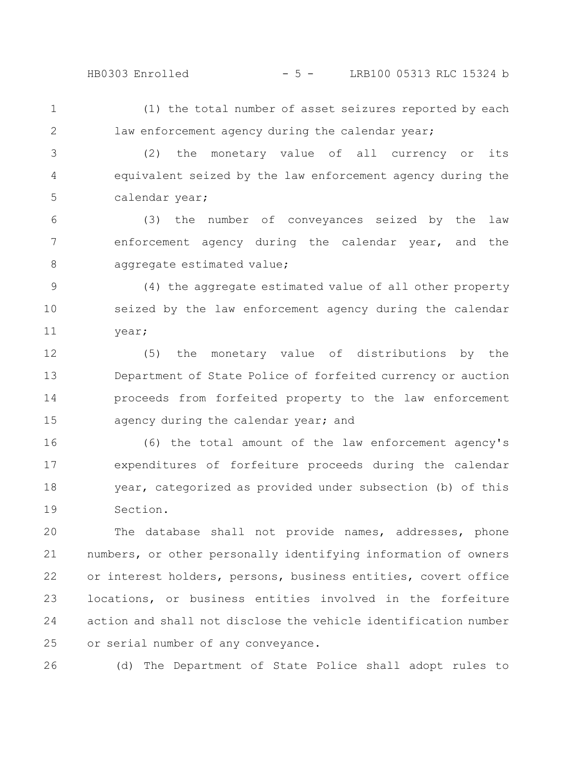## HB0303 Enrolled - 5 - LRB100 05313 RLC 15324 b

(1) the total number of asset seizures reported by each law enforcement agency during the calendar year; 1 2

(2) the monetary value of all currency or its equivalent seized by the law enforcement agency during the calendar year; 3 4 5

(3) the number of conveyances seized by the law enforcement agency during the calendar year, and the aggregate estimated value; 6 7 8

(4) the aggregate estimated value of all other property seized by the law enforcement agency during the calendar year; 9 10 11

(5) the monetary value of distributions by the Department of State Police of forfeited currency or auction proceeds from forfeited property to the law enforcement agency during the calendar year; and 12 13 14 15

(6) the total amount of the law enforcement agency's expenditures of forfeiture proceeds during the calendar year, categorized as provided under subsection (b) of this Section. 16 17 18 19

The database shall not provide names, addresses, phone numbers, or other personally identifying information of owners or interest holders, persons, business entities, covert office locations, or business entities involved in the forfeiture action and shall not disclose the vehicle identification number or serial number of any conveyance. 20 21 22 23 24 25

26

(d) The Department of State Police shall adopt rules to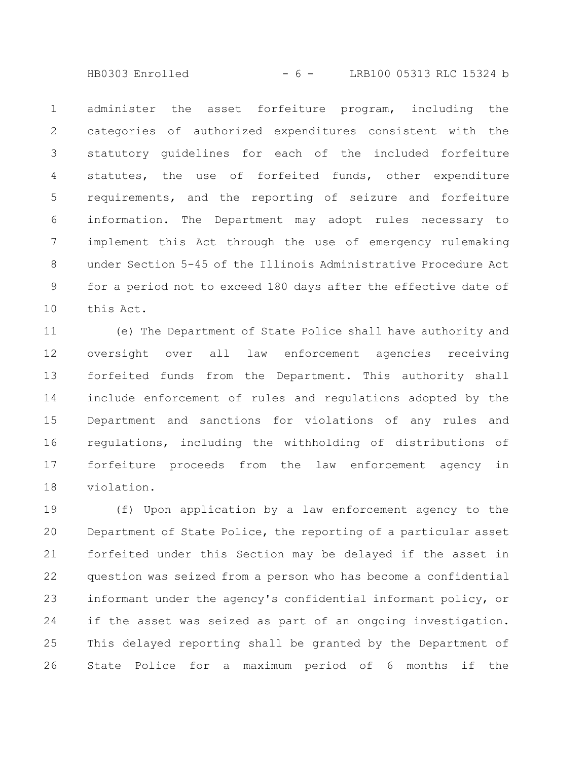HB0303 Enrolled - 6 - LRB100 05313 RLC 15324 b

administer the asset forfeiture program, including the categories of authorized expenditures consistent with the statutory guidelines for each of the included forfeiture statutes, the use of forfeited funds, other expenditure requirements, and the reporting of seizure and forfeiture information. The Department may adopt rules necessary to implement this Act through the use of emergency rulemaking under Section 5-45 of the Illinois Administrative Procedure Act for a period not to exceed 180 days after the effective date of this Act. 1 2 3 4 5 6 7 8 9 10

(e) The Department of State Police shall have authority and oversight over all law enforcement agencies receiving forfeited funds from the Department. This authority shall include enforcement of rules and regulations adopted by the Department and sanctions for violations of any rules and regulations, including the withholding of distributions of forfeiture proceeds from the law enforcement agency in violation. 11 12 13 14 15 16 17 18

(f) Upon application by a law enforcement agency to the Department of State Police, the reporting of a particular asset forfeited under this Section may be delayed if the asset in question was seized from a person who has become a confidential informant under the agency's confidential informant policy, or if the asset was seized as part of an ongoing investigation. This delayed reporting shall be granted by the Department of State Police for a maximum period of 6 months if the 19 20 21 22 23 24 25 26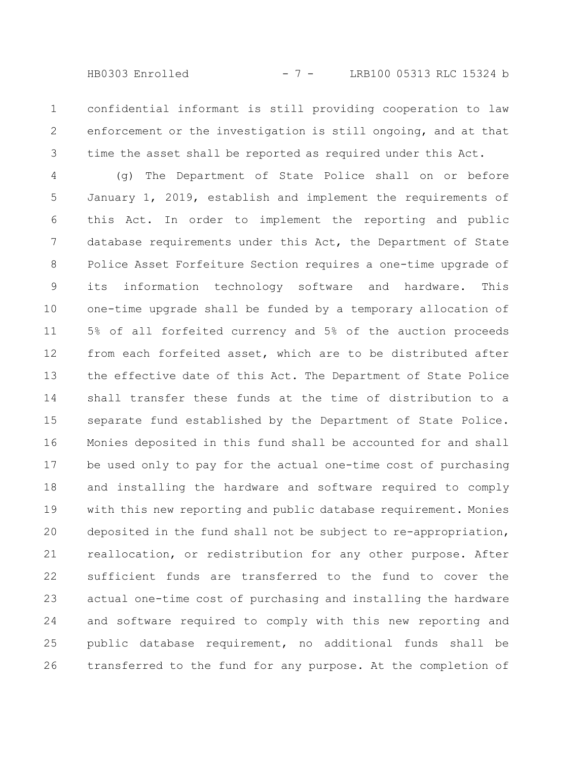HB0303 Enrolled - 7 - LRB100 05313 RLC 15324 b

confidential informant is still providing cooperation to law enforcement or the investigation is still ongoing, and at that time the asset shall be reported as required under this Act. 1 2 3

(g) The Department of State Police shall on or before January 1, 2019, establish and implement the requirements of this Act. In order to implement the reporting and public database requirements under this Act, the Department of State Police Asset Forfeiture Section requires a one-time upgrade of its information technology software and hardware. This one-time upgrade shall be funded by a temporary allocation of 5% of all forfeited currency and 5% of the auction proceeds from each forfeited asset, which are to be distributed after the effective date of this Act. The Department of State Police shall transfer these funds at the time of distribution to a separate fund established by the Department of State Police. Monies deposited in this fund shall be accounted for and shall be used only to pay for the actual one-time cost of purchasing and installing the hardware and software required to comply with this new reporting and public database requirement. Monies deposited in the fund shall not be subject to re-appropriation, reallocation, or redistribution for any other purpose. After sufficient funds are transferred to the fund to cover the actual one-time cost of purchasing and installing the hardware and software required to comply with this new reporting and public database requirement, no additional funds shall be transferred to the fund for any purpose. At the completion of 4 5 6 7 8 9 10 11 12 13 14 15 16 17 18 19 20 21 22 23 24 25 26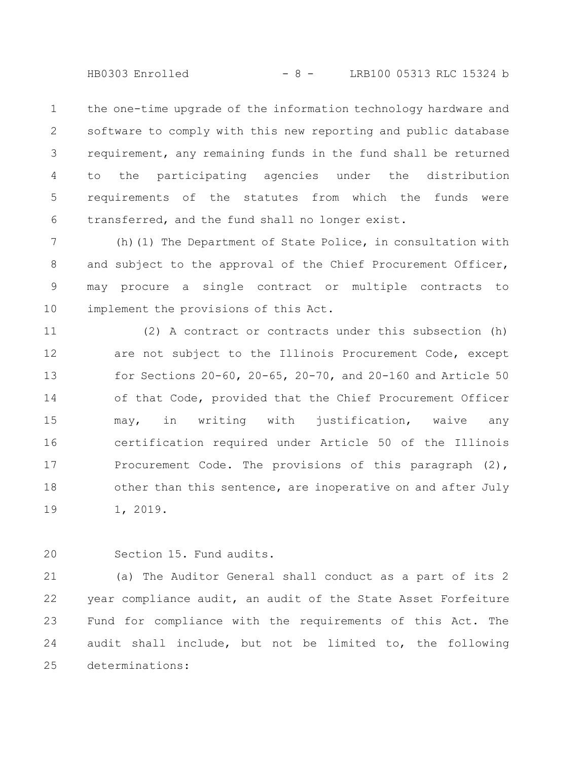HB0303 Enrolled - 8 - LRB100 05313 RLC 15324 b

the one-time upgrade of the information technology hardware and software to comply with this new reporting and public database requirement, any remaining funds in the fund shall be returned to the participating agencies under the distribution requirements of the statutes from which the funds were transferred, and the fund shall no longer exist. 1 2 3 4 5 6

(h)(1) The Department of State Police, in consultation with and subject to the approval of the Chief Procurement Officer, may procure a single contract or multiple contracts to implement the provisions of this Act. 7 8 9 10

(2) A contract or contracts under this subsection (h) are not subject to the Illinois Procurement Code, except for Sections 20-60, 20-65, 20-70, and 20-160 and Article 50 of that Code, provided that the Chief Procurement Officer may, in writing with justification, waive any certification required under Article 50 of the Illinois Procurement Code. The provisions of this paragraph (2), other than this sentence, are inoperative on and after July 1, 2019. 11 12 13 14 15 16 17 18 19

Section 15. Fund audits. 20

(a) The Auditor General shall conduct as a part of its 2 year compliance audit, an audit of the State Asset Forfeiture Fund for compliance with the requirements of this Act. The audit shall include, but not be limited to, the following determinations: 21 22 23 24 25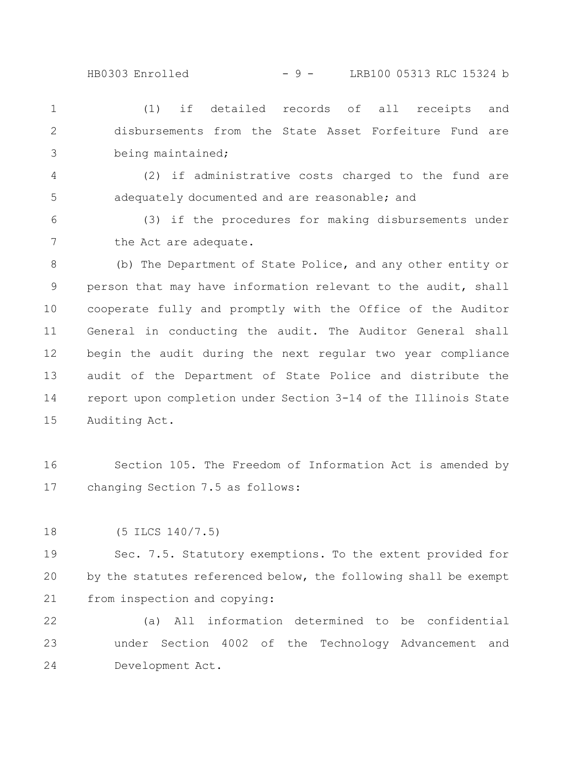## HB0303 Enrolled - 9 - LRB100 05313 RLC 15324 b

(1) if detailed records of all receipts and disbursements from the State Asset Forfeiture Fund are being maintained; 1 2 3

(2) if administrative costs charged to the fund are adequately documented and are reasonable; and 4 5

(3) if the procedures for making disbursements under the Act are adequate. 6 7

(b) The Department of State Police, and any other entity or person that may have information relevant to the audit, shall cooperate fully and promptly with the Office of the Auditor General in conducting the audit. The Auditor General shall begin the audit during the next regular two year compliance audit of the Department of State Police and distribute the report upon completion under Section 3-14 of the Illinois State Auditing Act. 8 9 10 11 12 13 14 15

Section 105. The Freedom of Information Act is amended by changing Section 7.5 as follows: 16 17

(5 ILCS 140/7.5) 18

Sec. 7.5. Statutory exemptions. To the extent provided for by the statutes referenced below, the following shall be exempt from inspection and copying: 19 20 21

(a) All information determined to be confidential under Section 4002 of the Technology Advancement and Development Act. 22 23 24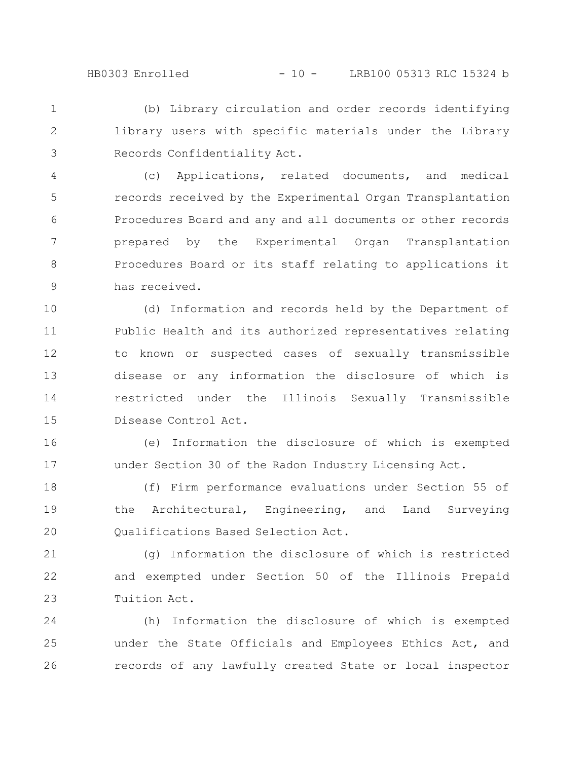(b) Library circulation and order records identifying library users with specific materials under the Library Records Confidentiality Act. 1 2 3

(c) Applications, related documents, and medical records received by the Experimental Organ Transplantation Procedures Board and any and all documents or other records prepared by the Experimental Organ Transplantation Procedures Board or its staff relating to applications it has received. 4 5 6 7 8 9

(d) Information and records held by the Department of Public Health and its authorized representatives relating to known or suspected cases of sexually transmissible disease or any information the disclosure of which is restricted under the Illinois Sexually Transmissible Disease Control Act. 10 11 12 13 14 15

(e) Information the disclosure of which is exempted under Section 30 of the Radon Industry Licensing Act. 16 17

(f) Firm performance evaluations under Section 55 of the Architectural, Engineering, and Land Surveying Qualifications Based Selection Act. 18 19 20

(g) Information the disclosure of which is restricted and exempted under Section 50 of the Illinois Prepaid Tuition Act. 21 22 23

(h) Information the disclosure of which is exempted under the State Officials and Employees Ethics Act, and records of any lawfully created State or local inspector 24 25 26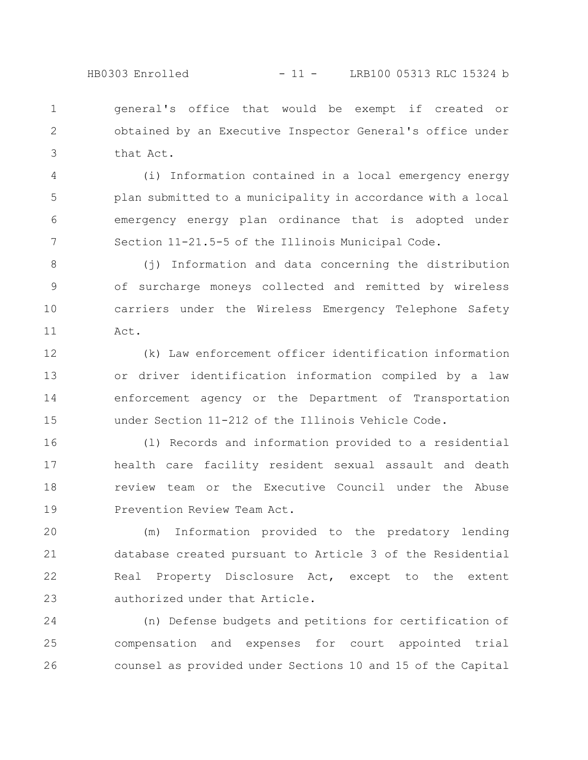## HB0303 Enrolled - 11 - LRB100 05313 RLC 15324 b

general's office that would be exempt if created or obtained by an Executive Inspector General's office under that Act. 1 2 3

(i) Information contained in a local emergency energy plan submitted to a municipality in accordance with a local emergency energy plan ordinance that is adopted under Section 11-21.5-5 of the Illinois Municipal Code. 4 5 6 7

(j) Information and data concerning the distribution of surcharge moneys collected and remitted by wireless carriers under the Wireless Emergency Telephone Safety Act. 8 9 10 11

(k) Law enforcement officer identification information or driver identification information compiled by a law enforcement agency or the Department of Transportation under Section 11-212 of the Illinois Vehicle Code. 12 13 14 15

(l) Records and information provided to a residential health care facility resident sexual assault and death review team or the Executive Council under the Abuse Prevention Review Team Act. 16 17 18 19

(m) Information provided to the predatory lending database created pursuant to Article 3 of the Residential Real Property Disclosure Act, except to the extent authorized under that Article. 20 21 22 23

(n) Defense budgets and petitions for certification of compensation and expenses for court appointed trial counsel as provided under Sections 10 and 15 of the Capital 24 25 26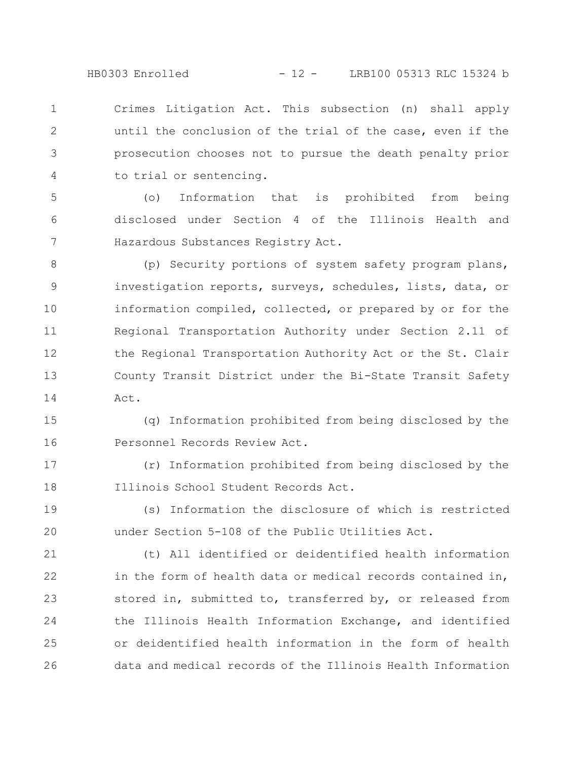HB0303 Enrolled - 12 - LRB100 05313 RLC 15324 b

Crimes Litigation Act. This subsection (n) shall apply until the conclusion of the trial of the case, even if the prosecution chooses not to pursue the death penalty prior to trial or sentencing. 1 2 3 4

(o) Information that is prohibited from being disclosed under Section 4 of the Illinois Health and Hazardous Substances Registry Act. 5 6 7

(p) Security portions of system safety program plans, investigation reports, surveys, schedules, lists, data, or information compiled, collected, or prepared by or for the Regional Transportation Authority under Section 2.11 of the Regional Transportation Authority Act or the St. Clair County Transit District under the Bi-State Transit Safety Act. 8 9 10 11 12 13 14

(q) Information prohibited from being disclosed by the Personnel Records Review Act. 15 16

(r) Information prohibited from being disclosed by the Illinois School Student Records Act. 17 18

(s) Information the disclosure of which is restricted under Section 5-108 of the Public Utilities Act. 19 20

21

(t) All identified or deidentified health information

in the form of health data or medical records contained in, stored in, submitted to, transferred by, or released from the Illinois Health Information Exchange, and identified or deidentified health information in the form of health data and medical records of the Illinois Health Information 22 23 24 25 26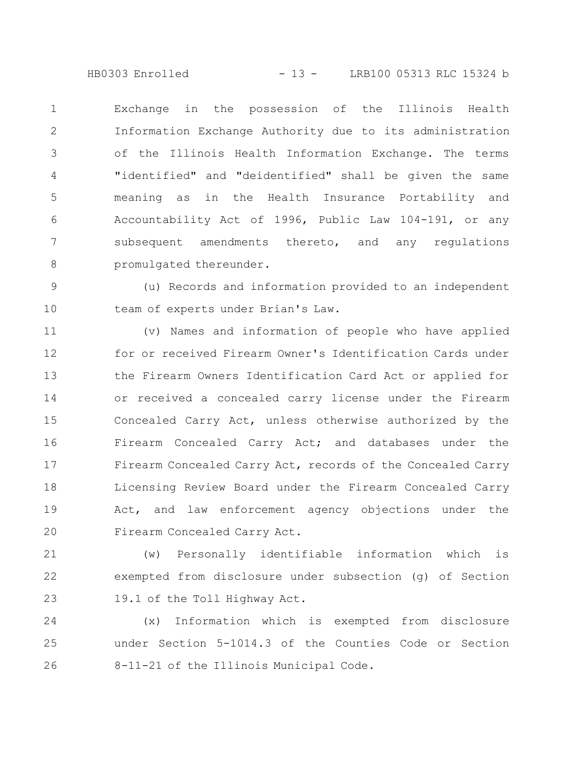HB0303 Enrolled - 13 - LRB100 05313 RLC 15324 b

Exchange in the possession of the Illinois Health Information Exchange Authority due to its administration of the Illinois Health Information Exchange. The terms "identified" and "deidentified" shall be given the same meaning as in the Health Insurance Portability and Accountability Act of 1996, Public Law 104-191, or any subsequent amendments thereto, and any regulations promulgated thereunder. 1 2 3 4 5 6 7 8

(u) Records and information provided to an independent team of experts under Brian's Law. 9 10

(v) Names and information of people who have applied for or received Firearm Owner's Identification Cards under the Firearm Owners Identification Card Act or applied for or received a concealed carry license under the Firearm Concealed Carry Act, unless otherwise authorized by the Firearm Concealed Carry Act; and databases under the Firearm Concealed Carry Act, records of the Concealed Carry Licensing Review Board under the Firearm Concealed Carry Act, and law enforcement agency objections under the Firearm Concealed Carry Act. 11 12 13 14 15 16 17 18 19 20

(w) Personally identifiable information which is exempted from disclosure under subsection (g) of Section 19.1 of the Toll Highway Act. 21 22 23

(x) Information which is exempted from disclosure under Section 5-1014.3 of the Counties Code or Section 8-11-21 of the Illinois Municipal Code. 24 25 26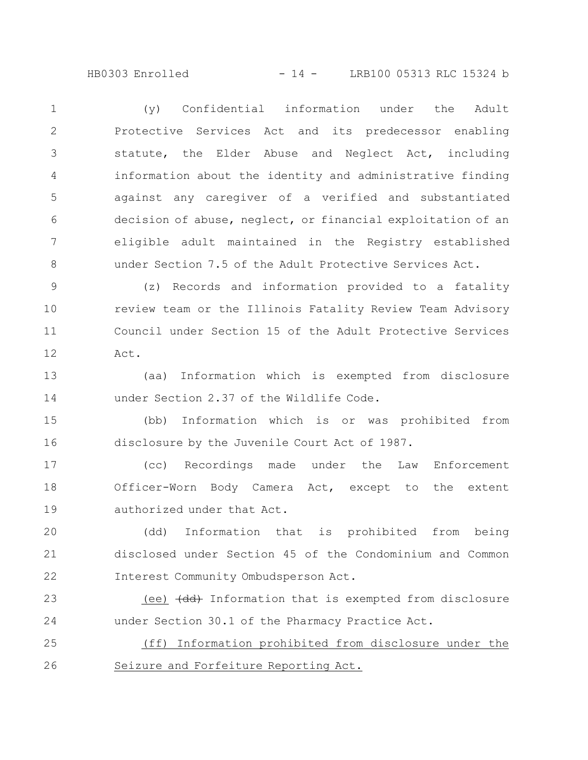HB0303 Enrolled - 14 - LRB100 05313 RLC 15324 b

(y) Confidential information under the Adult Protective Services Act and its predecessor enabling statute, the Elder Abuse and Neglect Act, including information about the identity and administrative finding against any caregiver of a verified and substantiated decision of abuse, neglect, or financial exploitation of an eligible adult maintained in the Registry established under Section 7.5 of the Adult Protective Services Act. 1 2 3 4 5 6 7 8

(z) Records and information provided to a fatality review team or the Illinois Fatality Review Team Advisory Council under Section 15 of the Adult Protective Services Act. 9 10 11 12

(aa) Information which is exempted from disclosure under Section 2.37 of the Wildlife Code. 13 14

(bb) Information which is or was prohibited from disclosure by the Juvenile Court Act of 1987. 15 16

(cc) Recordings made under the Law Enforcement Officer-Worn Body Camera Act, except to the extent authorized under that Act. 17 18 19

(dd) Information that is prohibited from being disclosed under Section 45 of the Condominium and Common Interest Community Ombudsperson Act. 20 21 22

(ee)  $\left(\frac{dd}{dd}\right)$  Information that is exempted from disclosure under Section 30.1 of the Pharmacy Practice Act. 23 24

(ff) Information prohibited from disclosure under the Seizure and Forfeiture Reporting Act. 25 26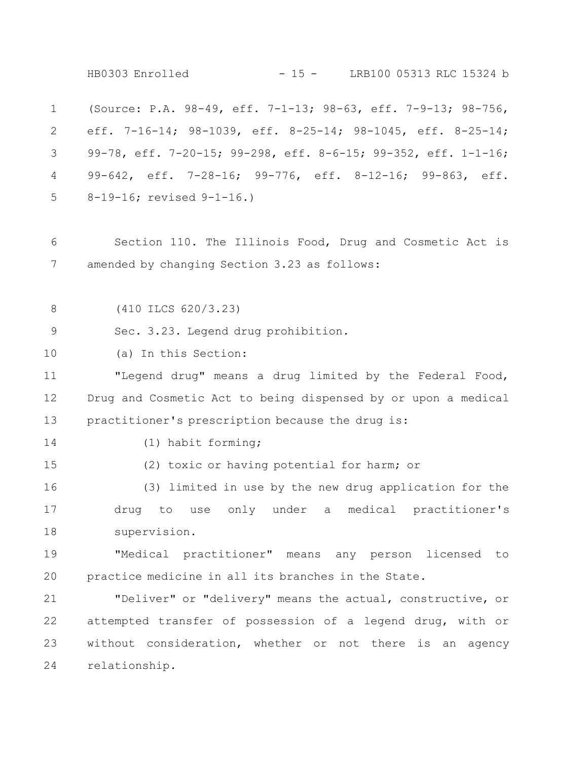(Source: P.A. 98-49, eff. 7-1-13; 98-63, eff. 7-9-13; 98-756, eff. 7-16-14; 98-1039, eff. 8-25-14; 98-1045, eff. 8-25-14; 99-78, eff. 7-20-15; 99-298, eff. 8-6-15; 99-352, eff. 1-1-16; 99-642, eff. 7-28-16; 99-776, eff. 8-12-16; 99-863, eff. 8-19-16; revised 9-1-16.) Section 110. The Illinois Food, Drug and Cosmetic Act is amended by changing Section 3.23 as follows: (410 ILCS 620/3.23) Sec. 3.23. Legend drug prohibition. (a) In this Section: "Legend drug" means a drug limited by the Federal Food, Drug and Cosmetic Act to being dispensed by or upon a medical practitioner's prescription because the drug is: (1) habit forming; (2) toxic or having potential for harm; or (3) limited in use by the new drug application for the drug to use only under a medical practitioner's supervision. "Medical practitioner" means any person licensed to practice medicine in all its branches in the State. "Deliver" or "delivery" means the actual, constructive, or attempted transfer of possession of a legend drug, with or without consideration, whether or not there is an agency relationship. 1 2 3 4 5 6 7 8 9 10 11 12 13 14 15 16 17 18 19 20 21 22 23 24 HB0303 Enrolled - 15 - LRB100 05313 RLC 15324 b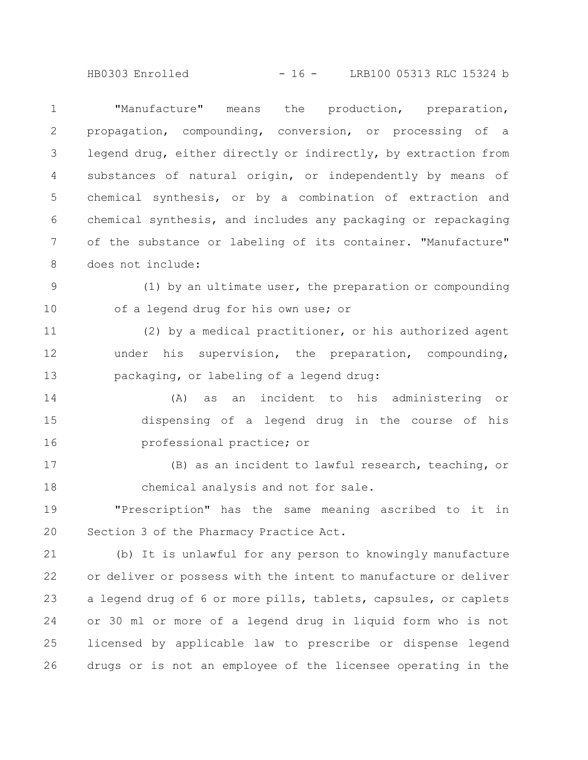HB0303 Enrolled - 16 - LRB100 05313 RLC 15324 b

"Manufacture" means the production, preparation, propagation, compounding, conversion, or processing of a legend drug, either directly or indirectly, by extraction from substances of natural origin, or independently by means of chemical synthesis, or by a combination of extraction and chemical synthesis, and includes any packaging or repackaging of the substance or labeling of its container. "Manufacture" does not include: 1 2 3 4 5 6 7 8

(1) by an ultimate user, the preparation or compounding of a legend drug for his own use; or 9 10

(2) by a medical practitioner, or his authorized agent under his supervision, the preparation, compounding, packaging, or labeling of a legend drug: 11 12 13

(A) as an incident to his administering or dispensing of a legend drug in the course of his professional practice; or 14 15 16

(B) as an incident to lawful research, teaching, or chemical analysis and not for sale. 17 18

"Prescription" has the same meaning ascribed to it in Section 3 of the Pharmacy Practice Act. 19 20

(b) It is unlawful for any person to knowingly manufacture or deliver or possess with the intent to manufacture or deliver a legend drug of 6 or more pills, tablets, capsules, or caplets or 30 ml or more of a legend drug in liquid form who is not licensed by applicable law to prescribe or dispense legend drugs or is not an employee of the licensee operating in the 21 22 23 24 25 26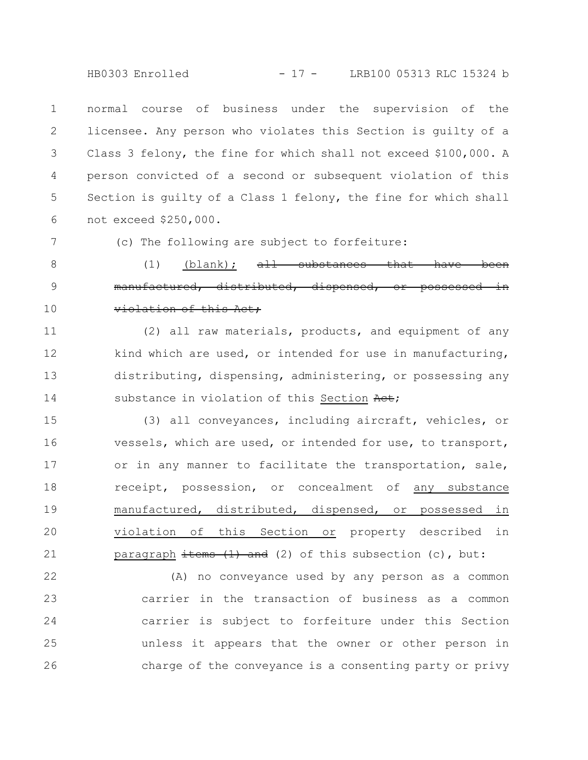HB0303 Enrolled - 17 - LRB100 05313 RLC 15324 b

normal course of business under the supervision of the licensee. Any person who violates this Section is guilty of a Class 3 felony, the fine for which shall not exceed \$100,000. A person convicted of a second or subsequent violation of this Section is guilty of a Class 1 felony, the fine for which shall not exceed \$250,000. 1 2 3 4 5 6

7

(c) The following are subject to forfeiture:

(1) (blank);  $aH$  substances that manufactured, distributed, dispensed, or possessed violation of this Act; 8 9 10

(2) all raw materials, products, and equipment of any kind which are used, or intended for use in manufacturing, distributing, dispensing, administering, or possessing any substance in violation of this Section Aet; 11 12 13 14

(3) all conveyances, including aircraft, vehicles, or vessels, which are used, or intended for use, to transport, or in any manner to facilitate the transportation, sale, receipt, possession, or concealment of any substance manufactured, distributed, dispensed, or possessed in violation of this Section or property described in paragraph  $\frac{1}{1}$  and (2) of this subsection (c), but: 15 16 17 18 19 20 21

(A) no conveyance used by any person as a common carrier in the transaction of business as a common carrier is subject to forfeiture under this Section unless it appears that the owner or other person in charge of the conveyance is a consenting party or privy 22 23 24 25 26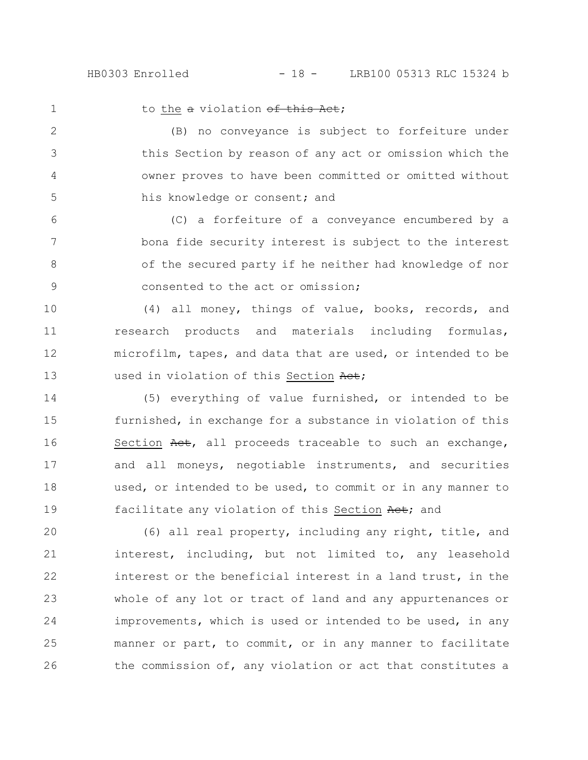to the a violation of this Act;

1

2

3

4

5

(B) no conveyance is subject to forfeiture under this Section by reason of any act or omission which the owner proves to have been committed or omitted without his knowledge or consent; and

(C) a forfeiture of a conveyance encumbered by a bona fide security interest is subject to the interest of the secured party if he neither had knowledge of nor consented to the act or omission; 6 7 8 9

(4) all money, things of value, books, records, and research products and materials including formulas, microfilm, tapes, and data that are used, or intended to be used in violation of this Section Act; 10 11 12 13

(5) everything of value furnished, or intended to be furnished, in exchange for a substance in violation of this Section Act, all proceeds traceable to such an exchange, and all moneys, negotiable instruments, and securities used, or intended to be used, to commit or in any manner to facilitate any violation of this Section Act; and 14 15 16 17 18 19

(6) all real property, including any right, title, and interest, including, but not limited to, any leasehold interest or the beneficial interest in a land trust, in the whole of any lot or tract of land and any appurtenances or improvements, which is used or intended to be used, in any manner or part, to commit, or in any manner to facilitate the commission of, any violation or act that constitutes a 20 21 22 23 24 25 26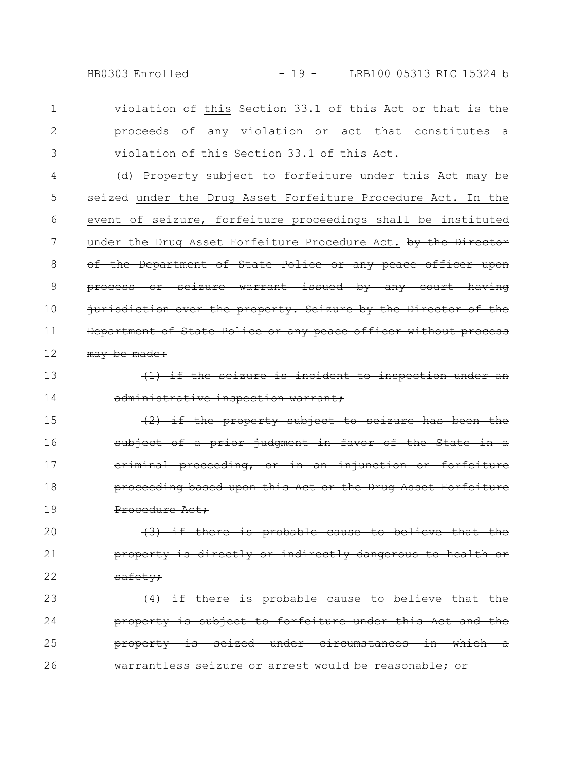HB0303 Enrolled - 19 - LRB100 05313 RLC 15324 b

violation of this Section 33.1 of this Act or that is the proceeds of any violation or act that constitutes a violation of this Section 33.1 of this Act. 1 2 3

(d) Property subject to forfeiture under this Act may be seized under the Drug Asset Forfeiture Procedure Act. In the event of seizure, forfeiture proceedings shall be instituted under the Drug Asset Forfeiture Procedure Act. by the Director of the Department of State Police or any peace officer upon process or seizure warrant issued by any court having jurisdiction over the property. Seizure by the Director of the Department of State Police or any peace officer without process may be made: 4 5 6 7 8 9 10 11 12

 $(1)$  if the seizure is incident to inspection administrative inspection warrant; 13 14

(2) if the property subject to seizure has been the subject of a prior judgment in favor of the State criminal proceeding, or in an injunction or forfeiture proceeding based upon this Act or the Drug Procedure Act; 15 16 17 18 19

 $(3)$  if there is probable cause to property is directly or indirectly dangerous safety; 20 21 22

 $(4)$  if there is probable cause to believe that property is subject to forfeiture under this Act and property is seized under circumstances in which warrantless seizure or arrest would be reasonabl 23 24 25 26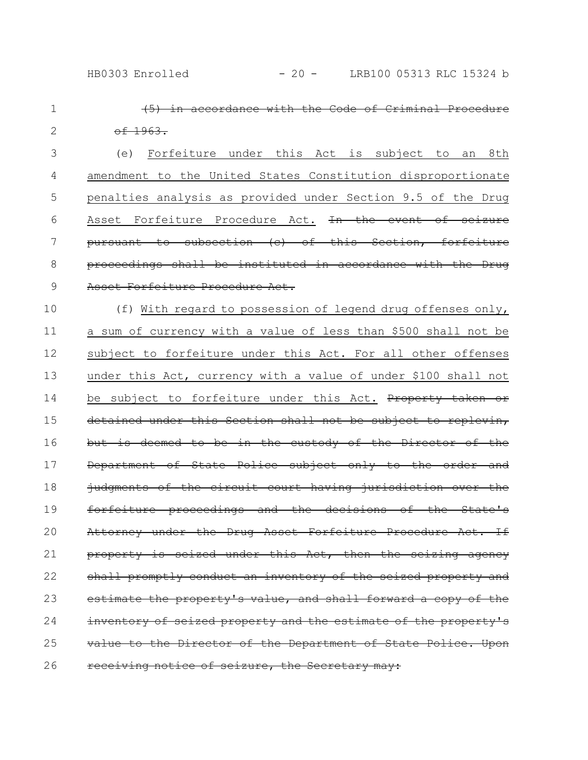| $\mathbf 1$ | in accordance with the Code of Criminal Procedure               |
|-------------|-----------------------------------------------------------------|
| 2           | $-6.1963.$                                                      |
| 3           | Forfeiture under this Act is subject<br>8th<br>(e)<br>to<br>an  |
| 4           | amendment to the United States Constitution disproportionate    |
| 5           | penalties analysis as provided under Section 9.5 of the Drug    |
| 6           | Asset Forfeiture Procedure Act. In the event of seizure         |
| 7           | pursuant to subsection (c) of this Section, forfeiture          |
| 8           | proceedings shall be instituted in accordance with the Drug     |
| 9           | Asset Forfeiture Procedure Act.                                 |
| 10          | (f) With regard to possession of legend drug offenses only,     |
| 11          | a sum of currency with a value of less than \$500 shall not be  |
| 12          | subject to forfeiture under this Act. For all other offenses    |
| 13          | under this Act, currency with a value of under \$100 shall not  |
| 14          | be subject to forfeiture under this Act. Property taken or      |
| 15          | detained under this Section shall not be subject to replevin,   |
| 16          | but is deemed to be in the custody of the Director of the       |
| 17          | Department of State Police subject only to the order and        |
| 18          | judgments of the circuit court having jurisdiction over the     |
| 19          | forfeiture proceedings and the decisions of the State's         |
| 20          | Attorney under the Drug Asset Forfeiture Procedure Act. If      |
| 21          | property is seized under this Act, then the seizing agency      |
| 22          | shall promptly conduct an inventory of the seized property and  |
| 23          | estimate the property's value, and shall forward a copy of the  |
| 24          | inventory of seized property and the estimate of the property's |
| 25          | value to the Director of the Department of State Police. Upon   |
| 26          | receiving notice of seizure, the Secretary may:                 |
|             |                                                                 |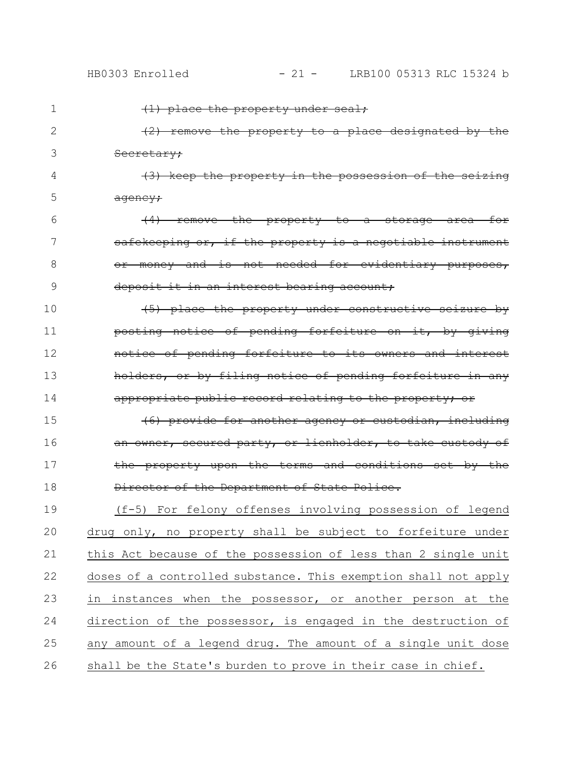| 1  | <del>(1) place the property under seal;</del>                                        |
|----|--------------------------------------------------------------------------------------|
| 2  | (2) remove the property to a place designated by the                                 |
| 3  | Secretary;                                                                           |
| 4  | the property in the possession of the seizing<br><del>(3) keep</del>                 |
| 5  | <del>agency;</del>                                                                   |
| 6  | remove the property to<br>for<br><del>a</del><br>area—<br><del>storage</del>         |
| 7  | safekeeping or, if the property is a negotiable<br><del>ınstrument</del>             |
| 8  | not needed for evidentiary<br>money and is<br>Θř<br><del>- purposes,</del>           |
| 9  | deposit it in an interest bearing account;                                           |
| 10 | $\leftarrow$ $\leftarrow$ $\leftarrow$<br>the property under constructive seizure by |
| 11 | posting notice of pending forfeiture on it, by giving                                |
| 12 | notice of pending forfeiture to its owners and interest                              |
| 13 | holders, or by filing notice of pending forfeiture in any                            |
|    |                                                                                      |
| 14 | appropriate public record relating to the property; or                               |
| 15 | (6) provide for another agency or custodian, including                               |
| 16 | an owner, secured party, or lienholder, to take custody of                           |
| 17 | the property upon the terms and conditions set by the                                |
| 18 | Director of the Department of State Police.                                          |
| 19 | (f-5) For felony offenses involving possession of legend                             |
| 20 | drug only, no property shall be subject to forfeiture under                          |
| 21 | this Act because of the possession of less than 2 single unit                        |
| 22 | doses of a controlled substance. This exemption shall not apply                      |
| 23 | in instances when the possessor, or another person at the                            |
| 24 | direction of the possessor, is engaged in the destruction of                         |
| 25 | any amount of a legend drug. The amount of a single unit dose                        |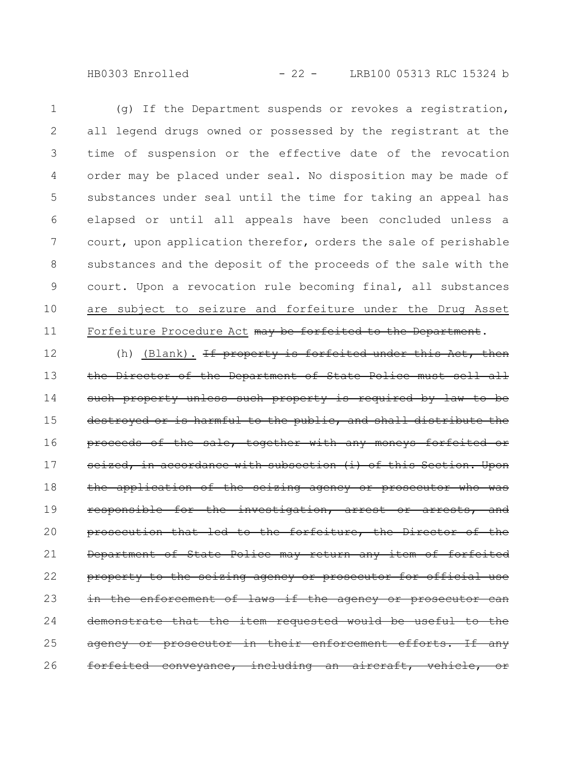HB0303 Enrolled - 22 - LRB100 05313 RLC 15324 b

(g) If the Department suspends or revokes a registration, all legend drugs owned or possessed by the registrant at the time of suspension or the effective date of the revocation order may be placed under seal. No disposition may be made of substances under seal until the time for taking an appeal has elapsed or until all appeals have been concluded unless a court, upon application therefor, orders the sale of perishable substances and the deposit of the proceeds of the sale with the court. Upon a revocation rule becoming final, all substances are subject to seizure and forfeiture under the Drug Asset Forfeiture Procedure Act may be forfeited to the Department. 1 2 3 4 5 6 7 8 9 10 11

(h) (Blank). If property is forfeited under this Act, then the Director of the Department of State Police must sell all such property unless such property is required by law to destroyed or is harmful to the public, and shall distribute proceeds of the sale, together with any moneys forfeited or seized, in accordance with subsection (i) of this Section. Upon the application of the seizing agency or prosecutor who was responsible for the investigation, arrest or arrests, and prosecution that led to the forfeiture, the Director of the Department of State Police may return any item of forfeited property to the seizing agency or prosecutor for official use the enforcement of laws if the agency or prosecutor can demonstrate that the item requested would be useful agency or prosecutor in their enforcement efforts. If any forfeited conveyance, including an aircraft, vehicle, or 12 13 14 15 16 17 18 19 20 21 22 23 24 25 26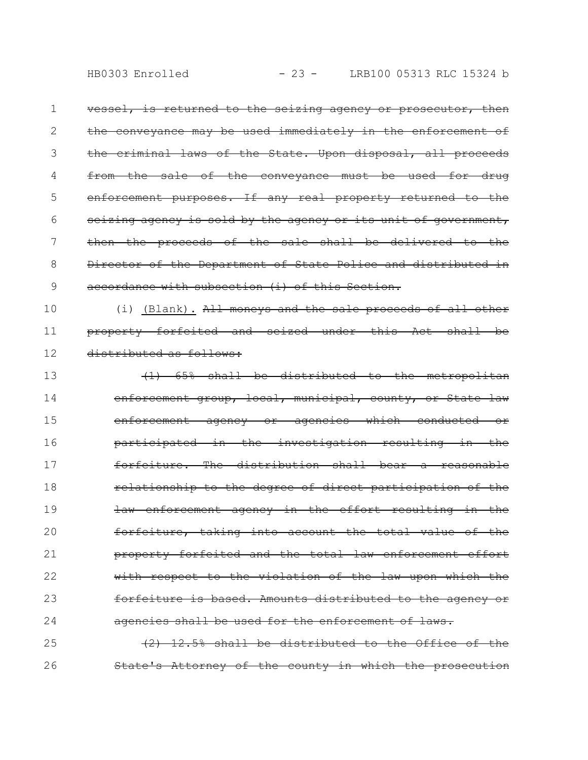vessel, is returned to the seizing agency or prosecutor, then the conveyance may be used immediately in the enforcement of the criminal laws of the State. Upon disposal, all proceeds from the sale of the conveyance must be used for drug enforcement purposes. If any real property returned to the seizing agency is sold by the agency or its unit of government, then the proceeds of the sale shall be delivered to the Director of the Department of State Police and distributed in accordance with subsection (i) of this Section. 1 2 3 4 5 6 7 8 9

(i) (Blank). All moneys and the sale proceeds of all other property forfeited and seized under this Act shall be distributed as follows: 10 11 12

(1) 65% shall be distributed to the metropolitan enforcement group, local, municipal, county, or State law enforcement agency or agencies which conducted or participated in the investigation resulting in the forfeiture. The distribution shall bear a reasonable relationship to the degree of direct participation of the law enforcement agency in the effort resulting in the forfeiture, taking into account the total value of the property forfeited and the total law enforcement effort with respect to the violation of the law upon which the forfeiture is based. Amounts distributed to the agency or agencies shall be used for the enforcement of laws. 13 14 15 16 17 18 19 20 21 22 23 24

(2) 12.5% shall be distributed to the Office of the State's Attorney of the county in which the prosecution 25 26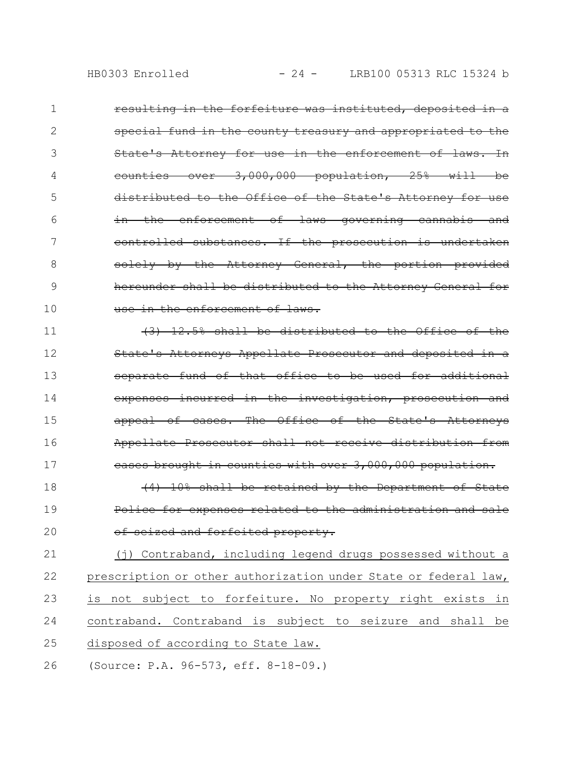resulting in the forfeiture was instituted, deposited in a special fund in the county treasury and appropriated to the State's Attorney for use in the enforcement of  $-3,000,000$  population,  $25%$ distributed to the Office of the State's Attorney for use in the enforcement of laws governing cannabis and controlled substances. If the prosecution is undertaken solely by the Attorney General, the portion provided hereunder shall be distributed to the Attorney General for use in the enforcement of laws. 1 2 3 4 5 6 7 8 9 10

(3) 12.5% shall be distributed to the Office of the State's Attorneys Appellate Prosecutor and deposited separate fund of that office to be used for additional expenses incurred in the investigation, prosecution and appeal of cases. The Office of the State's Attorneys Appellate Prosecutor shall not receive distribution from cases brought in counties with over 3,000,000 population.  $(4)$  10% shall be retained by the Department of 11 12 13 14 15 16 17 18

Police for expenses related to the administration and sale of seized and forfeited property. 19 20

(j) Contraband, including legend drugs possessed without a prescription or other authorization under State or federal law, is not subject to forfeiture. No property right exists in contraband. Contraband is subject to seizure and shall be disposed of according to State law. 21 22 23 24 25

(Source: P.A. 96-573, eff. 8-18-09.) 26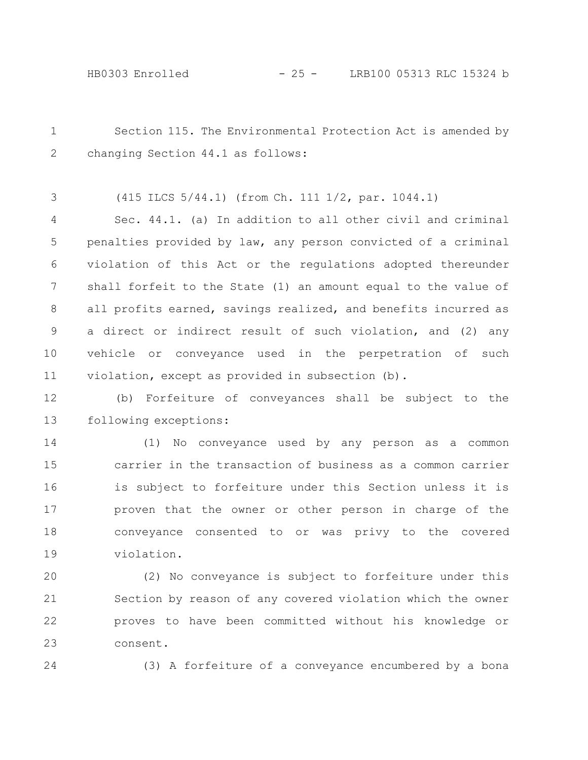Section 115. The Environmental Protection Act is amended by changing Section 44.1 as follows: 1 2

(415 ILCS 5/44.1) (from Ch. 111 1/2, par. 1044.1) 3

Sec. 44.1. (a) In addition to all other civil and criminal penalties provided by law, any person convicted of a criminal violation of this Act or the regulations adopted thereunder shall forfeit to the State (1) an amount equal to the value of all profits earned, savings realized, and benefits incurred as a direct or indirect result of such violation, and (2) any vehicle or conveyance used in the perpetration of such violation, except as provided in subsection (b). 4 5 6 7 8 9 10 11

(b) Forfeiture of conveyances shall be subject to the following exceptions: 12 13

(1) No conveyance used by any person as a common carrier in the transaction of business as a common carrier is subject to forfeiture under this Section unless it is proven that the owner or other person in charge of the conveyance consented to or was privy to the covered violation. 14 15 16 17 18 19

(2) No conveyance is subject to forfeiture under this Section by reason of any covered violation which the owner proves to have been committed without his knowledge or consent. 20 21 22 23

24

(3) A forfeiture of a conveyance encumbered by a bona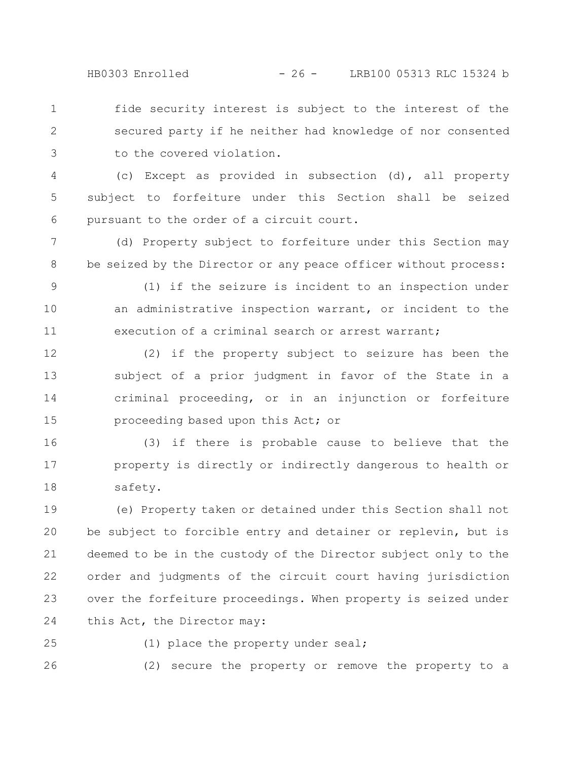HB0303 Enrolled - 26 - LRB100 05313 RLC 15324 b

fide security interest is subject to the interest of the secured party if he neither had knowledge of nor consented to the covered violation. 1 2 3

(c) Except as provided in subsection (d), all property subject to forfeiture under this Section shall be seized pursuant to the order of a circuit court. 4 5 6

(d) Property subject to forfeiture under this Section may be seized by the Director or any peace officer without process: 7 8

9

(1) if the seizure is incident to an inspection under an administrative inspection warrant, or incident to the execution of a criminal search or arrest warrant; 10 11

(2) if the property subject to seizure has been the subject of a prior judgment in favor of the State in a criminal proceeding, or in an injunction or forfeiture proceeding based upon this Act; or 12 13 14 15

(3) if there is probable cause to believe that the property is directly or indirectly dangerous to health or safety. 16 17 18

(e) Property taken or detained under this Section shall not be subject to forcible entry and detainer or replevin, but is deemed to be in the custody of the Director subject only to the order and judgments of the circuit court having jurisdiction over the forfeiture proceedings. When property is seized under this Act, the Director may: 19 20 21 22 23 24

25

(1) place the property under seal;

(2) secure the property or remove the property to a 26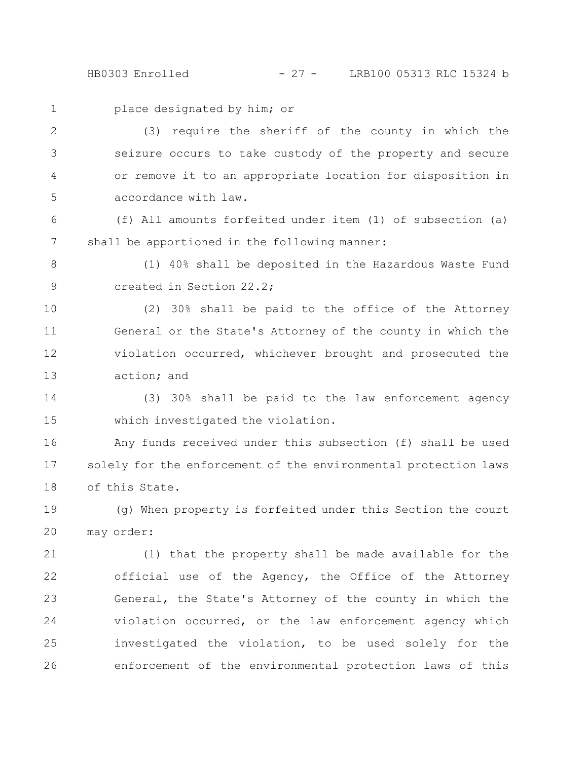HB0303 Enrolled - 27 - LRB100 05313 RLC 15324 b

1

place designated by him; or

(3) require the sheriff of the county in which the seizure occurs to take custody of the property and secure or remove it to an appropriate location for disposition in accordance with law. 2 3 4 5

(f) All amounts forfeited under item (1) of subsection (a) shall be apportioned in the following manner: 6 7

(1) 40% shall be deposited in the Hazardous Waste Fund created in Section 22.2; 8 9

(2) 30% shall be paid to the office of the Attorney General or the State's Attorney of the county in which the violation occurred, whichever brought and prosecuted the action; and 10 11 12 13

(3) 30% shall be paid to the law enforcement agency which investigated the violation. 14 15

Any funds received under this subsection (f) shall be used solely for the enforcement of the environmental protection laws of this State. 16 17 18

(g) When property is forfeited under this Section the court may order: 19 20

(1) that the property shall be made available for the official use of the Agency, the Office of the Attorney General, the State's Attorney of the county in which the violation occurred, or the law enforcement agency which investigated the violation, to be used solely for the enforcement of the environmental protection laws of this 21 22 23 24 25 26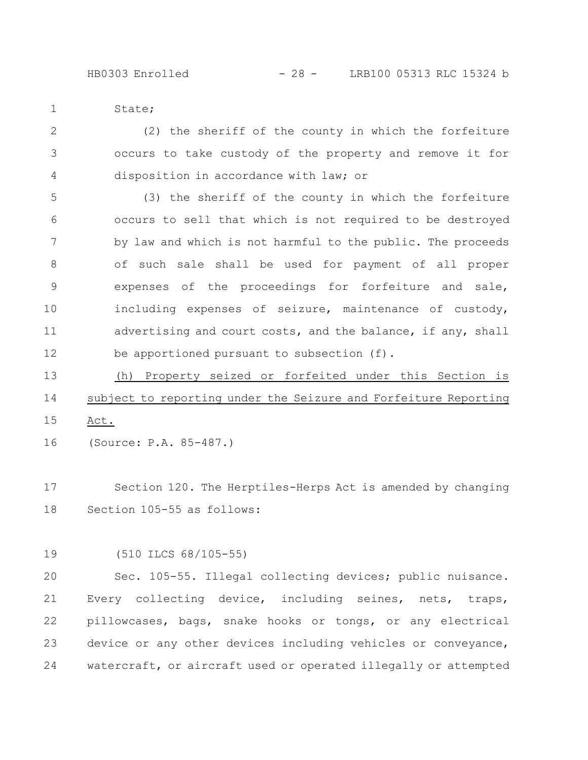State; 1

(2) the sheriff of the county in which the forfeiture occurs to take custody of the property and remove it for disposition in accordance with law; or 2 3 4

(3) the sheriff of the county in which the forfeiture occurs to sell that which is not required to be destroyed by law and which is not harmful to the public. The proceeds of such sale shall be used for payment of all proper expenses of the proceedings for forfeiture and sale, including expenses of seizure, maintenance of custody, advertising and court costs, and the balance, if any, shall be apportioned pursuant to subsection (f). 5 6 7 8 9 10 11 12

(h) Property seized or forfeited under this Section is subject to reporting under the Seizure and Forfeiture Reporting Act. 13 14 15

(Source: P.A. 85-487.) 16

Section 120. The Herptiles-Herps Act is amended by changing Section 105-55 as follows: 17 18

(510 ILCS 68/105-55) 19

Sec. 105-55. Illegal collecting devices; public nuisance. Every collecting device, including seines, nets, traps, pillowcases, bags, snake hooks or tongs, or any electrical device or any other devices including vehicles or conveyance, watercraft, or aircraft used or operated illegally or attempted 20 21 22 23 24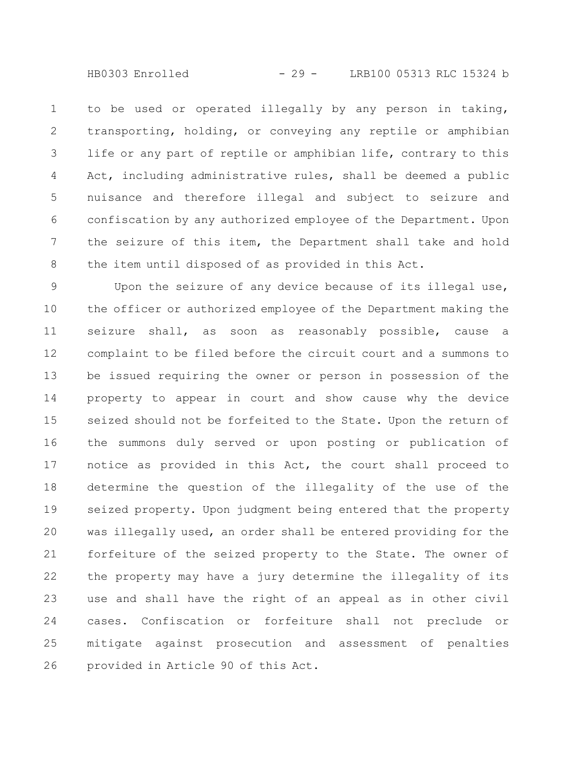to be used or operated illegally by any person in taking, transporting, holding, or conveying any reptile or amphibian life or any part of reptile or amphibian life, contrary to this Act, including administrative rules, shall be deemed a public nuisance and therefore illegal and subject to seizure and confiscation by any authorized employee of the Department. Upon the seizure of this item, the Department shall take and hold the item until disposed of as provided in this Act. 1 2 3 4 5 6 7 8

Upon the seizure of any device because of its illegal use, the officer or authorized employee of the Department making the seizure shall, as soon as reasonably possible, cause a complaint to be filed before the circuit court and a summons to be issued requiring the owner or person in possession of the property to appear in court and show cause why the device seized should not be forfeited to the State. Upon the return of the summons duly served or upon posting or publication of notice as provided in this Act, the court shall proceed to determine the question of the illegality of the use of the seized property. Upon judgment being entered that the property was illegally used, an order shall be entered providing for the forfeiture of the seized property to the State. The owner of the property may have a jury determine the illegality of its use and shall have the right of an appeal as in other civil cases. Confiscation or forfeiture shall not preclude or mitigate against prosecution and assessment of penalties provided in Article 90 of this Act. 9 10 11 12 13 14 15 16 17 18 19 20 21 22 23 24 25 26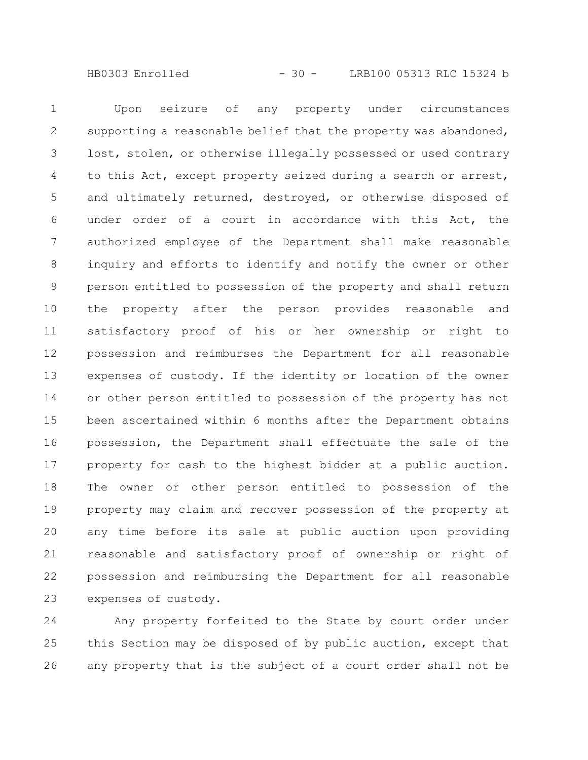HB0303 Enrolled - 30 - LRB100 05313 RLC 15324 b

Upon seizure of any property under circumstances supporting a reasonable belief that the property was abandoned, lost, stolen, or otherwise illegally possessed or used contrary to this Act, except property seized during a search or arrest, and ultimately returned, destroyed, or otherwise disposed of under order of a court in accordance with this Act, the authorized employee of the Department shall make reasonable inquiry and efforts to identify and notify the owner or other person entitled to possession of the property and shall return the property after the person provides reasonable and satisfactory proof of his or her ownership or right to possession and reimburses the Department for all reasonable expenses of custody. If the identity or location of the owner or other person entitled to possession of the property has not been ascertained within 6 months after the Department obtains possession, the Department shall effectuate the sale of the property for cash to the highest bidder at a public auction. The owner or other person entitled to possession of the property may claim and recover possession of the property at any time before its sale at public auction upon providing reasonable and satisfactory proof of ownership or right of possession and reimbursing the Department for all reasonable expenses of custody. 1 2 3 4 5 6 7 8 9 10 11 12 13 14 15 16 17 18 19 20 21 22 23

Any property forfeited to the State by court order under this Section may be disposed of by public auction, except that any property that is the subject of a court order shall not be 24 25 26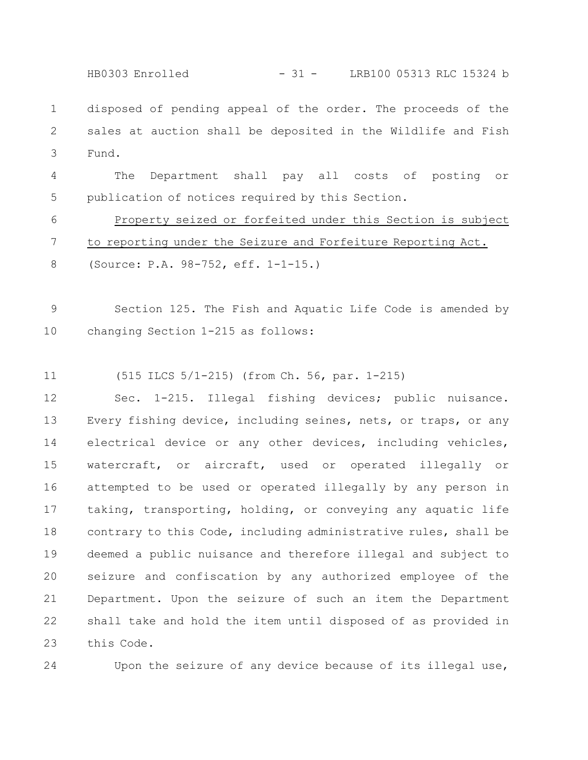HB0303 Enrolled - 31 - LRB100 05313 RLC 15324 b

disposed of pending appeal of the order. The proceeds of the sales at auction shall be deposited in the Wildlife and Fish Fund. 1 2 3

The Department shall pay all costs of posting or publication of notices required by this Section. 4 5

Property seized or forfeited under this Section is subject to reporting under the Seizure and Forfeiture Reporting Act. 6 7

(Source: P.A. 98-752, eff. 1-1-15.) 8

Section 125. The Fish and Aquatic Life Code is amended by changing Section 1-215 as follows: 9 10

(515 ILCS 5/1-215) (from Ch. 56, par. 1-215) 11

Sec. 1-215. Illegal fishing devices; public nuisance. Every fishing device, including seines, nets, or traps, or any electrical device or any other devices, including vehicles, watercraft, or aircraft, used or operated illegally or attempted to be used or operated illegally by any person in taking, transporting, holding, or conveying any aquatic life contrary to this Code, including administrative rules, shall be deemed a public nuisance and therefore illegal and subject to seizure and confiscation by any authorized employee of the Department. Upon the seizure of such an item the Department shall take and hold the item until disposed of as provided in this Code. 12 13 14 15 16 17 18 19 20 21 22 23

24

Upon the seizure of any device because of its illegal use,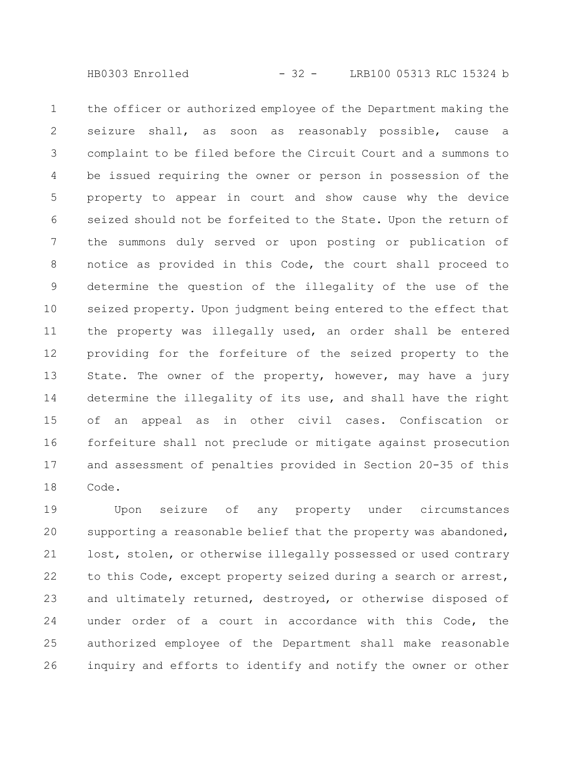the officer or authorized employee of the Department making the seizure shall, as soon as reasonably possible, cause a complaint to be filed before the Circuit Court and a summons to be issued requiring the owner or person in possession of the property to appear in court and show cause why the device seized should not be forfeited to the State. Upon the return of the summons duly served or upon posting or publication of notice as provided in this Code, the court shall proceed to determine the question of the illegality of the use of the seized property. Upon judgment being entered to the effect that the property was illegally used, an order shall be entered providing for the forfeiture of the seized property to the State. The owner of the property, however, may have a jury determine the illegality of its use, and shall have the right of an appeal as in other civil cases. Confiscation or forfeiture shall not preclude or mitigate against prosecution and assessment of penalties provided in Section 20-35 of this Code. 1 2 3 4 5 6 7 8 9 10 11 12 13 14 15 16 17 18

Upon seizure of any property under circumstances supporting a reasonable belief that the property was abandoned, lost, stolen, or otherwise illegally possessed or used contrary to this Code, except property seized during a search or arrest, and ultimately returned, destroyed, or otherwise disposed of under order of a court in accordance with this Code, the authorized employee of the Department shall make reasonable inquiry and efforts to identify and notify the owner or other 19 20 21 22 23 24 25 26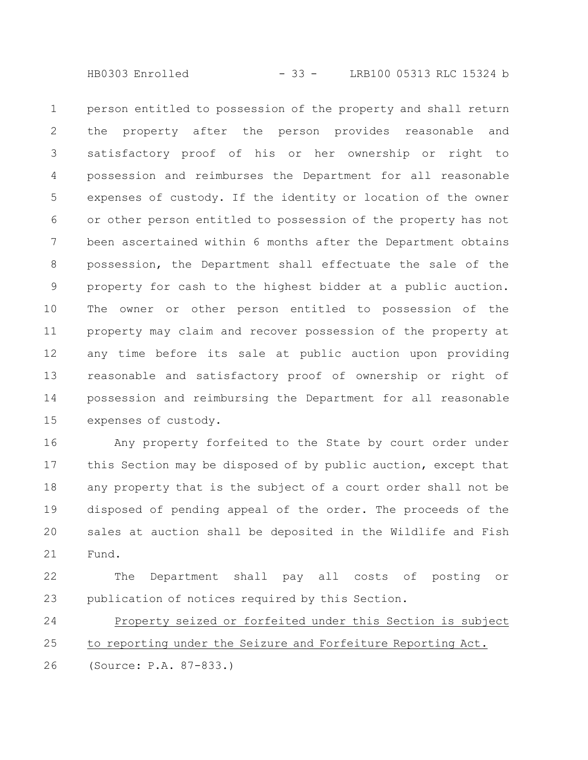HB0303 Enrolled - 33 - LRB100 05313 RLC 15324 b

person entitled to possession of the property and shall return the property after the person provides reasonable and satisfactory proof of his or her ownership or right to possession and reimburses the Department for all reasonable expenses of custody. If the identity or location of the owner or other person entitled to possession of the property has not been ascertained within 6 months after the Department obtains possession, the Department shall effectuate the sale of the property for cash to the highest bidder at a public auction. The owner or other person entitled to possession of the property may claim and recover possession of the property at any time before its sale at public auction upon providing reasonable and satisfactory proof of ownership or right of possession and reimbursing the Department for all reasonable expenses of custody. 1 2 3 4 5 6 7 8 9 10 11 12 13 14 15

Any property forfeited to the State by court order under this Section may be disposed of by public auction, except that any property that is the subject of a court order shall not be disposed of pending appeal of the order. The proceeds of the sales at auction shall be deposited in the Wildlife and Fish Fund. 16 17 18 19 20 21

The Department shall pay all costs of posting or publication of notices required by this Section. 22 23

Property seized or forfeited under this Section is subject to reporting under the Seizure and Forfeiture Reporting Act. (Source: P.A. 87-833.) 24 25 26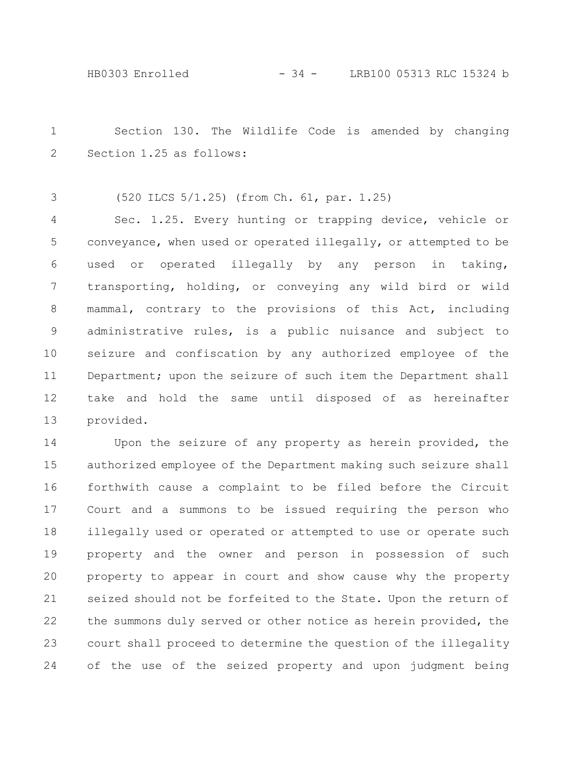Section 130. The Wildlife Code is amended by changing Section 1.25 as follows: 1 2

(520 ILCS 5/1.25) (from Ch. 61, par. 1.25) 3

Sec. 1.25. Every hunting or trapping device, vehicle or conveyance, when used or operated illegally, or attempted to be used or operated illegally by any person in taking, transporting, holding, or conveying any wild bird or wild mammal, contrary to the provisions of this Act, including administrative rules, is a public nuisance and subject to seizure and confiscation by any authorized employee of the Department; upon the seizure of such item the Department shall take and hold the same until disposed of as hereinafter provided. 4 5 6 7 8 9 10 11 12 13

Upon the seizure of any property as herein provided, the authorized employee of the Department making such seizure shall forthwith cause a complaint to be filed before the Circuit Court and a summons to be issued requiring the person who illegally used or operated or attempted to use or operate such property and the owner and person in possession of such property to appear in court and show cause why the property seized should not be forfeited to the State. Upon the return of the summons duly served or other notice as herein provided, the court shall proceed to determine the question of the illegality of the use of the seized property and upon judgment being 14 15 16 17 18 19 20 21 22 23 24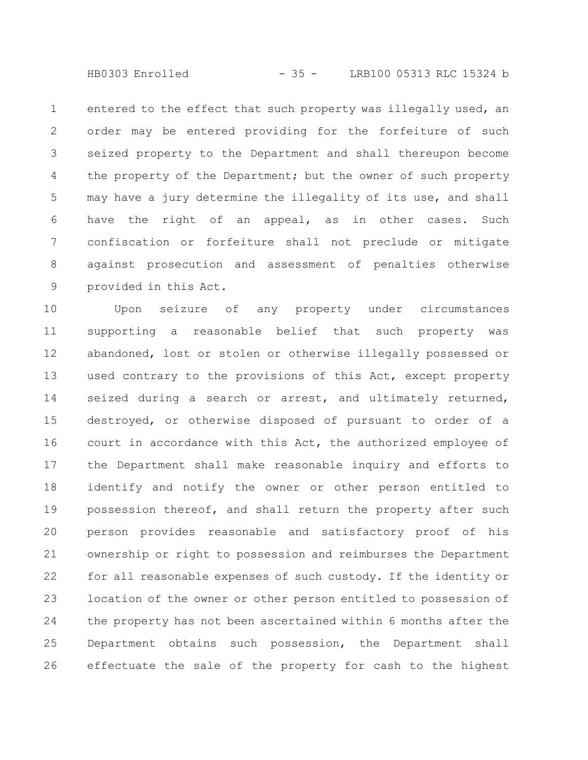HB0303 Enrolled - 35 - LRB100 05313 RLC 15324 b

entered to the effect that such property was illegally used, an order may be entered providing for the forfeiture of such seized property to the Department and shall thereupon become the property of the Department; but the owner of such property may have a jury determine the illegality of its use, and shall have the right of an appeal, as in other cases. Such confiscation or forfeiture shall not preclude or mitigate against prosecution and assessment of penalties otherwise provided in this Act. 1 2 3 4 5 6 7 8 9

Upon seizure of any property under circumstances supporting a reasonable belief that such property was abandoned, lost or stolen or otherwise illegally possessed or used contrary to the provisions of this Act, except property seized during a search or arrest, and ultimately returned, destroyed, or otherwise disposed of pursuant to order of a court in accordance with this Act, the authorized employee of the Department shall make reasonable inquiry and efforts to identify and notify the owner or other person entitled to possession thereof, and shall return the property after such person provides reasonable and satisfactory proof of his ownership or right to possession and reimburses the Department for all reasonable expenses of such custody. If the identity or location of the owner or other person entitled to possession of the property has not been ascertained within 6 months after the Department obtains such possession, the Department shall effectuate the sale of the property for cash to the highest 10 11 12 13 14 15 16 17 18 19 20 21 22 23 24 25 26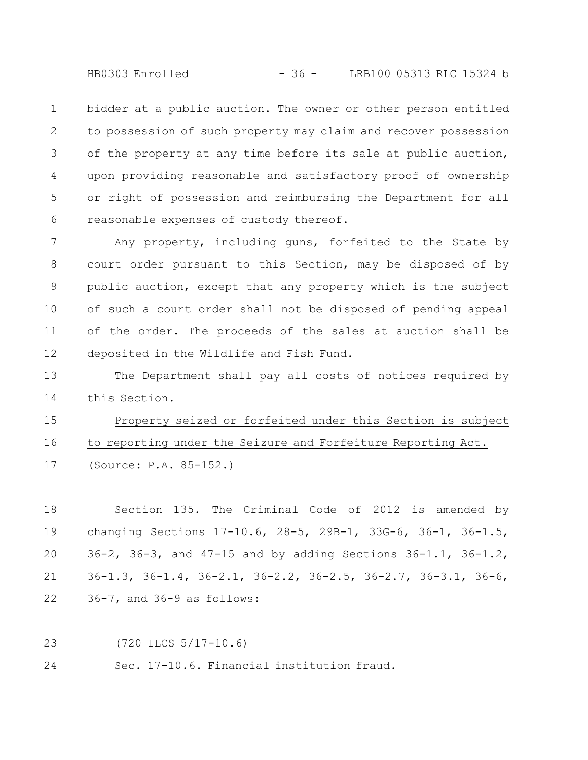HB0303 Enrolled - 36 - LRB100 05313 RLC 15324 b

bidder at a public auction. The owner or other person entitled to possession of such property may claim and recover possession of the property at any time before its sale at public auction, upon providing reasonable and satisfactory proof of ownership or right of possession and reimbursing the Department for all reasonable expenses of custody thereof. 1 2 3 4 5 6

Any property, including guns, forfeited to the State by court order pursuant to this Section, may be disposed of by public auction, except that any property which is the subject of such a court order shall not be disposed of pending appeal of the order. The proceeds of the sales at auction shall be deposited in the Wildlife and Fish Fund. 7 8 9 10 11 12

The Department shall pay all costs of notices required by this Section. 13 14

Property seized or forfeited under this Section is subject to reporting under the Seizure and Forfeiture Reporting Act. (Source: P.A. 85-152.) 15 16 17

Section 135. The Criminal Code of 2012 is amended by changing Sections 17-10.6, 28-5, 29B-1, 33G-6, 36-1, 36-1.5, 36-2, 36-3, and 47-15 and by adding Sections 36-1.1, 36-1.2, 36-1.3, 36-1.4, 36-2.1, 36-2.2, 36-2.5, 36-2.7, 36-3.1, 36-6, 36-7, and 36-9 as follows: 18 19 20 21 22

(720 ILCS 5/17-10.6) 23

Sec. 17-10.6. Financial institution fraud. 24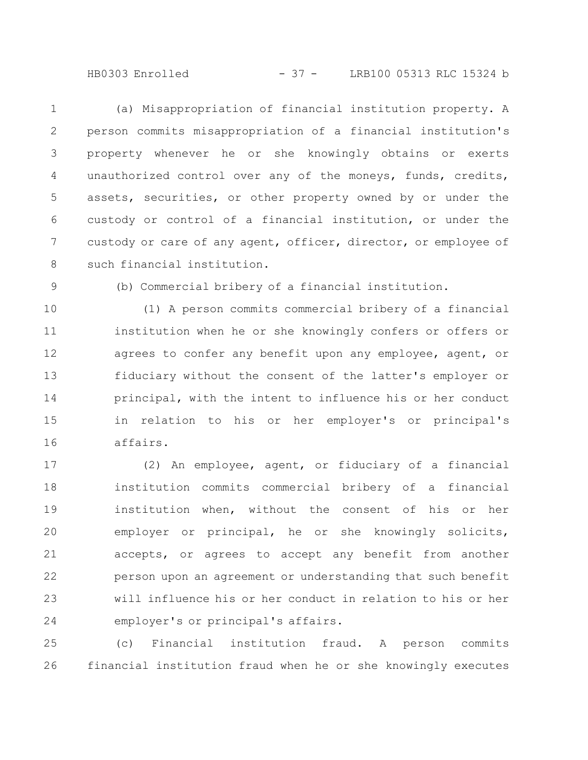HB0303 Enrolled - 37 - LRB100 05313 RLC 15324 b

(a) Misappropriation of financial institution property. A person commits misappropriation of a financial institution's property whenever he or she knowingly obtains or exerts unauthorized control over any of the moneys, funds, credits, assets, securities, or other property owned by or under the custody or control of a financial institution, or under the custody or care of any agent, officer, director, or employee of such financial institution. 1 2 3 4 5 6 7 8

9

(b) Commercial bribery of a financial institution.

(1) A person commits commercial bribery of a financial institution when he or she knowingly confers or offers or agrees to confer any benefit upon any employee, agent, or fiduciary without the consent of the latter's employer or principal, with the intent to influence his or her conduct in relation to his or her employer's or principal's affairs. 10 11 12 13 14 15 16

(2) An employee, agent, or fiduciary of a financial institution commits commercial bribery of a financial institution when, without the consent of his or her employer or principal, he or she knowingly solicits, accepts, or agrees to accept any benefit from another person upon an agreement or understanding that such benefit will influence his or her conduct in relation to his or her employer's or principal's affairs. 17 18 19 20 21 22 23 24

(c) Financial institution fraud. A person commits financial institution fraud when he or she knowingly executes 25 26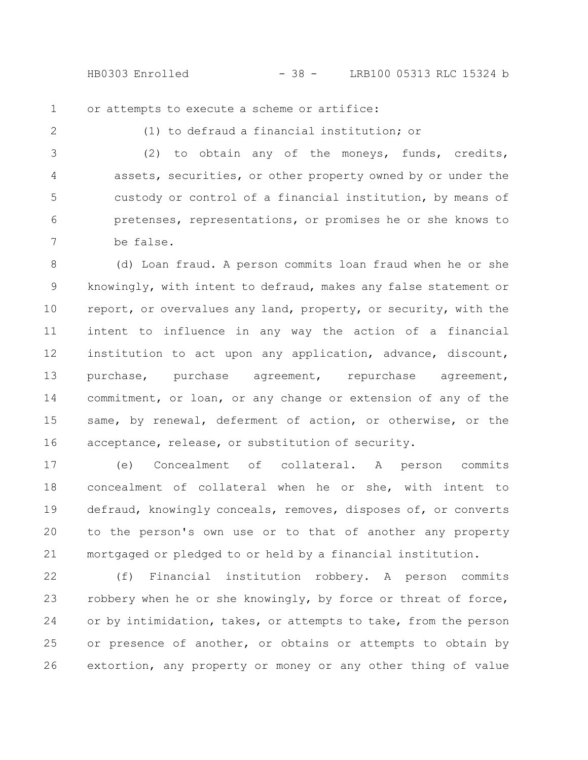HB0303 Enrolled - 38 - LRB100 05313 RLC 15324 b

or attempts to execute a scheme or artifice: 1

2

(1) to defraud a financial institution; or

(2) to obtain any of the moneys, funds, credits, assets, securities, or other property owned by or under the custody or control of a financial institution, by means of pretenses, representations, or promises he or she knows to be false. 3 4 5 6 7

(d) Loan fraud. A person commits loan fraud when he or she knowingly, with intent to defraud, makes any false statement or report, or overvalues any land, property, or security, with the intent to influence in any way the action of a financial institution to act upon any application, advance, discount, purchase, purchase agreement, repurchase agreement, commitment, or loan, or any change or extension of any of the same, by renewal, deferment of action, or otherwise, or the acceptance, release, or substitution of security. 8 9 10 11 12 13 14 15 16

(e) Concealment of collateral. A person commits concealment of collateral when he or she, with intent to defraud, knowingly conceals, removes, disposes of, or converts to the person's own use or to that of another any property mortgaged or pledged to or held by a financial institution. 17 18 19 20 21

(f) Financial institution robbery. A person commits robbery when he or she knowingly, by force or threat of force, or by intimidation, takes, or attempts to take, from the person or presence of another, or obtains or attempts to obtain by extortion, any property or money or any other thing of value 22 23 24 25 26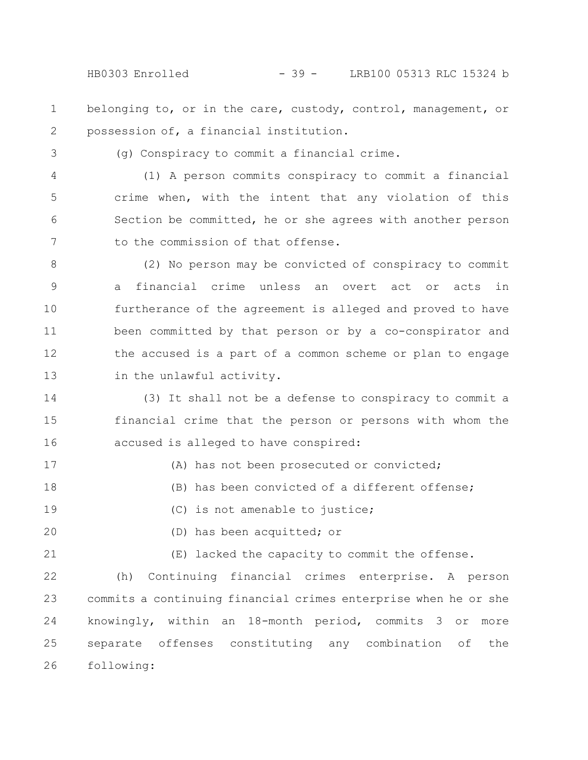- belonging to, or in the care, custody, control, management, or possession of, a financial institution. 1 2
- 3

(g) Conspiracy to commit a financial crime.

(1) A person commits conspiracy to commit a financial crime when, with the intent that any violation of this Section be committed, he or she agrees with another person to the commission of that offense. 4 5 6 7

(2) No person may be convicted of conspiracy to commit a financial crime unless an overt act or acts in furtherance of the agreement is alleged and proved to have been committed by that person or by a co-conspirator and the accused is a part of a common scheme or plan to engage in the unlawful activity. 8 9 10 11 12 13

(3) It shall not be a defense to conspiracy to commit a financial crime that the person or persons with whom the accused is alleged to have conspired: 14 15 16

- (A) has not been prosecuted or convicted; (B) has been convicted of a different offense; (C) is not amenable to justice; 17 18 19
- 20

(D) has been acquitted; or

(E) lacked the capacity to commit the offense. 21

(h) Continuing financial crimes enterprise. A person commits a continuing financial crimes enterprise when he or she knowingly, within an 18-month period, commits 3 or more separate offenses constituting any combination of the following: 22 23 24 25 26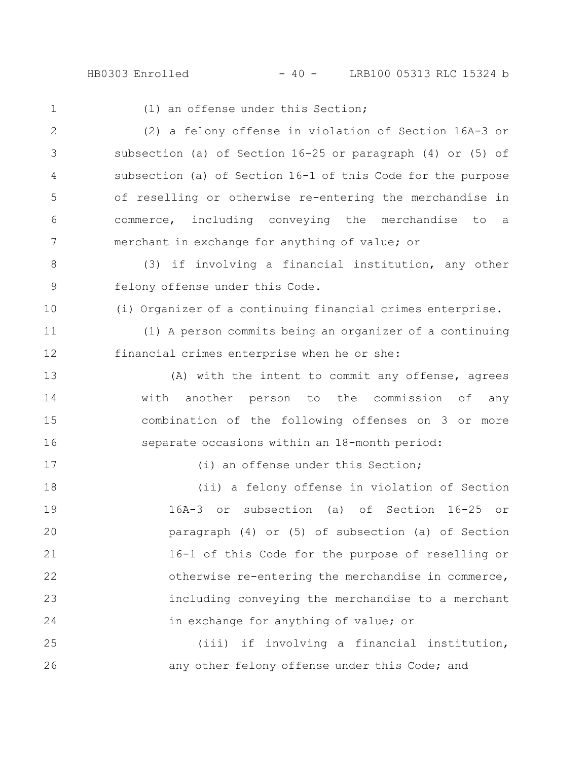HB0303 Enrolled - 40 - LRB100 05313 RLC 15324 b

(1) an offense under this Section; (2) a felony offense in violation of Section 16A-3 or subsection (a) of Section 16-25 or paragraph (4) or (5) of subsection (a) of Section 16-1 of this Code for the purpose of reselling or otherwise re-entering the merchandise in commerce, including conveying the merchandise to a merchant in exchange for anything of value; or (3) if involving a financial institution, any other felony offense under this Code. (i) Organizer of a continuing financial crimes enterprise. (1) A person commits being an organizer of a continuing financial crimes enterprise when he or she: (A) with the intent to commit any offense, agrees with another person to the commission of any combination of the following offenses on 3 or more separate occasions within an 18-month period: (i) an offense under this Section; (ii) a felony offense in violation of Section 16A-3 or subsection (a) of Section 16-25 or paragraph (4) or (5) of subsection (a) of Section 16-1 of this Code for the purpose of reselling or otherwise re-entering the merchandise in commerce, including conveying the merchandise to a merchant in exchange for anything of value; or (iii) if involving a financial institution, any other felony offense under this Code; and 1 2 3 4 5 6 7 8 9 10 11 12 13 14 15 16 17 18 19 20 21 22 23 24 25 26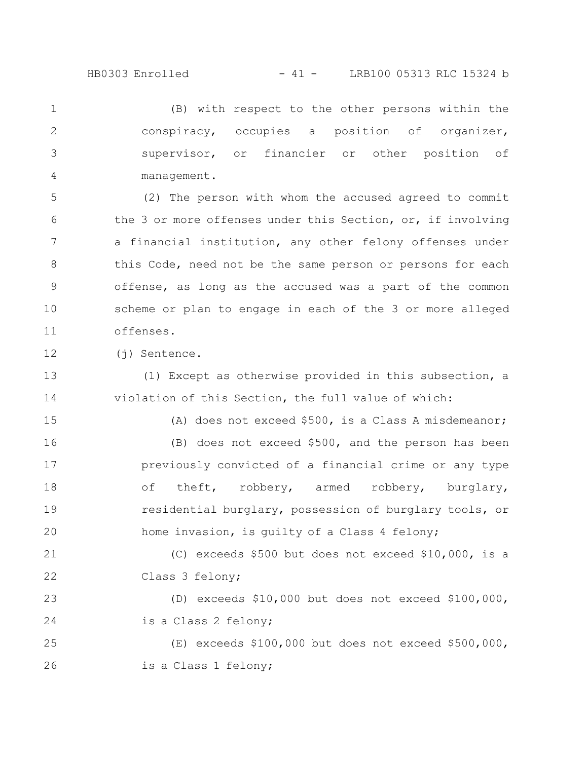HB0303 Enrolled - 41 - LRB100 05313 RLC 15324 b

(B) with respect to the other persons within the conspiracy, occupies a position of organizer, supervisor, or financier or other position of management. 1 2 3 4

(2) The person with whom the accused agreed to commit the 3 or more offenses under this Section, or, if involving a financial institution, any other felony offenses under this Code, need not be the same person or persons for each offense, as long as the accused was a part of the common scheme or plan to engage in each of the 3 or more alleged offenses. 5 6 7 8 9 10 11

(j) Sentence. 12

(1) Except as otherwise provided in this subsection, a violation of this Section, the full value of which: 13 14

15

(A) does not exceed \$500, is a Class A misdemeanor;

(B) does not exceed \$500, and the person has been previously convicted of a financial crime or any type of theft, robbery, armed robbery, burglary, residential burglary, possession of burglary tools, or home invasion, is guilty of a Class 4 felony; 16 17 18 19 20

(C) exceeds \$500 but does not exceed \$10,000, is a Class 3 felony; 21 22

(D) exceeds \$10,000 but does not exceed \$100,000, is a Class 2 felony; 23 24

(E) exceeds \$100,000 but does not exceed \$500,000, is a Class 1 felony; 25 26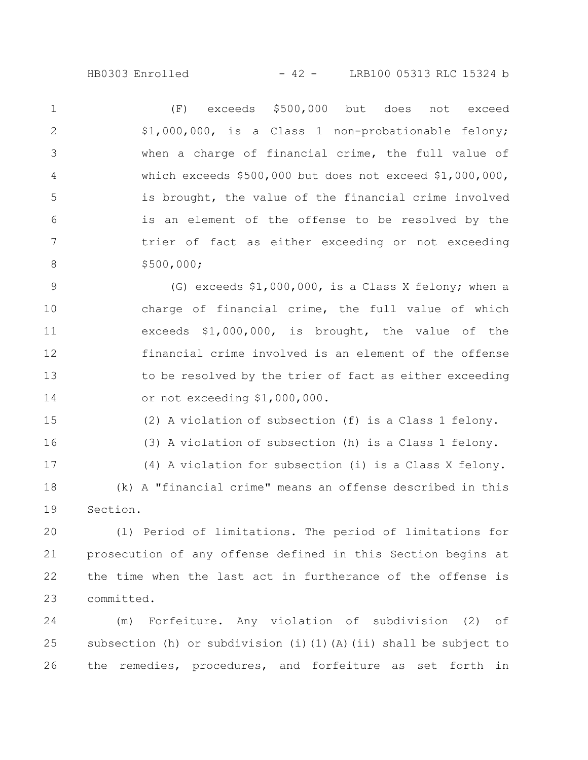(F) exceeds \$500,000 but does not exceed \$1,000,000, is a Class 1 non-probationable felony; when a charge of financial crime, the full value of which exceeds \$500,000 but does not exceed \$1,000,000, is brought, the value of the financial crime involved is an element of the offense to be resolved by the trier of fact as either exceeding or not exceeding \$500,000; 1 2 3 4 5 6 7 8

(G) exceeds \$1,000,000, is a Class X felony; when a charge of financial crime, the full value of which exceeds \$1,000,000, is brought, the value of the financial crime involved is an element of the offense to be resolved by the trier of fact as either exceeding or not exceeding \$1,000,000. 9 10 11 12 13 14

(2) A violation of subsection (f) is a Class 1 felony. 15

16

(3) A violation of subsection (h) is a Class 1 felony.

(4) A violation for subsection (i) is a Class X felony. (k) A "financial crime" means an offense described in this Section. 17 18 19

(l) Period of limitations. The period of limitations for prosecution of any offense defined in this Section begins at the time when the last act in furtherance of the offense is committed. 20 21 22 23

(m) Forfeiture. Any violation of subdivision (2) of subsection (h) or subdivision (i)(1)(A)(ii) shall be subject to the remedies, procedures, and forfeiture as set forth in 24 25 26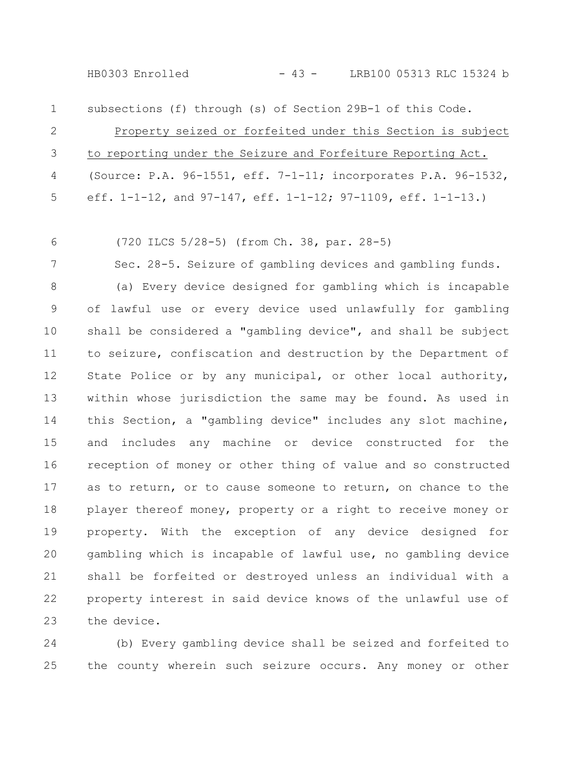| $1 \quad \blacksquare$ | subsections (f) through (s) of Section 29B-1 of this Code.       |
|------------------------|------------------------------------------------------------------|
| 2                      | Property seized or forfeited under this Section is subject       |
|                        | 3 to reporting under the Seizure and Forfeiture Reporting Act.   |
|                        | 4 (Source: P.A. 96-1551, eff. 7-1-11; incorporates P.A. 96-1532, |
|                        | 5 eff. 1-1-12, and 97-147, eff. 1-1-12; 97-1109, eff. 1-1-13.)   |

(720 ILCS 5/28-5) (from Ch. 38, par. 28-5) 6

Sec. 28-5. Seizure of gambling devices and gambling funds. (a) Every device designed for gambling which is incapable of lawful use or every device used unlawfully for gambling shall be considered a "gambling device", and shall be subject to seizure, confiscation and destruction by the Department of State Police or by any municipal, or other local authority, within whose jurisdiction the same may be found. As used in this Section, a "gambling device" includes any slot machine, and includes any machine or device constructed for the reception of money or other thing of value and so constructed as to return, or to cause someone to return, on chance to the player thereof money, property or a right to receive money or property. With the exception of any device designed for gambling which is incapable of lawful use, no gambling device shall be forfeited or destroyed unless an individual with a property interest in said device knows of the unlawful use of the device. 7 8 9 10 11 12 13 14 15 16 17 18 19 20 21 22 23

(b) Every gambling device shall be seized and forfeited to the county wherein such seizure occurs. Any money or other 24 25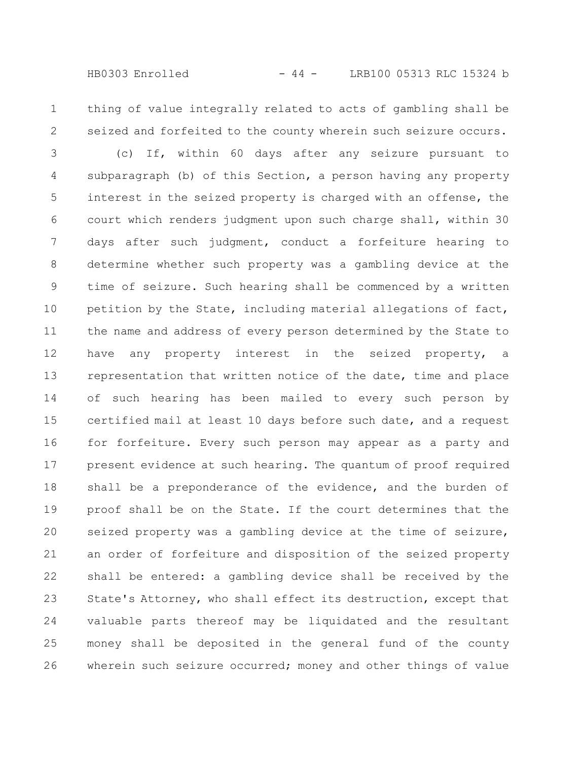thing of value integrally related to acts of gambling shall be seized and forfeited to the county wherein such seizure occurs. 1 2

(c) If, within 60 days after any seizure pursuant to subparagraph (b) of this Section, a person having any property interest in the seized property is charged with an offense, the court which renders judgment upon such charge shall, within 30 days after such judgment, conduct a forfeiture hearing to determine whether such property was a gambling device at the time of seizure. Such hearing shall be commenced by a written petition by the State, including material allegations of fact, the name and address of every person determined by the State to have any property interest in the seized property, a representation that written notice of the date, time and place of such hearing has been mailed to every such person by certified mail at least 10 days before such date, and a request for forfeiture. Every such person may appear as a party and present evidence at such hearing. The quantum of proof required shall be a preponderance of the evidence, and the burden of proof shall be on the State. If the court determines that the seized property was a gambling device at the time of seizure, an order of forfeiture and disposition of the seized property shall be entered: a gambling device shall be received by the State's Attorney, who shall effect its destruction, except that valuable parts thereof may be liquidated and the resultant money shall be deposited in the general fund of the county wherein such seizure occurred; money and other things of value 3 4 5 6 7 8 9 10 11 12 13 14 15 16 17 18 19 20 21 22 23 24 25 26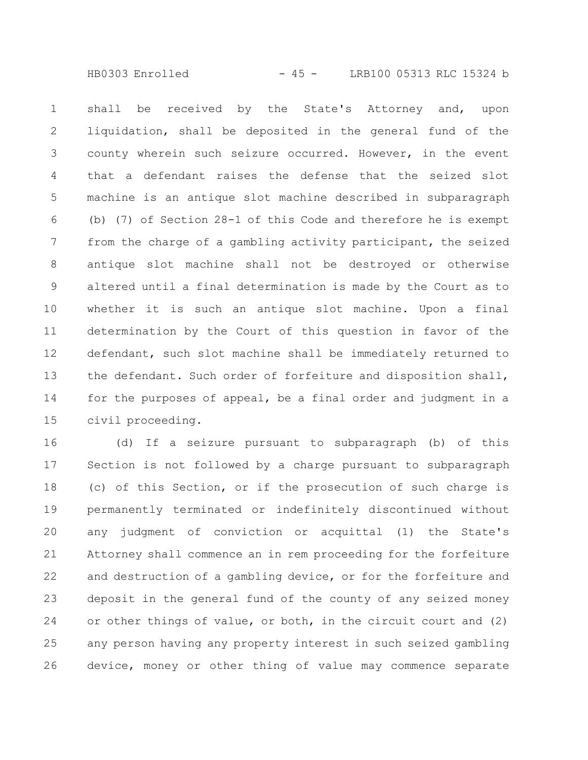HB0303 Enrolled - 45 - LRB100 05313 RLC 15324 b

shall be received by the State's Attorney and, upon liquidation, shall be deposited in the general fund of the county wherein such seizure occurred. However, in the event that a defendant raises the defense that the seized slot machine is an antique slot machine described in subparagraph (b) (7) of Section 28-1 of this Code and therefore he is exempt from the charge of a gambling activity participant, the seized antique slot machine shall not be destroyed or otherwise altered until a final determination is made by the Court as to whether it is such an antique slot machine. Upon a final determination by the Court of this question in favor of the defendant, such slot machine shall be immediately returned to the defendant. Such order of forfeiture and disposition shall, for the purposes of appeal, be a final order and judgment in a civil proceeding. 1 2 3 4 5 6 7 8 9 10 11 12 13 14 15

(d) If a seizure pursuant to subparagraph (b) of this Section is not followed by a charge pursuant to subparagraph (c) of this Section, or if the prosecution of such charge is permanently terminated or indefinitely discontinued without any judgment of conviction or acquittal (1) the State's Attorney shall commence an in rem proceeding for the forfeiture and destruction of a gambling device, or for the forfeiture and deposit in the general fund of the county of any seized money or other things of value, or both, in the circuit court and (2) any person having any property interest in such seized gambling device, money or other thing of value may commence separate 16 17 18 19 20 21 22 23 24 25 26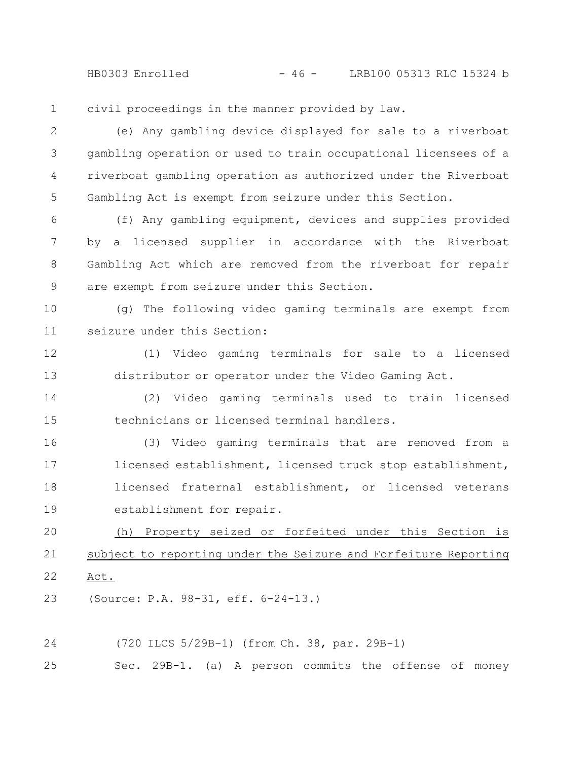HB0303 Enrolled - 46 - LRB100 05313 RLC 15324 b

civil proceedings in the manner provided by law. 1

(e) Any gambling device displayed for sale to a riverboat gambling operation or used to train occupational licensees of a riverboat gambling operation as authorized under the Riverboat Gambling Act is exempt from seizure under this Section. 2 3 4 5

(f) Any gambling equipment, devices and supplies provided by a licensed supplier in accordance with the Riverboat Gambling Act which are removed from the riverboat for repair are exempt from seizure under this Section. 6 7 8 9

(g) The following video gaming terminals are exempt from seizure under this Section: 10 11

(1) Video gaming terminals for sale to a licensed distributor or operator under the Video Gaming Act. 12 13

(2) Video gaming terminals used to train licensed technicians or licensed terminal handlers. 14 15

(3) Video gaming terminals that are removed from a licensed establishment, licensed truck stop establishment, licensed fraternal establishment, or licensed veterans establishment for repair. 16 17 18 19

(h) Property seized or forfeited under this Section is subject to reporting under the Seizure and Forfeiture Reporting Act. 20 21 22

(Source: P.A. 98-31, eff. 6-24-13.) 23

(720 ILCS 5/29B-1) (from Ch. 38, par. 29B-1) 24

Sec. 29B-1. (a) A person commits the offense of money 25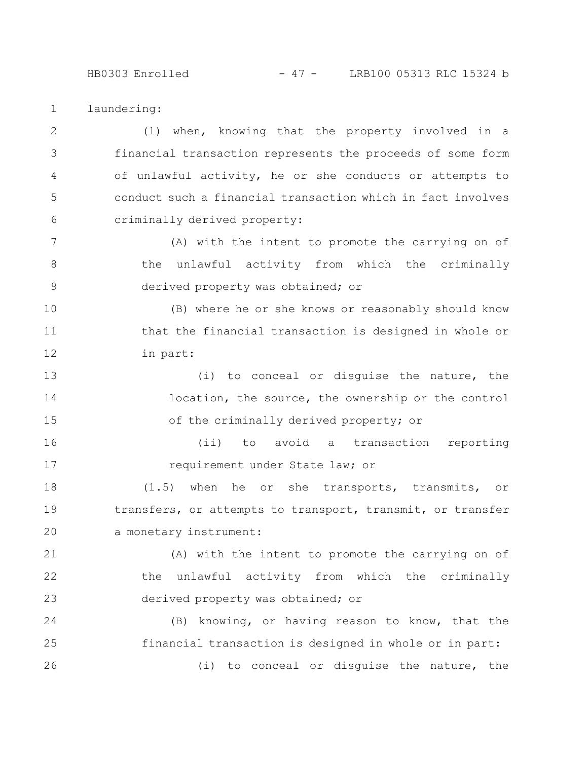## HB0303 Enrolled - 47 - LRB100 05313 RLC 15324 b

laundering: 1

(1) when, knowing that the property involved in a financial transaction represents the proceeds of some form of unlawful activity, he or she conducts or attempts to conduct such a financial transaction which in fact involves criminally derived property: 2 3 4 5 6

(A) with the intent to promote the carrying on of the unlawful activity from which the criminally derived property was obtained; or 7 8 9

(B) where he or she knows or reasonably should know that the financial transaction is designed in whole or in part: 10 11 12

(i) to conceal or disguise the nature, the location, the source, the ownership or the control of the criminally derived property; or 13 14 15

(ii) to avoid a transaction reporting requirement under State law; or 16 17

(1.5) when he or she transports, transmits, or transfers, or attempts to transport, transmit, or transfer a monetary instrument: 18 19 20

(A) with the intent to promote the carrying on of the unlawful activity from which the criminally derived property was obtained; or 21 22 23

(B) knowing, or having reason to know, that the financial transaction is designed in whole or in part: (i) to conceal or disguise the nature, the 24 25 26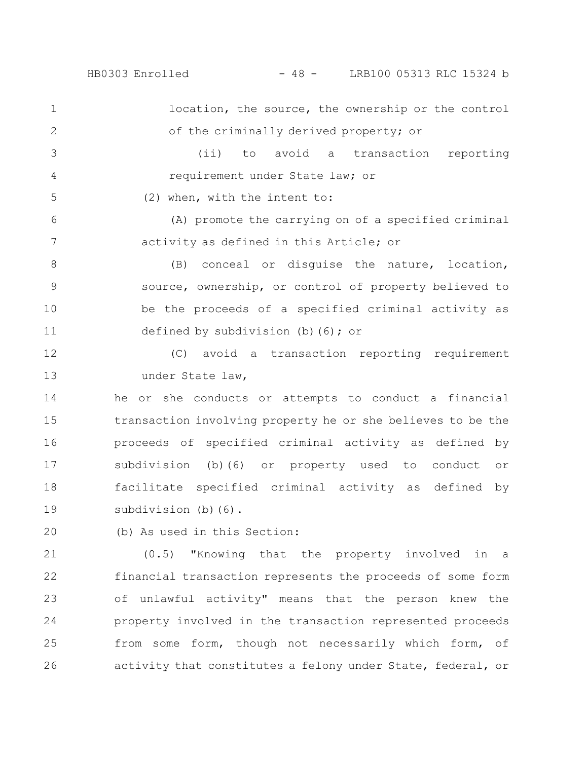HB0303 Enrolled - 48 - LRB100 05313 RLC 15324 b

location, the source, the ownership or the control of the criminally derived property; or (ii) to avoid a transaction reporting requirement under State law; or 1 2 3 4

(2) when, with the intent to:

5

(A) promote the carrying on of a specified criminal activity as defined in this Article; or 6 7

(B) conceal or disguise the nature, location, source, ownership, or control of property believed to be the proceeds of a specified criminal activity as defined by subdivision (b)(6); or 8 9 10 11

(C) avoid a transaction reporting requirement under State law, 12 13

he or she conducts or attempts to conduct a financial transaction involving property he or she believes to be the proceeds of specified criminal activity as defined by subdivision (b)(6) or property used to conduct or facilitate specified criminal activity as defined by subdivision (b)(6). 14 15 16 17 18 19

(b) As used in this Section: 20

(0.5) "Knowing that the property involved in a financial transaction represents the proceeds of some form of unlawful activity" means that the person knew the property involved in the transaction represented proceeds from some form, though not necessarily which form, of activity that constitutes a felony under State, federal, or 21 22 23 24 25 26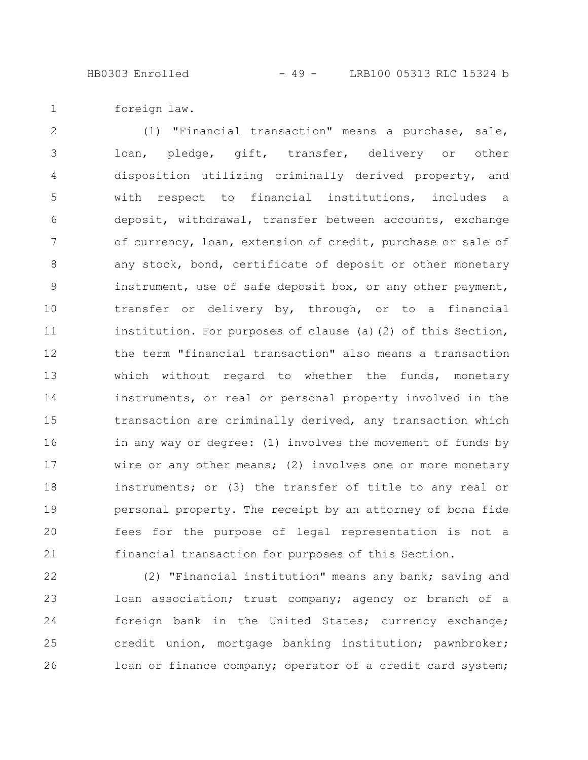foreign law. 1

(1) "Financial transaction" means a purchase, sale, loan, pledge, gift, transfer, delivery or other disposition utilizing criminally derived property, and with respect to financial institutions, includes a deposit, withdrawal, transfer between accounts, exchange of currency, loan, extension of credit, purchase or sale of any stock, bond, certificate of deposit or other monetary instrument, use of safe deposit box, or any other payment, transfer or delivery by, through, or to a financial institution. For purposes of clause (a)(2) of this Section, the term "financial transaction" also means a transaction which without regard to whether the funds, monetary instruments, or real or personal property involved in the transaction are criminally derived, any transaction which in any way or degree: (1) involves the movement of funds by wire or any other means; (2) involves one or more monetary instruments; or (3) the transfer of title to any real or personal property. The receipt by an attorney of bona fide fees for the purpose of legal representation is not a financial transaction for purposes of this Section. 2 3 4 5 6 7 8 9 10 11 12 13 14 15 16 17 18 19 20 21

(2) "Financial institution" means any bank; saving and loan association; trust company; agency or branch of a foreign bank in the United States; currency exchange; credit union, mortgage banking institution; pawnbroker; loan or finance company; operator of a credit card system; 22 23 24 25 26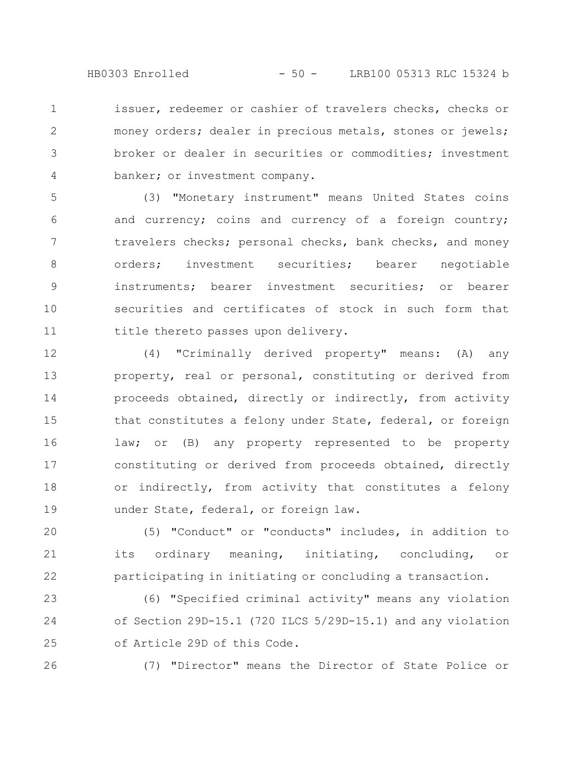HB0303 Enrolled - 50 - LRB100 05313 RLC 15324 b

issuer, redeemer or cashier of travelers checks, checks or money orders; dealer in precious metals, stones or jewels; broker or dealer in securities or commodities; investment banker; or investment company. 1 2 3 4

(3) "Monetary instrument" means United States coins and currency; coins and currency of a foreign country; travelers checks; personal checks, bank checks, and money orders; investment securities; bearer negotiable instruments; bearer investment securities; or bearer securities and certificates of stock in such form that title thereto passes upon delivery. 5 6 7 8 9 10 11

(4) "Criminally derived property" means: (A) any property, real or personal, constituting or derived from proceeds obtained, directly or indirectly, from activity that constitutes a felony under State, federal, or foreign law; or (B) any property represented to be property constituting or derived from proceeds obtained, directly or indirectly, from activity that constitutes a felony under State, federal, or foreign law. 12 13 14 15 16 17 18 19

(5) "Conduct" or "conducts" includes, in addition to its ordinary meaning, initiating, concluding, or participating in initiating or concluding a transaction. 20 21 22

(6) "Specified criminal activity" means any violation of Section 29D-15.1 (720 ILCS 5/29D-15.1) and any violation of Article 29D of this Code. 23 24 25

26

(7) "Director" means the Director of State Police or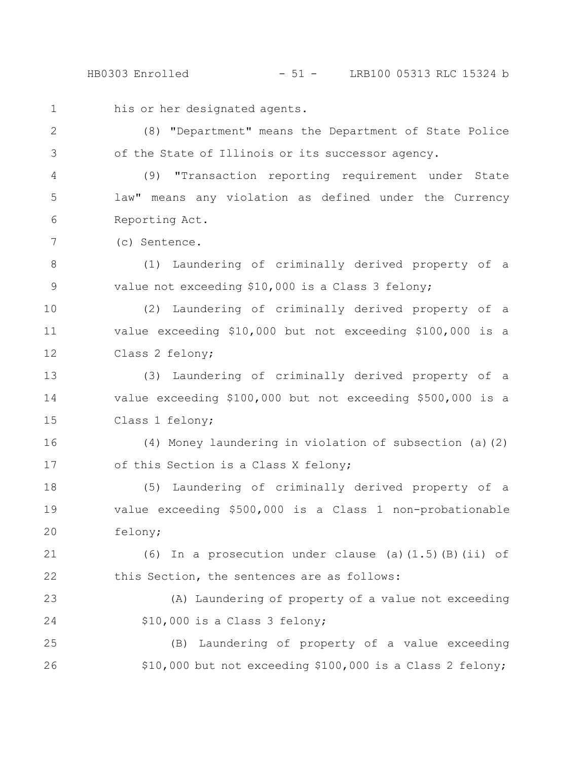his or her designated agents. (8) "Department" means the Department of State Police of the State of Illinois or its successor agency. (9) "Transaction reporting requirement under State law" means any violation as defined under the Currency Reporting Act. (c) Sentence. (1) Laundering of criminally derived property of a value not exceeding \$10,000 is a Class 3 felony; (2) Laundering of criminally derived property of a value exceeding \$10,000 but not exceeding \$100,000 is a Class 2 felony; (3) Laundering of criminally derived property of a value exceeding \$100,000 but not exceeding \$500,000 is a Class 1 felony; (4) Money laundering in violation of subsection (a)(2) of this Section is a Class X felony; (5) Laundering of criminally derived property of a value exceeding \$500,000 is a Class 1 non-probationable felony; (6) In a prosecution under clause (a)(1.5)(B)(ii) of this Section, the sentences are as follows: (A) Laundering of property of a value not exceeding \$10,000 is a Class 3 felony; (B) Laundering of property of a value exceeding \$10,000 but not exceeding \$100,000 is a Class 2 felony; 1 2 3 4 5 6 7 8 9 10 11 12 13 14 15 16 17 18 19 20 21 22 23 24 25 26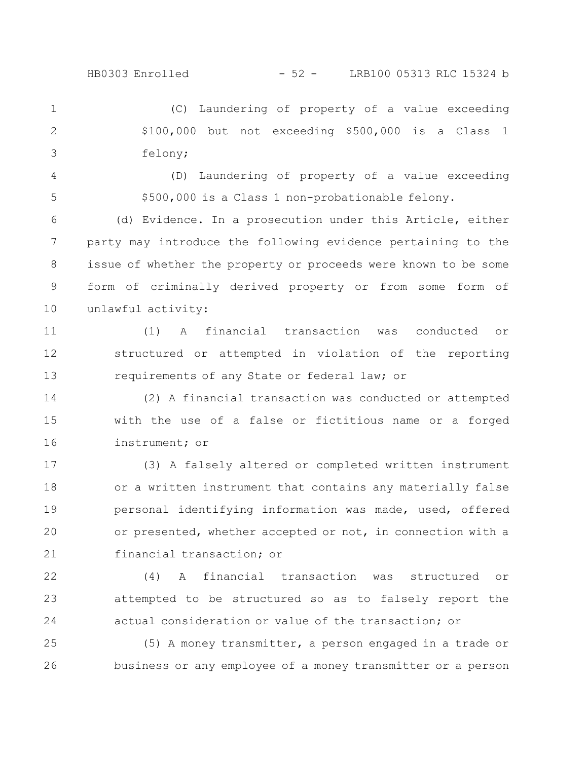HB0303 Enrolled - 52 - LRB100 05313 RLC 15324 b

(C) Laundering of property of a value exceeding \$100,000 but not exceeding \$500,000 is a Class 1 felony; 1 2 3

(D) Laundering of property of a value exceeding \$500,000 is a Class 1 non-probationable felony. 4 5

(d) Evidence. In a prosecution under this Article, either party may introduce the following evidence pertaining to the issue of whether the property or proceeds were known to be some form of criminally derived property or from some form of unlawful activity: 6 7 8 9 10

(1) A financial transaction was conducted or structured or attempted in violation of the reporting requirements of any State or federal law; or 11 12 13

(2) A financial transaction was conducted or attempted with the use of a false or fictitious name or a forged instrument; or 14 15 16

(3) A falsely altered or completed written instrument or a written instrument that contains any materially false personal identifying information was made, used, offered or presented, whether accepted or not, in connection with a financial transaction; or 17 18 19 20 21

(4) A financial transaction was structured or attempted to be structured so as to falsely report the actual consideration or value of the transaction; or 22 23 24

(5) A money transmitter, a person engaged in a trade or business or any employee of a money transmitter or a person 25 26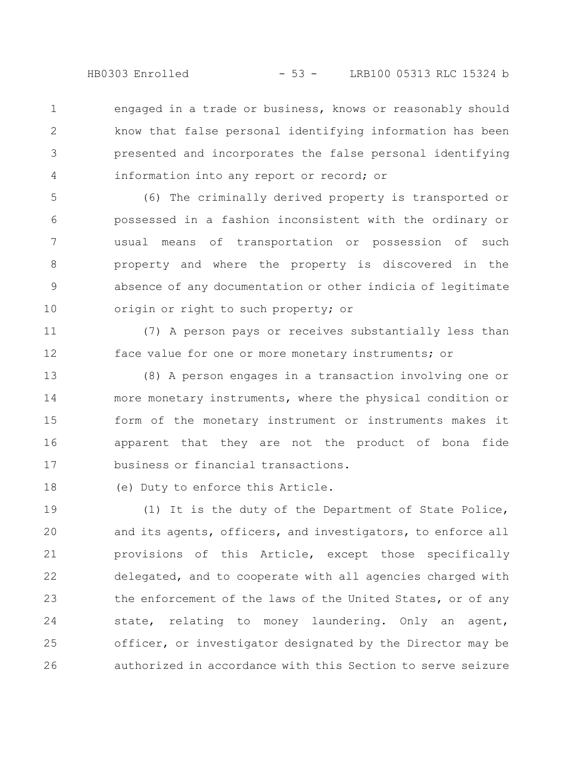engaged in a trade or business, knows or reasonably should know that false personal identifying information has been presented and incorporates the false personal identifying information into any report or record; or 1 2 3 4

(6) The criminally derived property is transported or possessed in a fashion inconsistent with the ordinary or usual means of transportation or possession of such property and where the property is discovered in the absence of any documentation or other indicia of legitimate origin or right to such property; or 5 6 7 8 9 10

(7) A person pays or receives substantially less than face value for one or more monetary instruments; or 11 12

(8) A person engages in a transaction involving one or more monetary instruments, where the physical condition or form of the monetary instrument or instruments makes it apparent that they are not the product of bona fide business or financial transactions. 13 14 15 16 17

(e) Duty to enforce this Article. 18

(1) It is the duty of the Department of State Police, and its agents, officers, and investigators, to enforce all provisions of this Article, except those specifically delegated, and to cooperate with all agencies charged with the enforcement of the laws of the United States, or of any state, relating to money laundering. Only an agent, officer, or investigator designated by the Director may be authorized in accordance with this Section to serve seizure 19 20 21 22 23 24 25 26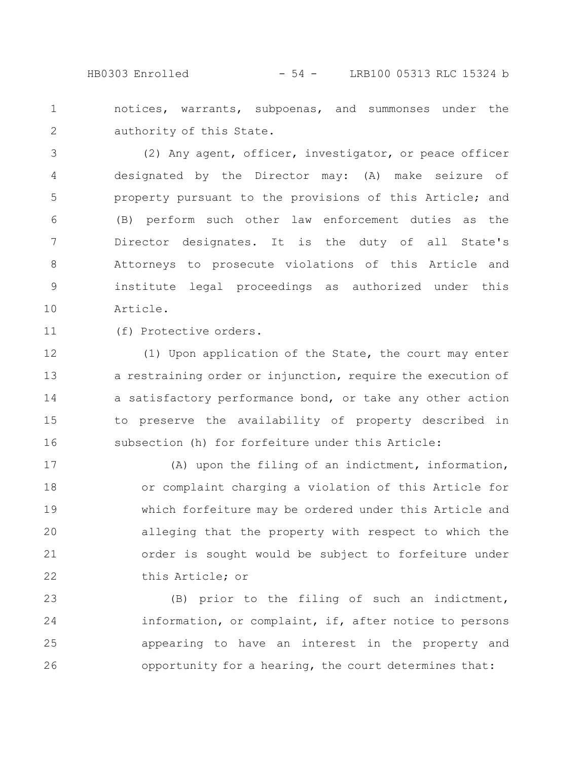HB0303 Enrolled - 54 - LRB100 05313 RLC 15324 b

notices, warrants, subpoenas, and summonses under the authority of this State. 1 2

(2) Any agent, officer, investigator, or peace officer designated by the Director may: (A) make seizure of property pursuant to the provisions of this Article; and (B) perform such other law enforcement duties as the Director designates. It is the duty of all State's Attorneys to prosecute violations of this Article and institute legal proceedings as authorized under this Article. 3 4 5 6 7 8 9 10

11

(f) Protective orders.

(1) Upon application of the State, the court may enter a restraining order or injunction, require the execution of a satisfactory performance bond, or take any other action to preserve the availability of property described in subsection (h) for forfeiture under this Article: 12 13 14 15 16

(A) upon the filing of an indictment, information, or complaint charging a violation of this Article for which forfeiture may be ordered under this Article and alleging that the property with respect to which the order is sought would be subject to forfeiture under this Article; or 17 18 19 20 21 22

(B) prior to the filing of such an indictment, information, or complaint, if, after notice to persons appearing to have an interest in the property and opportunity for a hearing, the court determines that: 23 24 25 26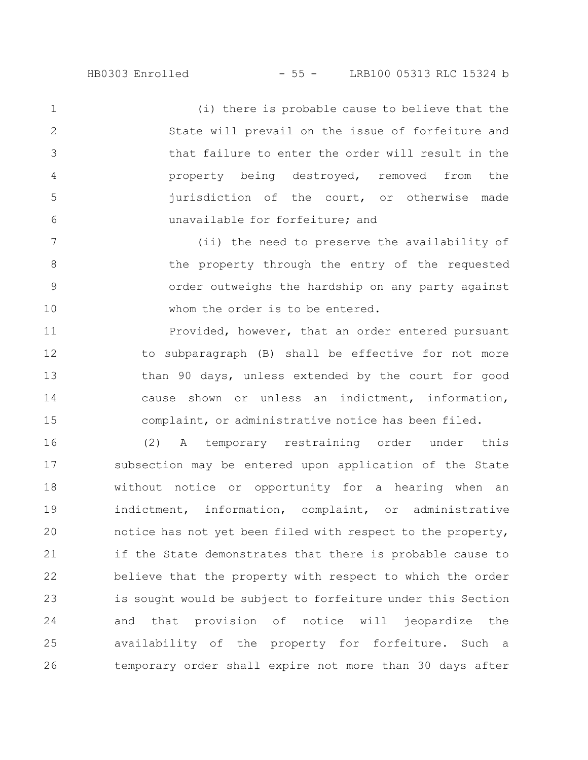(i) there is probable cause to believe that the State will prevail on the issue of forfeiture and that failure to enter the order will result in the property being destroyed, removed from the jurisdiction of the court, or otherwise made unavailable for forfeiture; and 1 2 3 4 5 6

(ii) the need to preserve the availability of the property through the entry of the requested order outweighs the hardship on any party against whom the order is to be entered. 7 8 9 10

Provided, however, that an order entered pursuant to subparagraph (B) shall be effective for not more than 90 days, unless extended by the court for good cause shown or unless an indictment, information, complaint, or administrative notice has been filed. 11 12 13 14 15

(2) A temporary restraining order under this subsection may be entered upon application of the State without notice or opportunity for a hearing when an indictment, information, complaint, or administrative notice has not yet been filed with respect to the property, if the State demonstrates that there is probable cause to believe that the property with respect to which the order is sought would be subject to forfeiture under this Section and that provision of notice will jeopardize the availability of the property for forfeiture. Such a temporary order shall expire not more than 30 days after 16 17 18 19 20 21 22 23 24 25 26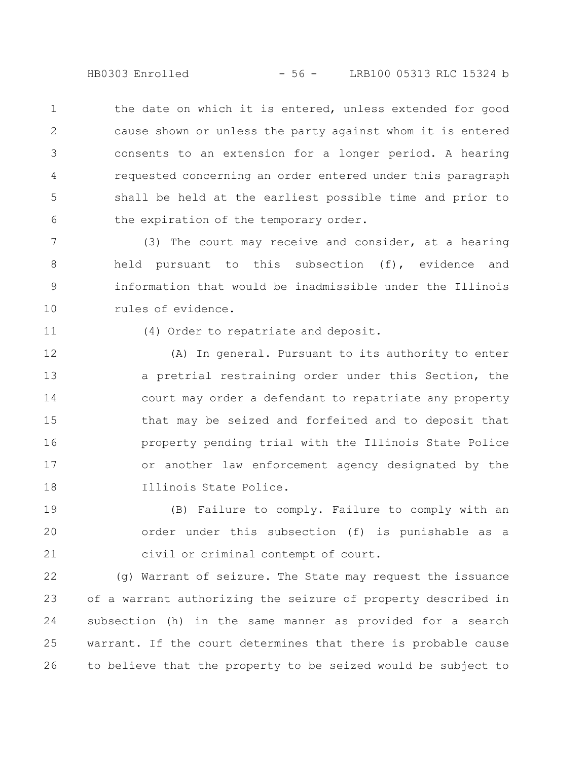HB0303 Enrolled - 56 - LRB100 05313 RLC 15324 b

the date on which it is entered, unless extended for good cause shown or unless the party against whom it is entered consents to an extension for a longer period. A hearing requested concerning an order entered under this paragraph shall be held at the earliest possible time and prior to the expiration of the temporary order. 1 2 3 4 5 6

(3) The court may receive and consider, at a hearing held pursuant to this subsection (f), evidence and information that would be inadmissible under the Illinois rules of evidence. 7 8 9 10

11

(4) Order to repatriate and deposit.

(A) In general. Pursuant to its authority to enter a pretrial restraining order under this Section, the court may order a defendant to repatriate any property that may be seized and forfeited and to deposit that property pending trial with the Illinois State Police or another law enforcement agency designated by the Illinois State Police. 12 13 14 15 16 17 18

(B) Failure to comply. Failure to comply with an order under this subsection (f) is punishable as a civil or criminal contempt of court. 19 20 21

(g) Warrant of seizure. The State may request the issuance of a warrant authorizing the seizure of property described in subsection (h) in the same manner as provided for a search warrant. If the court determines that there is probable cause to believe that the property to be seized would be subject to 22 23 24 25 26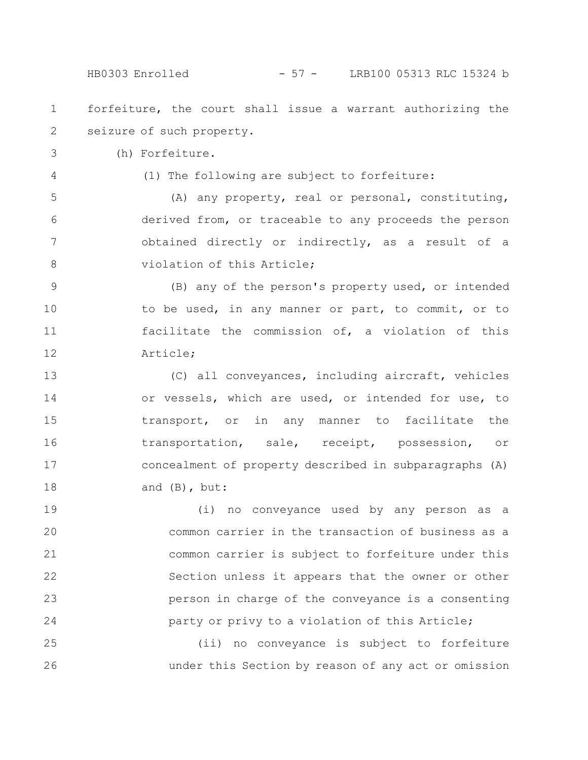forfeiture, the court shall issue a warrant authorizing the seizure of such property. 1 2

(h) Forfeiture. 3

4

(1) The following are subject to forfeiture:

(A) any property, real or personal, constituting, derived from, or traceable to any proceeds the person obtained directly or indirectly, as a result of a violation of this Article; 5 6 7 8

(B) any of the person's property used, or intended to be used, in any manner or part, to commit, or to facilitate the commission of, a violation of this Article; 9 10 11 12

(C) all conveyances, including aircraft, vehicles or vessels, which are used, or intended for use, to transport, or in any manner to facilitate the transportation, sale, receipt, possession, or concealment of property described in subparagraphs (A) and (B), but: 13 14 15 16 17 18

(i) no conveyance used by any person as a common carrier in the transaction of business as a common carrier is subject to forfeiture under this Section unless it appears that the owner or other person in charge of the conveyance is a consenting party or privy to a violation of this Article; 19 20 21 22 23 24

(ii) no conveyance is subject to forfeiture under this Section by reason of any act or omission 25 26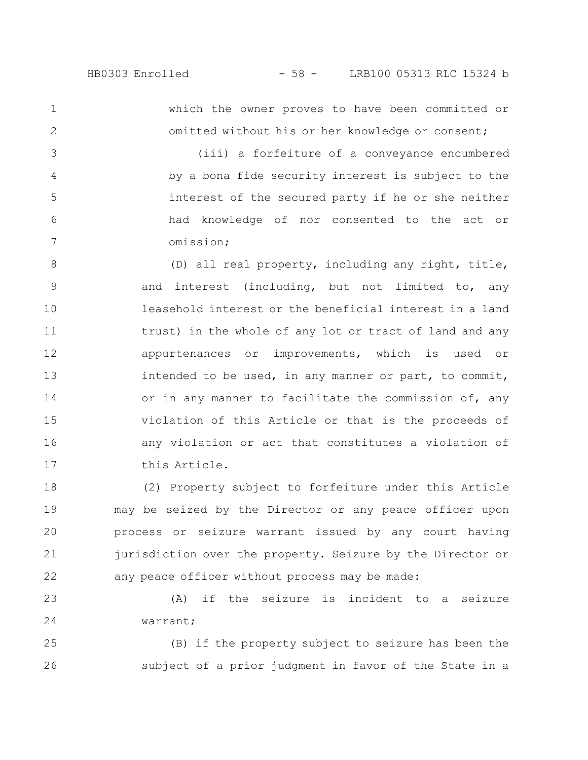1

2

3

4

5

6

7

which the owner proves to have been committed or omitted without his or her knowledge or consent;

(iii) a forfeiture of a conveyance encumbered by a bona fide security interest is subject to the interest of the secured party if he or she neither had knowledge of nor consented to the act or omission;

(D) all real property, including any right, title, and interest (including, but not limited to, any leasehold interest or the beneficial interest in a land trust) in the whole of any lot or tract of land and any appurtenances or improvements, which is used or intended to be used, in any manner or part, to commit, or in any manner to facilitate the commission of, any violation of this Article or that is the proceeds of any violation or act that constitutes a violation of this Article. 8 9 10 11 12 13 14 15 16 17

(2) Property subject to forfeiture under this Article may be seized by the Director or any peace officer upon process or seizure warrant issued by any court having jurisdiction over the property. Seizure by the Director or any peace officer without process may be made: 18 19 20 21 22

(A) if the seizure is incident to a seizure warrant; 23 24

(B) if the property subject to seizure has been the subject of a prior judgment in favor of the State in a 25 26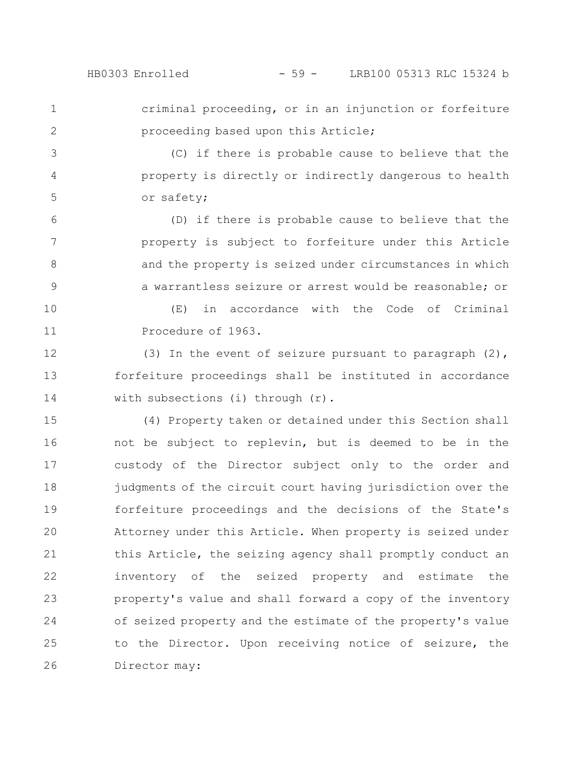1

2

criminal proceeding, or in an injunction or forfeiture proceeding based upon this Article;

(C) if there is probable cause to believe that the property is directly or indirectly dangerous to health or safety; 3 4 5

(D) if there is probable cause to believe that the property is subject to forfeiture under this Article and the property is seized under circumstances in which a warrantless seizure or arrest would be reasonable; or 6 7 8 9

(E) in accordance with the Code of Criminal Procedure of 1963. 10 11

(3) In the event of seizure pursuant to paragraph (2), forfeiture proceedings shall be instituted in accordance with subsections (i) through (r). 12 13 14

(4) Property taken or detained under this Section shall not be subject to replevin, but is deemed to be in the custody of the Director subject only to the order and judgments of the circuit court having jurisdiction over the forfeiture proceedings and the decisions of the State's Attorney under this Article. When property is seized under this Article, the seizing agency shall promptly conduct an inventory of the seized property and estimate the property's value and shall forward a copy of the inventory of seized property and the estimate of the property's value to the Director. Upon receiving notice of seizure, the Director may: 15 16 17 18 19 20 21 22 23 24 25 26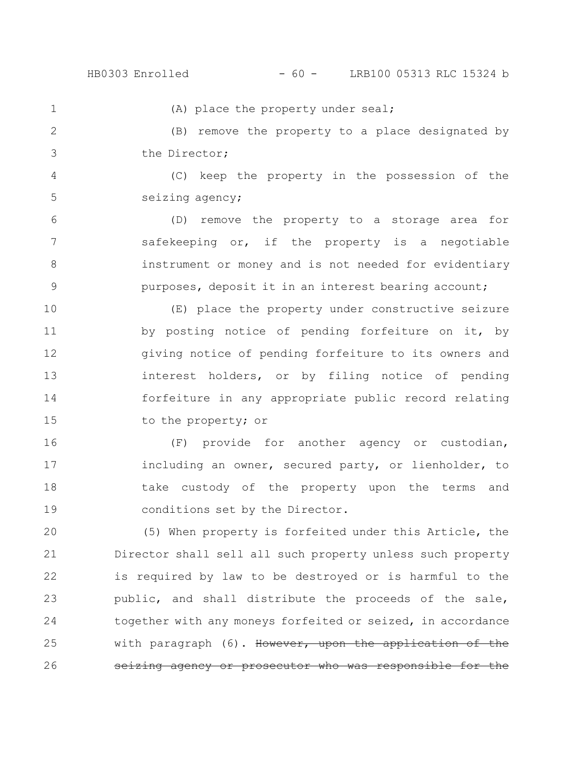1

(A) place the property under seal;

(B) remove the property to a place designated by the Director; 2 3

(C) keep the property in the possession of the seizing agency; 4 5

(D) remove the property to a storage area for safekeeping or, if the property is a negotiable instrument or money and is not needed for evidentiary purposes, deposit it in an interest bearing account; 6 7 8 9

(E) place the property under constructive seizure by posting notice of pending forfeiture on it, by giving notice of pending forfeiture to its owners and interest holders, or by filing notice of pending forfeiture in any appropriate public record relating to the property; or 10 11 12 13 14 15

(F) provide for another agency or custodian, including an owner, secured party, or lienholder, to take custody of the property upon the terms and conditions set by the Director. 16 17 18 19

(5) When property is forfeited under this Article, the Director shall sell all such property unless such property is required by law to be destroyed or is harmful to the public, and shall distribute the proceeds of the sale, together with any moneys forfeited or seized, in accordance with paragraph (6). However, upon the application of the seizing agency or prosecutor who was responsible 20 21 22 23 24 25 26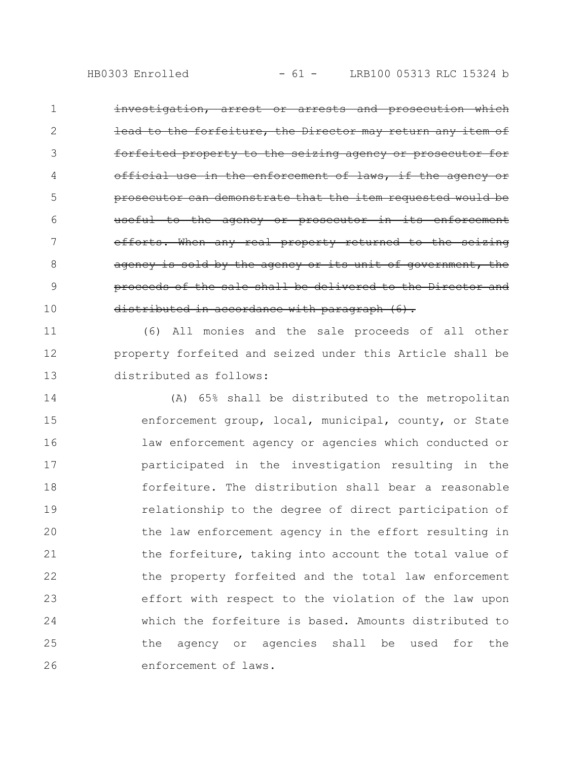investigation, arrest or arrests and prosecution which the forfeiture, the Director may return any item of forfeited property to the seizing agency or prosecutor enforcement prosecutor can demonstrate that the item requested useful to the agency or prosecutor in its enforcement efforts. When any real property returned to the seizing agency is sold by the agency or its unit of governme proceeds of the sale shall be delivered to the Director and distributed in accordance with paragraph  $(6)$ . 1 2 3 4 5 6 7 8 9 10

(6) All monies and the sale proceeds of all other property forfeited and seized under this Article shall be distributed as follows: 11 12 13

(A) 65% shall be distributed to the metropolitan enforcement group, local, municipal, county, or State law enforcement agency or agencies which conducted or participated in the investigation resulting in the forfeiture. The distribution shall bear a reasonable relationship to the degree of direct participation of the law enforcement agency in the effort resulting in the forfeiture, taking into account the total value of the property forfeited and the total law enforcement effort with respect to the violation of the law upon which the forfeiture is based. Amounts distributed to the agency or agencies shall be used for the enforcement of laws. 14 15 16 17 18 19 20 21 22 23 24 25 26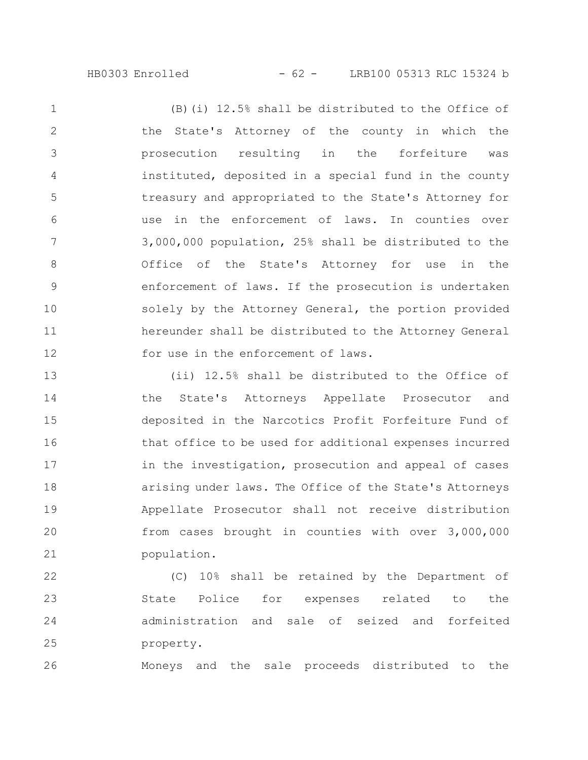HB0303 Enrolled - 62 - LRB100 05313 RLC 15324 b

(B)(i) 12.5% shall be distributed to the Office of the State's Attorney of the county in which the prosecution resulting in the forfeiture was instituted, deposited in a special fund in the county treasury and appropriated to the State's Attorney for use in the enforcement of laws. In counties over 3,000,000 population, 25% shall be distributed to the Office of the State's Attorney for use in the enforcement of laws. If the prosecution is undertaken solely by the Attorney General, the portion provided hereunder shall be distributed to the Attorney General for use in the enforcement of laws. 1 2 3 4 5 6 7 8 9 10 11 12

(ii) 12.5% shall be distributed to the Office of the State's Attorneys Appellate Prosecutor and deposited in the Narcotics Profit Forfeiture Fund of that office to be used for additional expenses incurred in the investigation, prosecution and appeal of cases arising under laws. The Office of the State's Attorneys Appellate Prosecutor shall not receive distribution from cases brought in counties with over 3,000,000 population. 13 14 15 16 17 18 19 20 21

(C) 10% shall be retained by the Department of State Police for expenses related to the administration and sale of seized and forfeited property. 22 23 24 25

Moneys and the sale proceeds distributed to the 26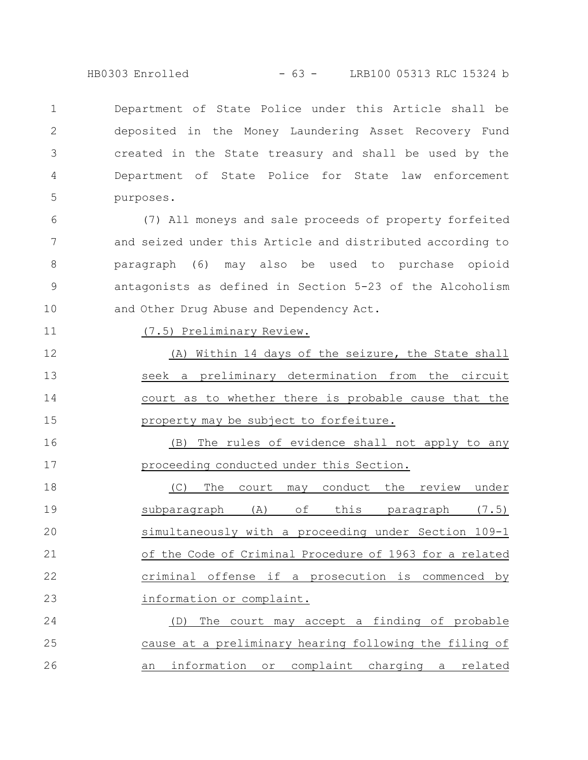HB0303 Enrolled - 63 - LRB100 05313 RLC 15324 b

Department of State Police under this Article shall be deposited in the Money Laundering Asset Recovery Fund created in the State treasury and shall be used by the Department of State Police for State law enforcement purposes. 1 2 3 4 5

(7) All moneys and sale proceeds of property forfeited and seized under this Article and distributed according to paragraph (6) may also be used to purchase opioid antagonists as defined in Section 5-23 of the Alcoholism and Other Drug Abuse and Dependency Act. 6 7 8 9 10

## (7.5) Preliminary Review.

11

(A) Within 14 days of the seizure, the State shall seek a preliminary determination from the circuit court as to whether there is probable cause that the property may be subject to forfeiture. 12 13 14 15

(B) The rules of evidence shall not apply to any proceeding conducted under this Section. 16 17

(C) The court may conduct the review under subparagraph (A) of this paragraph (7.5) simultaneously with a proceeding under Section 109-1 of the Code of Criminal Procedure of 1963 for a related criminal offense if a prosecution is commenced by information or complaint. 18 19 20 21 22 23

(D) The court may accept a finding of probable cause at a preliminary hearing following the filing of an information or complaint charging a related 24 25 26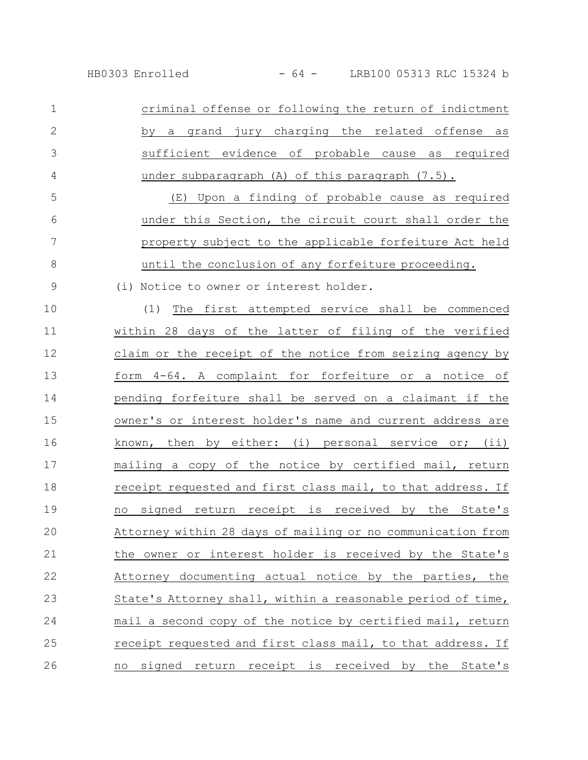criminal offense or following the return of indictment by a grand jury charging the related offense as sufficient evidence of probable cause as required under subparagraph (A) of this paragraph (7.5). 1 2 3 4

(E) Upon a finding of probable cause as required under this Section, the circuit court shall order the property subject to the applicable forfeiture Act held until the conclusion of any forfeiture proceeding. 5 6 7 8

(i) Notice to owner or interest holder.

9

(1) The first attempted service shall be commenced within 28 days of the latter of filing of the verified claim or the receipt of the notice from seizing agency by form 4-64. A complaint for forfeiture or a notice of pending forfeiture shall be served on a claimant if the owner's or interest holder's name and current address are known, then by either: (i) personal service or; (ii) mailing a copy of the notice by certified mail, return receipt requested and first class mail, to that address. If no signed return receipt is received by the State's Attorney within 28 days of mailing or no communication from the owner or interest holder is received by the State's Attorney documenting actual notice by the parties, the State's Attorney shall, within a reasonable period of time, mail a second copy of the notice by certified mail, return receipt requested and first class mail, to that address. If no signed return receipt is received by the State's 10 11 12 13 14 15 16 17 18 19 20 21 22 23 24 25 26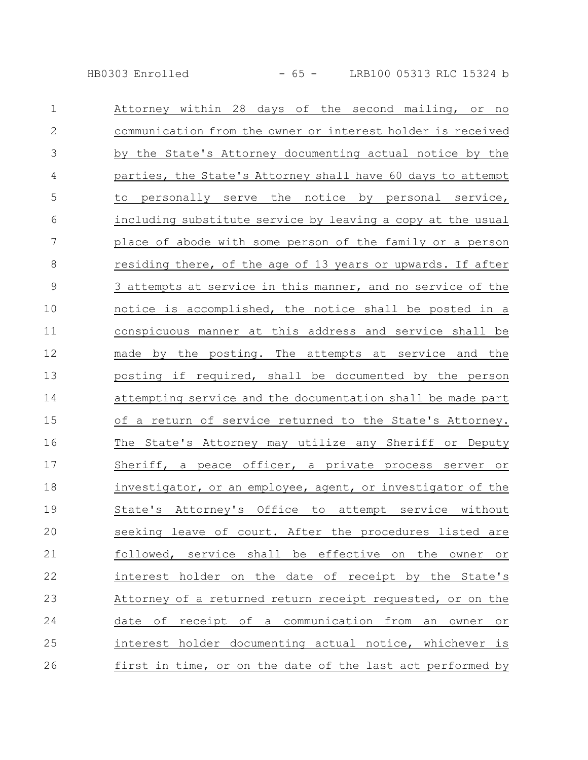HB0303 Enrolled - 65 - LRB100 05313 RLC 15324 b

| $\mathbf 1$   | Attorney within 28 days of the second mailing, or<br>no           |
|---------------|-------------------------------------------------------------------|
| $\mathbf{2}$  | communication from the owner or interest holder is received       |
| 3             | by the State's Attorney documenting actual notice by the          |
| 4             | parties, the State's Attorney shall have 60 days to attempt       |
| 5             | to personally serve the notice by personal service,               |
| 6             | including substitute service by leaving a copy at the usual       |
| 7             | place of abode with some person of the family or a person         |
| $8\,$         | residing there, of the age of 13 years or upwards. If after       |
| $\mathcal{G}$ | 3 attempts at service in this manner, and no service of the       |
| 10            | notice is accomplished, the notice shall be posted in a           |
| 11            | conspicuous manner at this address and service shall be           |
| 12            | made by the posting. The attempts at service and the              |
| 13            | posting if required, shall be documented by the person            |
| 14            | attempting service and the documentation shall be made part       |
| 15            | of a return of service returned to the State's Attorney.          |
| 16            | The State's Attorney may utilize any Sheriff or Deputy            |
| 17            | Sheriff, a peace officer, a private process server or             |
| 18            | investigator, or an employee, agent, or investigator of the       |
| 19            | State's Attorney's Office to attempt service without              |
| 20            | seeking leave of court. After the procedures listed are           |
| 21            | followed, service shall be effective on the owner<br>$\circ$ $\,$ |
| 22            | interest holder on the date of receipt by the State's             |
| 23            | Attorney of a returned return receipt requested, or on the        |
| 24            | date of receipt of a communication from an owner or               |
| 25            | interest holder documenting actual notice, whichever is           |
| 26            | first in time, or on the date of the last act performed by        |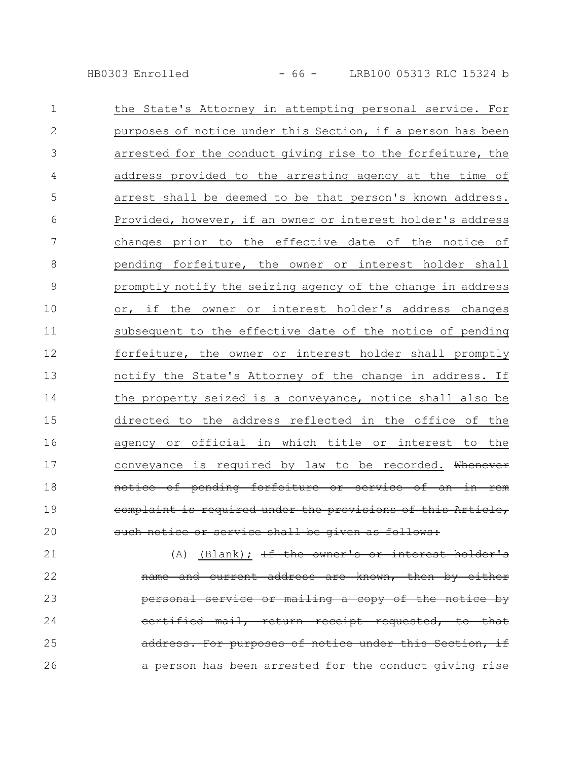HB0303 Enrolled - 66 - LRB100 05313 RLC 15324 b

| $\mathbf 1$  | the State's Attorney in attempting personal service. For    |
|--------------|-------------------------------------------------------------|
| $\mathbf{2}$ | purposes of notice under this Section, if a person has been |
| 3            | arrested for the conduct giving rise to the forfeiture, the |
| 4            | address provided to the arresting agency at the time of     |
| 5            | arrest shall be deemed to be that person's known address.   |
| 6            | Provided, however, if an owner or interest holder's address |
| 7            | changes prior to the effective date of the notice of        |
| $\,8\,$      | pending forfeiture, the owner or interest holder shall      |
| 9            | promptly notify the seizing agency of the change in address |
| 10           | or, if the owner or interest holder's address changes       |
| 11           | subsequent to the effective date of the notice of pending   |
| 12           | forfeiture, the owner or interest holder shall promptly     |
| 13           | notify the State's Attorney of the change in address. If    |
| 14           | the property seized is a conveyance, notice shall also be   |
| 15           | directed to the address reflected in the office of the      |
| 16           | agency or official in which title or interest to the        |
| 17           | conveyance is required by law to be recorded. Whenever      |
| 18           | notice of pending forfeiture or service of an in rem        |
| 19           | complaint is required under the provisions of this Article, |
| 20           | such notice or service shall be given as follows:           |

(A) (Blank);  $If the owner's or interest holder's$ name and current address are known, then by either personal service or mailing a copy of the notice by certified mail, return receipt requested, to that address. For purposes of notice under this Section, if a person has been arrested for the conduct giving rise 21 22 23 24 25 26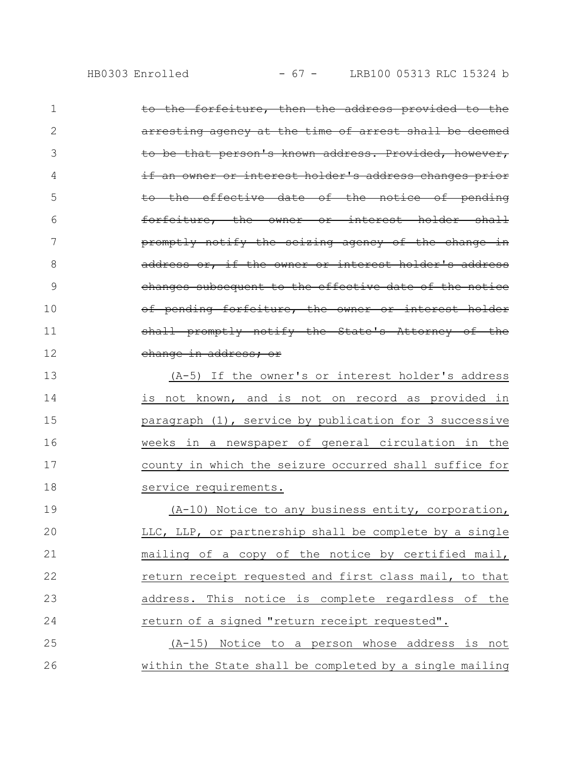| $\mathbf 1$ | to the forfeiture, then the address provided to the    |
|-------------|--------------------------------------------------------|
| 2           | arresting agency at the time of arrest shall be deemed |
| 3           | to be that person's known address. Provided, however,  |
| 4           | if an owner or interest holder's address changes prior |
| 5           | to the effective date of the notice of pending         |
| 6           | forfeiture, the owner or interest holder shall         |
| 7           | promptly notify the seizing agency of the change in    |
| 8           | address or, if the owner or interest holder's address  |
| 9           | changes subsequent to the effective date of the notice |
| 10          | of pending forfeiture, the owner or interest holder    |
| 11          | shall promptly notify the State's Attorney of the      |
| 12          | change in address; or                                  |
| 13          | $(A-5)$ If the owner's or interest holder's address    |
| 14          | is not known, and is not on record as provided in      |
| 15          | paragraph (1), service by publication for 3 successive |
|             |                                                        |
| 16          | weeks in a newspaper of general circulation in the     |
| 17          | county in which the seizure occurred shall suffice for |
| 18          | service requirements.                                  |
| 19          | $(A-10)$ Notice to any business entity, corporation,   |
| 20          | LLC, LLP, or partnership shall be complete by a single |
| 21          | mailing of a copy of the notice by certified mail,     |
| 22          | return receipt requested and first class mail, to that |
| 23          | address. This notice is complete regardless of the     |
| 24          | return of a signed "return receipt requested".         |
| 25          | (A-15) Notice to a person whose address is not         |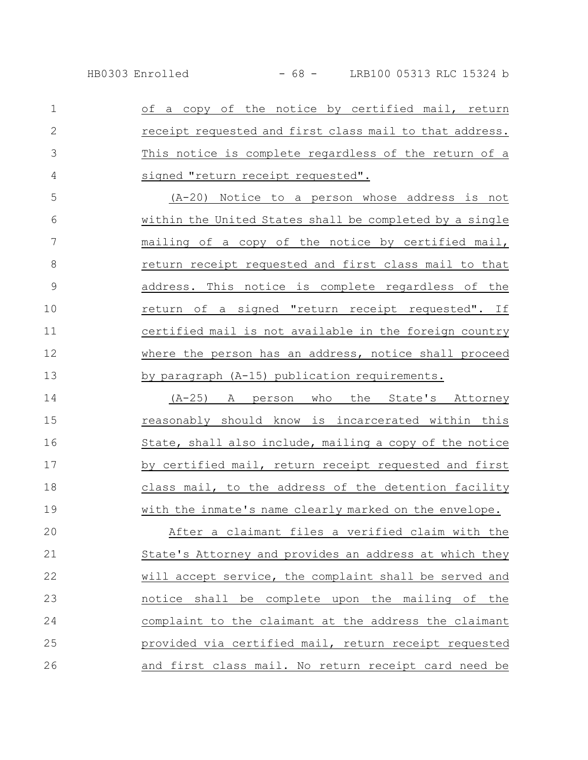of a copy of the notice by certified mail, return receipt requested and first class mail to that address. This notice is complete regardless of the return of a signed "return receipt requested". (A-20) Notice to a person whose address is not 1 2 3 4 5

within the United States shall be completed by a single mailing of a copy of the notice by certified mail, return receipt requested and first class mail to that address. This notice is complete regardless of the return of a signed "return receipt requested". If certified mail is not available in the foreign country where the person has an address, notice shall proceed by paragraph (A-15) publication requirements. 6 7 8 9 10 11 12 13

(A-25) A person who the State's Attorney reasonably should know is incarcerated within this State, shall also include, mailing a copy of the notice by certified mail, return receipt requested and first class mail, to the address of the detention facility with the inmate's name clearly marked on the envelope. 14 15 16 17 18 19

After a claimant files a verified claim with the State's Attorney and provides an address at which they will accept service, the complaint shall be served and notice shall be complete upon the mailing of the complaint to the claimant at the address the claimant provided via certified mail, return receipt requested and first class mail. No return receipt card need be 20 21 22 23 24 25 26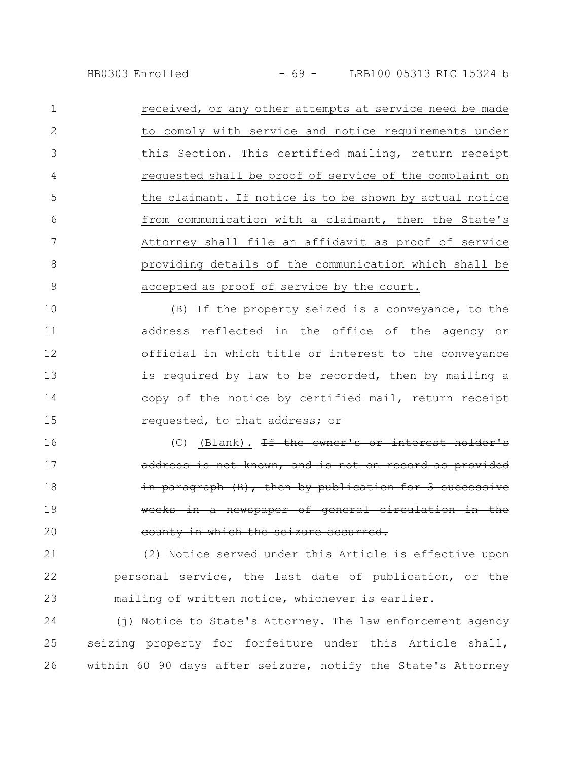received, or any other attempts at service need be made to comply with service and notice requirements under this Section. This certified mailing, return receipt requested shall be proof of service of the complaint on the claimant. If notice is to be shown by actual notice from communication with a claimant, then the State's Attorney shall file an affidavit as proof of service providing details of the communication which shall be accepted as proof of service by the court. 1 2 3 4 5 6 7 8 9

(B) If the property seized is a conveyance, to the address reflected in the office of the agency or official in which title or interest to the conveyance is required by law to be recorded, then by mailing a copy of the notice by certified mail, return receipt requested, to that address; or 10 11 12 13 14 15

(C) (Blank).  $H$  the owner's or interest address is not known, and is not on record as provided in paragraph (B), then by publication for in a newspaper of general circulation in the county in which the seizure occurred. 16 17 18 19 20

(2) Notice served under this Article is effective upon personal service, the last date of publication, or the mailing of written notice, whichever is earlier. 21 22 23

(j) Notice to State's Attorney. The law enforcement agency seizing property for forfeiture under this Article shall, within 60  $90$  days after seizure, notify the State's Attorney 24 25 26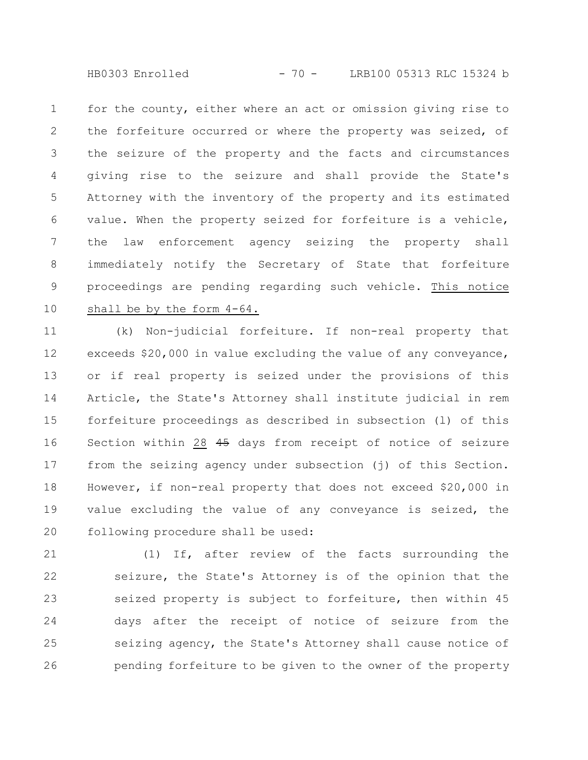HB0303 Enrolled - 70 - LRB100 05313 RLC 15324 b

for the county, either where an act or omission giving rise to the forfeiture occurred or where the property was seized, of the seizure of the property and the facts and circumstances giving rise to the seizure and shall provide the State's Attorney with the inventory of the property and its estimated value. When the property seized for forfeiture is a vehicle, the law enforcement agency seizing the property shall immediately notify the Secretary of State that forfeiture proceedings are pending regarding such vehicle. This notice shall be by the form 4-64. 1 2 3 4 5 6 7 8 9 10

(k) Non-judicial forfeiture. If non-real property that exceeds \$20,000 in value excluding the value of any conveyance, or if real property is seized under the provisions of this Article, the State's Attorney shall institute judicial in rem forfeiture proceedings as described in subsection (l) of this Section within 28 45 days from receipt of notice of seizure from the seizing agency under subsection (j) of this Section. However, if non-real property that does not exceed \$20,000 in value excluding the value of any conveyance is seized, the following procedure shall be used: 11 12 13 14 15 16 17 18 19 20

(1) If, after review of the facts surrounding the seizure, the State's Attorney is of the opinion that the seized property is subject to forfeiture, then within 45 days after the receipt of notice of seizure from the seizing agency, the State's Attorney shall cause notice of pending forfeiture to be given to the owner of the property 21 22 23 24 25 26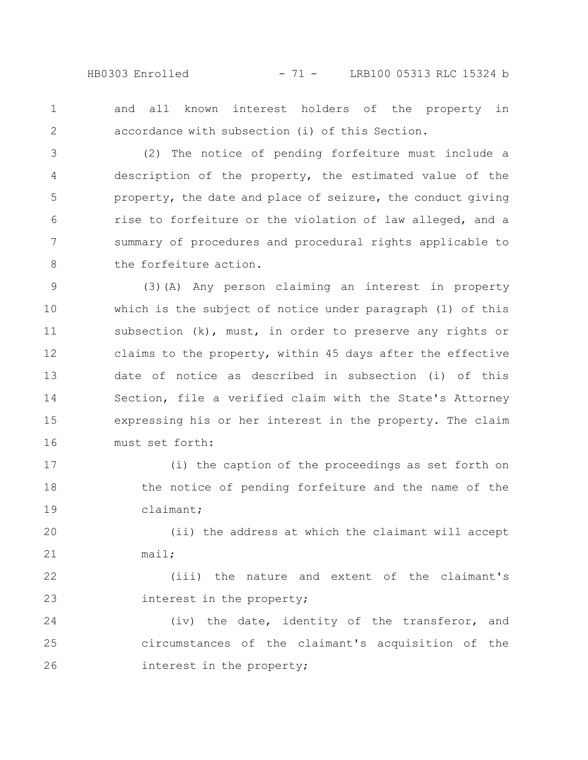HB0303 Enrolled - 71 - LRB100 05313 RLC 15324 b

and all known interest holders of the property in accordance with subsection (i) of this Section. 1 2

(2) The notice of pending forfeiture must include a description of the property, the estimated value of the property, the date and place of seizure, the conduct giving rise to forfeiture or the violation of law alleged, and a summary of procedures and procedural rights applicable to the forfeiture action. 3 4 5 6 7 8

(3)(A) Any person claiming an interest in property which is the subject of notice under paragraph (1) of this subsection (k), must, in order to preserve any rights or claims to the property, within 45 days after the effective date of notice as described in subsection (i) of this Section, file a verified claim with the State's Attorney expressing his or her interest in the property. The claim must set forth: 9 10 11 12 13 14 15 16

(i) the caption of the proceedings as set forth on the notice of pending forfeiture and the name of the claimant; 17 18 19

(ii) the address at which the claimant will accept mail; 20 21

(iii) the nature and extent of the claimant's interest in the property; 22 23

(iv) the date, identity of the transferor, and circumstances of the claimant's acquisition of the interest in the property; 24 25 26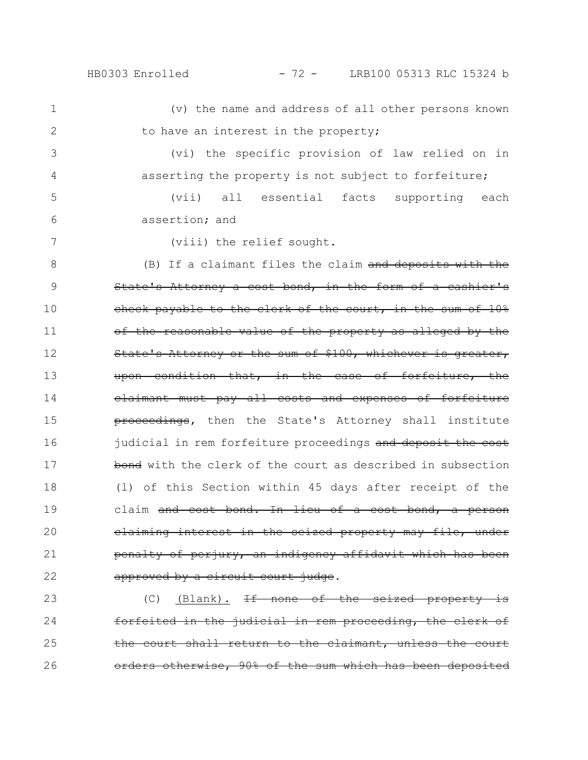HB0303 Enrolled - 72 - LRB100 05313 RLC 15324 b

(v) the name and address of all other persons known to have an interest in the property; 1 2

(vi) the specific provision of law relied on in asserting the property is not subject to forfeiture;

(vii) all essential facts supporting each assertion; and 5 6

7

3

4

(viii) the relief sought.

(B) If a claimant files the claim  $and$  deposits with State's Attorney a cost bond, in the form of a cashier's check payable to the clerk of the court, in the sum of 10% of the reasonable value of the property as alleged by the State's Attorney or the sum of \$100, whichever is greater, upon condition that, in the case of forfeiture, claimant must pay all costs and expenses of forfeiture proceedings, then the State's Attorney shall institute judicial in rem forfeiture proceedings and deposit the cost bond with the clerk of the court as described in subsection (l) of this Section within 45 days after receipt of the claim and cost bond. In lieu of a cost bond, a person claiming interest in the seized property may file, under penalty of perjury, an indigency affidavit which has been approved by a circuit court judge. 8 9 10 11 12 13 14 15 16 17 18 19 20 21 22

 $(C)$  (Blank). If none of the seized property forfeited in the judicial in rem proceeding, the clerk of the court shall return to the claimant, unless the orders otherwise, 90% of the sum which has been deposited 23 24 25 26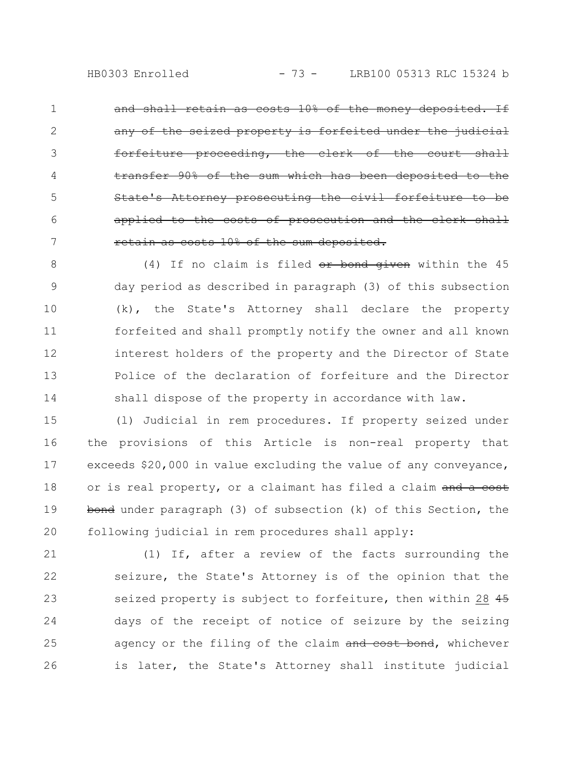retain as costs 10% of the money deposited. If seized property is forfeited under the judicial proceeding, the clerk of the court shall the sum which has been Attorney prosecuting the civil for applied to the costs of prosecution and the clerk shall retain as costs 10% of the sum deposited. 1 2 3 4 5 6 7

(4) If no claim is filed or bond given within the 45 day period as described in paragraph (3) of this subsection (k), the State's Attorney shall declare the property forfeited and shall promptly notify the owner and all known interest holders of the property and the Director of State Police of the declaration of forfeiture and the Director shall dispose of the property in accordance with law. 8 9 10 11 12 13 14

(l) Judicial in rem procedures. If property seized under the provisions of this Article is non-real property that exceeds \$20,000 in value excluding the value of any conveyance, or is real property, or a claimant has filed a claim and a cost bond under paragraph (3) of subsection (k) of this Section, the following judicial in rem procedures shall apply: 15 16 17 18 19 20

(1) If, after a review of the facts surrounding the seizure, the State's Attorney is of the opinion that the seized property is subject to forfeiture, then within 28 45 days of the receipt of notice of seizure by the seizing agency or the filing of the claim and cost bond, whichever is later, the State's Attorney shall institute judicial 21 22 23 24 25 26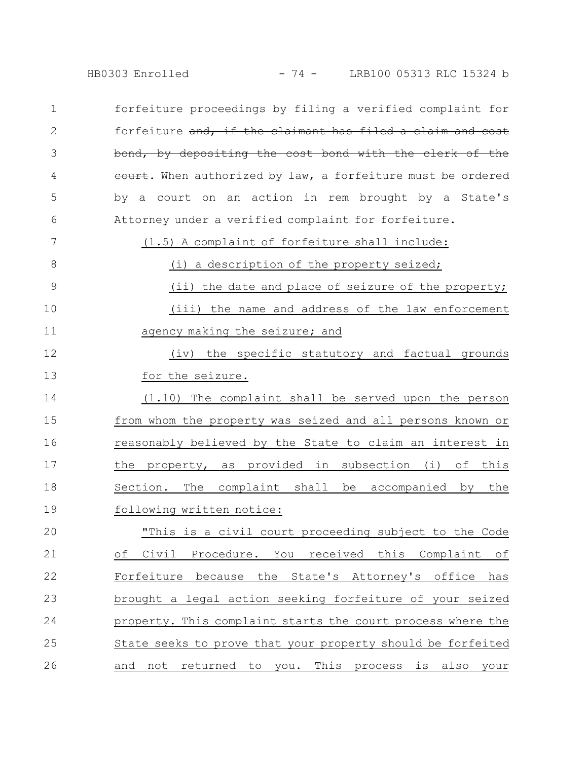HB0303 Enrolled - 74 - LRB100 05313 RLC 15324 b

forfeiture proceedings by filing a verified complaint for forfeiture and, if the claimant has filed a claim and cost bond, by depositing the cost bond with the clerk of eourt. When authorized by law, a forfeiture must be ordered by a court on an action in rem brought by a State's Attorney under a verified complaint for forfeiture. 1 2 3 4 5 6

(1.5) A complaint of forfeiture shall include:

7

(i) a description of the property seized; (ii) the date and place of seizure of the property; (iii) the name and address of the law enforcement agency making the seizure; and 8 9 10 11

(iv) the specific statutory and factual grounds for the seizure. 12 13

(1.10) The complaint shall be served upon the person from whom the property was seized and all persons known or reasonably believed by the State to claim an interest in the property, as provided in subsection (i) of this Section. The complaint shall be accompanied by the following written notice: 14 15 16 17 18 19

"This is a civil court proceeding subject to the Code of Civil Procedure. You received this Complaint of Forfeiture because the State's Attorney's office has brought a legal action seeking forfeiture of your seized property. This complaint starts the court process where the State seeks to prove that your property should be forfeited and not returned to you. This process is also your 20 21 22 23 24 25 26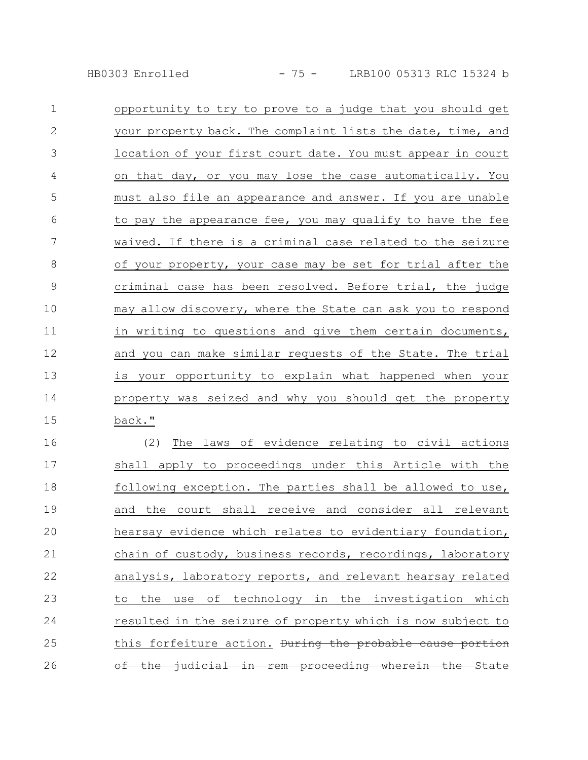HB0303 Enrolled - 75 - LRB100 05313 RLC 15324 b

| $\mathbf 1$    | opportunity to try to prove to a judge that you should get  |
|----------------|-------------------------------------------------------------|
| $\mathbf{2}$   | your property back. The complaint lists the date, time, and |
| 3              | location of your first court date. You must appear in court |
| $\overline{4}$ | on that day, or you may lose the case automatically. You    |
| 5              | must also file an appearance and answer. If you are unable  |
| 6              | to pay the appearance fee, you may qualify to have the fee  |
| 7              | waived. If there is a criminal case related to the seizure  |
| 8              | of your property, your case may be set for trial after the  |
| $\overline{9}$ | criminal case has been resolved. Before trial, the judge    |
| 10             | may allow discovery, where the State can ask you to respond |
| 11             | in writing to questions and give them certain documents,    |
| 12             | and you can make similar requests of the State. The trial   |
| 13             | is your opportunity to explain what happened when your      |
| 14             | property was seized and why you should get the property     |
| 15             | back."                                                      |
| 16             | The laws of evidence relating to civil actions<br>(2)       |
| $\sim$ $-$     |                                                             |

shall apply to proceedings under this Article with the following exception. The parties shall be allowed to use, and the court shall receive and consider all relevant hearsay evidence which relates to evidentiary foundation, chain of custody, business records, recordings, laboratory analysis, laboratory reports, and relevant hearsay related to the use of technology in the investigation which resulted in the seizure of property which is now subject to this forfeiture action. During the probable cause portion of the judicial in rem proceeding wherein the State 17 18 19 20 21 22 23 24 25 26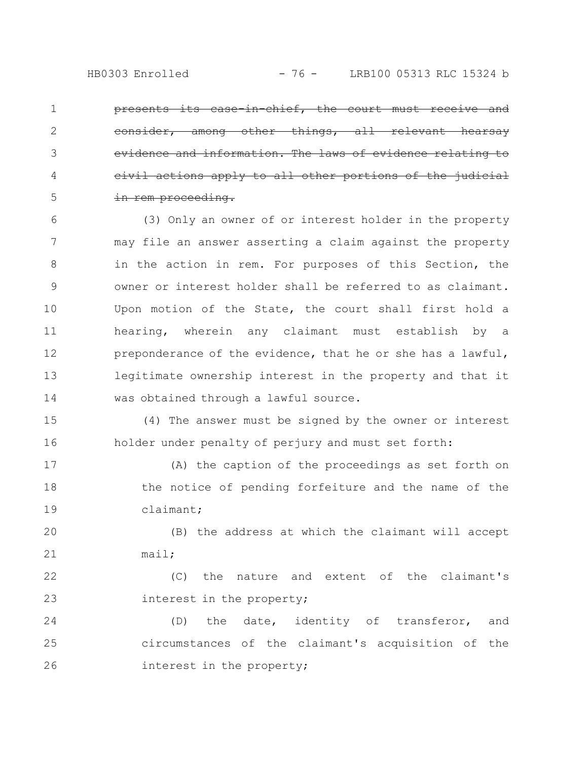presents its case-in-chief, the court must receive and among other things, all relevant evidence and information. The laws of ions apply to all other port in rem proceeding. 1 2 3 4 5

(3) Only an owner of or interest holder in the property may file an answer asserting a claim against the property in the action in rem. For purposes of this Section, the owner or interest holder shall be referred to as claimant. Upon motion of the State, the court shall first hold a hearing, wherein any claimant must establish by a preponderance of the evidence, that he or she has a lawful, legitimate ownership interest in the property and that it was obtained through a lawful source. 6 7 8 9 10 11 12 13 14

(4) The answer must be signed by the owner or interest holder under penalty of perjury and must set forth: 15 16

(A) the caption of the proceedings as set forth on the notice of pending forfeiture and the name of the claimant; 17 18 19

(B) the address at which the claimant will accept mail; 20 21

(C) the nature and extent of the claimant's interest in the property; 22 23

(D) the date, identity of transferor, and circumstances of the claimant's acquisition of the interest in the property; 24 25 26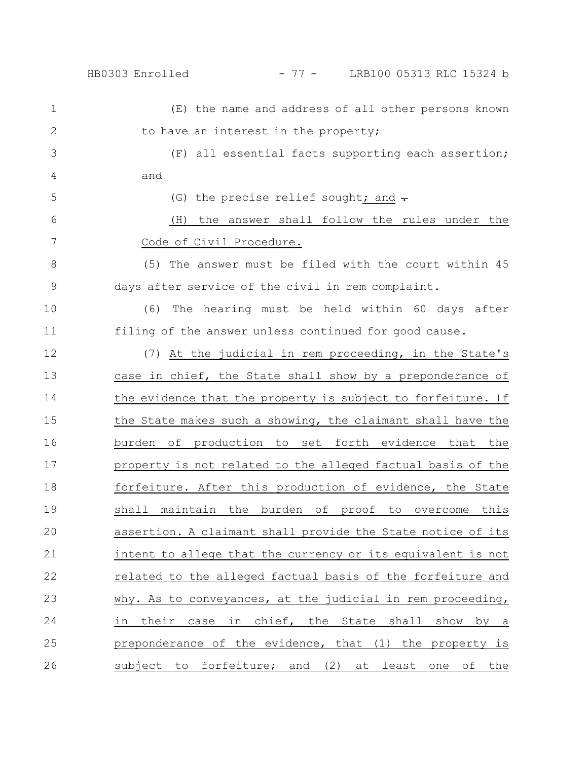HB0303 Enrolled - 77 - LRB100 05313 RLC 15324 b

(E) the name and address of all other persons known to have an interest in the property; (F) all essential facts supporting each assertion; and (G) the precise relief sought; and  $\div$ (H) the answer shall follow the rules under the Code of Civil Procedure. (5) The answer must be filed with the court within 45 days after service of the civil in rem complaint. (6) The hearing must be held within 60 days after filing of the answer unless continued for good cause. (7) At the judicial in rem proceeding, in the State's case in chief, the State shall show by a preponderance of the evidence that the property is subject to forfeiture. If the State makes such a showing, the claimant shall have the burden of production to set forth evidence that the property is not related to the alleged factual basis of the forfeiture. After this production of evidence, the State shall maintain the burden of proof to overcome this assertion. A claimant shall provide the State notice of its intent to allege that the currency or its equivalent is not related to the alleged factual basis of the forfeiture and why. As to conveyances, at the judicial in rem proceeding, in their case in chief, the State shall show by a preponderance of the evidence, that (1) the property is subject to forfeiture; and (2) at least one of the 1 2 3 4 5 6 7 8 9 10 11 12 13 14 15 16 17 18 19 20 21 22 23 24 25 26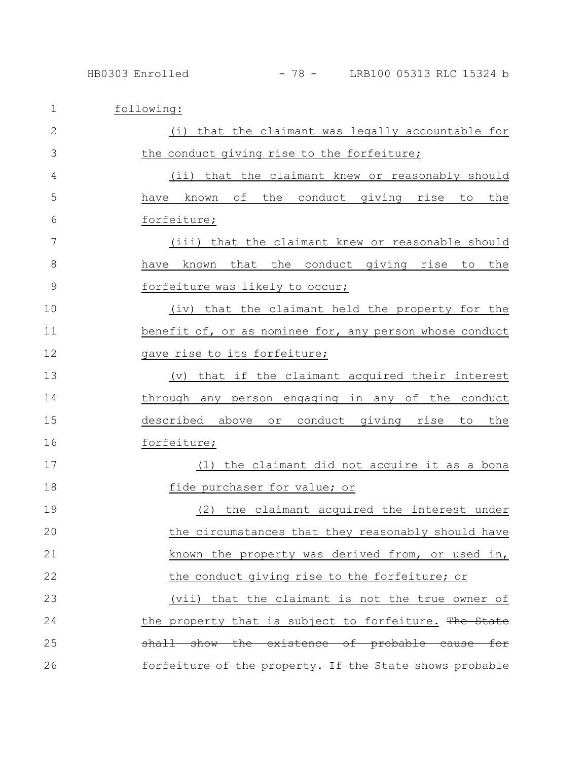| $\mathbf 1$   | following:                                                        |
|---------------|-------------------------------------------------------------------|
| $\mathbf{2}$  | (i) that the claimant was legally accountable for                 |
| 3             | the conduct giving rise to the forfeiture;                        |
| 4             | (ii) that the claimant knew or reasonably should                  |
| 5             | of<br>the conduct giving rise<br>known<br>to<br>the<br>have       |
| 6             | forfeiture;                                                       |
| 7             | (iii) that the claimant knew or reasonable should                 |
| 8             | known that the conduct giving rise to the<br>have                 |
| $\mathcal{G}$ | forfeiture was likely to occur;                                   |
| 10            | (iv) that the claimant held the property for the                  |
| 11            | benefit of, or as nominee for, any person whose conduct           |
| 12            | gave rise to its forfeiture;                                      |
| 13            | that if the claimant acquired their interest<br>$(\triangledown)$ |
| 14            | through any person engaging in any of the conduct                 |
| 15            | described above or conduct giving<br>rise<br>the<br>to.           |
| 16            | forfeiture;                                                       |
| 17            | the claimant did not acquire it as a bona<br>(1)                  |
| 18            | fide purchaser for value; or                                      |
| 19            | the claimant acquired the interest under<br>(2)                   |
| 20            | the circumstances that they reasonably should have                |
| 21            | known the property was derived from, or used in,                  |
| 22            | the conduct giving rise to the forfeiture; or                     |
| 23            | (vii) that the claimant is not the true owner of                  |
| 24            | the property that is subject to forfeiture. The State             |
| 25            | shall show the existence of probable cause for                    |
| 26            | forfeiture of the property. If the State shows probable           |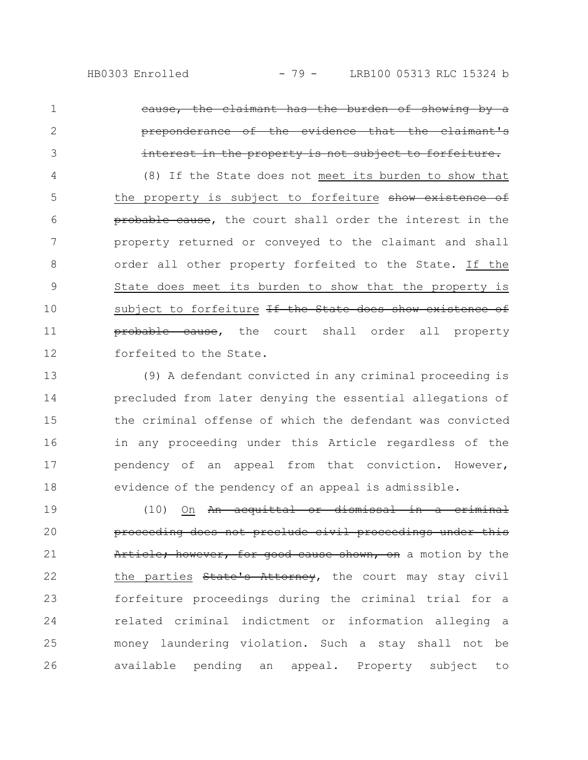the claimant has the burden of showing by a preponderance of the evidence that the claimant's in the property is not subject to forfeiture. (8) If the State does not meet its burden to show that the property is subject to forfeiture show existence of probable cause, the court shall order the interest in the property returned or conveyed to the claimant and shall order all other property forfeited to the State. If the State does meet its burden to show that the property is subject to forfeiture <del>If the State does show existence of</del> **probable cause,** the court shall order all property forfeited to the State. 1 2 3 4 5 6 7 8 9 10 11 12

(9) A defendant convicted in any criminal proceeding is precluded from later denying the essential allegations of the criminal offense of which the defendant was convicted in any proceeding under this Article regardless of the pendency of an appeal from that conviction. However, evidence of the pendency of an appeal is admissible. 13 14 15 16 17 18

(10) On An acquittal or dismissal in a criminal proceeding does not preclude civil proceedings under this Article; however, for good cause shown, on a motion by the the parties State's Attorney, the court may stay civil forfeiture proceedings during the criminal trial for a related criminal indictment or information alleging a money laundering violation. Such a stay shall not be available pending an appeal. Property subject to 19 20 21 22 23 24 25 26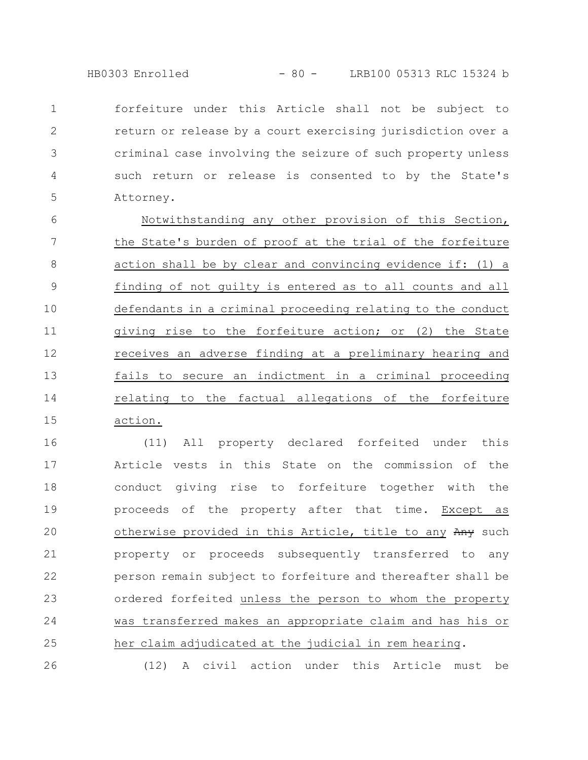HB0303 Enrolled - 80 - LRB100 05313 RLC 15324 b

forfeiture under this Article shall not be subject to return or release by a court exercising jurisdiction over a criminal case involving the seizure of such property unless such return or release is consented to by the State's Attorney. 1 2 3 4 5

Notwithstanding any other provision of this Section, the State's burden of proof at the trial of the forfeiture action shall be by clear and convincing evidence if: (1) a finding of not guilty is entered as to all counts and all defendants in a criminal proceeding relating to the conduct giving rise to the forfeiture action; or (2) the State receives an adverse finding at a preliminary hearing and fails to secure an indictment in a criminal proceeding relating to the factual allegations of the forfeiture action. 6 7 8 9 10 11 12 13 14 15

(11) All property declared forfeited under this Article vests in this State on the commission of the conduct giving rise to forfeiture together with the proceeds of the property after that time. Except as otherwise provided in this Article, title to any Any such property or proceeds subsequently transferred to any person remain subject to forfeiture and thereafter shall be ordered forfeited unless the person to whom the property was transferred makes an appropriate claim and has his or her claim adjudicated at the judicial in rem hearing. 16 17 18 19 20 21 22 23 24 25 26

(12) A civil action under this Article must be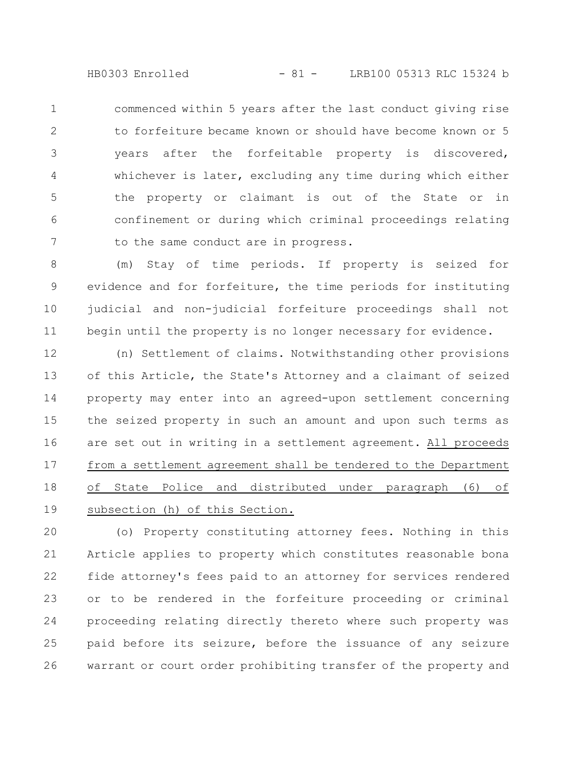HB0303 Enrolled - 81 - LRB100 05313 RLC 15324 b

commenced within 5 years after the last conduct giving rise to forfeiture became known or should have become known or 5 years after the forfeitable property is discovered, whichever is later, excluding any time during which either the property or claimant is out of the State or in confinement or during which criminal proceedings relating to the same conduct are in progress. 1 2 3 4 5 6 7

(m) Stay of time periods. If property is seized for evidence and for forfeiture, the time periods for instituting judicial and non-judicial forfeiture proceedings shall not begin until the property is no longer necessary for evidence. 8 9 10 11

(n) Settlement of claims. Notwithstanding other provisions of this Article, the State's Attorney and a claimant of seized property may enter into an agreed-upon settlement concerning the seized property in such an amount and upon such terms as are set out in writing in a settlement agreement. All proceeds from a settlement agreement shall be tendered to the Department of State Police and distributed under paragraph (6) of subsection (h) of this Section. 12 13 14 15 16 17 18 19

(o) Property constituting attorney fees. Nothing in this Article applies to property which constitutes reasonable bona fide attorney's fees paid to an attorney for services rendered or to be rendered in the forfeiture proceeding or criminal proceeding relating directly thereto where such property was paid before its seizure, before the issuance of any seizure warrant or court order prohibiting transfer of the property and 20 21 22 23 24 25 26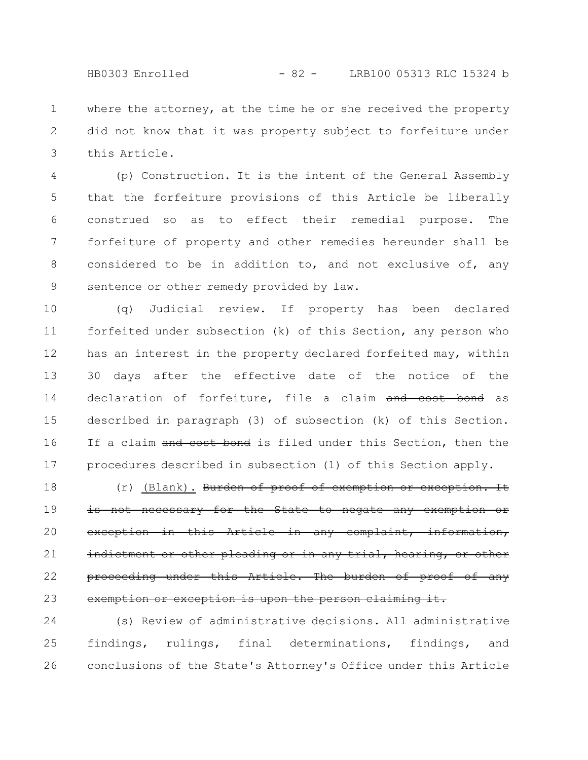where the attorney, at the time he or she received the property did not know that it was property subject to forfeiture under this Article. 1 2 3

(p) Construction. It is the intent of the General Assembly that the forfeiture provisions of this Article be liberally construed so as to effect their remedial purpose. The forfeiture of property and other remedies hereunder shall be considered to be in addition to, and not exclusive of, any sentence or other remedy provided by law. 4 5 6 7 8 9

(q) Judicial review. If property has been declared forfeited under subsection (k) of this Section, any person who has an interest in the property declared forfeited may, within 30 days after the effective date of the notice of the declaration of forfeiture, file a claim and cost bond as described in paragraph (3) of subsection (k) of this Section. If a claim and cost bond is filed under this Section, then the procedures described in subsection (l) of this Section apply. 10 11 12 13 14 15 16 17

(r) (Blank). Burden of proof of exemption or exception. It is not necessary for the State to negate any exemption or exception in this Article in any complaint, information, indictment or other pleading or in any trial, hearing, proceeding under this Article. The burden of proof of any exemption or exception is upon the person claiming it. 18 19 20 21 22 23

(s) Review of administrative decisions. All administrative findings, rulings, final determinations, findings, and conclusions of the State's Attorney's Office under this Article 24 25 26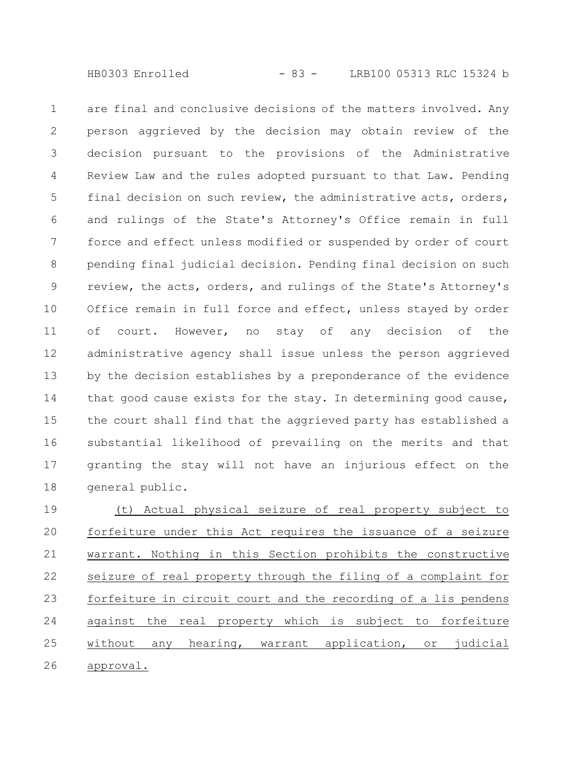are final and conclusive decisions of the matters involved. Any person aggrieved by the decision may obtain review of the decision pursuant to the provisions of the Administrative Review Law and the rules adopted pursuant to that Law. Pending final decision on such review, the administrative acts, orders, and rulings of the State's Attorney's Office remain in full force and effect unless modified or suspended by order of court pending final judicial decision. Pending final decision on such review, the acts, orders, and rulings of the State's Attorney's Office remain in full force and effect, unless stayed by order of court. However, no stay of any decision of the administrative agency shall issue unless the person aggrieved by the decision establishes by a preponderance of the evidence that good cause exists for the stay. In determining good cause, the court shall find that the aggrieved party has established a substantial likelihood of prevailing on the merits and that granting the stay will not have an injurious effect on the general public. 1 2 3 4 5 6 7 8 9 10 11 12 13 14 15 16 17 18

(t) Actual physical seizure of real property subject to forfeiture under this Act requires the issuance of a seizure warrant. Nothing in this Section prohibits the constructive seizure of real property through the filing of a complaint for forfeiture in circuit court and the recording of a lis pendens against the real property which is subject to forfeiture without any hearing, warrant application, or judicial approval. 19 20 21 22 23 24 25 26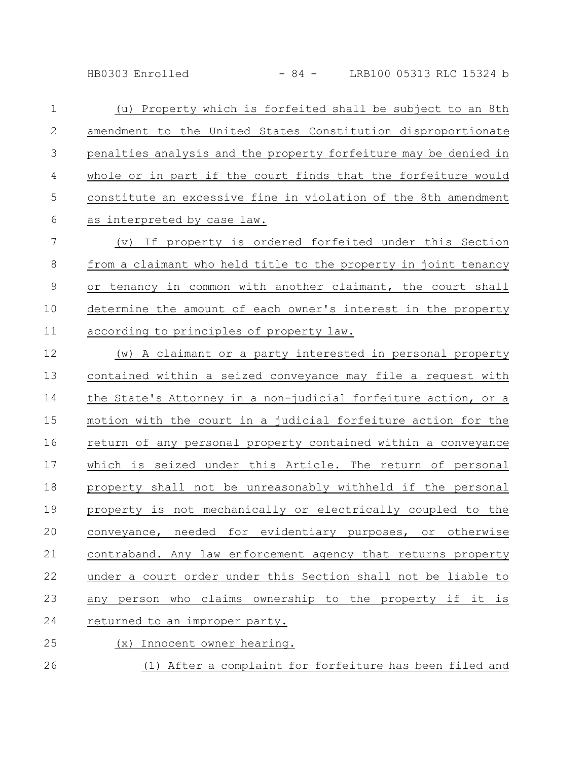HB0303 Enrolled - 84 - LRB100 05313 RLC 15324 b

(u) Property which is forfeited shall be subject to an 8th amendment to the United States Constitution disproportionate penalties analysis and the property forfeiture may be denied in whole or in part if the court finds that the forfeiture would constitute an excessive fine in violation of the 8th amendment as interpreted by case law. (v) If property is ordered forfeited under this Section 1 2 3 4 5 6 7

from a claimant who held title to the property in joint tenancy or tenancy in common with another claimant, the court shall determine the amount of each owner's interest in the property according to principles of property law. 8 9 10 11

(w) A claimant or a party interested in personal property contained within a seized conveyance may file a request with the State's Attorney in a non-judicial forfeiture action, or a motion with the court in a judicial forfeiture action for the return of any personal property contained within a conveyance which is seized under this Article. The return of personal property shall not be unreasonably withheld if the personal property is not mechanically or electrically coupled to the conveyance, needed for evidentiary purposes, or otherwise contraband. Any law enforcement agency that returns property under a court order under this Section shall not be liable to any person who claims ownership to the property if it is returned to an improper party. (x) Innocent owner hearing. 12 13 14 15 16 17 18 19 20 21 22 23 24 25

(1) After a complaint for forfeiture has been filed and 26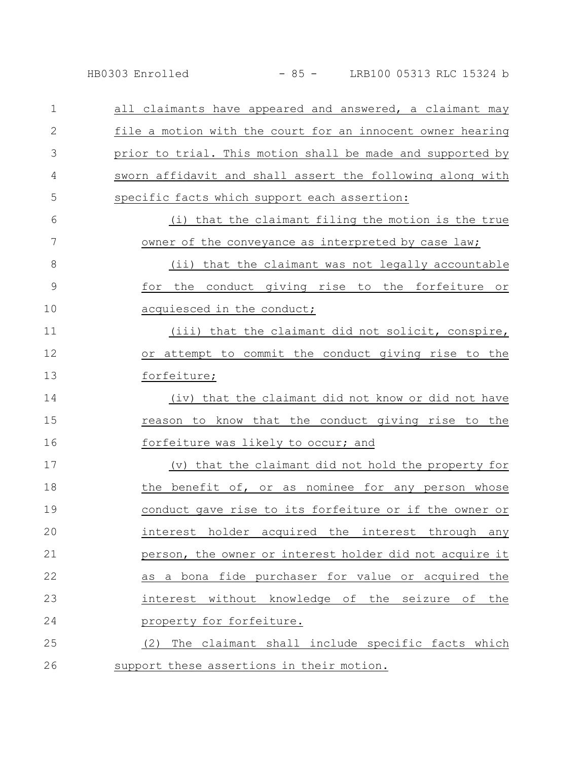HB0303 Enrolled - 85 - LRB100 05313 RLC 15324 b

| 1             | all claimants have appeared and answered, a claimant may   |
|---------------|------------------------------------------------------------|
| $\mathbf{2}$  | file a motion with the court for an innocent owner hearing |
| 3             | prior to trial. This motion shall be made and supported by |
| 4             | sworn affidavit and shall assert the following along with  |
| 5             | specific facts which support each assertion:               |
| 6             | (i) that the claimant filing the motion is the true        |
| 7             | owner of the conveyance as interpreted by case law;        |
| 8             | <u>(ii) that the claimant was not legally accountable</u>  |
| $\mathcal{G}$ | for the conduct giving rise to the forfeiture or           |
| 10            | acquiesced in the conduct;                                 |
| 11            | (iii) that the claimant did not solicit, conspire,         |
| 12            | or attempt to commit the conduct giving rise to the        |
| 13            | forfeiture;                                                |
| 14            | (iv) that the claimant did not know or did not have        |
| 15            | reason to know that the conduct giving rise to the         |
| 16            | forfeiture was likely to occur; and                        |
| 17            | (v) that the claimant did not hold the property for        |
| 18            | the benefit of, or as nominee for any person whose         |
| 19            | conduct gave rise to its forfeiture or if the owner or     |
| 20            | interest holder acquired the interest through any          |
| 21            | person, the owner or interest holder did not acquire it    |
| 22            | as a bona fide purchaser for value or acquired the         |
| 23            | interest without knowledge of the seizure of<br>the        |
| 24            | property for forfeiture.                                   |
| 25            | (2) The claimant shall include specific facts which        |
| 26            | support these assertions in their motion.                  |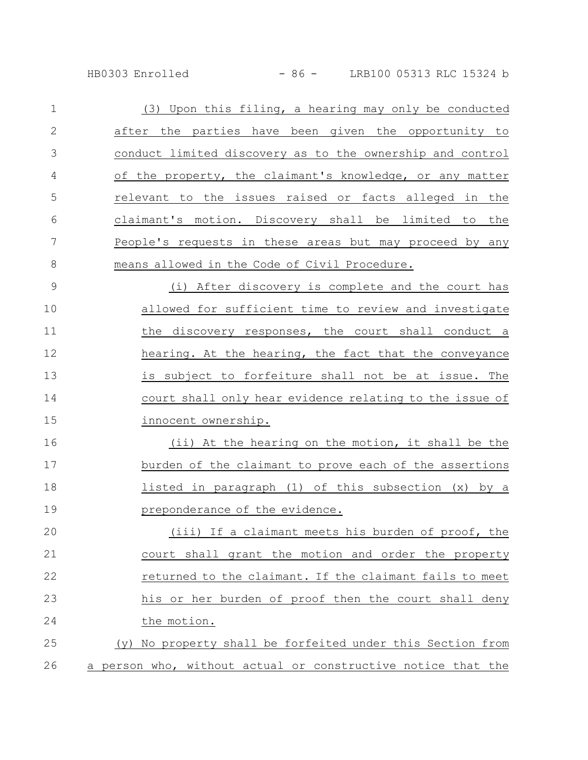HB0303 Enrolled - 86 - LRB100 05313 RLC 15324 b

| $\mathbf 1$   | (3) Upon this filing, a hearing may only be conducted        |
|---------------|--------------------------------------------------------------|
| $\mathbf{2}$  | after the parties have been given the opportunity to         |
| 3             | conduct limited discovery as to the ownership and control    |
| 4             | of the property, the claimant's knowledge, or any matter     |
| 5             | relevant to the issues raised or facts alleged in the        |
| 6             | claimant's motion. Discovery shall be limited to the         |
| 7             | People's requests in these areas but may proceed by any      |
| 8             | means allowed in the Code of Civil Procedure.                |
| $\mathcal{G}$ | (i) After discovery is complete and the court has            |
| 10            | allowed for sufficient time to review and investigate        |
| 11            | the discovery responses, the court shall conduct a           |
| 12            | hearing. At the hearing, the fact that the conveyance        |
| 13            | is subject to forfeiture shall not be at issue. The          |
| 14            | court shall only hear evidence relating to the issue of      |
| 15            | innocent ownership.                                          |
| 16            | (ii) At the hearing on the motion, it shall be the           |
| 17            | burden of the claimant to prove each of the assertions       |
| 18            | listed in paragraph (1) of this subsection (x) by a          |
| 19            | preponderance of the evidence.                               |
| 20            | (iii) If a claimant meets his burden of proof, the           |
| 21            | court shall grant the motion and order the property          |
| 22            | returned to the claimant. If the claimant fails to meet      |
| 23            | his or her burden of proof then the court shall deny         |
| 24            | the motion.                                                  |
| 25            | (y) No property shall be forfeited under this Section from   |
| 26            | a person who, without actual or constructive notice that the |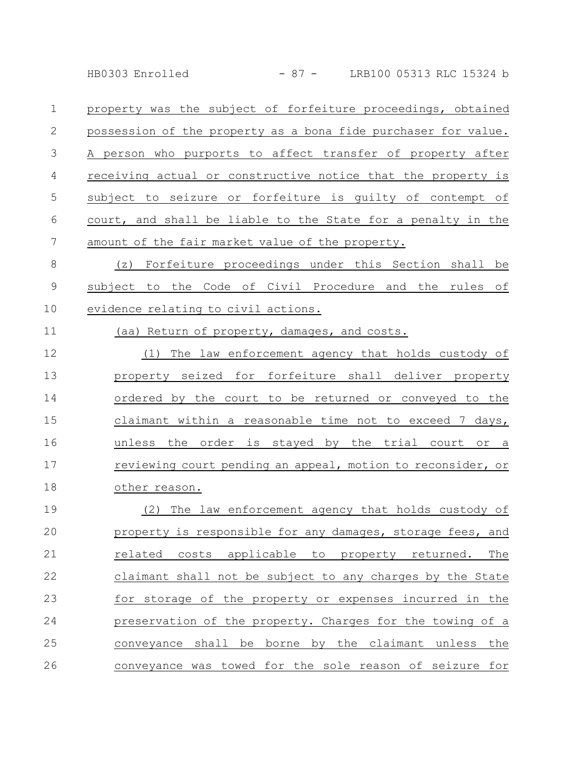HB0303 Enrolled - 87 - LRB100 05313 RLC 15324 b

property was the subject of forfeiture proceedings, obtained possession of the property as a bona fide purchaser for value. A person who purports to affect transfer of property after receiving actual or constructive notice that the property is subject to seizure or forfeiture is guilty of contempt of court, and shall be liable to the State for a penalty in the amount of the fair market value of the property. 1 2 3 4 5 6 7

(z) Forfeiture proceedings under this Section shall be subject to the Code of Civil Procedure and the rules of evidence relating to civil actions. 8 9 10

11

(aa) Return of property, damages, and costs.

(1) The law enforcement agency that holds custody of property seized for forfeiture shall deliver property ordered by the court to be returned or conveyed to the claimant within a reasonable time not to exceed 7 days, unless the order is stayed by the trial court or a reviewing court pending an appeal, motion to reconsider, or other reason. 12 13 14 15 16 17 18

(2) The law enforcement agency that holds custody of property is responsible for any damages, storage fees, and related costs applicable to property returned. The claimant shall not be subject to any charges by the State for storage of the property or expenses incurred in the preservation of the property. Charges for the towing of a conveyance shall be borne by the claimant unless the conveyance was towed for the sole reason of seizure for 19 20 21 22 23 24 25 26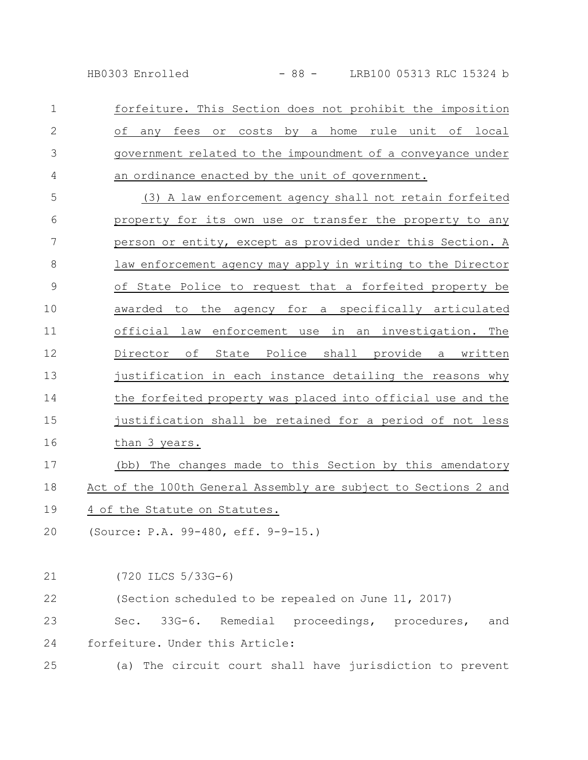HB0303 Enrolled - 88 - LRB100 05313 RLC 15324 b

forfeiture. This Section does not prohibit the imposition of any fees or costs by a home rule unit of local government related to the impoundment of a conveyance under an ordinance enacted by the unit of government. 1 2 3 4

(3) A law enforcement agency shall not retain forfeited property for its own use or transfer the property to any person or entity, except as provided under this Section. A law enforcement agency may apply in writing to the Director of State Police to request that a forfeited property be awarded to the agency for a specifically articulated official law enforcement use in an investigation. The Director of State Police shall provide a written justification in each instance detailing the reasons why the forfeited property was placed into official use and the justification shall be retained for a period of not less than 3 years. (bb) The changes made to this Section by this amendatory Act of the 100th General Assembly are subject to Sections 2 and 5 6 7 8 9 10 11 12 13 14 15 16 17 18

- 4 of the Statute on Statutes. 19
- (Source: P.A. 99-480, eff. 9-9-15.) 20

(720 ILCS 5/33G-6) (Section scheduled to be repealed on June 11, 2017) Sec. 33G-6. Remedial proceedings, procedures, and forfeiture. Under this Article: (a) The circuit court shall have jurisdiction to prevent 21 22 23 24 25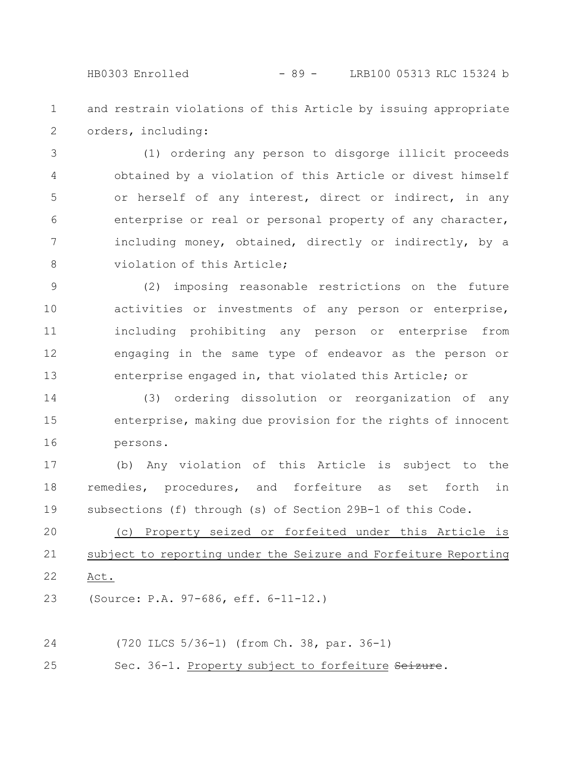HB0303 Enrolled - 89 - LRB100 05313 RLC 15324 b

and restrain violations of this Article by issuing appropriate orders, including: 1 2

(1) ordering any person to disgorge illicit proceeds obtained by a violation of this Article or divest himself or herself of any interest, direct or indirect, in any enterprise or real or personal property of any character, including money, obtained, directly or indirectly, by a violation of this Article; 3 4 5 6 7 8

(2) imposing reasonable restrictions on the future activities or investments of any person or enterprise, including prohibiting any person or enterprise from engaging in the same type of endeavor as the person or enterprise engaged in, that violated this Article; or 9 10 11 12 13

(3) ordering dissolution or reorganization of any enterprise, making due provision for the rights of innocent persons. 14 15 16

(b) Any violation of this Article is subject to the remedies, procedures, and forfeiture as set forth in subsections (f) through (s) of Section 29B-1 of this Code. 17 18 19

(c) Property seized or forfeited under this Article is subject to reporting under the Seizure and Forfeiture Reporting Act. 20 21 22

(Source: P.A. 97-686, eff. 6-11-12.) 23

(720 ILCS 5/36-1) (from Ch. 38, par. 36-1) 24

Sec. 36-1. Property subject to forfeiture Seizure. 25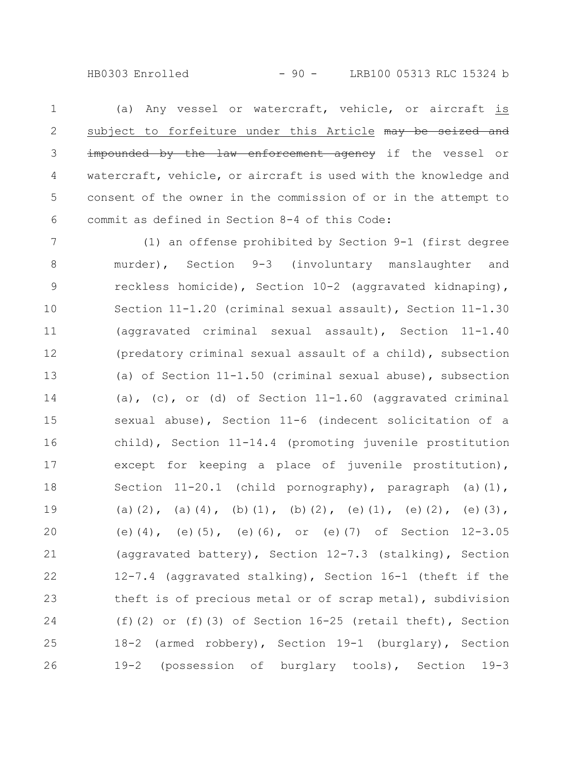HB0303 Enrolled - 90 - LRB100 05313 RLC 15324 b

(a) Any vessel or watercraft, vehicle, or aircraft is subject to forfeiture under this Article may be seized and impounded by the law enforcement agency if the vessel or watercraft, vehicle, or aircraft is used with the knowledge and consent of the owner in the commission of or in the attempt to commit as defined in Section 8-4 of this Code: 1 2 3 4 5 6

(1) an offense prohibited by Section 9-1 (first degree murder), Section 9-3 (involuntary manslaughter and reckless homicide), Section 10-2 (aggravated kidnaping), Section 11-1.20 (criminal sexual assault), Section 11-1.30 (aggravated criminal sexual assault), Section 11-1.40 (predatory criminal sexual assault of a child), subsection (a) of Section 11-1.50 (criminal sexual abuse), subsection (a), (c), or (d) of Section  $11-1.60$  (aggravated criminal sexual abuse), Section 11-6 (indecent solicitation of a child), Section 11-14.4 (promoting juvenile prostitution except for keeping a place of juvenile prostitution), Section 11-20.1 (child pornography), paragraph (a)(1), (a)(2), (a)(4), (b)(1), (b)(2), (e)(1), (e)(2), (e)(3), (e)(4), (e)(5), (e)(6), or (e)(7) of Section 12-3.05 (aggravated battery), Section 12-7.3 (stalking), Section 12-7.4 (aggravated stalking), Section 16-1 (theft if the theft is of precious metal or of scrap metal), subdivision (f)(2) or (f)(3) of Section  $16-25$  (retail theft), Section 18-2 (armed robbery), Section 19-1 (burglary), Section 19-2 (possession of burglary tools), Section 19-3 7 8 9 10 11 12 13 14 15 16 17 18 19 20 21 22 23 24 25 26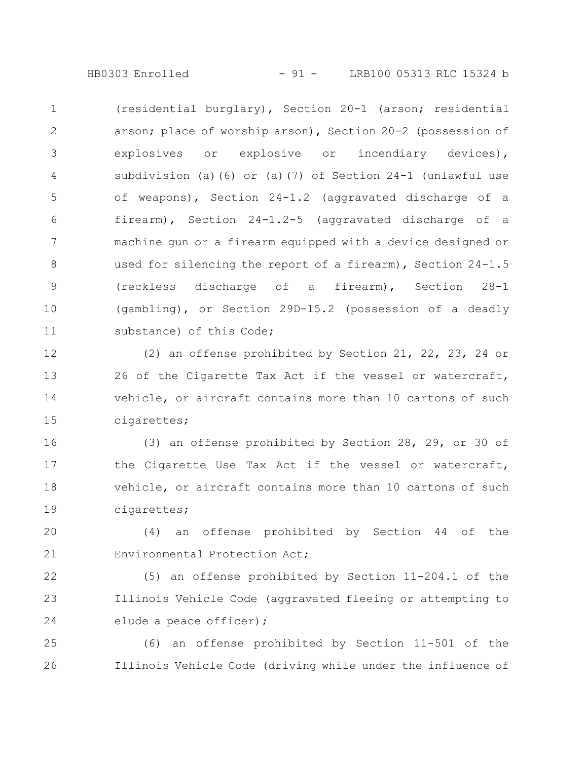HB0303 Enrolled - 91 - LRB100 05313 RLC 15324 b

(residential burglary), Section 20-1 (arson; residential arson; place of worship arson), Section 20-2 (possession of explosives or explosive or incendiary devices), subdivision (a)(6) or (a)(7) of Section 24-1 (unlawful use of weapons), Section 24-1.2 (aggravated discharge of a firearm), Section 24-1.2-5 (aggravated discharge of a machine gun or a firearm equipped with a device designed or used for silencing the report of a firearm), Section 24-1.5 (reckless discharge of a firearm), Section 28-1 (gambling), or Section 29D-15.2 (possession of a deadly substance) of this Code; 1 2 3 4 5 6 7 8 9 10 11

(2) an offense prohibited by Section 21, 22, 23, 24 or 26 of the Cigarette Tax Act if the vessel or watercraft, vehicle, or aircraft contains more than 10 cartons of such cigarettes; 12 13 14 15

(3) an offense prohibited by Section 28, 29, or 30 of the Cigarette Use Tax Act if the vessel or watercraft, vehicle, or aircraft contains more than 10 cartons of such cigarettes; 16 17 18 19

(4) an offense prohibited by Section 44 of the Environmental Protection Act; 20 21

(5) an offense prohibited by Section 11-204.1 of the Illinois Vehicle Code (aggravated fleeing or attempting to elude a peace officer); 22 23 24

(6) an offense prohibited by Section 11-501 of the Illinois Vehicle Code (driving while under the influence of 25 26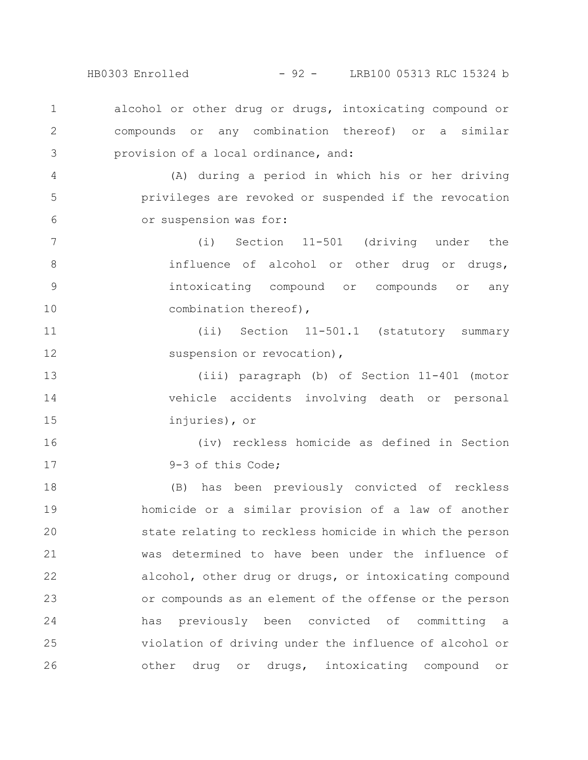HB0303 Enrolled - 92 - LRB100 05313 RLC 15324 b

alcohol or other drug or drugs, intoxicating compound or compounds or any combination thereof) or a similar provision of a local ordinance, and: 1 2 3

(A) during a period in which his or her driving privileges are revoked or suspended if the revocation or suspension was for: 4 5 6

(i) Section 11-501 (driving under the influence of alcohol or other drug or drugs, intoxicating compound or compounds or any combination thereof), 7 8 9 10

(ii) Section 11-501.1 (statutory summary suspension or revocation), 11 12

(iii) paragraph (b) of Section 11-401 (motor vehicle accidents involving death or personal injuries), or 13 14 15

16

17

(iv) reckless homicide as defined in Section 9-3 of this Code;

(B) has been previously convicted of reckless homicide or a similar provision of a law of another state relating to reckless homicide in which the person was determined to have been under the influence of alcohol, other drug or drugs, or intoxicating compound or compounds as an element of the offense or the person has previously been convicted of committing a violation of driving under the influence of alcohol or other drug or drugs, intoxicating compound or 18 19 20 21 22 23 24 25 26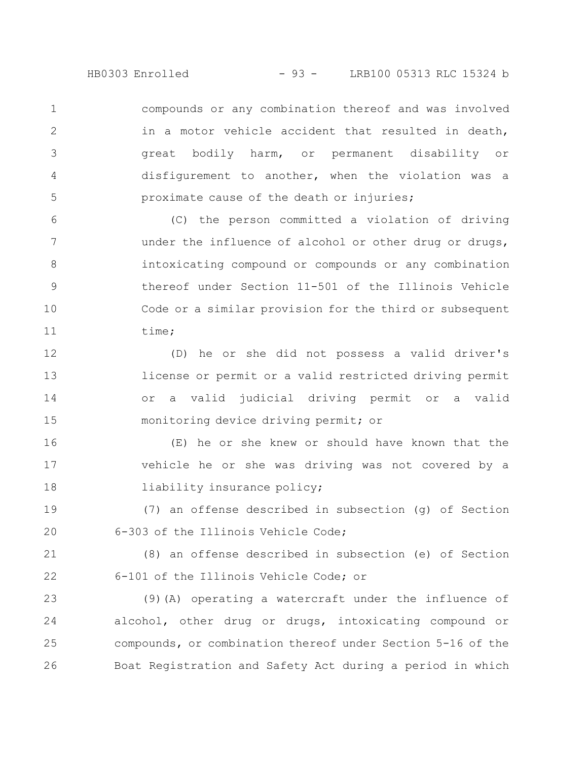HB0303 Enrolled - 93 - LRB100 05313 RLC 15324 b

compounds or any combination thereof and was involved in a motor vehicle accident that resulted in death, great bodily harm, or permanent disability or disfigurement to another, when the violation was a proximate cause of the death or injuries;

1

2

3

4

5

(C) the person committed a violation of driving under the influence of alcohol or other drug or drugs, intoxicating compound or compounds or any combination thereof under Section 11-501 of the Illinois Vehicle Code or a similar provision for the third or subsequent time; 6 7 8 9 10 11

(D) he or she did not possess a valid driver's license or permit or a valid restricted driving permit or a valid judicial driving permit or a valid monitoring device driving permit; or 12 13 14 15

(E) he or she knew or should have known that the vehicle he or she was driving was not covered by a liability insurance policy; 16 17 18

(7) an offense described in subsection (g) of Section 6-303 of the Illinois Vehicle Code; 19 20

(8) an offense described in subsection (e) of Section 6-101 of the Illinois Vehicle Code; or 21 22

(9)(A) operating a watercraft under the influence of alcohol, other drug or drugs, intoxicating compound or compounds, or combination thereof under Section 5-16 of the Boat Registration and Safety Act during a period in which 23 24 25 26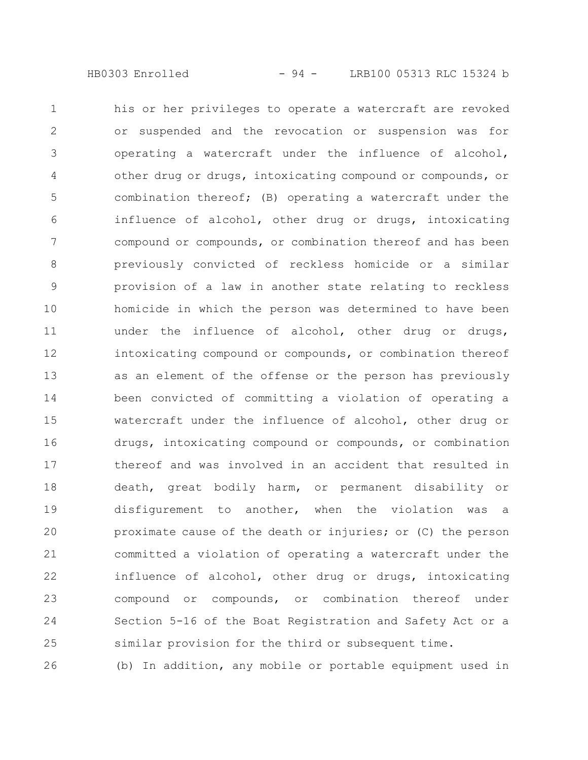his or her privileges to operate a watercraft are revoked or suspended and the revocation or suspension was for operating a watercraft under the influence of alcohol, other drug or drugs, intoxicating compound or compounds, or combination thereof; (B) operating a watercraft under the influence of alcohol, other drug or drugs, intoxicating compound or compounds, or combination thereof and has been previously convicted of reckless homicide or a similar provision of a law in another state relating to reckless homicide in which the person was determined to have been under the influence of alcohol, other drug or drugs, intoxicating compound or compounds, or combination thereof as an element of the offense or the person has previously been convicted of committing a violation of operating a watercraft under the influence of alcohol, other drug or drugs, intoxicating compound or compounds, or combination thereof and was involved in an accident that resulted in death, great bodily harm, or permanent disability or disfigurement to another, when the violation was a proximate cause of the death or injuries; or (C) the person committed a violation of operating a watercraft under the influence of alcohol, other drug or drugs, intoxicating compound or compounds, or combination thereof under Section 5-16 of the Boat Registration and Safety Act or a similar provision for the third or subsequent time. 1 2 3 4 5 6 7 8 9 10 11 12 13 14 15 16 17 18 19 20 21 22 23 24 25

(b) In addition, any mobile or portable equipment used in 26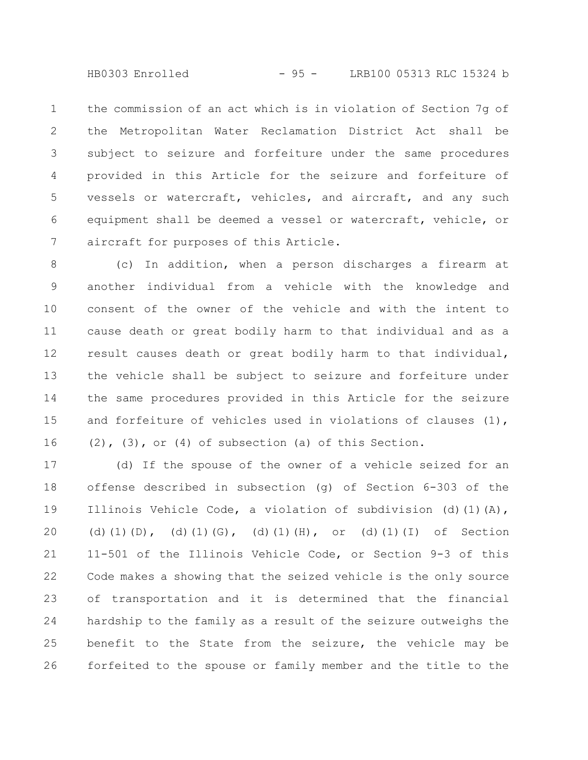HB0303 Enrolled - 95 - LRB100 05313 RLC 15324 b

the commission of an act which is in violation of Section 7g of the Metropolitan Water Reclamation District Act shall be subject to seizure and forfeiture under the same procedures provided in this Article for the seizure and forfeiture of vessels or watercraft, vehicles, and aircraft, and any such equipment shall be deemed a vessel or watercraft, vehicle, or aircraft for purposes of this Article. 1 2 3 4 5 6 7

(c) In addition, when a person discharges a firearm at another individual from a vehicle with the knowledge and consent of the owner of the vehicle and with the intent to cause death or great bodily harm to that individual and as a result causes death or great bodily harm to that individual, the vehicle shall be subject to seizure and forfeiture under the same procedures provided in this Article for the seizure and forfeiture of vehicles used in violations of clauses (1),  $(2)$ ,  $(3)$ , or  $(4)$  of subsection  $(a)$  of this Section. 8 9 10 11 12 13 14 15 16

(d) If the spouse of the owner of a vehicle seized for an offense described in subsection (g) of Section 6-303 of the Illinois Vehicle Code, a violation of subdivision (d)(1)(A), (d)(1)(D), (d)(1)(G), (d)(1)(H), or (d)(1)(I) of Section 11-501 of the Illinois Vehicle Code, or Section 9-3 of this Code makes a showing that the seized vehicle is the only source of transportation and it is determined that the financial hardship to the family as a result of the seizure outweighs the benefit to the State from the seizure, the vehicle may be forfeited to the spouse or family member and the title to the 17 18 19 20 21 22 23 24 25 26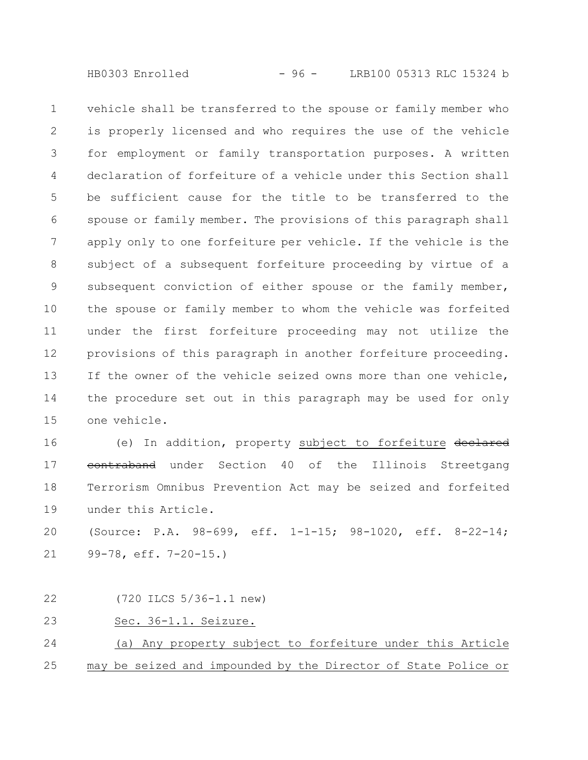HB0303 Enrolled - 96 - LRB100 05313 RLC 15324 b

vehicle shall be transferred to the spouse or family member who is properly licensed and who requires the use of the vehicle for employment or family transportation purposes. A written declaration of forfeiture of a vehicle under this Section shall be sufficient cause for the title to be transferred to the spouse or family member. The provisions of this paragraph shall apply only to one forfeiture per vehicle. If the vehicle is the subject of a subsequent forfeiture proceeding by virtue of a subsequent conviction of either spouse or the family member, the spouse or family member to whom the vehicle was forfeited under the first forfeiture proceeding may not utilize the provisions of this paragraph in another forfeiture proceeding. If the owner of the vehicle seized owns more than one vehicle, the procedure set out in this paragraph may be used for only one vehicle. 1 2 3 4 5 6 7 8 9 10 11 12 13 14 15

(e) In addition, property subject to forfeiture declared contraband under Section 40 of the Illinois Streetgang Terrorism Omnibus Prevention Act may be seized and forfeited under this Article. 16 17 18 19

(Source: P.A. 98-699, eff. 1-1-15; 98-1020, eff. 8-22-14; 99-78, eff. 7-20-15.) 20 21

(720 ILCS 5/36-1.1 new) 22

## Sec. 36-1.1. Seizure. 23

(a) Any property subject to forfeiture under this Article may be seized and impounded by the Director of State Police or 24 25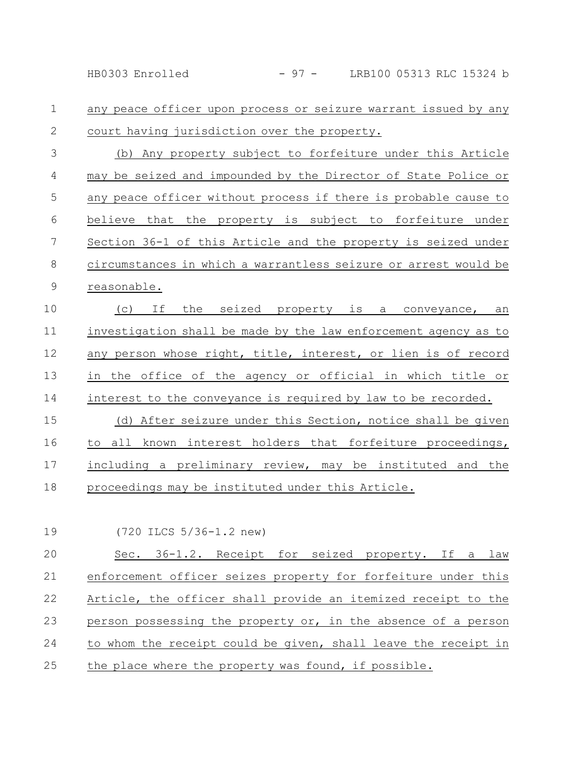any peace officer upon process or seizure warrant issued by any court having jurisdiction over the property. 1 2

(b) Any property subject to forfeiture under this Article may be seized and impounded by the Director of State Police or any peace officer without process if there is probable cause to believe that the property is subject to forfeiture under Section 36-1 of this Article and the property is seized under circumstances in which a warrantless seizure or arrest would be reasonable. 3 4 5 6 7 8 9

(c) If the seized property is a conveyance, an investigation shall be made by the law enforcement agency as to any person whose right, title, interest, or lien is of record in the office of the agency or official in which title or interest to the conveyance is required by law to be recorded. (d) After seizure under this Section, notice shall be given 10 11 12 13 14 15

to all known interest holders that forfeiture proceedings, including a preliminary review, may be instituted and the proceedings may be instituted under this Article. 16 17 18

(720 ILCS 5/36-1.2 new) 19

Sec. 36-1.2. Receipt for seized property. If a law enforcement officer seizes property for forfeiture under this Article, the officer shall provide an itemized receipt to the person possessing the property or, in the absence of a person to whom the receipt could be given, shall leave the receipt in the place where the property was found, if possible. 20 21 22 23 24 25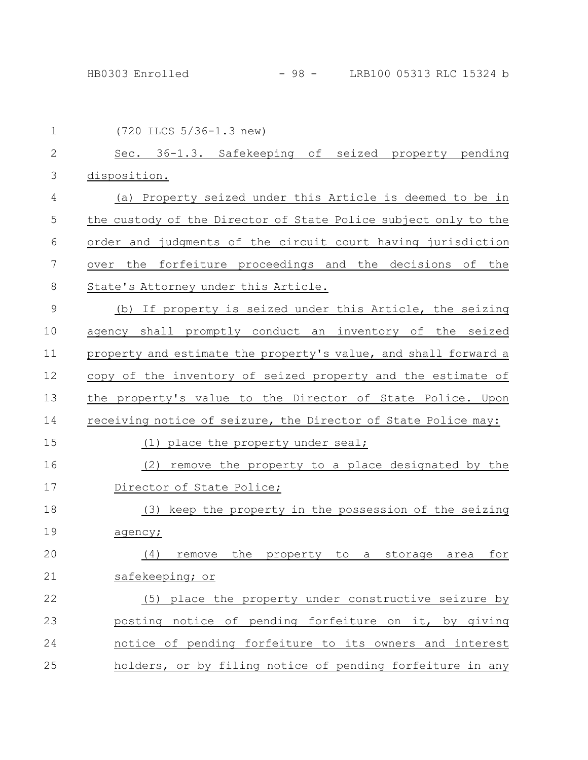| $\mathbf 1$  | (720 ILCS 5/36-1.3 new)                                         |
|--------------|-----------------------------------------------------------------|
| $\mathbf{2}$ | Sec. 36-1.3. Safekeeping of seized property pending             |
| 3            | disposition.                                                    |
| 4            | (a) Property seized under this Article is deemed to be in       |
| 5            | the custody of the Director of State Police subject only to the |
| 6            | order and judgments of the circuit court having jurisdiction    |
| 7            | over the forfeiture proceedings and the decisions of the        |
| 8            | State's Attorney under this Article.                            |
| 9            | (b) If property is seized under this Article, the seizing       |
| 10           | agency shall promptly conduct an inventory of the seized        |
| 11           | property and estimate the property's value, and shall forward a |
| 12           | copy of the inventory of seized property and the estimate of    |
| 13           | the property's value to the Director of State Police. Upon      |
| 14           | receiving notice of seizure, the Director of State Police may:  |
| 15           | (1) place the property under seal;                              |
| 16           | remove the property to a place designated by the<br>(2)         |
| 17           | Director of State Police;                                       |
| 18           | (3) keep the property in the possession of the seizing          |
| 19           | agency;                                                         |
| 20           | remove the property to a storage area<br>for<br>(4)             |
| 21           | safekeeping; or                                                 |
| 22           | (5) place the property under constructive seizure by            |
| 23           | posting notice of pending forfeiture on it, by giving           |
| 24           | notice of pending forfeiture to its owners and interest         |
| 25           | holders, or by filing notice of pending forfeiture in any       |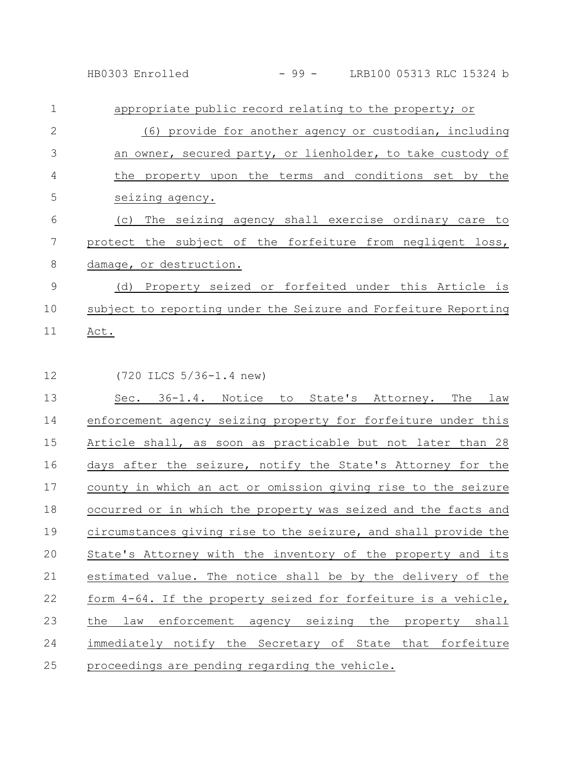HB0303 Enrolled - 99 - LRB100 05313 RLC 15324 b

appropriate public record relating to the property; or (6) provide for another agency or custodian, including an owner, secured party, or lienholder, to take custody of the property upon the terms and conditions set by the seizing agency. (c) The seizing agency shall exercise ordinary care to protect the subject of the forfeiture from negligent loss, damage, or destruction. (d) Property seized or forfeited under this Article is subject to reporting under the Seizure and Forfeiture Reporting 1 2 3 4 5 6 7 8 9 10

- Act. 11
- (720 ILCS 5/36-1.4 new) 12

Sec. 36-1.4. Notice to State's Attorney. The law enforcement agency seizing property for forfeiture under this Article shall, as soon as practicable but not later than 28 days after the seizure, notify the State's Attorney for the county in which an act or omission giving rise to the seizure occurred or in which the property was seized and the facts and circumstances giving rise to the seizure, and shall provide the State's Attorney with the inventory of the property and its estimated value. The notice shall be by the delivery of the form 4-64. If the property seized for forfeiture is a vehicle, the law enforcement agency seizing the property shall immediately notify the Secretary of State that forfeiture proceedings are pending regarding the vehicle. 13 14 15 16 17 18 19 20 21 22 23 24 25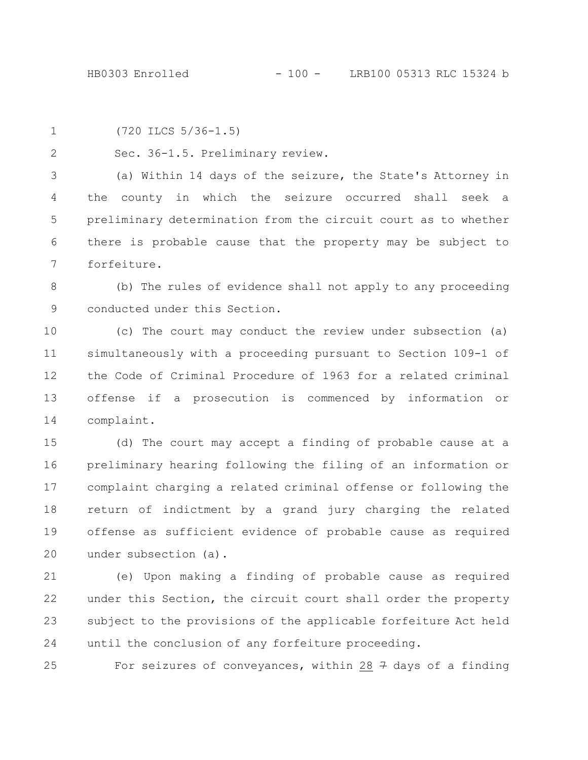```
1
```
2

(720 ILCS 5/36-1.5)

Sec. 36-1.5. Preliminary review.

(a) Within 14 days of the seizure, the State's Attorney in the county in which the seizure occurred shall seek a preliminary determination from the circuit court as to whether there is probable cause that the property may be subject to forfeiture. 3 4 5 6 7

(b) The rules of evidence shall not apply to any proceeding conducted under this Section. 8 9

(c) The court may conduct the review under subsection (a) simultaneously with a proceeding pursuant to Section 109-1 of the Code of Criminal Procedure of 1963 for a related criminal offense if a prosecution is commenced by information or complaint. 10 11 12 13 14

(d) The court may accept a finding of probable cause at a preliminary hearing following the filing of an information or complaint charging a related criminal offense or following the return of indictment by a grand jury charging the related offense as sufficient evidence of probable cause as required under subsection (a). 15 16 17 18 19 20

(e) Upon making a finding of probable cause as required under this Section, the circuit court shall order the property subject to the provisions of the applicable forfeiture Act held until the conclusion of any forfeiture proceeding. 21 22 23 24

25

For seizures of conveyances, within 28  $\frac{1}{7}$  days of a finding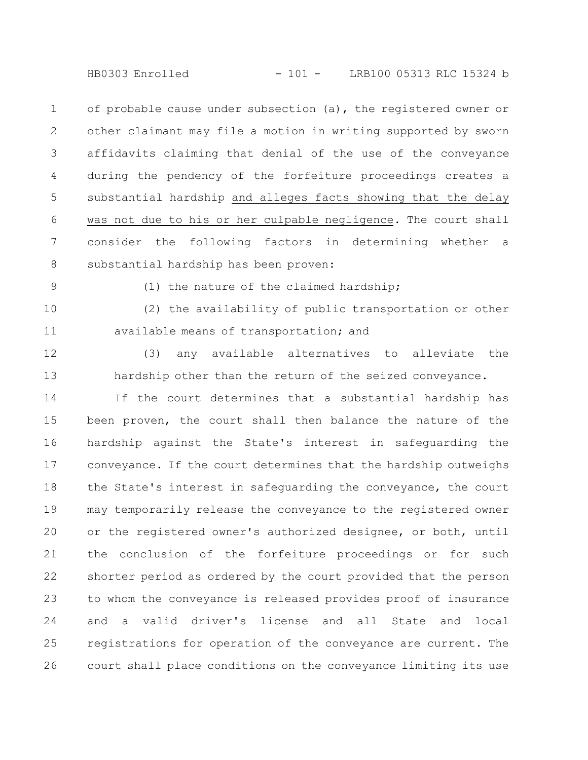of probable cause under subsection (a), the registered owner or other claimant may file a motion in writing supported by sworn affidavits claiming that denial of the use of the conveyance during the pendency of the forfeiture proceedings creates a substantial hardship and alleges facts showing that the delay was not due to his or her culpable negligence. The court shall consider the following factors in determining whether a substantial hardship has been proven: 1 2 3 4 5 6 7 8

9

(1) the nature of the claimed hardship;

(2) the availability of public transportation or other available means of transportation; and 10 11

12

13

(3) any available alternatives to alleviate the hardship other than the return of the seized conveyance.

If the court determines that a substantial hardship has been proven, the court shall then balance the nature of the hardship against the State's interest in safeguarding the conveyance. If the court determines that the hardship outweighs the State's interest in safeguarding the conveyance, the court may temporarily release the conveyance to the registered owner or the registered owner's authorized designee, or both, until the conclusion of the forfeiture proceedings or for such shorter period as ordered by the court provided that the person to whom the conveyance is released provides proof of insurance and a valid driver's license and all State and local registrations for operation of the conveyance are current. The court shall place conditions on the conveyance limiting its use 14 15 16 17 18 19 20 21 22 23 24 25 26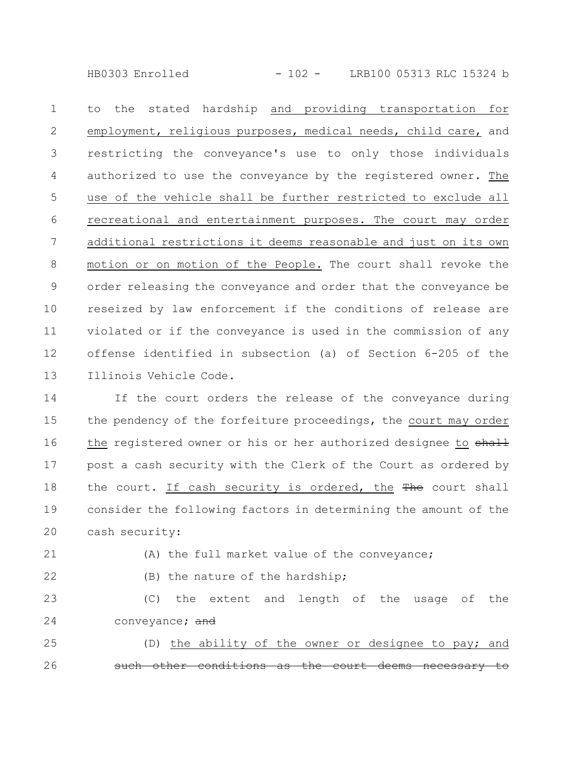HB0303 Enrolled - 102 - LRB100 05313 RLC 15324 b

to the stated hardship and providing transportation for employment, religious purposes, medical needs, child care, and restricting the conveyance's use to only those individuals authorized to use the conveyance by the registered owner. The use of the vehicle shall be further restricted to exclude all recreational and entertainment purposes. The court may order additional restrictions it deems reasonable and just on its own motion or on motion of the People. The court shall revoke the order releasing the conveyance and order that the conveyance be reseized by law enforcement if the conditions of release are violated or if the conveyance is used in the commission of any offense identified in subsection (a) of Section 6-205 of the Illinois Vehicle Code. 1 2 3 4 5 6 7 8 9 10 11 12 13

If the court orders the release of the conveyance during the pendency of the forfeiture proceedings, the court may order the registered owner or his or her authorized designee to shall post a cash security with the Clerk of the Court as ordered by the court. If cash security is ordered, the The court shall consider the following factors in determining the amount of the cash security: 14 15 16 17 18 19 20

21

(A) the full market value of the conveyance;

22

(B) the nature of the hardship;

(C) the extent and length of the usage of the conveyance; and 23 24

(D) the ability of the owner or designee to pay; and other conditions as the court deems necessary 25 26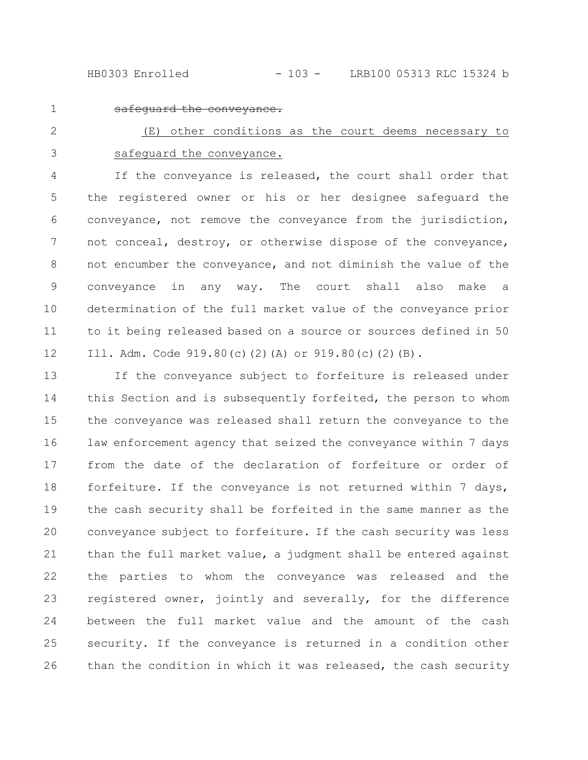HB0303 Enrolled - 103 - LRB100 05313 RLC 15324 b

1

safeguard the conveyance.

(E) other conditions as the court deems necessary to safeguard the conveyance. 2 3

If the conveyance is released, the court shall order that the registered owner or his or her designee safeguard the conveyance, not remove the conveyance from the jurisdiction, not conceal, destroy, or otherwise dispose of the conveyance, not encumber the conveyance, and not diminish the value of the conveyance in any way. The court shall also make a determination of the full market value of the conveyance prior to it being released based on a source or sources defined in 50 Ill. Adm. Code 919.80(c)(2)(A) or 919.80(c)(2)(B). 4 5 6 7 8 9 10 11 12

If the conveyance subject to forfeiture is released under this Section and is subsequently forfeited, the person to whom the conveyance was released shall return the conveyance to the law enforcement agency that seized the conveyance within 7 days from the date of the declaration of forfeiture or order of forfeiture. If the conveyance is not returned within 7 days, the cash security shall be forfeited in the same manner as the conveyance subject to forfeiture. If the cash security was less than the full market value, a judgment shall be entered against the parties to whom the conveyance was released and the registered owner, jointly and severally, for the difference between the full market value and the amount of the cash security. If the conveyance is returned in a condition other than the condition in which it was released, the cash security 13 14 15 16 17 18 19 20 21 22 23 24 25 26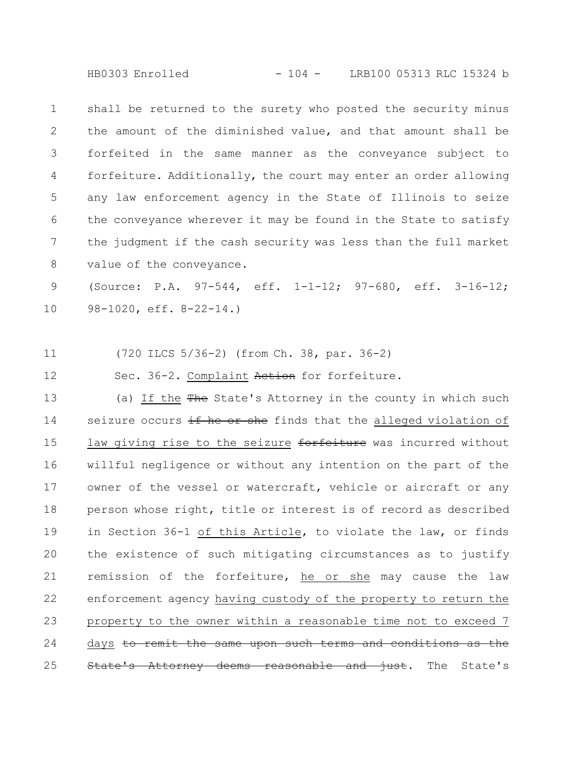HB0303 Enrolled - 104 - LRB100 05313 RLC 15324 b

shall be returned to the surety who posted the security minus the amount of the diminished value, and that amount shall be forfeited in the same manner as the conveyance subject to forfeiture. Additionally, the court may enter an order allowing any law enforcement agency in the State of Illinois to seize the conveyance wherever it may be found in the State to satisfy the judgment if the cash security was less than the full market value of the conveyance. 1 2 3 4 5 6 7 8

(Source: P.A. 97-544, eff. 1-1-12; 97-680, eff. 3-16-12; 98-1020, eff. 8-22-14.) 9 10

(720 ILCS 5/36-2) (from Ch. 38, par. 36-2) 11

12

Sec. 36-2. Complaint Action for forfeiture.

(a) If the The State's Attorney in the county in which such seizure occurs if he or she finds that the alleged violation of law giving rise to the seizure forfeiture was incurred without willful negligence or without any intention on the part of the owner of the vessel or watercraft, vehicle or aircraft or any person whose right, title or interest is of record as described in Section 36-1 of this Article, to violate the law, or finds the existence of such mitigating circumstances as to justify remission of the forfeiture, he or she may cause the law enforcement agency having custody of the property to return the property to the owner within a reasonable time not to exceed 7 days to remit the same upon such terms and conditions as the State's Attorney deems reasonable and just. The State's 13 14 15 16 17 18 19 20 21 22 23 24 25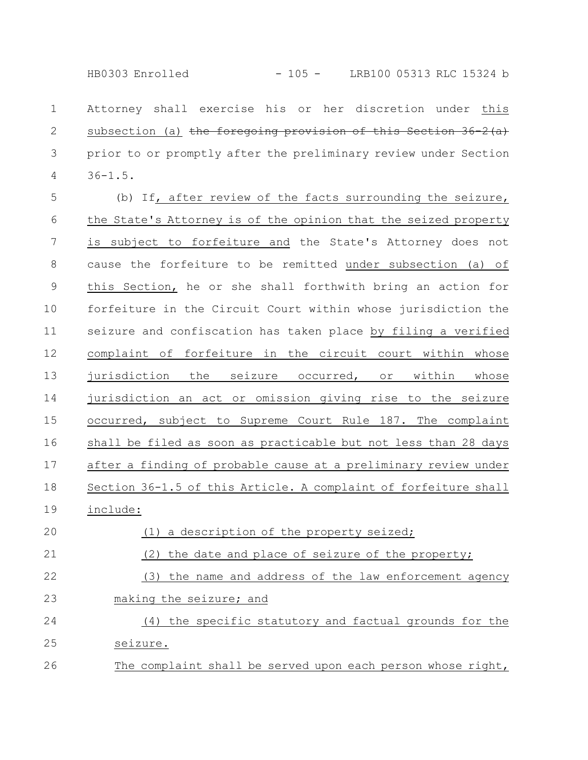HB0303 Enrolled - 105 - LRB100 05313 RLC 15324 b

Attorney shall exercise his or her discretion under this subsection (a) the foregoing provision of this Section 36-2(a) prior to or promptly after the preliminary review under Section 36-1.5. 1 2 3 4

(b) If, after review of the facts surrounding the seizure, the State's Attorney is of the opinion that the seized property is subject to forfeiture and the State's Attorney does not cause the forfeiture to be remitted under subsection (a) of this Section, he or she shall forthwith bring an action for forfeiture in the Circuit Court within whose jurisdiction the seizure and confiscation has taken place by filing a verified complaint of forfeiture in the circuit court within whose jurisdiction the seizure occurred, or within whose jurisdiction an act or omission giving rise to the seizure occurred, subject to Supreme Court Rule 187. The complaint shall be filed as soon as practicable but not less than 28 days after a finding of probable cause at a preliminary review under Section 36-1.5 of this Article. A complaint of forfeiture shall include: (1) a description of the property seized; 5 6 7 8 9 10 11 12 13 14 15 16 17 18 19 20

(2) the date and place of seizure of the property; 21

(3) the name and address of the law enforcement agency making the seizure; and 22 23

(4) the specific statutory and factual grounds for the seizure. The complaint shall be served upon each person whose right, 24 25 26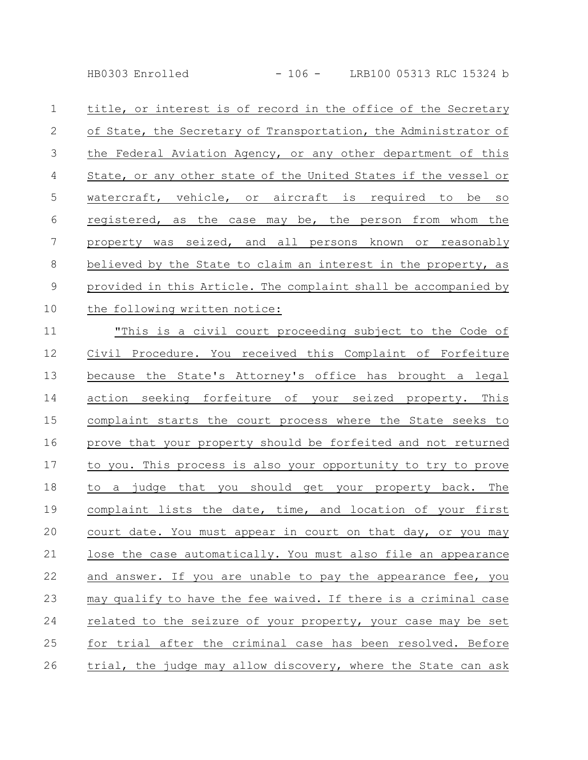HB0303 Enrolled - 106 - LRB100 05313 RLC 15324 b

| $\mathbf 1$    | title, or interest is of record in the office of the Secretary  |
|----------------|-----------------------------------------------------------------|
| 2              | of State, the Secretary of Transportation, the Administrator of |
| $\mathfrak{Z}$ | the Federal Aviation Agency, or any other department of this    |
| 4              | State, or any other state of the United States if the vessel or |
| 5              | watercraft, vehicle, or aircraft is required to<br>be so        |
| 6              | registered, as the case may be, the person from whom the        |
| 7              | property was seized, and all persons known or reasonably        |
| 8              | believed by the State to claim an interest in the property, as  |
| $\mathsf 9$    | provided in this Article. The complaint shall be accompanied by |
| 10             | the following written notice:                                   |
| 11             | "This is a civil court proceeding subject to the Code of        |
| 12             | Civil Procedure. You received this Complaint of Forfeiture      |
| 13             | because the State's Attorney's office has brought a legal       |
| 14             | action seeking forfeiture of your seized property. This         |
| 15             | complaint starts the court process where the State seeks to     |
| 16             | prove that your property should be forfeited and not returned   |
| 17             | to you. This process is also your opportunity to try to prove   |
| 18             | to a judge that you should get your property back. The          |
| 19             | complaint lists the date, time, and location of your first      |
| 20             | court date. You must appear in court on that day, or you may    |
| 21             | lose the case automatically. You must also file an appearance   |
| 22             | and answer. If you are unable to pay the appearance fee, you    |
| 23             | may qualify to have the fee waived. If there is a criminal case |
| 24             | related to the seizure of your property, your case may be set   |
|                |                                                                 |

trial, the judge may allow discovery, where the State can ask 26

25 for trial after the criminal case has been resolved. Before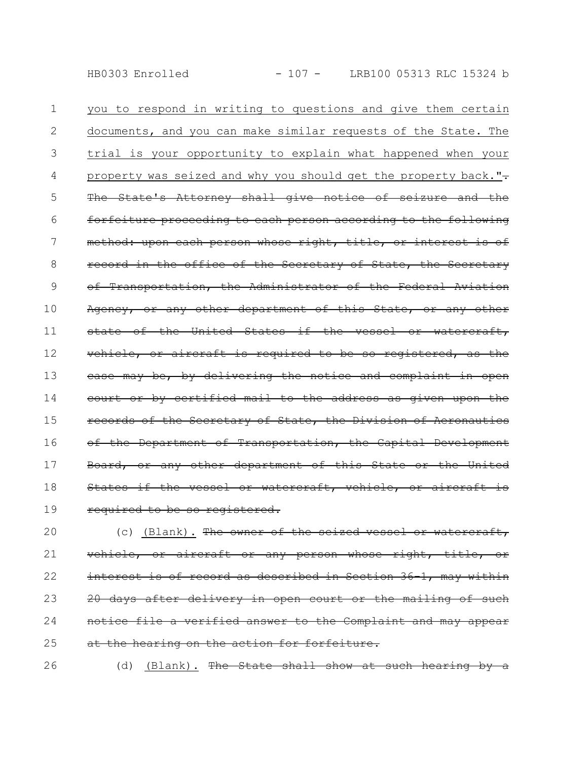you to respond in writing to questions and give them certain documents, and you can make similar requests of the State. The trial is your opportunity to explain what happened when your property was seized and why you should get the property back." $\div$ The State's Attorney shall give notice of seizure and the forfeiture proceeding to each person according to the following method: upon each person whose right, title, or interest is of record in the office of the Secretary of State, the Secretary of Transportation, the Administrator of the Federal Aviation Agency, or any other department of this State, or any other state of the United States if the vessel or watercraft, vehicle, or aircraft is required to be so registered, as the ease may be, by delivering the notice and complaint court or by certified mail to the address as given upon the records of the Secretary of State, the Division of Aeronautics of the Department of Transportation, the Capital Development Board, or any other department of this State or the United States if the vessel or watercraft, vehicle, required to be so registered. 1 2 3 4 5 6 7 8 9 10 11 12 13 14 15 16 17 18 19

(c) (Blank). The owner of the seized vessel or watercraft, vehicle, or aircraft or any person whose right, interest is of record as described in Section 36-1, may within 20 days after delivery in open court or the mailing notice file a verified answer to the Complaint and may appear at the hearing on the action for forfeiture. 20 21 22 23 24 25

(d) (Blank). The State shall show at such hearing 26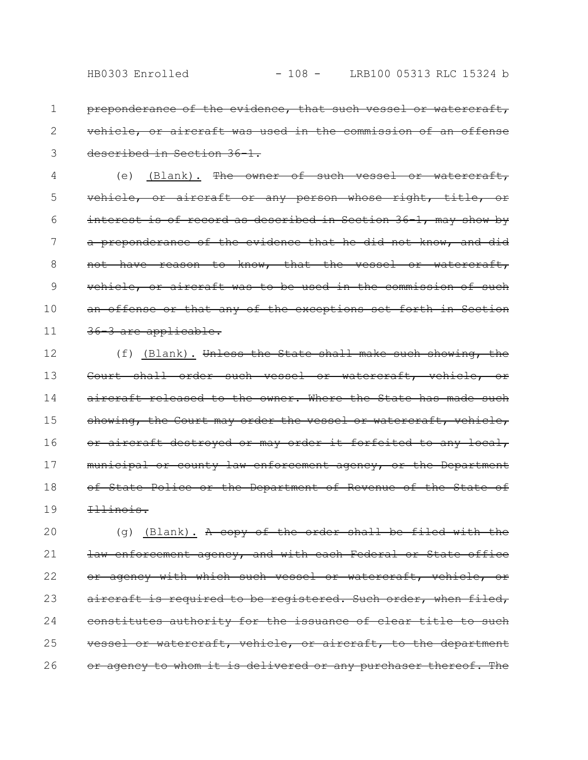preponderance of the evidence, that such vessel or watercraft, vehicle, or aircraft was used in the commission of an offense described in Section 36-1. 1 2 3

(e) (Blank). The owner of such vessel or watercraft, vehicle, or aircraft or any person whose right, title, or interest is of record as described in Section 36 1, may show by a preponderance of the evidence that he did not know, and did not have reason to know, that the vessel or watercraft, vehicle, or aircraft was to be used in the commission of such an offense or that any of the exceptions set forth in Section 36-3 are applicable. 4 5 6 7 8 9 10 11

(f) (Blank). Unless the State shall make such showing, the Court shall order such vessel or watercraft, vehicle, aircraft released to the owner. Where the State has made such showing, the Court may order the vessel or watercraft, vehicle, or aircraft destroyed or may order it forfeited to any local, municipal or county law enforcement agency, or the Department of State Police or the Department of Revenue of the State of Illinois. 12 13 14 15 16 17 18 19

(g) (Blank). A copy of the order shall be filed with the law enforcement agency, and with each Federal or State office or agency with which such vessel or watercraft, vehicle, or aircraft is required to be registered. Such order, when filed, constitutes authority for the issuance of clear title to such vessel or watercraft, vehicle, or aircraft, to the department or agency to whom it is delivered or any purchaser thereof. The 20 21 22 23 24 25 26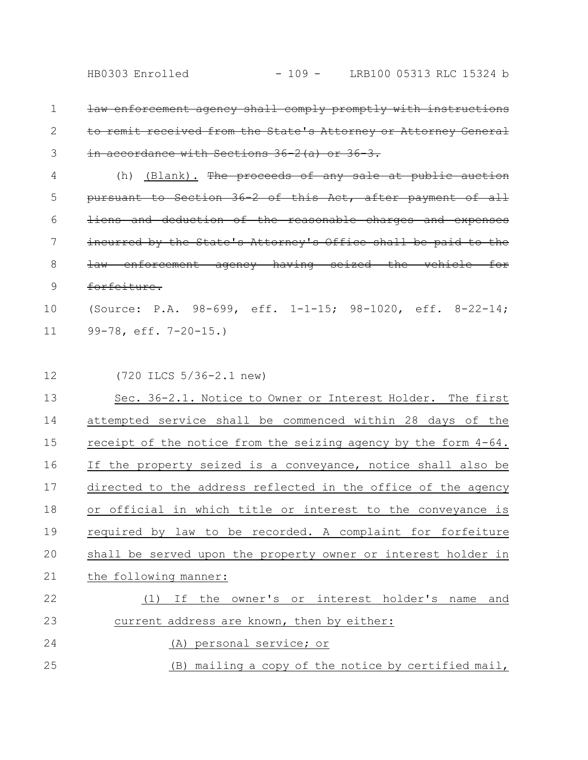- law enforcement agency shall comply promptly with instructions to remit received from the State's Attorney or Attorney General in accordance with Sections 36-2 (a) or 36-3. 1 2 3
- (h) (Blank). The proceeds of any sale at public auction pursuant to Section 36-2 of this Act, after payment of all liens and deduction of the reasonable charges and expenses incurred by the State's Attorney's Office shall be paid to the law enforcement agency having seized the vehicle for forfeiture. 4 5 6 7 8 9
- (Source: P.A. 98-699, eff. 1-1-15; 98-1020, eff. 8-22-14; 99-78, eff. 7-20-15.) 10 11
- (720 ILCS 5/36-2.1 new) 12

| 13 | Sec. 36-2.1. Notice to Owner or Interest Holder. The first      |
|----|-----------------------------------------------------------------|
| 14 | attempted service shall be commenced within 28 days of the      |
| 15 | receipt of the notice from the seizing agency by the form 4-64. |
| 16 | If the property seized is a conveyance, notice shall also be    |
| 17 | directed to the address reflected in the office of the agency   |
| 18 | or official in which title or interest to the conveyance is     |
| 19 | required by law to be recorded. A complaint for forfeiture      |
| 20 | shall be served upon the property owner or interest holder in   |
| 21 | the following manner:                                           |
| 22 | If the owner's or interest holder's name<br>(1)<br>and          |
| 23 | current address are known, then by either:                      |
| 24 | (A) personal service; or                                        |
| 25 | (B) mailing a copy of the notice by certified mail,             |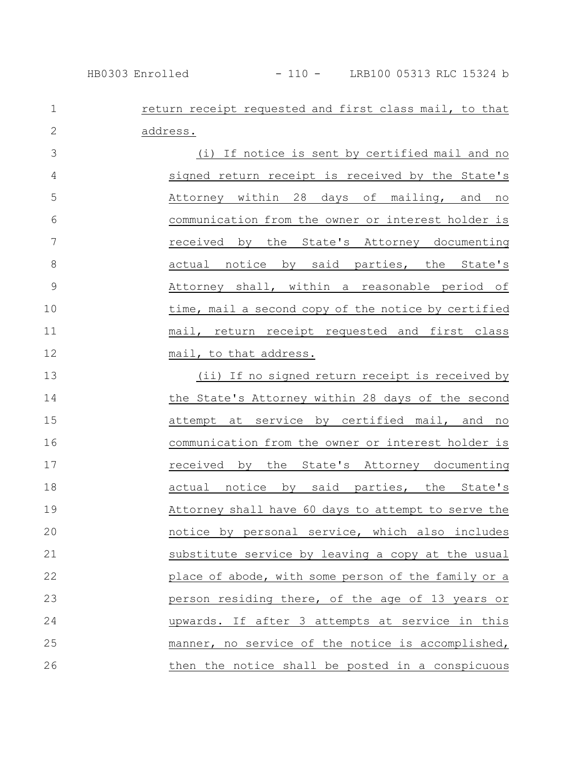## return receipt requested and first class mail, to that address. 1 2

(i) If notice is sent by certified mail and no signed return receipt is received by the State's Attorney within 28 days of mailing, and no communication from the owner or interest holder is received by the State's Attorney documenting actual notice by said parties, the State's Attorney shall, within a reasonable period of time, mail a second copy of the notice by certified mail, return receipt requested and first class mail, to that address. 3 4 5 6 7 8 9 10 11 12

(ii) If no signed return receipt is received by the State's Attorney within 28 days of the second attempt at service by certified mail, and no communication from the owner or interest holder is received by the State's Attorney documenting actual notice by said parties, the State's Attorney shall have 60 days to attempt to serve the notice by personal service, which also includes substitute service by leaving a copy at the usual place of abode, with some person of the family or a person residing there, of the age of 13 years or upwards. If after 3 attempts at service in this manner, no service of the notice is accomplished, then the notice shall be posted in a conspicuous 13 14 15 16 17 18 19 20 21 22 23 24 25 26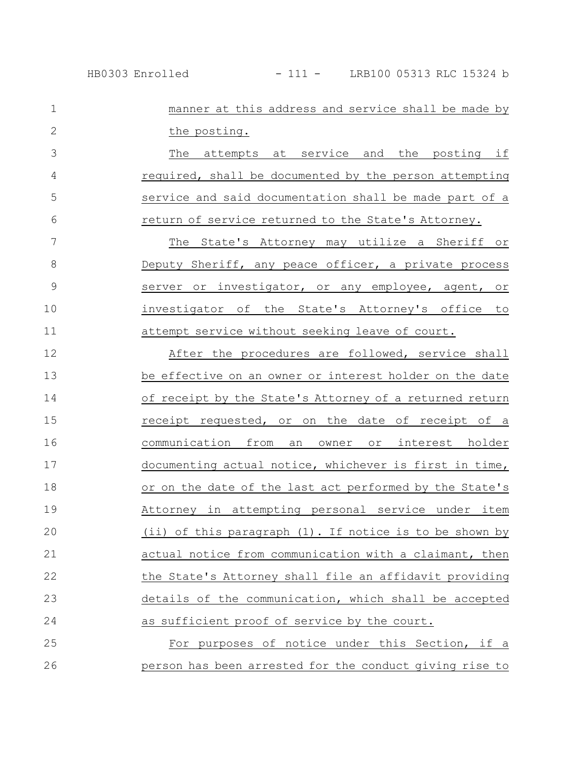| $\mathbf 1$  | manner at this address and service shall be made by     |
|--------------|---------------------------------------------------------|
| $\mathbf{2}$ | the posting.                                            |
| 3            | at service and the posting if<br>The<br>attempts        |
| 4            | required, shall be documented by the person attempting  |
| 5            | service and said documentation shall be made part of a  |
| 6            | return of service returned to the State's Attorney.     |
| 7            | The State's Attorney may utilize a Sheriff or           |
| 8            | Deputy Sheriff, any peace officer, a private process    |
| $\mathsf 9$  | server or investigator, or any employee, agent, or      |
| 10           | investigator of the State's Attorney's office to        |
| 11           | attempt service without seeking leave of court.         |
| 12           | After the procedures are followed, service shall        |
| 13           | be effective on an owner or interest holder on the date |
| 14           | of receipt by the State's Attorney of a returned return |
| 15           | receipt requested, or on the date of receipt of a       |
| 16           | communication from an owner or interest holder          |
| 17           | documenting actual notice, whichever is first in time,  |
| 18           | or on the date of the last act performed by the State's |
| 19           | Attorney in attempting personal service under item      |
| 20           | (ii) of this paragraph (1). If notice is to be shown by |
| 21           | actual notice from communication with a claimant, then  |
| 22           | the State's Attorney shall file an affidavit providing  |
| 23           | details of the communication, which shall be accepted   |
| 24           | as sufficient proof of service by the court.            |
| 25           | For purposes of notice under this Section, if a         |
| 26           | person has been arrested for the conduct giving rise to |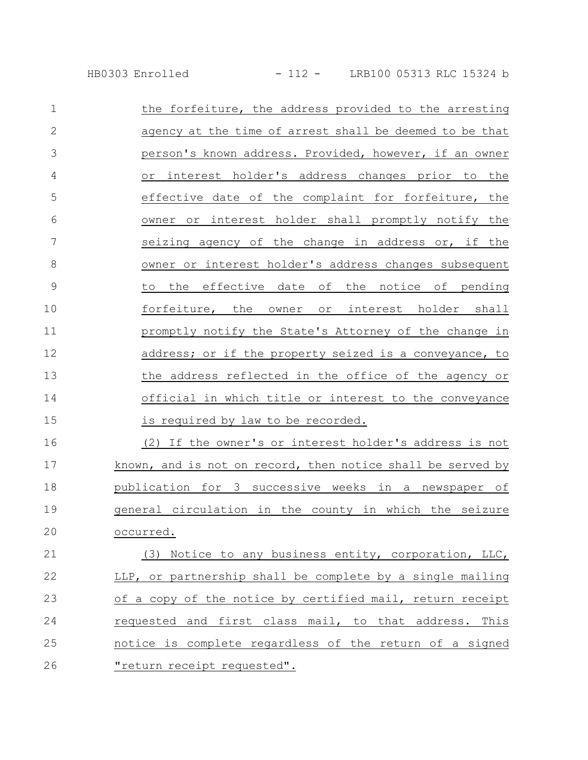| $\mathbf 1$   | the forfeiture, the address provided to the arresting       |
|---------------|-------------------------------------------------------------|
| $\mathbf{2}$  | agency at the time of arrest shall be deemed to be that     |
| 3             | person's known address. Provided, however, if an owner      |
| 4             | interest holder's address changes prior to the<br>Оr        |
| 5             | effective date of the complaint for forfeiture, the         |
| 6             | owner or interest holder shall promptly notify the          |
| 7             | seizing agency of the change in address or, if the          |
| 8             | owner or interest holder's address changes subsequent       |
| $\mathcal{G}$ | the effective date of the notice of pending<br>to           |
| 10            | forfeiture, the owner or interest holder shall              |
| 11            | promptly notify the State's Attorney of the change in       |
| 12            | address; or if the property seized is a conveyance, to      |
| 13            | the address reflected in the office of the agency or        |
| 14            | official in which title or interest to the conveyance       |
| 15            | is required by law to be recorded.                          |
| 16            | (2) If the owner's or interest holder's address is not      |
| 17            | known, and is not on record, then notice shall be served by |
| 18            | publication for 3 successive weeks in a newspaper of        |
| 19            | general circulation in the county in which the seizure      |
| 20            | occurred.                                                   |
| 21            | (3) Notice to any business entity, corporation, LLC,        |
| 22            | LLP, or partnership shall be complete by a single mailing   |
| 23            | of a copy of the notice by certified mail, return receipt   |
| 24            | requested and first class mail, to that address. This       |
| 25            | notice is complete regardless of the return of a signed     |
| 26            | <u>"return receipt requested".</u>                          |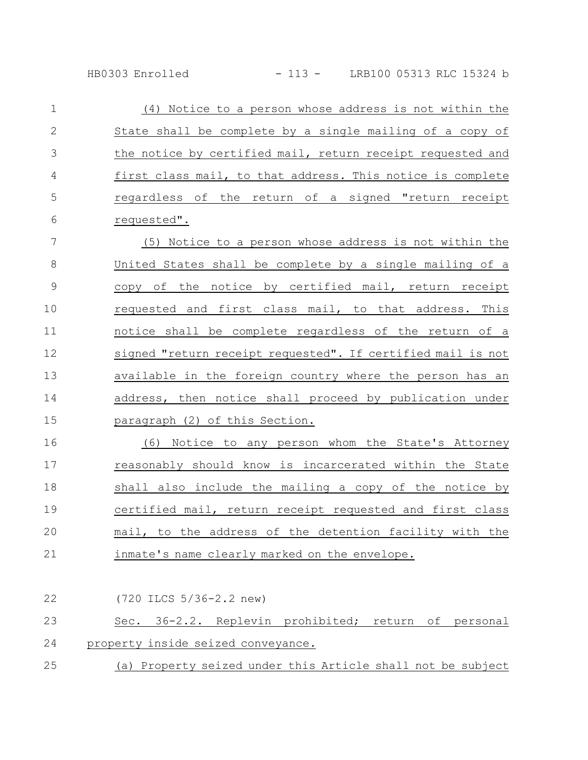| $\mathbf{1}$   | (4) Notice to a person whose address is not within the     |
|----------------|------------------------------------------------------------|
| 2              | State shall be complete by a single mailing of a copy of   |
| 3              | the notice by certified mail, return receipt requested and |
| $\overline{4}$ | first class mail, to that address. This notice is complete |
| 5              | regardless of the return of a signed "return receipt       |
| 6              | requested".                                                |

(5) Notice to a person whose address is not within the United States shall be complete by a single mailing of a copy of the notice by certified mail, return receipt requested and first class mail, to that address. This notice shall be complete regardless of the return of a signed "return receipt requested". If certified mail is not available in the foreign country where the person has an address, then notice shall proceed by publication under paragraph (2) of this Section. 7 8 9 10 11 12 13 14 15

(6) Notice to any person whom the State's Attorney reasonably should know is incarcerated within the State shall also include the mailing a copy of the notice by certified mail, return receipt requested and first class mail, to the address of the detention facility with the inmate's name clearly marked on the envelope. 16 17 18 19 20 21

| 22 | $(720$ ILCS $5/36 - 2.2$ new)                               |
|----|-------------------------------------------------------------|
| 23 | Sec. 36-2.2. Replevin prohibited; return of personal        |
| 24 | property inside seized conveyance.                          |
| 25 | (a) Property seized under this Article shall not be subject |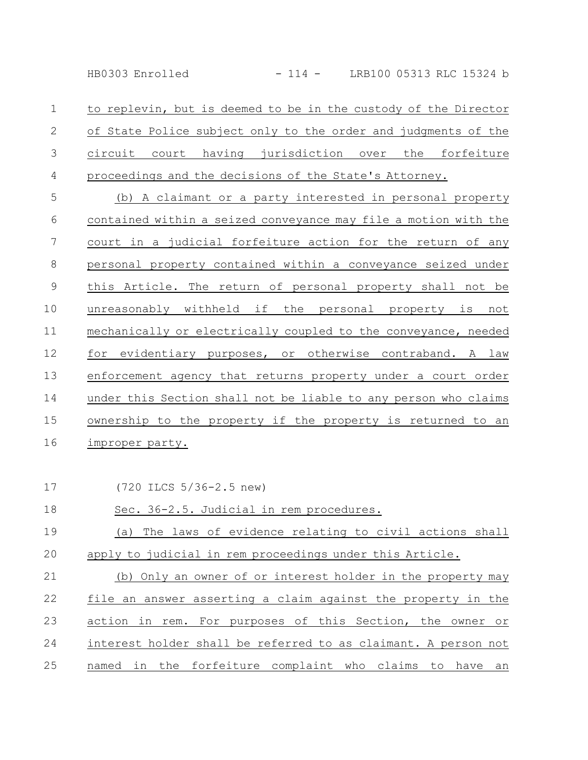HB0303 Enrolled - 114 - LRB100 05313 RLC 15324 b

to replevin, but is deemed to be in the custody of the Director of State Police subject only to the order and judgments of the circuit court having jurisdiction over the forfeiture proceedings and the decisions of the State's Attorney. 1 2 3 4

(b) A claimant or a party interested in personal property contained within a seized conveyance may file a motion with the court in a judicial forfeiture action for the return of any personal property contained within a conveyance seized under this Article. The return of personal property shall not be unreasonably withheld if the personal property is not mechanically or electrically coupled to the conveyance, needed for evidentiary purposes, or otherwise contraband. A law enforcement agency that returns property under a court order under this Section shall not be liable to any person who claims ownership to the property if the property is returned to an improper party. 5 6 7 8 9 10 11 12 13 14 15 16

17

(720 ILCS 5/36-2.5 new)

## Sec. 36-2.5. Judicial in rem procedures. (a) The laws of evidence relating to civil actions shall apply to judicial in rem proceedings under this Article. 18 19 20

(b) Only an owner of or interest holder in the property may file an answer asserting a claim against the property in the action in rem. For purposes of this Section, the owner or interest holder shall be referred to as claimant. A person not named in the forfeiture complaint who claims to have an 21 22 23 24 25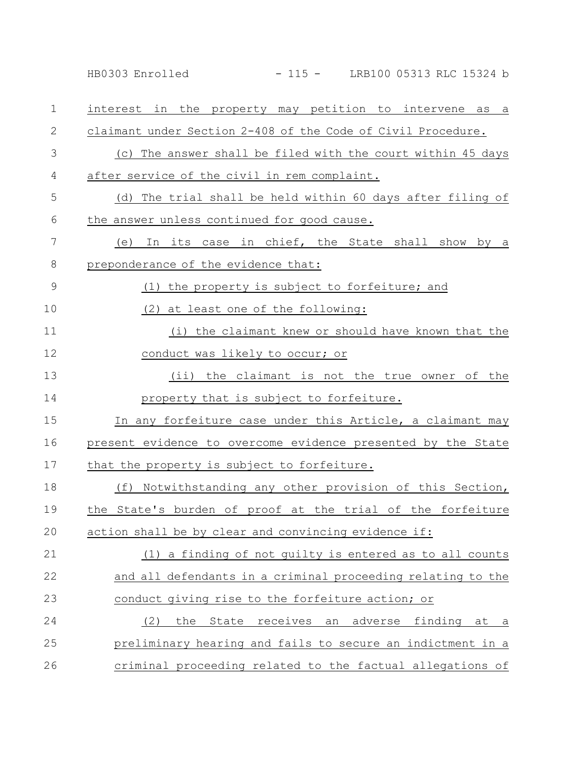HB0303 Enrolled - 115 - LRB100 05313 RLC 15324 b

| $\mathbf 1$   | interest in the property may petition to intervene as a      |
|---------------|--------------------------------------------------------------|
| $\mathbf{2}$  | claimant under Section 2-408 of the Code of Civil Procedure. |
| 3             | (c) The answer shall be filed with the court within 45 days  |
| 4             | after service of the civil in rem complaint.                 |
| 5             | (d) The trial shall be held within 60 days after filing of   |
| 6             | the answer unless continued for good cause.                  |
| 7             | (e) In its case in chief, the State shall show by a          |
| 8             | preponderance of the evidence that:                          |
| $\mathcal{G}$ | (1) the property is subject to forfeiture; and               |
| 10            | (2) at least one of the following:                           |
| 11            | (i) the claimant knew or should have known that the          |
| 12            | conduct was likely to occur; or                              |
| 13            | (ii) the claimant is not the true owner of the               |
| 14            | property that is subject to forfeiture.                      |
| 15            | In any forfeiture case under this Article, a claimant may    |
| 16            | present evidence to overcome evidence presented by the State |
| 17            | that the property is subject to forfeiture.                  |
| 18            | (f) Notwithstanding any other provision of this Section,     |
| 19            | the State's burden of proof at the trial of the forfeiture   |
| 20            | action shall be by clear and convincing evidence if:         |
| 21            | (1) a finding of not guilty is entered as to all counts      |
| 22            | and all defendants in a criminal proceeding relating to the  |
| 23            | conduct giving rise to the forfeiture action; or             |
| 24            | (2)<br>the<br>State receives<br>an adverse finding at<br>a a |
| 25            | preliminary hearing and fails to secure an indictment in a   |
| 26            | criminal proceeding related to the factual allegations of    |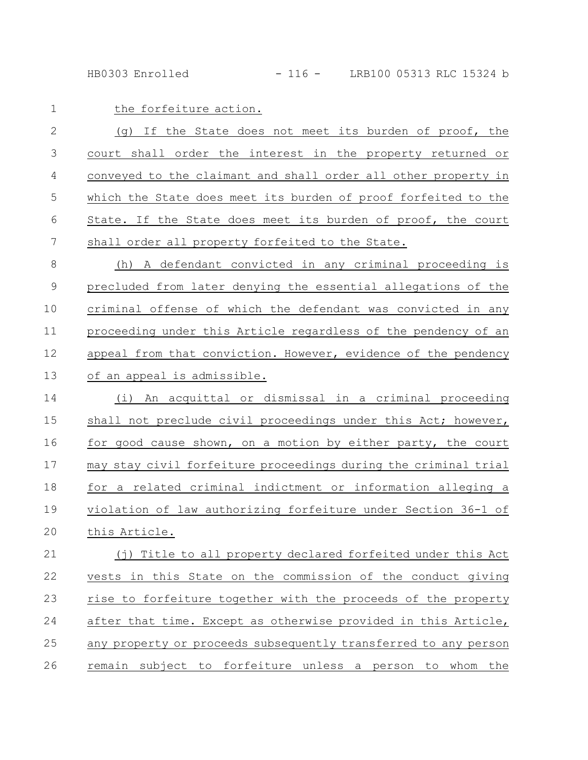HB0303 Enrolled - 116 - LRB100 05313 RLC 15324 b

| $\mathbf 1$   | the forfeiture action.                                          |
|---------------|-----------------------------------------------------------------|
| $\mathbf{2}$  | (g) If the State does not meet its burden of proof, the         |
| 3             | court shall order the interest in the property returned or      |
| 4             | conveyed to the claimant and shall order all other property in  |
| 5             | which the State does meet its burden of proof forfeited to the  |
| 6             | State. If the State does meet its burden of proof, the court    |
| 7             | shall order all property forfeited to the State.                |
| $8\,$         | (h) A defendant convicted in any criminal proceeding is         |
| $\mathcal{G}$ | precluded from later denying the essential allegations of the   |
| 10            | criminal offense of which the defendant was convicted in any    |
| 11            | proceeding under this Article regardless of the pendency of an  |
| 12            | appeal from that conviction. However, evidence of the pendency  |
| 13            | of an appeal is admissible.                                     |
| 14            | (i) An acquittal or dismissal in a criminal proceeding          |
| 15            | shall not preclude civil proceedings under this Act; however,   |
| 16            | for good cause shown, on a motion by either party, the court    |
| 17            | may stay civil forfeiture proceedings during the criminal trial |
| 18            | for a related criminal indictment or information alleging a     |
| 19            | violation of law authorizing forfeiture under Section 36-1 of   |
| 20            | this Article.                                                   |
| 21            | (j) Title to all property declared forfeited under this Act     |
| 22            | vests in this State on the commission of the conduct giving     |
| 23            | rise to forfeiture together with the proceeds of the property   |
| 24            | after that time. Except as otherwise provided in this Article,  |
| 25            | any property or proceeds subsequently transferred to any person |
| 26            | remain subject to forfeiture unless a person<br>to whom<br>the  |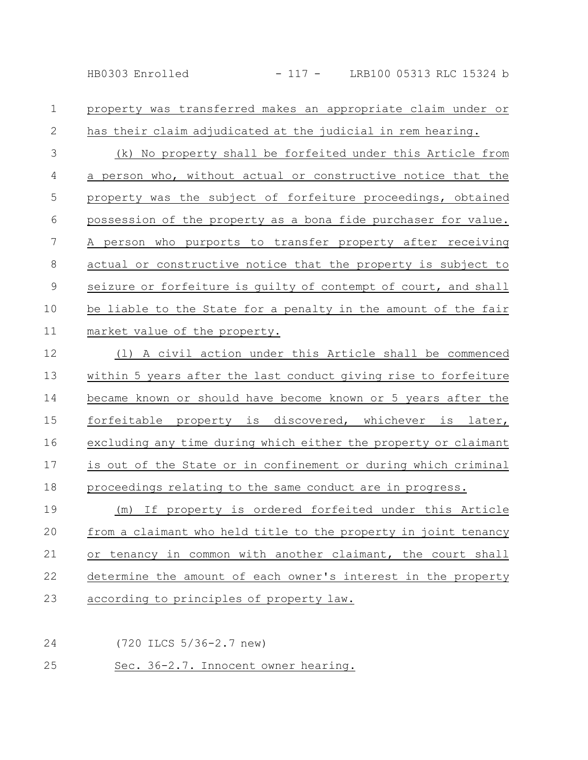## property was transferred makes an appropriate claim under or has their claim adjudicated at the judicial in rem hearing. (k) No property shall be forfeited under this Article from a person who, without actual or constructive notice that the property was the subject of forfeiture proceedings, obtained possession of the property as a bona fide purchaser for value. A person who purports to transfer property after receiving actual or constructive notice that the property is subject to seizure or forfeiture is guilty of contempt of court, and shall be liable to the State for a penalty in the amount of the fair market value of the property. 1 2 3 4 5 6 7 8 9 10 11

(l) A civil action under this Article shall be commenced within 5 years after the last conduct giving rise to forfeiture became known or should have become known or 5 years after the forfeitable property is discovered, whichever is later, excluding any time during which either the property or claimant is out of the State or in confinement or during which criminal proceedings relating to the same conduct are in progress. (m) If property is ordered forfeited under this Article 12 13 14 15 16 17 18 19

from a claimant who held title to the property in joint tenancy or tenancy in common with another claimant, the court shall determine the amount of each owner's interest in the property according to principles of property law. 20 21 22 23

(720 ILCS 5/36-2.7 new) 24

Sec. 36-2.7. Innocent owner hearing. 25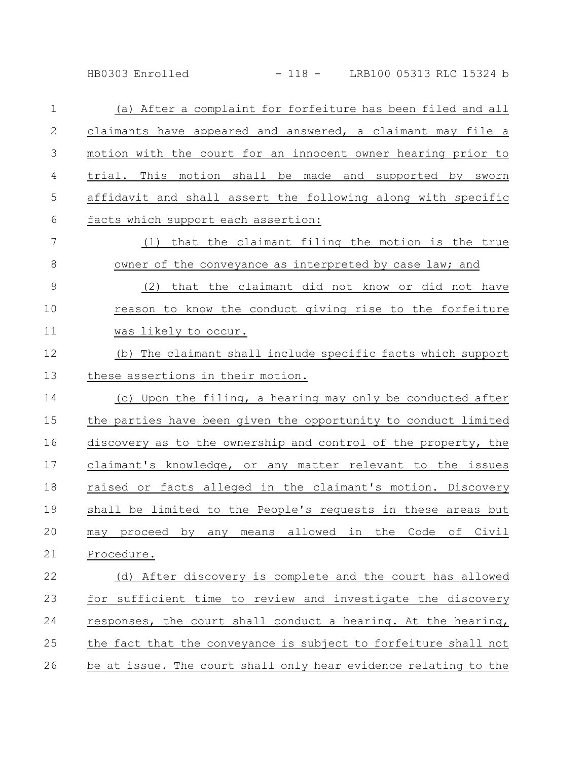HB0303 Enrolled - 118 - LRB100 05313 RLC 15324 b

| $\mathbf 1$   | (a) After a complaint for forfeiture has been filed and all     |
|---------------|-----------------------------------------------------------------|
| $\mathbf{2}$  | claimants have appeared and answered, a claimant may file a     |
| 3             | motion with the court for an innocent owner hearing prior to    |
| 4             | trial. This motion shall be made and supported by sworn         |
| 5             | affidavit and shall assert the following along with specific    |
| 6             | facts which support each assertion:                             |
| 7             | (1) that the claimant filing the motion is the true             |
| 8             | owner of the conveyance as interpreted by case law; and         |
| $\mathcal{G}$ | (2)<br>that the claimant did not know or did not have           |
| 10            | reason to know the conduct giving rise to the forfeiture        |
| 11            | was likely to occur.                                            |
| 12            | (b) The claimant shall include specific facts which support     |
| 13            | these assertions in their motion.                               |
| 14            | (c) Upon the filing, a hearing may only be conducted after      |
| 15            | the parties have been given the opportunity to conduct limited  |
| 16            | discovery as to the ownership and control of the property, the  |
| 17            | claimant's knowledge, or any matter relevant to the issues      |
| 18            | raised or facts alleged in the claimant's motion. Discovery     |
| 19            | shall be limited to the People's requests in these areas but    |
| 20            | may proceed by any means allowed in the Code of Civil           |
| 21            | Procedure.                                                      |
| 22            | (d) After discovery is complete and the court has allowed       |
| 23            | for sufficient time to review and investigate the discovery     |
| 24            | responses, the court shall conduct a hearing. At the hearing,   |
| 25            | the fact that the conveyance is subject to forfeiture shall not |
| 26            | be at issue. The court shall only hear evidence relating to the |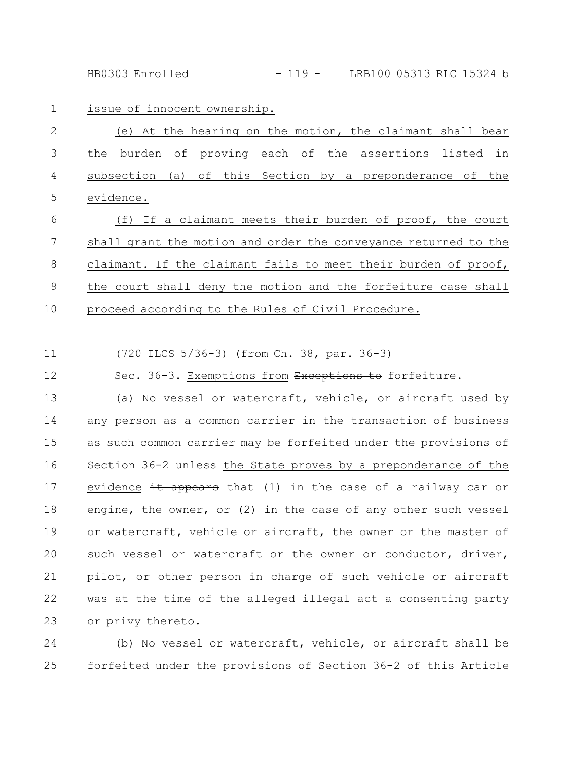HB0303 Enrolled - 119 - LRB100 05313 RLC 15324 b

issue of innocent ownership. 1

|             |  |  |  |  |  | (e) At the hearing on the motion, the claimant shall bear  |  |  |
|-------------|--|--|--|--|--|------------------------------------------------------------|--|--|
|             |  |  |  |  |  | 3 the burden of proving each of the assertions listed in   |  |  |
|             |  |  |  |  |  | 4 subsection (a) of this Section by a preponderance of the |  |  |
| 5 evidence. |  |  |  |  |  |                                                            |  |  |

(f) If a claimant meets their burden of proof, the court shall grant the motion and order the conveyance returned to the claimant. If the claimant fails to meet their burden of proof, the court shall deny the motion and the forfeiture case shall proceed according to the Rules of Civil Procedure. 6 7 8 9 10

(720 ILCS 5/36-3) (from Ch. 38, par. 36-3) 11

Sec. 36-3. Exemptions from Exceptions to forfeiture. 12

(a) No vessel or watercraft, vehicle, or aircraft used by any person as a common carrier in the transaction of business as such common carrier may be forfeited under the provisions of Section 36-2 unless the State proves by a preponderance of the evidence it appears that (1) in the case of a railway car or engine, the owner, or (2) in the case of any other such vessel or watercraft, vehicle or aircraft, the owner or the master of such vessel or watercraft or the owner or conductor, driver, pilot, or other person in charge of such vehicle or aircraft was at the time of the alleged illegal act a consenting party or privy thereto. 13 14 15 16 17 18 19 20 21 22 23

(b) No vessel or watercraft, vehicle, or aircraft shall be forfeited under the provisions of Section 36-2 of this Article 24 25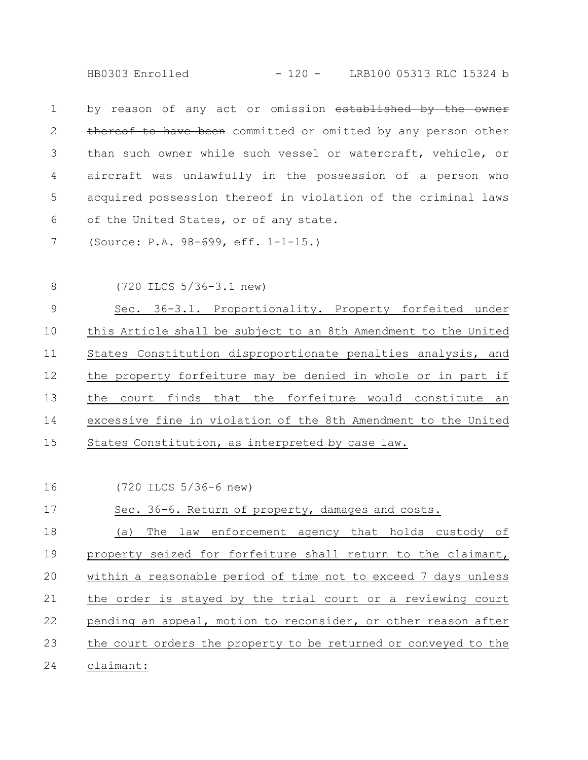HB0303 Enrolled - 120 - LRB100 05313 RLC 15324 b

by reason of any act or omission established by the owner thereof to have been committed or omitted by any person other than such owner while such vessel or watercraft, vehicle, or aircraft was unlawfully in the possession of a person who acquired possession thereof in violation of the criminal laws of the United States, or of any state. 1 2 3 4 5 6

(Source: P.A. 98-699, eff. 1-1-15.) 7

8

(720 ILCS 5/36-3.1 new)

Sec. 36-3.1. Proportionality. Property forfeited under this Article shall be subject to an 8th Amendment to the United States Constitution disproportionate penalties analysis, and the property forfeiture may be denied in whole or in part if the court finds that the forfeiture would constitute an excessive fine in violation of the 8th Amendment to the United States Constitution, as interpreted by case law. 9 10 11 12 13 14 15

(720 ILCS 5/36-6 new) 16

Sec. 36-6. Return of property, damages and costs. 17

(a) The law enforcement agency that holds custody of property seized for forfeiture shall return to the claimant, within a reasonable period of time not to exceed 7 days unless the order is stayed by the trial court or a reviewing court pending an appeal, motion to reconsider, or other reason after the court orders the property to be returned or conveyed to the claimant: 18 19 20 21 22 23 24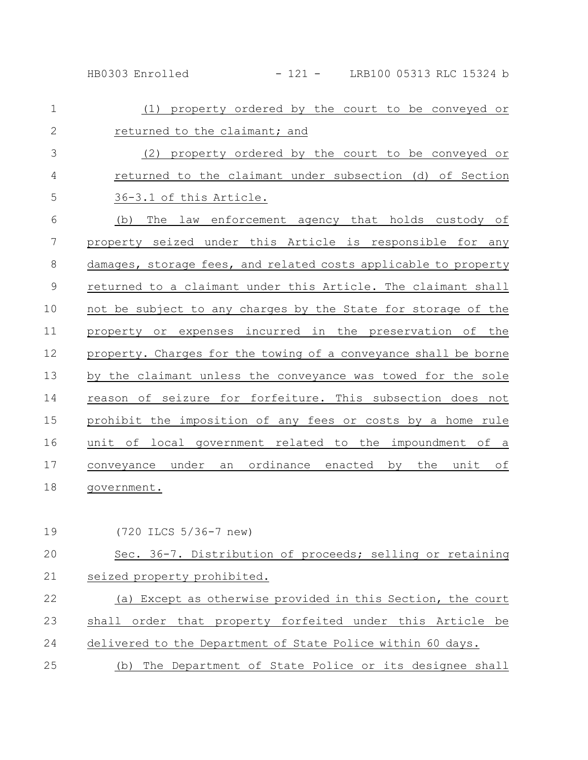HB0303 Enrolled - 121 - LRB100 05313 RLC 15324 b

| $\mathbf 1$    | property ordered by the court to be conveyed or<br>(1)          |
|----------------|-----------------------------------------------------------------|
| $\overline{2}$ | returned to the claimant; and                                   |
| 3              | (2) property ordered by the court to be conveyed or             |
| $\overline{4}$ | returned to the claimant under subsection (d) of Section        |
| 5              | 36-3.1 of this Article.                                         |
| 6              | The law enforcement agency that holds custody of<br>(b)         |
| 7              | property seized under this Article is responsible for any       |
| $\,8\,$        | damages, storage fees, and related costs applicable to property |
| $\mathcal{G}$  | returned to a claimant under this Article. The claimant shall   |
| 10             | not be subject to any charges by the State for storage of the   |
| 11             | property or expenses incurred in the preservation of the        |
| 12             | property. Charges for the towing of a conveyance shall be borne |
| 13             | by the claimant unless the conveyance was towed for the sole    |
| 14             | reason of seizure for forfeiture. This subsection does not      |
| 15             | prohibit the imposition of any fees or costs by a home rule     |
| 16             | unit of local government related to the impoundment of a        |
| 17             | conveyance under an ordinance enacted by the unit of            |
| 18             | government.                                                     |

(720 ILCS 5/36-7 new) 19

Sec. 36-7. Distribution of proceeds; selling or retaining seized property prohibited. (a) Except as otherwise provided in this Section, the court shall order that property forfeited under this Article be delivered to the Department of State Police within 60 days. (b) The Department of State Police or its designee shall 20 21 22 23 24 25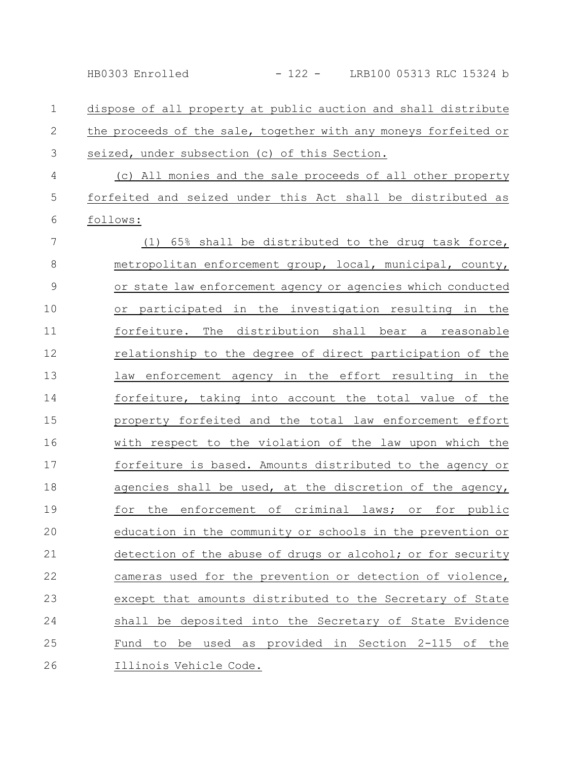dispose of all property at public auction and shall distribute the proceeds of the sale, together with any moneys forfeited or seized, under subsection (c) of this Section. 1 2 3

(c) All monies and the sale proceeds of all other property forfeited and seized under this Act shall be distributed as follows: 4 5 6

(1) 65% shall be distributed to the drug task force, metropolitan enforcement group, local, municipal, county, or state law enforcement agency or agencies which conducted or participated in the investigation resulting in the forfeiture. The distribution shall bear a reasonable relationship to the degree of direct participation of the law enforcement agency in the effort resulting in the forfeiture, taking into account the total value of the property forfeited and the total law enforcement effort with respect to the violation of the law upon which the forfeiture is based. Amounts distributed to the agency or agencies shall be used, at the discretion of the agency, for the enforcement of criminal laws; or for public education in the community or schools in the prevention or detection of the abuse of drugs or alcohol; or for security cameras used for the prevention or detection of violence, except that amounts distributed to the Secretary of State shall be deposited into the Secretary of State Evidence Fund to be used as provided in Section 2-115 of the Illinois Vehicle Code. 7 8 9 10 11 12 13 14 15 16 17 18 19 20 21 22 23 24 25 26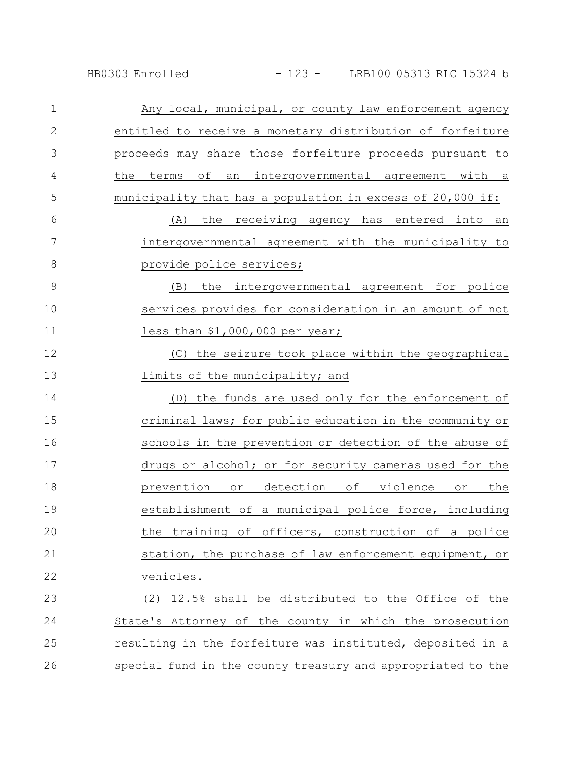| $\mathbf 1$   | Any local, municipal, or county law enforcement agency      |
|---------------|-------------------------------------------------------------|
| $\mathbf{2}$  | entitled to receive a monetary distribution of forfeiture   |
| 3             | proceeds may share those forfeiture proceeds pursuant to    |
| 4             | the<br>terms<br>of an intergovernmental agreement with a    |
| 5             | municipality that has a population in excess of 20,000 if:  |
| 6             | (A) the receiving agency has entered into an                |
| 7             | intergovernmental agreement with the municipality to        |
| 8             | provide police services;                                    |
| $\mathcal{G}$ | the intergovernmental agreement for police<br>(B)           |
| 10            | services provides for consideration in an amount of not     |
| 11            | less than $$1,000,000$ per year;                            |
| 12            | (C) the seizure took place within the geographical          |
| 13            | limits of the municipality; and                             |
| 14            | (D) the funds are used only for the enforcement of          |
| 15            | criminal laws; for public education in the community or     |
| 16            | schools in the prevention or detection of the abuse of      |
| 17            | drugs or alcohol; or for security cameras used for the      |
| 18            | prevention or detection of violence<br>or the               |
| 19            | establishment of a municipal police force, including        |
| 20            | the training of officers, construction of a police          |
| 21            | station, the purchase of law enforcement equipment, or      |
| 22            | vehicles.                                                   |
| 23            | (2) 12.5% shall be distributed to the Office of the         |
| 24            | State's Attorney of the county in which the prosecution     |
| 25            | resulting in the forfeiture was instituted, deposited in a  |
| 26            | special fund in the county treasury and appropriated to the |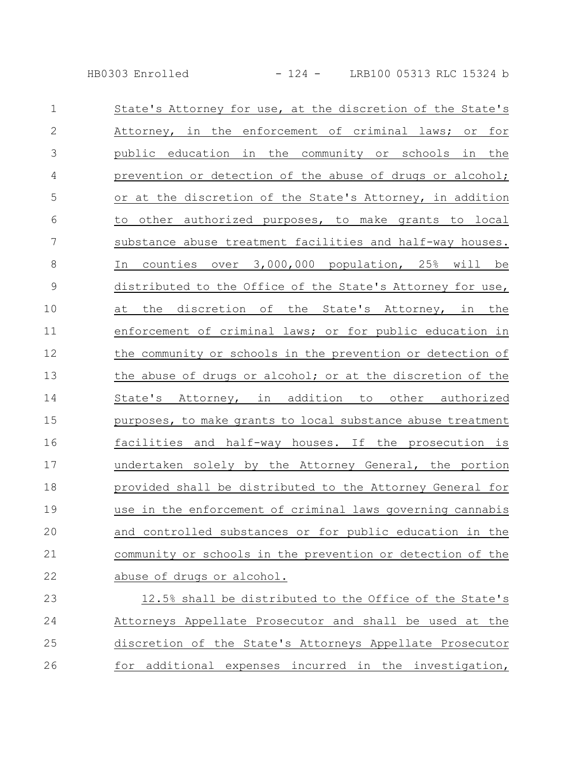HB0303 Enrolled - 124 - LRB100 05313 RLC 15324 b

| $\mathbf 1$   | State's Attorney for use, at the discretion of the State's  |
|---------------|-------------------------------------------------------------|
| $\mathbf{2}$  | Attorney, in the enforcement of criminal laws; or for       |
| 3             | public education in the community or schools in the         |
| 4             | prevention or detection of the abuse of drugs or alcohol;   |
| 5             | or at the discretion of the State's Attorney, in addition   |
| 6             | other authorized purposes, to make grants to local<br>to    |
| 7             | substance abuse treatment facilities and half-way houses.   |
| 8             | counties over 3,000,000 population, 25% will be<br>In       |
| $\mathcal{G}$ | distributed to the Office of the State's Attorney for use,  |
| 10            | at the discretion of the State's Attorney, in the           |
| 11            | enforcement of criminal laws; or for public education in    |
| 12            | the community or schools in the prevention or detection of  |
| 13            | the abuse of drugs or alcohol; or at the discretion of the  |
| 14            | State's Attorney, in addition to other authorized           |
| 15            | purposes, to make grants to local substance abuse treatment |
| 16            | facilities and half-way houses. If the prosecution is       |
| 17            | undertaken solely by the Attorney General, the portion      |
| 18            | provided shall be distributed to the Attorney General for   |
| 19            | use in the enforcement of criminal laws governing cannabis  |
| 20            | and controlled substances or for public education in the    |
| 21            | community or schools in the prevention or detection of the  |
| 22            | abuse of drugs or alcohol.                                  |
| 23            | 12.5% shall be distributed to the Office of the State's     |
| 24            | Attorneys Appellate Prosecutor and shall be used at the     |

25 discretion of the State's Attorneys Appellate Prosecutor for additional expenses incurred in the investigation, 26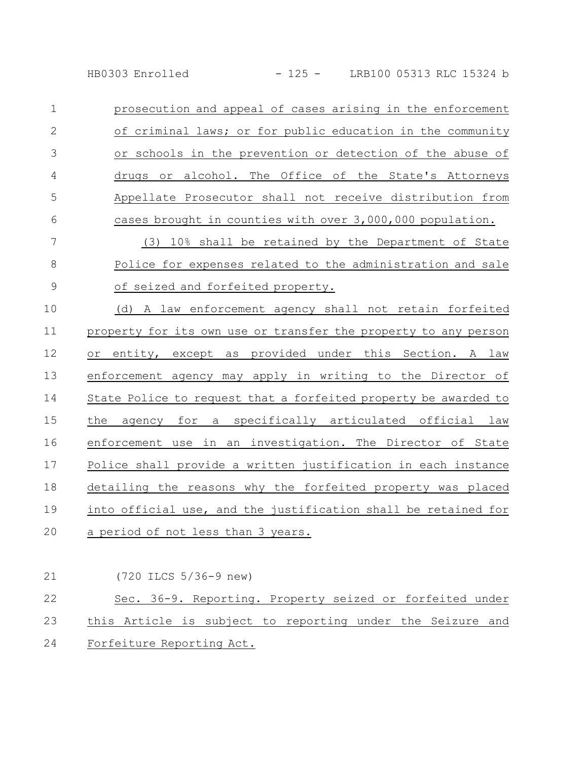prosecution and appeal of cases arising in the enforcement of criminal laws; or for public education in the community or schools in the prevention or detection of the abuse of drugs or alcohol. The Office of the State's Attorneys Appellate Prosecutor shall not receive distribution from cases brought in counties with over 3,000,000 population. 1 2 3 4 5 6

(3) 10% shall be retained by the Department of State Police for expenses related to the administration and sale of seized and forfeited property. 7 8 9

(d) A law enforcement agency shall not retain forfeited property for its own use or transfer the property to any person or entity, except as provided under this Section. A law enforcement agency may apply in writing to the Director of State Police to request that a forfeited property be awarded to the agency for a specifically articulated official law enforcement use in an investigation. The Director of State Police shall provide a written justification in each instance detailing the reasons why the forfeited property was placed into official use, and the justification shall be retained for a period of not less than 3 years. 10 11 12 13 14 15 16 17 18 19 20

| 21 | (720 ILCS 5/36-9 new)                                         |
|----|---------------------------------------------------------------|
| 22 | Sec. 36-9. Reporting. Property seized or forfeited under      |
|    | 23 this Article is subject to reporting under the Seizure and |
|    | 24 Forfeiture Reporting Act.                                  |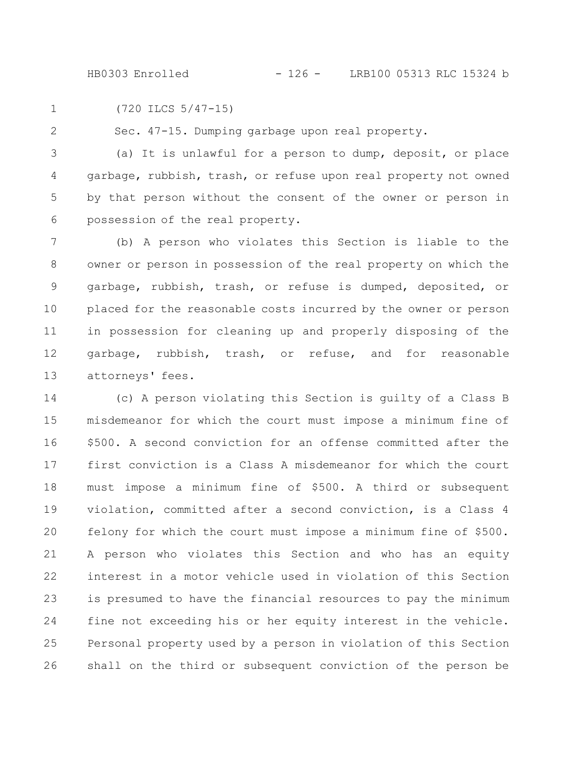(720 ILCS 5/47-15) 1

2

Sec. 47-15. Dumping garbage upon real property.

(a) It is unlawful for a person to dump, deposit, or place garbage, rubbish, trash, or refuse upon real property not owned by that person without the consent of the owner or person in possession of the real property. 3 4 5 6

(b) A person who violates this Section is liable to the owner or person in possession of the real property on which the garbage, rubbish, trash, or refuse is dumped, deposited, or placed for the reasonable costs incurred by the owner or person in possession for cleaning up and properly disposing of the garbage, rubbish, trash, or refuse, and for reasonable attorneys' fees. 7 8 9 10 11 12 13

(c) A person violating this Section is guilty of a Class B misdemeanor for which the court must impose a minimum fine of \$500. A second conviction for an offense committed after the first conviction is a Class A misdemeanor for which the court must impose a minimum fine of \$500. A third or subsequent violation, committed after a second conviction, is a Class 4 felony for which the court must impose a minimum fine of \$500. A person who violates this Section and who has an equity interest in a motor vehicle used in violation of this Section is presumed to have the financial resources to pay the minimum fine not exceeding his or her equity interest in the vehicle. Personal property used by a person in violation of this Section shall on the third or subsequent conviction of the person be 14 15 16 17 18 19 20 21 22 23 24 25 26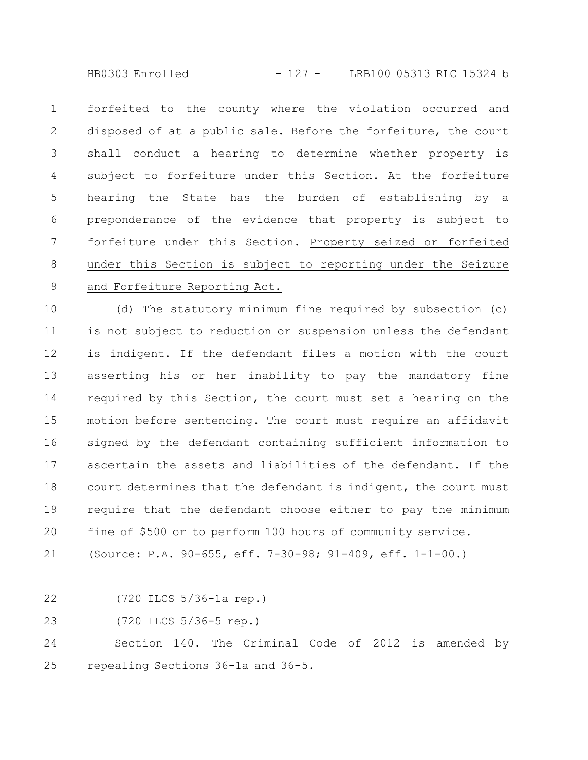HB0303 Enrolled - 127 - LRB100 05313 RLC 15324 b

forfeited to the county where the violation occurred and disposed of at a public sale. Before the forfeiture, the court shall conduct a hearing to determine whether property is subject to forfeiture under this Section. At the forfeiture hearing the State has the burden of establishing by a preponderance of the evidence that property is subject to forfeiture under this Section. Property seized or forfeited under this Section is subject to reporting under the Seizure and Forfeiture Reporting Act. 1 2 3 4 5 6 7 8 9

(d) The statutory minimum fine required by subsection (c) is not subject to reduction or suspension unless the defendant is indigent. If the defendant files a motion with the court asserting his or her inability to pay the mandatory fine required by this Section, the court must set a hearing on the motion before sentencing. The court must require an affidavit signed by the defendant containing sufficient information to ascertain the assets and liabilities of the defendant. If the court determines that the defendant is indigent, the court must require that the defendant choose either to pay the minimum fine of \$500 or to perform 100 hours of community service. 10 11 12 13 14 15 16 17 18 19 20

(Source: P.A. 90-655, eff. 7-30-98; 91-409, eff. 1-1-00.) 21

(720 ILCS 5/36-1a rep.) 22

(720 ILCS 5/36-5 rep.) 23

Section 140. The Criminal Code of 2012 is amended by repealing Sections 36-1a and 36-5. 24 25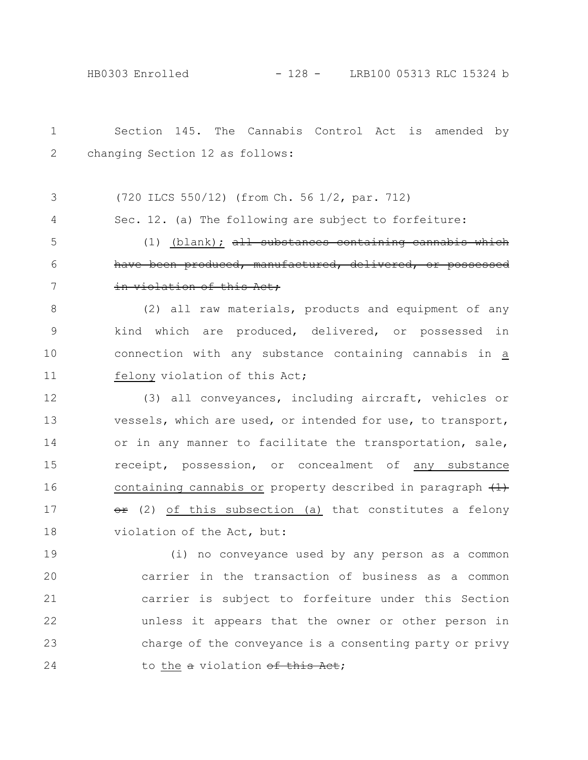| $\mathbf 1$   | Section 145. The Cannabis Control Act is amended by          |
|---------------|--------------------------------------------------------------|
| 2             | changing Section 12 as follows:                              |
|               |                                                              |
| 3             | (720 ILCS 550/12) (from Ch. 56 1/2, par. 712)                |
| 4             | Sec. 12. (a) The following are subject to forfeiture:        |
| 5             | $(1)$ (blank); all substances containing cannabis            |
| 6             | have been produced, manufactured, delivered, or possessed    |
| 7             | in violation of this Act,                                    |
| 8             | (2) all raw materials, products and equipment of any         |
| $\mathcal{G}$ | kind which are produced, delivered, or possessed in          |
| 10            | connection with any substance containing cannabis in a       |
| 11            | felony violation of this Act;                                |
| 12            | (3) all conveyances, including aircraft, vehicles or         |
| 13            | vessels, which are used, or intended for use, to transport,  |
| 14            | or in any manner to facilitate the transportation, sale,     |
| 15            | receipt, possession, or concealment of any substance         |
| 16            | containing cannabis or property described in paragraph $(1)$ |
| 17            | or (2) of this subsection (a) that constitutes a felony      |
| 18            | violation of the Act, but:                                   |
| 19            | (i) no conveyance used by any person as a common             |
| 20            | carrier in the transaction of business as a common           |
| 21            | carrier is subject to forfeiture under this Section          |
| 22            | unless it appears that the owner or other person in          |
| 23            | charge of the conveyance is a consenting party or privy      |
| 24            | to the a violation of this Act;                              |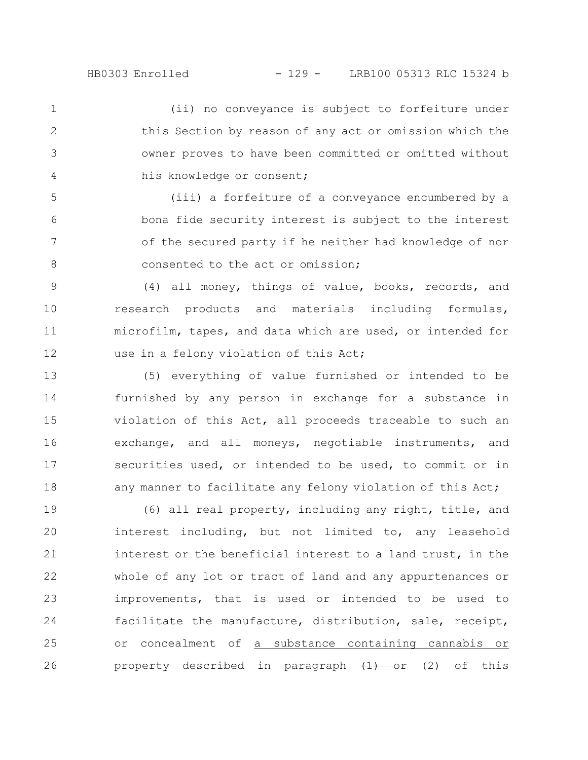(ii) no conveyance is subject to forfeiture under this Section by reason of any act or omission which the owner proves to have been committed or omitted without his knowledge or consent; 1 2 3 4

(iii) a forfeiture of a conveyance encumbered by a bona fide security interest is subject to the interest of the secured party if he neither had knowledge of nor consented to the act or omission; 5 6 7 8

(4) all money, things of value, books, records, and research products and materials including formulas, microfilm, tapes, and data which are used, or intended for use in a felony violation of this Act; 9 10 11 12

(5) everything of value furnished or intended to be furnished by any person in exchange for a substance in violation of this Act, all proceeds traceable to such an exchange, and all moneys, negotiable instruments, and securities used, or intended to be used, to commit or in any manner to facilitate any felony violation of this Act; 13 14 15 16 17 18

(6) all real property, including any right, title, and interest including, but not limited to, any leasehold interest or the beneficial interest to a land trust, in the whole of any lot or tract of land and any appurtenances or improvements, that is used or intended to be used to facilitate the manufacture, distribution, sale, receipt, or concealment of a substance containing cannabis or property described in paragraph  $\left(\frac{1}{1}\right)$  or  $\left(\frac{2}{1}\right)$  of this 19 20 21 22 23 24 25 26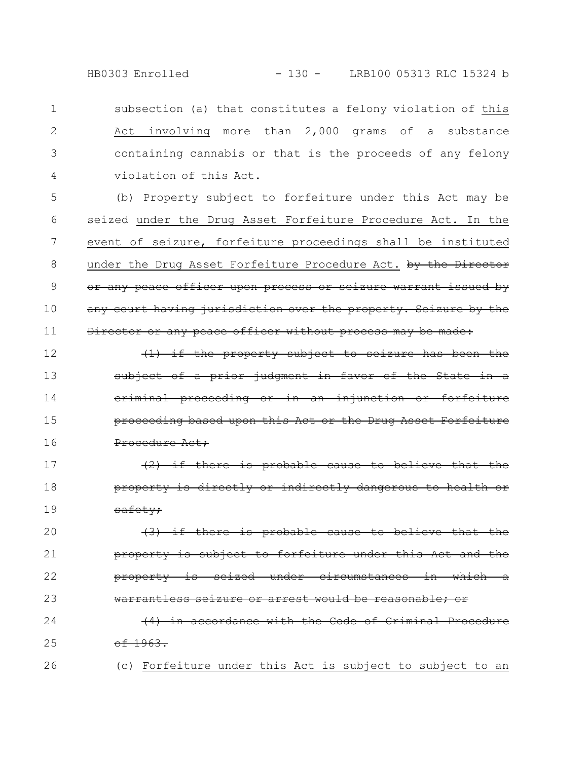HB0303 Enrolled - 130 - LRB100 05313 RLC 15324 b

subsection (a) that constitutes a felony violation of this Act involving more than 2,000 grams of a substance containing cannabis or that is the proceeds of any felony violation of this Act. 1 2 3 4

(b) Property subject to forfeiture under this Act may be seized under the Drug Asset Forfeiture Procedure Act. In the event of seizure, forfeiture proceedings shall be instituted under the Drug Asset Forfeiture Procedure Act. by the Director or any peace officer upon process or seizure warrant issued by any court having jurisdiction over the property. Seizure by the Director or any peace officer without process may be made: 5 6 7 8 9 10 11

(1) if the property subject to seizure has been the subject of a prior judgment in favor of the State criminal proceeding or in an injunction or proceeding based upon this Act or the Drug Asset Forfeiture Procedure Act; 12 13 14 15 16

(2) if there is probable cause to believe that the property is directly or indirectly dange safety; 17 18 19

 $(3)$  if there is probable cause to property is subject to forfeiture under this Act and the property is seized under circumstances in which warrantless seizure or arrest would be reasonable: 20 21 22 23

(4) in accordance with the Code of Criminal Procedure  $-1963.$ 24 25

26

(c) Forfeiture under this Act is subject to subject to an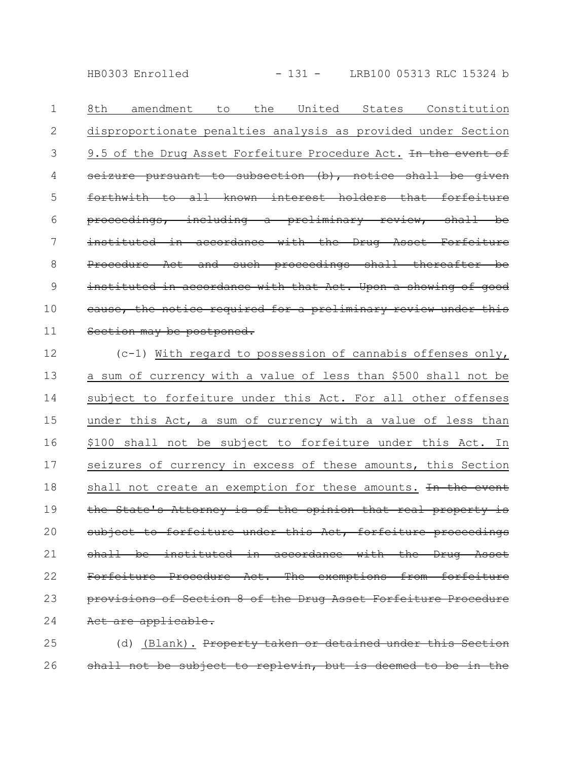HB0303 Enrolled - 131 - LRB100 05313 RLC 15324 b

8th amendment to the United States Constitution disproportionate penalties analysis as provided under Section 9.5 of the Drug Asset Forfeiture Procedure Act. In the event of seizure pursuant to subsection  $(b)$ , notice shall be forthwith to all known interest holders that forfeiture proceedings, including a preliminary review, shall be instituted in accordance with the Drug Asset Forfeiture Procedure Act and such proceedings shall thereafter be instituted in accordance with that Act. Upon a showing of good cause, the notice required for a preliminary review under this Section may be postponed. 1 2 3 4 5 6 7 8 9 10 11

(c-1) With regard to possession of cannabis offenses only, a sum of currency with a value of less than \$500 shall not be subject to forfeiture under this Act. For all other offenses under this Act, a sum of currency with a value of less than \$100 shall not be subject to forfeiture under this Act. In seizures of currency in excess of these amounts, this Section shall not create an exemption for these amounts. In the event the State's Attorney is of the opinion that real property is subject to forfeiture under this Act, forfeiture proceedings shall be instituted in accordance with the Drug Asset Forfeiture Procedure Act. The exemptions from forfeiture provisions of Section 8 of the Drug Asset Forfeiture Procedure Act are applicable. 12 13 14 15 16 17 18 19 20 21 22 23 24

(d) (Blank). Property taken or detained under this Section shall not be subject to replevin, but is deemed 25 26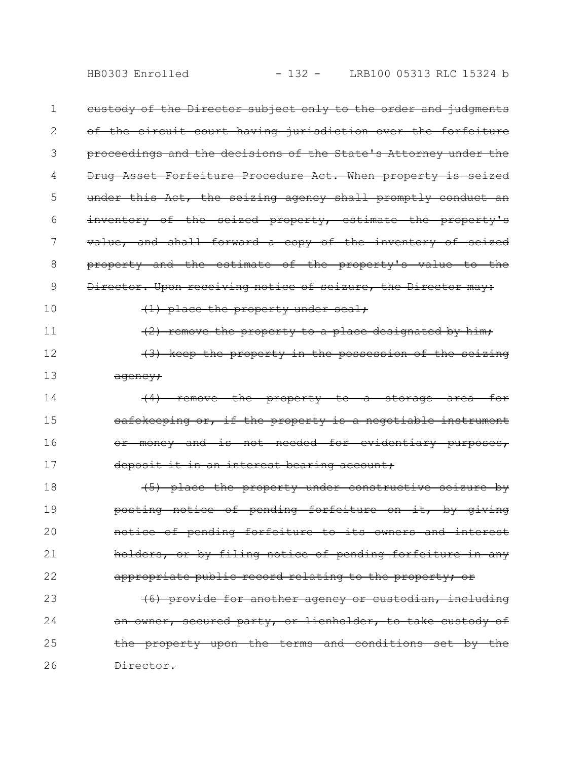eustody of the Director subject only to the order and judgments of the circuit court having jurisdiction over the forfeiture proceedings and the decisions of the State's Attorney under the Drug Asset Forfeiture Procedure Act. When property is under this Act, the seizing agency shall promptly conduct an inventory of the seized property, estimate the property's value, and shall forward a copy of the inventory of seized property and the estimate of the property's value to the Director. Upon receiving notice of seizure, the Director may:  $(1)$  place the property under seal;  $(2)$  remove the property to a place designated by him; (3) keep the property in the possession of the seizing agency; (4) remove the property to a storage area for safekeeping or, if the property is a negotiable instrument money and is not needed for evidentiary purposes, deposit it in an interest bearing account; (5) place the property under constructive seizure by posting notice of pending forfeiture on it, by giving notice of pending forfeiture to its owners and interest holders, or by filing notice of pending forfeiture in any appropriate public record relating to the property; or (6) provide for another agency or custodian, including an owner, secured party, or lienholder, to take custody of the property upon the terms and conditions set by the Director. 1 2 3 4 5 6 7 8 9 10 11 12 13 14 15 16 17 18 19 20 21 22 23 24 25 26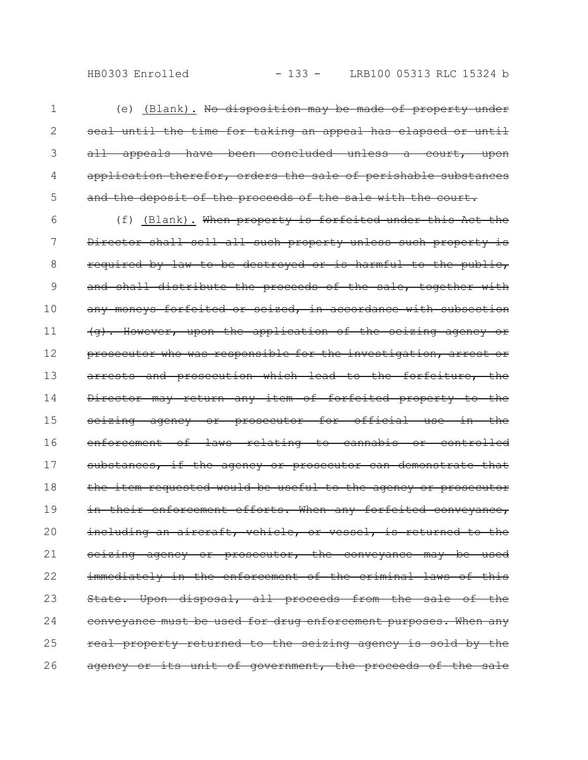(e) (Blank). No disposition may be made of property under seal until the time for taking an appeal has elapsed or until all appeals have been concluded unless a court, upon application therefor, orders the sale of perishable substances and the deposit of the proceeds of the sale with the court. 1 2 3 4 5

(f) (Blank). When property is forfeited under this Act the Director shall sell all such property unless such property is required by law to be destroyed or is harmful to the public, and shall distribute the proceeds of the sale, together with any moneys forfeited or seized, in accordance with subsection (g). However, upon the application of the seizing agency or prosecutor who was responsible for the investigation, arrest or arrests and prosecution which lead to the forfeiture, the Director may return any item of forfeited property to the seizing agency or prosecutor for official use in the enforcement of laws relating to cannabis or controlled substances, if the agency or prosecutor can demonstrate that the item requested would be useful to the agency or prosecutor in their enforcement efforts. When any forfeited conveyance, including an aircraft, vehicle, or vessel, is returned to the seizing agency or prosecutor, the conveyance may be used immediately in the enforcement of the criminal laws of this State. Upon disposal, all proceeds from the sale of the conveyance must be used for drug enforcement purposes. When any real property returned to the seizing agency is sold by the agency or its unit of government, the proceeds of the sale 6 7 8 9 10 11 12 13 14 15 16 17 18 19 20 21 22 23 24 25 26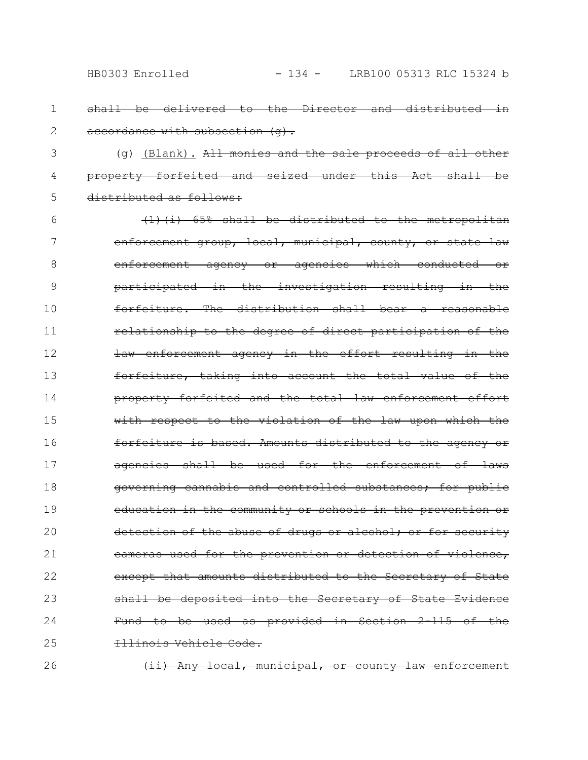- shall be delivered to the Director and distributed in accordance with subsection (q). 1 2
- (g) (Blank). All monies and the sale proceeds of all other property forfeited and seized under this Act shall distributed as follows: 3 4 5
- (1)(i) 65% shall be distributed to the metropolitan enforcement group, local, municipal, county, or state law enforcement agency or agencies which conducted or participated in the investigation resulting in the forfeiture. The distribution shall bear a reasonable relationship to the degree of direct participation of the law enforcement agency in the effort resulting in the forfeiture, taking into account the total value of property forfeited and the total law enforcement effort with respect to the violation of the law upon which the forfeiture is based. Amounts distributed to the agency or agencies shall be used for the enforcement of laws governing cannabis and controlled substances; for public education in the community or schools in the prevention or detection of the abuse of drugs or alcohol; or for security cameras used for the prevention or detection of violence, except that amounts distributed to the Secretary of State shall be deposited into the Secretary of State Evidence Fund to be used as provided in Section 2-115 of the Illinois Vehicle Code. 6 7 8 9 10 11 12 13 14 15 16 17 18 19 20 21 22 23 24 25
	- (ii) Any local, municipal, or county law enforcement

26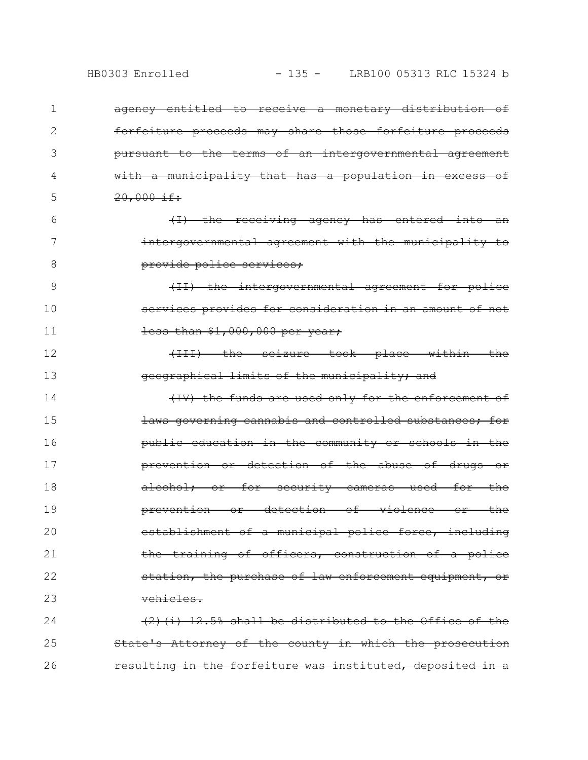| 1  | ageney entitled to receive a monetary distribution of      |
|----|------------------------------------------------------------|
| 2  | forfeiture proceeds may share those forfeiture proceeds    |
| 3  | pursuant to the terms of an intergovernmental agreement    |
| 4  | with a municipality that has a population in excess of     |
| 5  | $20,000 \text{ if:}$                                       |
| 6  | (I) the receiving agency has entered into an               |
| 7  | intergovernmental agreement with the municipality to       |
| 8  | provide police services;                                   |
| 9  | (II) the intergovernmental agreement for police            |
| 10 | services provides for consideration in an amount of not    |
| 11 | less than \$1,000,000 per year;                            |
| 12 | (III) the seizure took place within the                    |
| 13 | geographical limits of the municipality; and               |
| 14 | (IV) the funds are used only for the enforcement of        |
| 15 | laws governing cannabis and controlled substances; for     |
| 16 | public education in the community or schools in the        |
| 17 | prevention or detection of the abuse of drugs or           |
| 18 | alcohol; or for security cameras used for the              |
| 19 | <u>or detection of violence or the </u><br>prevention      |
| 20 | establishment of a municipal police force, including       |
| 21 | the training of officers, construction of a police         |
| 22 | station, the purchase of law enforcement equipment, or     |
| 23 | vehicles.                                                  |
| 24 | $(2)$ (i) 12.5% shall be distributed to the Office of the  |
| 25 | State's Attorney of the county in which the prosecution    |
| 26 | resulting in the forfeiture was instituted, deposited in a |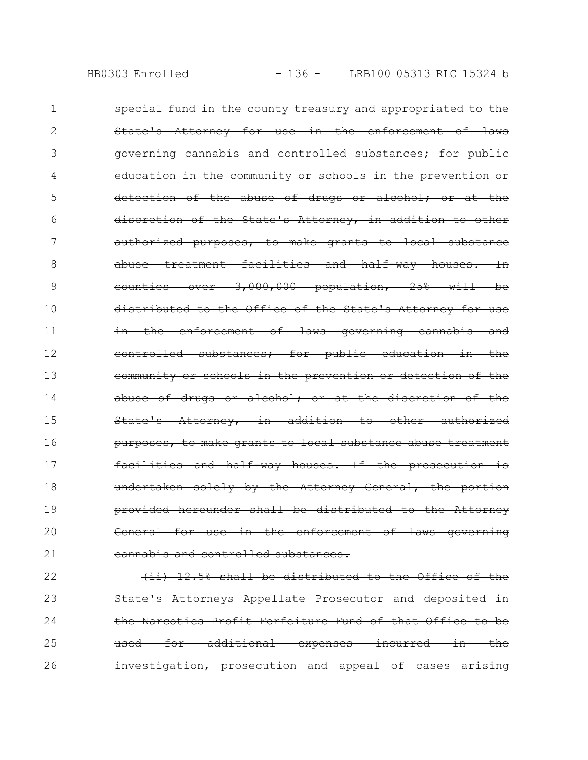| 1              | special fund in the county treasury and appropriated to the |
|----------------|-------------------------------------------------------------|
| 2              | State's Attorney for use in the enforcement of laws         |
| 3              | governing cannabis and controlled substances; for public    |
| 4              | education in the community or schools in the prevention or  |
| 5              | detection of the abuse of drugs or alcohol; or at the       |
| 6              | discretion of the State's Attorney, in addition to other    |
| 7              | authorized purposes, to make grants to local substance      |
| 8              | abuse treatment facilities and half way houses. In          |
| 9              | counties over 3,000,000 population, 25% will be             |
| 1 <sub>0</sub> | distributed to the Office of the State's Attorney for use   |
| 11             | in the enforcement of laws governing cannabis and           |
| 12             | controlled substances; for public education in the          |
| 13             | community or schools in the prevention or detection of the  |
| 14             | abuse of drugs or alcohol; or at the discretion of the      |
| 15             | State's Attorney, in addition to other authorized           |
| 16             | purposes, to make grants to local substance abuse treatment |
| 17             | facilities and half way houses. If the prosecution is       |
| 18             | undertaken solely by the Attorney General, the portion      |
| 19             | provided hereunder shall be distributed to the Attorney     |
| 20             | General for use in the enforcement of laws governing        |
| 21             | cannabis and controlled substances.                         |

(ii) 12.5% shall be distributed to the Office of the State's Attorneys Appellate Prosecutor and deposited in the Narcotics Profit Forfeiture Fund of that Office to be used for additional expenses incurred in the investigation, prosecution and appeal of cases arising 22 23 24 25 26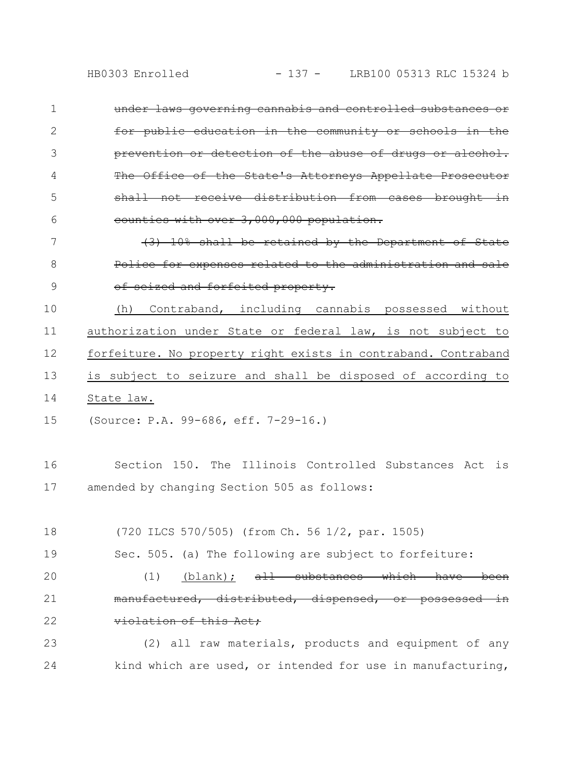under laws governing cannabis and controlled substances or for public education in the community or schools prevention or detection of the abuse of drugs or The Office of the State's Attorneys Appell shall not receive distribution counties with over 3,000,000 population. 1 2 3 4 5 6

10% shall be retained by the Department Police for expenses related to the administrati of seized and forfeited property. 7 8 9

(h) Contraband, including cannabis possessed without authorization under State or federal law, is not subject to forfeiture. No property right exists in contraband. Contraband is subject to seizure and shall be disposed of according to State law. 10 11 12 13 14

(Source: P.A. 99-686, eff. 7-29-16.) 15

Section 150. The Illinois Controlled Substances Act is amended by changing Section 505 as follows: 16 17

(720 ILCS 570/505) (from Ch. 56 1/2, par. 1505) 18

Sec. 505. (a) The following are subject to forfeiture: 19

 $(1)$  (blank);  $\frac{1}{t}$  substances which have manufactured, distributed, dispensed, or possess violation of this Act; 20 21 22

(2) all raw materials, products and equipment of any kind which are used, or intended for use in manufacturing, 23 24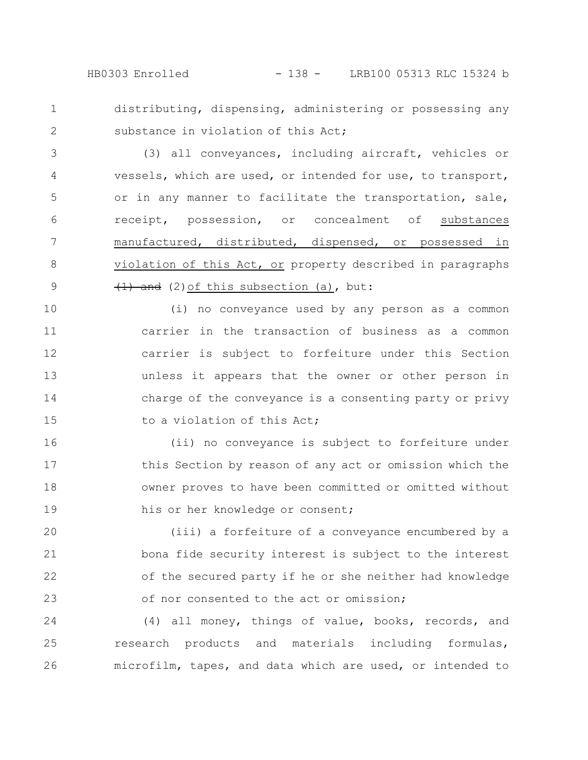HB0303 Enrolled - 138 - LRB100 05313 RLC 15324 b

distributing, dispensing, administering or possessing any substance in violation of this Act; 1 2

(3) all conveyances, including aircraft, vehicles or vessels, which are used, or intended for use, to transport, or in any manner to facilitate the transportation, sale, receipt, possession, or concealment of substances manufactured, distributed, dispensed, or possessed in violation of this Act, or property described in paragraphs  $(1)$  and (2) of this subsection (a), but: 3 4 5 6 7 8 9

(i) no conveyance used by any person as a common carrier in the transaction of business as a common carrier is subject to forfeiture under this Section unless it appears that the owner or other person in charge of the conveyance is a consenting party or privy to a violation of this Act; 10 11 12 13 14 15

(ii) no conveyance is subject to forfeiture under this Section by reason of any act or omission which the owner proves to have been committed or omitted without his or her knowledge or consent; 16 17 18 19

(iii) a forfeiture of a conveyance encumbered by a bona fide security interest is subject to the interest of the secured party if he or she neither had knowledge of nor consented to the act or omission; 20 21 22 23

(4) all money, things of value, books, records, and research products and materials including formulas, microfilm, tapes, and data which are used, or intended to 24 25 26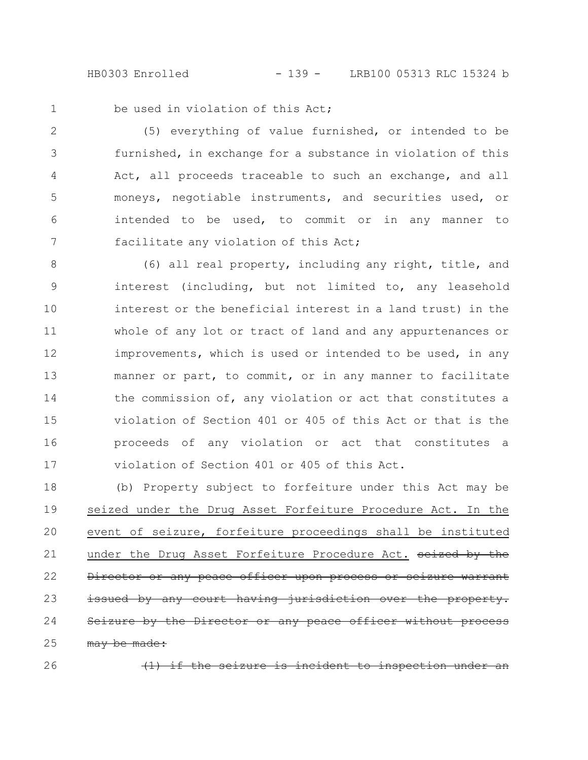HB0303 Enrolled - 139 - LRB100 05313 RLC 15324 b

1

be used in violation of this Act;

(5) everything of value furnished, or intended to be furnished, in exchange for a substance in violation of this Act, all proceeds traceable to such an exchange, and all moneys, negotiable instruments, and securities used, or intended to be used, to commit or in any manner to facilitate any violation of this Act; 2 3 4 5 6 7

(6) all real property, including any right, title, and interest (including, but not limited to, any leasehold interest or the beneficial interest in a land trust) in the whole of any lot or tract of land and any appurtenances or improvements, which is used or intended to be used, in any manner or part, to commit, or in any manner to facilitate the commission of, any violation or act that constitutes a violation of Section 401 or 405 of this Act or that is the proceeds of any violation or act that constitutes a violation of Section 401 or 405 of this Act. 8 9 10 11 12 13 14 15 16 17

(b) Property subject to forfeiture under this Act may be seized under the Drug Asset Forfeiture Procedure Act. In the event of seizure, forfeiture proceedings shall be instituted under the Drug Asset Forfeiture Procedure Act. seized by the Director or any peace officer upon process or seizure warrant issued by any court having jurisdiction over Seizure by the Director or any peace officer without process may be made: 18 19 20 21 22 23 24 25

26

(1) if the seizure is incident to inspection under an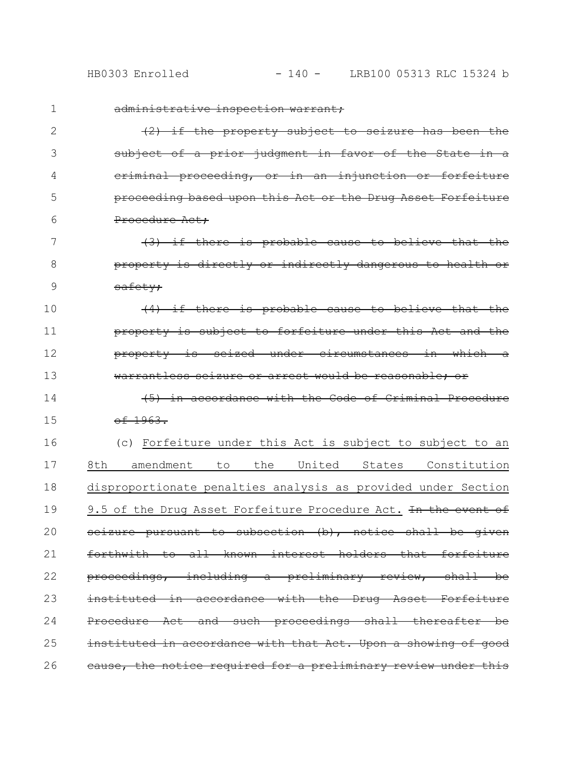| 1  | administrative inspection warrant;                                |
|----|-------------------------------------------------------------------|
| 2  | $(2)$ if the property subject to seizure has been the             |
| 3  | subject of a prior judgment in favor of the State in a            |
| 4  | eriminal proceeding, or in an injunction or forfeiture            |
| 5  | proceeding based upon this Act or the Drug Asset Forfeiture       |
| 6  | Procedure Act:                                                    |
| 7  | (3) if there is probable cause to believe that the                |
| 8  | property is directly or indirectly dangerous to health or         |
| 9  | safety;                                                           |
| 10 | (4) if there is probable cause to believe that the                |
| 11 | property is subject to forfeiture under this Act and the          |
| 12 | property is seized under circumstances in which a                 |
| 13 | warrantless seizure or arrest would be reasonable; or             |
| 14 | (5) in accordance with the Code of Criminal Procedure             |
| 15 | $-6.1963.$                                                        |
| 16 | (c) Forfeiture under this Act is subject to subject to an         |
| 17 | 8th<br>the<br>United<br>amendment<br>States<br>Constitution<br>to |
| 18 | disproportionate penalties analysis as provided under Section     |
| 19 | 9.5 of the Drug Asset Forfeiture Procedure Act. In the event of   |
| 20 | seizure pursuant to subsection (b), notice shall be given         |
| 21 | forthwith to all known interest holders that forfeiture           |
| 22 | proceedings, including a preliminary review, shall be             |
| 23 | instituted in accordance with the Drug Asset Forfeiture           |
| 24 | Procedure Act and such proceedings shall thereafter be            |
| 25 | instituted in accordance with that Act. Upon a showing of good    |
| 26 | cause, the notice required for a preliminary review under this    |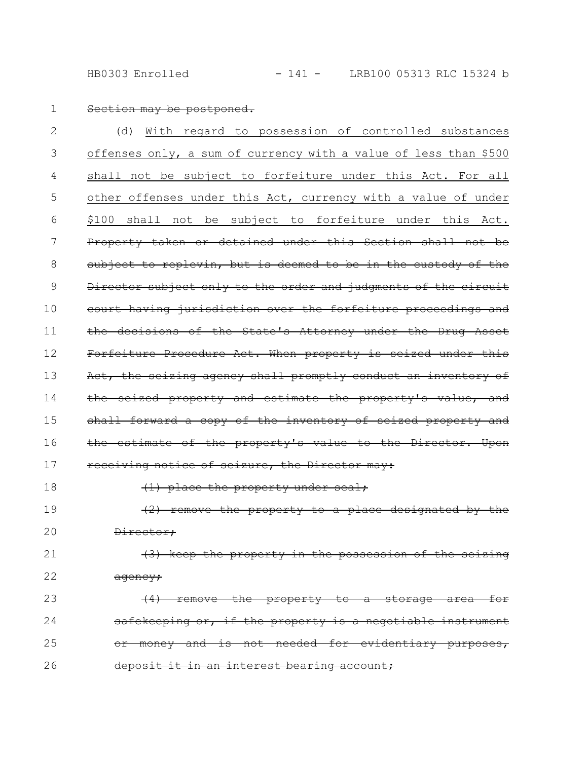HB0303 Enrolled - 141 - LRB100 05313 RLC 15324 b

Section may be postponed. (d) With regard to possession of controlled substances offenses only, a sum of currency with a value of less than \$500 shall not be subject to forfeiture under this Act. For all other offenses under this Act, currency with a value of under \$100 shall not be subject to forfeiture under this Act. Property taken or detained under this Section shall not be subject to replevin, but is deemed to be in the custody of the Director subject only to the order and judgments of the circuit court having jurisdiction over the forfeiture proceedings and the decisions of the State's Attorney under the Drug Asset Forfeiture Procedure Act. When property is seized under this Act, the seizing agency shall promptly conduct an inventory of the seized property and estimate the property's value, and shall forward a copy of the inventory of seized property and the estimate of the property's value to the Director. Upon receiving notice of seizure, the Director may: (1) place the property under seal; (2) remove the property to a place designated by the Director; 1 2 3 4 5 6 7 8 9 10 11 12 13 14 15 16 17 18 19 20

(3) keep the property in the possession of the agency; 21 22

 $(4)$  remove the property to a storage area safekeeping or, if the property is a negotiable instrument or money and is not needed for evidentiary purposes, deposit it in an interest bearing account; 23 24 25 26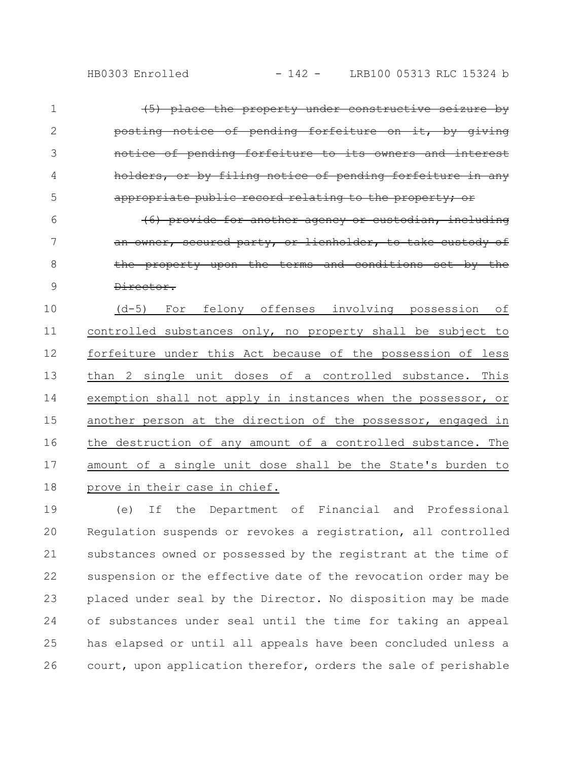| $\mathbf 1$    | (5) place the property under constructive seizure by          |
|----------------|---------------------------------------------------------------|
| $\overline{2}$ | posting notice of pending forfeiture on it, by giving         |
| 3              | notice of pending forfeiture to its owners and interest       |
| 4              | holders, or by filing notice of pending forfeiture in any     |
| 5              | appropriate public record relating to the property; or        |
| 6              | (6) provide for another agency or custodian, including        |
| 7              | an owner, secured party, or lienholder, to take custody of    |
| 8              | the property upon the terms and conditions set by the         |
| 9              | <del>Director.</del>                                          |
| 10             | (d-5) For felony offenses involving possession of             |
| 11             | controlled substances only, no property shall be subject to   |
| 12             | forfeiture under this Act because of the possession of less   |
| 13             | than 2 single unit doses of a controlled substance. This      |
| 14             | exemption shall not apply in instances when the possessor, or |
| 15             | another person at the direction of the possessor, engaged in  |
| 16             | the destruction of any amount of a controlled substance. The  |
| 17             | amount of a single unit dose shall be the State's burden to   |
| 18             | prove in their case in chief.                                 |

(e) If the Department of Financial and Professional Regulation suspends or revokes a registration, all controlled substances owned or possessed by the registrant at the time of suspension or the effective date of the revocation order may be placed under seal by the Director. No disposition may be made of substances under seal until the time for taking an appeal has elapsed or until all appeals have been concluded unless a court, upon application therefor, orders the sale of perishable 19 20 21 22 23 24 25 26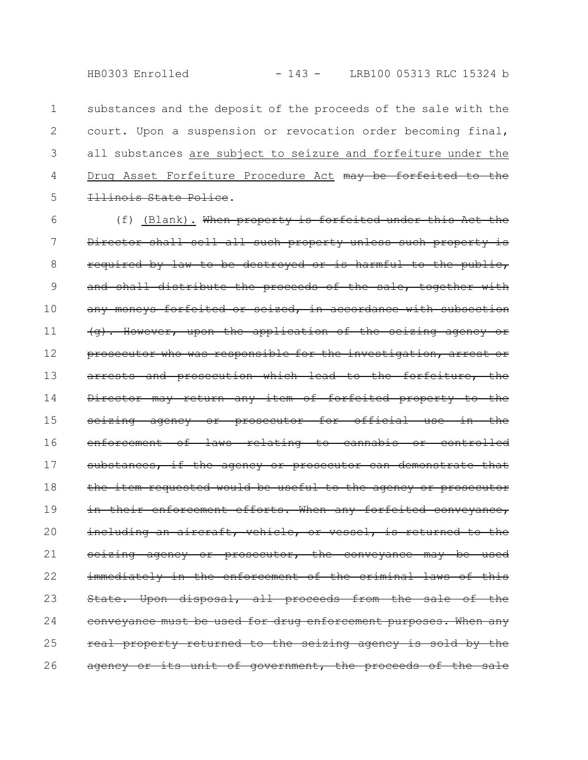substances and the deposit of the proceeds of the sale with the court. Upon a suspension or revocation order becoming final, all substances are subject to seizure and forfeiture under the Drug Asset Forfeiture Procedure Act may be forfeited to the Illinois State Police. 1 2 3 4 5

(f) (Blank). When property is forfeited under this Act the Director shall sell all such property unless such property is required by law to be destroyed or is harmful to the public, and shall distribute the proceeds of the sale, together with any moneys forfeited or seized, in accordance with subsection (g). However, upon the application of the seizing agency or prosecutor who was responsible for the investigation, arrest or arrests and prosecution which lead to the forfeiture, the Director may return any item of forfeited property to the seizing agency or prosecutor for official use in the enforcement of laws relating to cannabis or controlled substances, if the agency or prosecutor can demonstrate that the item requested would be useful to the agency or prosecutor in their enforcement efforts. When any forfeited conveyance, including an aircraft, vehicle, or vessel, is returned to the seizing agency or prosecutor, the conveyance may be used immediately in the enforcement of the criminal laws of this State. Upon disposal, all proceeds from the sale of the conveyance must be used for drug enforcement purposes. When any real property returned to the seizing agency is sold by the agency or its unit of government, the proceeds of the sale 6 7 8 9 10 11 12 13 14 15 16 17 18 19 20 21 22 23 24 25 26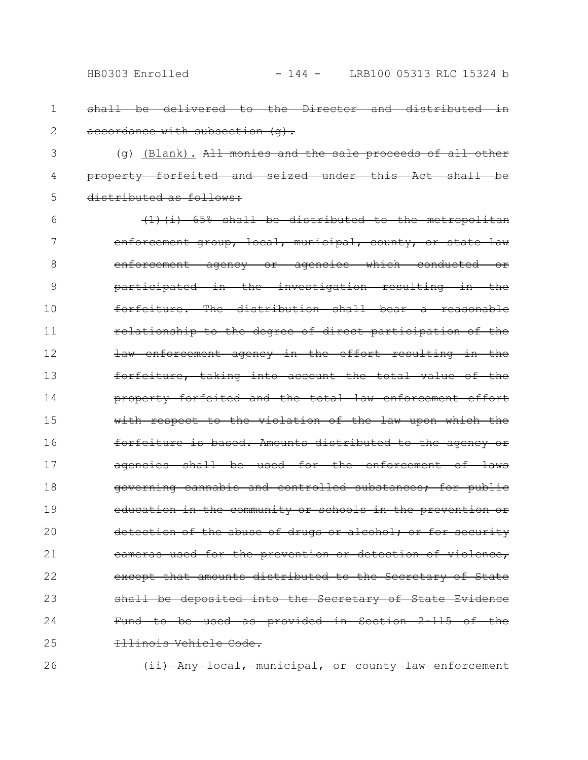- shall be delivered to the Director and distributed in accordance with subsection (q). 1 2
- (g) (Blank). All monies and the sale proceeds of all other property forfeited and seized under this Act shall distributed as follows: 3 4 5
- (1)(i) 65% shall be distributed to the metropolitan enforcement group, local, municipal, county, or state law enforcement agency or agencies which conducted or participated in the investigation resulting in the forfeiture. The distribution shall bear a reasonable relationship to the degree of direct participation of the law enforcement agency in the effort resulting in the forfeiture, taking into account the total value of property forfeited and the total law enforcement effort with respect to the violation of the law upon which the forfeiture is based. Amounts distributed to the agency or agencies shall be used for the enforcement of laws governing cannabis and controlled substances; for public education in the community or schools in the prevention or detection of the abuse of drugs or alcohol; or for security cameras used for the prevention or detection of violence, except that amounts distributed to the Secretary of State shall be deposited into the Secretary of State Evidence Fund to be used as provided in Section 2-115 of the Illinois Vehicle Code. 6 7 8 9 10 11 12 13 14 15 16 17 18 19 20 21 22 23 24 25
- (ii) Any local, municipal, or county law enforcement 26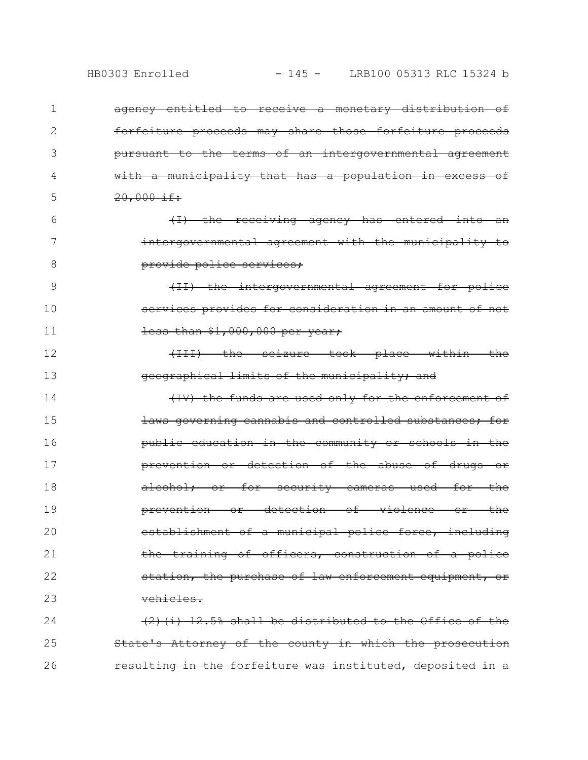| 1  | ageney entitled to receive a monetary distribution of     |
|----|-----------------------------------------------------------|
| 2  | forfeiture proceeds may share those forfeiture proceeds   |
| 3  | pursuant to the terms of an intergovernmental agreement   |
| 4  | with a municipality that has a population in excess of    |
| 5  | $20,000$ if:                                              |
| 6  | (I) the receiving agency has entered into an              |
| 7  | intergovernmental agreement with the municipality to      |
| 8  | provide police services:                                  |
| 9  | (II) the intergovernmental agreement for police           |
| 10 | services provides for consideration in an amount of not   |
| 11 | $\frac{1}{1}$ than $$1,000,000$ per year;                 |
| 12 | (III) the seizure took place within the                   |
| 13 | geographical limits of the municipality; and              |
| 14 | (IV) the funds are used only for the enforcement of       |
| 15 | laws governing cannabis and controlled substances; for    |
| 16 | public education in the community or schools in the       |
| 17 | prevention or detection of the abuse of drugs or          |
| 18 | alcohol; or for security cameras used for the             |
| 19 | prevention or detection of violence or the                |
| 20 | establishment of a municipal police force, including      |
| 21 | the training of officers, construction of a police        |
| 22 | station, the purchase of law enforcement equipment, or    |
| 23 | vehicles.                                                 |
| 24 | $(2)$ (i) 12.5% shall be distributed to the Office of the |
| 25 | State's Attorney of the county in which the prosecution   |

resulting in the forfeiture was instituted, deposited in a 26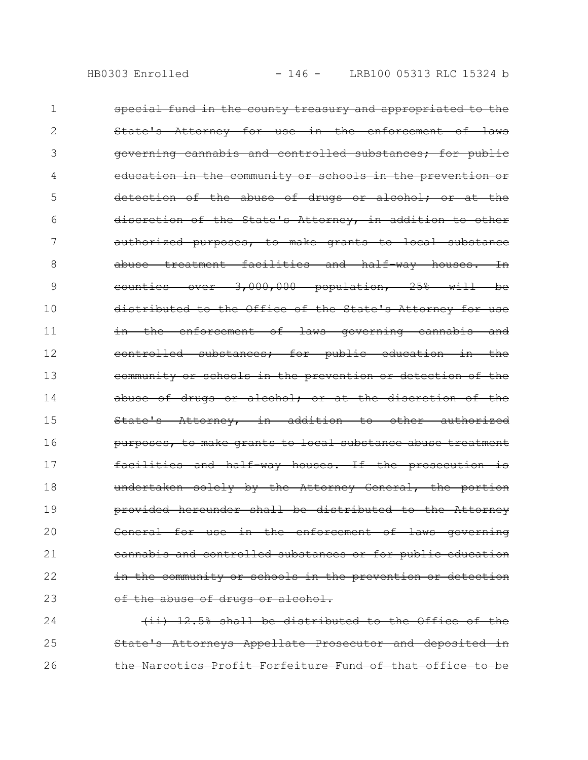| 1  | special fund in the county treasury and appropriated to the   |
|----|---------------------------------------------------------------|
| 2  | State's Attorney for use in the enforcement of laws           |
| 3  | governing cannabis and controlled substances, for public      |
| 4  | education in the community or schools in the prevention or    |
| 5  | detection of the abuse of drugs or alcohol; or at the         |
| 6  | discretion of the State's Attorney, in addition to other      |
| 7  | authorized purposes, to make grants to local substance        |
| 8  | abuse treatment facilities and half way houses. In            |
| 9  | counties over 3,000,000 population, 25% will<br><del>bе</del> |
| 10 | distributed to the Office of the State's Attorney for use     |
| 11 | in the enforcement of laws governing cannabis and             |
| 12 | controlled substances; for public education in the            |
| 13 | community or schools in the prevention or detection of the    |
| 14 | abuse of drugs or alcohol; or at the discretion of the        |
| 15 | State's Attorney, in addition to other authorized             |
| 16 | purposes, to make grants to local substance abuse treatment   |
| 17 | $\pm$ s<br>facilities and half way houses. If the prosecution |
| 18 | undertaken solely by the Attorney General, the portion        |
| 19 | shall be distributed to the Attorney<br>provided hereunder    |
| 20 | General for use in the enforcement of laws governing          |
| 21 | eannabis and controlled substances or for public education    |
| 22 | in the community or schools in the prevention or detection    |
| 23 | of the abuse of drugs or alcohol.                             |

(ii) 12.5% shall be distributed to the Office of the 25 State's Attorneys Appellate Prosecutor and deposited in the Narcotics Profit Forfeiture Fund of that office to be 24 26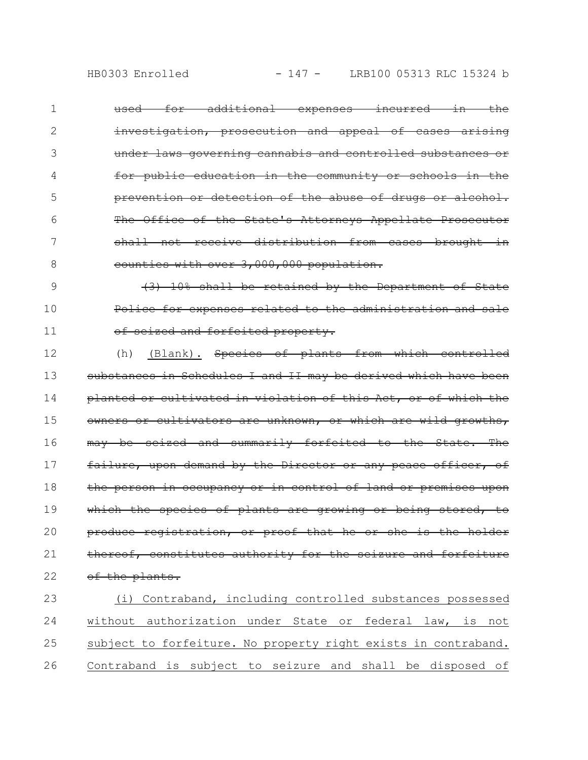- used for additional expenses incurred in the investigation, prosecution and appeal of cases under laws governing cannabis and controlled substances for public education in the community or schools prevention or detection of the abuse of drugs or alcohol. The Office of the State's Attorneys Appellate Prosecutor shall not receive distribution from cases brought counties with over 3,000,000 population. 1 2 3 4 5 6 7 8
- (3) 10% shall be retained by the Department of State Police for expenses related to the administration and sale of seized and forfeited property. 9 10 11
- (h) (Blank). Species of plants from which controlled substances in Schedules I and II may be derived which have been planted or cultivated in violation of this Act, or of which owners or cultivators are unknown, or which are wild growths, may be seized and summarily forfeited to the State. The failure, upon demand by the Director or any peace officer, of the person in occupancy or in control of land or premises upon which the species of plants are growing or being stored, to produce registration, or proof that he or she is the holder thereof, constitutes authority for the seizure and forfeiture of the plants. 12 13 14 15 16 17 18 19 20 21 22
- (i) Contraband, including controlled substances possessed without authorization under State or federal law, is not subject to forfeiture. No property right exists in contraband. Contraband is subject to seizure and shall be disposed of 23 24 25 26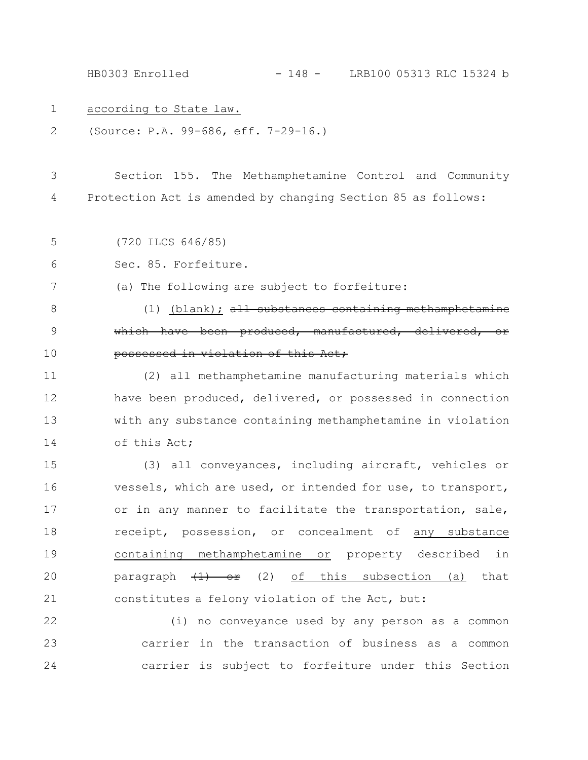HB0303 Enrolled - 148 - LRB100 05313 RLC 15324 b

- according to State law. 1
- (Source: P.A. 99-686, eff. 7-29-16.) 2

Section 155. The Methamphetamine Control and Community Protection Act is amended by changing Section 85 as follows: 3 4

(720 ILCS 646/85) 5

Sec. 85. Forfeiture. 6

(a) The following are subject to forfeiture: 7

 $(1)$  (blank); all substances containing methamphetamine which have been produced, manufactured, delivered, or possessed in violation of this Act; 8 9 10

(2) all methamphetamine manufacturing materials which have been produced, delivered, or possessed in connection with any substance containing methamphetamine in violation of this Act; 11 12 13 14

(3) all conveyances, including aircraft, vehicles or vessels, which are used, or intended for use, to transport, or in any manner to facilitate the transportation, sale, receipt, possession, or concealment of any substance containing methamphetamine or property described in paragraph  $(1)$  or (2) of this subsection (a) that constitutes a felony violation of the Act, but: 15 16 17 18 19 20 21

(i) no conveyance used by any person as a common carrier in the transaction of business as a common carrier is subject to forfeiture under this Section 22 23 24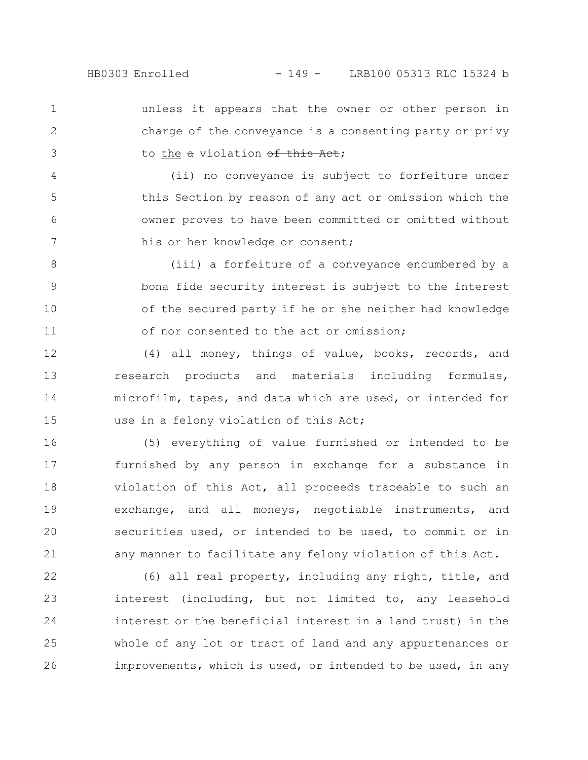unless it appears that the owner or other person in charge of the conveyance is a consenting party or privy to the a violation of this Act; 1 2 3

(ii) no conveyance is subject to forfeiture under this Section by reason of any act or omission which the owner proves to have been committed or omitted without his or her knowledge or consent; 4 5 6 7

(iii) a forfeiture of a conveyance encumbered by a bona fide security interest is subject to the interest of the secured party if he or she neither had knowledge of nor consented to the act or omission; 8 9 10 11

(4) all money, things of value, books, records, and research products and materials including formulas, microfilm, tapes, and data which are used, or intended for use in a felony violation of this Act; 12 13 14 15

(5) everything of value furnished or intended to be furnished by any person in exchange for a substance in violation of this Act, all proceeds traceable to such an exchange, and all moneys, negotiable instruments, and securities used, or intended to be used, to commit or in any manner to facilitate any felony violation of this Act. 16 17 18 19 20 21

(6) all real property, including any right, title, and interest (including, but not limited to, any leasehold interest or the beneficial interest in a land trust) in the whole of any lot or tract of land and any appurtenances or improvements, which is used, or intended to be used, in any 22 23 24 25 26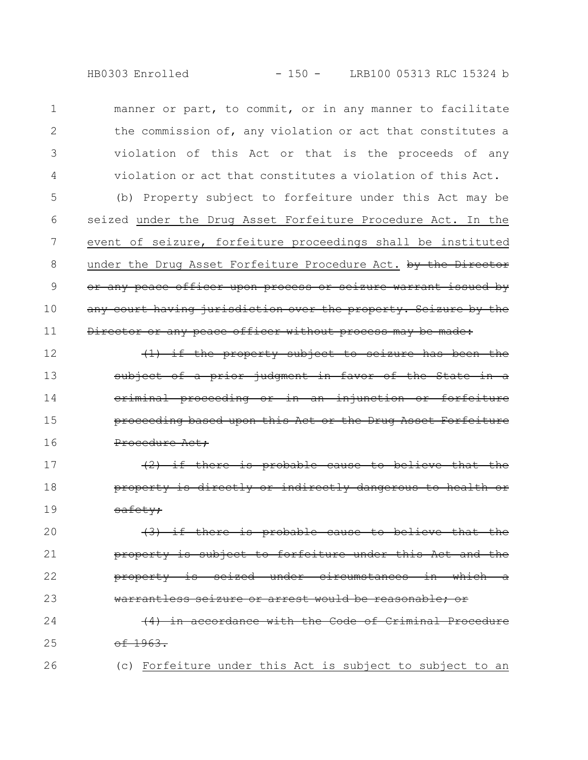manner or part, to commit, or in any manner to facilitate the commission of, any violation or act that constitutes a violation of this Act or that is the proceeds of any violation or act that constitutes a violation of this Act. 1 2 3 4

(b) Property subject to forfeiture under this Act may be seized under the Drug Asset Forfeiture Procedure Act. In the event of seizure, forfeiture proceedings shall be instituted under the Drug Asset Forfeiture Procedure Act. by the Director or any peace officer upon process or seizure warrant issued by any court having jurisdiction over the property. Seizure by the Director or any peace officer without process may be made: 5 6 7 8 9 10 11

if the property subject to seizure has been the of a prior judgment in favor of the State criminal proceeding or in an injunction proceeding based upon this Act or the Drug Asset Forfeiture Procedure Act; 12 13 14 15 16

(2) if there is probable cause to believe that the property is directly or indirectly dange safety; 17 18 19

 $(3)$  if there is probable cause property is subject to forfeiture under property is seized under circumstances in which warrantless seizure or arrest would be reasonable: 20 21 22 23

(4) in accordance with the Code of Criminal Procedure  $-1963.$ 24 25

26

(c) Forfeiture under this Act is subject to subject to an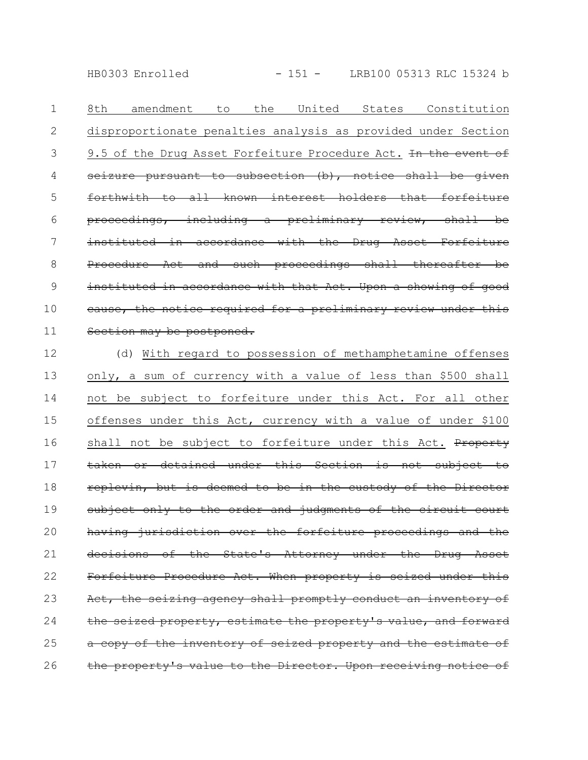HB0303 Enrolled - 151 - LRB100 05313 RLC 15324 b

8th amendment to the United States Constitution disproportionate penalties analysis as provided under Section 9.5 of the Drug Asset Forfeiture Procedure Act. In the event of seizure pursuant to subsection  $(b)$ , notice shall be forthwith to all known interest holders that forfeiture proceedings, including a preliminary review, shall be instituted in accordance with the Drug Asset Forfeiture Procedure Act and such proceedings shall thereafter be instituted in accordance with that Act. Upon a showing of good cause, the notice required for a preliminary review under this Section may be postponed. 1 2 3 4 5 6 7 8 9 10 11

(d) With regard to possession of methamphetamine offenses only, a sum of currency with a value of less than \$500 shall not be subject to forfeiture under this Act. For all other offenses under this Act, currency with a value of under \$100 shall not be subject to forfeiture under this Act. Property taken or detained under this Section is not subject to replevin, but is deemed to be in the custody of the Director subject only to the order and judgments of the circuit court having jurisdiction over the forfeiture proceedings and the decisions of the State's Attorney under the Drug Asset Forfeiture Procedure Act. When property is seized under this Act, the seizing agency shall promptly conduct an inventory of the seized property, estimate the property's value, and forward a copy of the inventory of seized property and the estimate of the property's value to the Director. Upon receiving notice of 12 13 14 15 16 17 18 19 20 21 22 23 24 25 26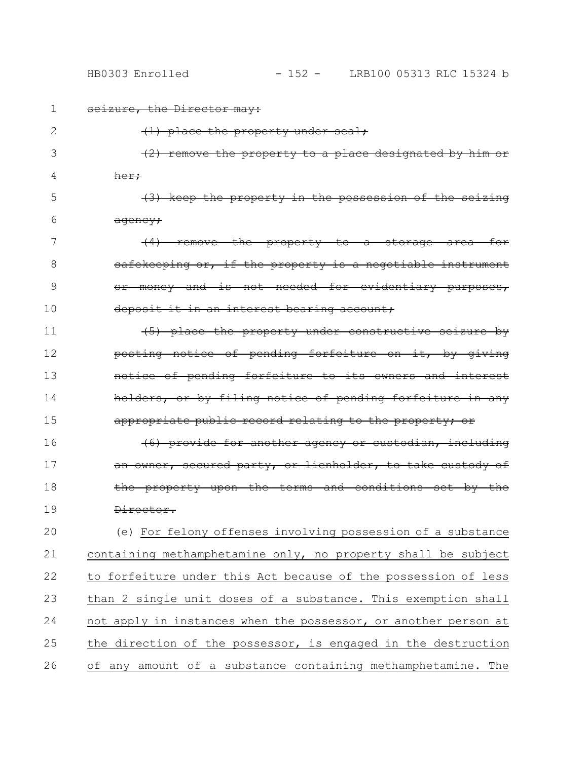1 seizure, the Director may:

| 2  | $\{1\}$ place the property under seal;                            |
|----|-------------------------------------------------------------------|
| 3  | property to a place designated by him or<br>remove                |
| 4  | her;                                                              |
| 5  | $(3)$ keep the property in the possession of the seizing          |
| 6  | <del>aqency;</del>                                                |
| 7  | for<br>remove the property to a storage area                      |
| 8  | safekeeping or, if the property is a negotiable instrument        |
| 9  | money and is not needed for evidentiary purposes,<br>Θř           |
| 10 | deposit it in an interest bearing account;                        |
| 11 | (5) place the property under constructive seizure by              |
| 12 | posting notice of pending forfeiture on it, by giving             |
| 13 | notice of pending forfeiture to its owners and interest           |
| 14 | holders, or by filing notice of pending forfeiture in any         |
| 15 | appropriate public record relating to the property; or            |
| 16 | <del>(6) provide for another agency or custodian, including</del> |
| 17 | an owner, secured party, or lienholder, to take custody of        |
| 18 | the property upon the terms and conditions set by the             |
| 19 | <del>Director.</del>                                              |
| 20 | (e) For felony offenses involving possession of a substance       |
| 21 | containing methamphetamine only, no property shall be subject     |
| 22 | to forfeiture under this Act because of the possession of less    |
| 23 | than 2 single unit doses of a substance. This exemption shall     |
| 24 | not apply in instances when the possessor, or another person at   |
| 25 | the direction of the possessor, is engaged in the destruction     |
| 26 | of any amount of a substance containing methamphetamine. The      |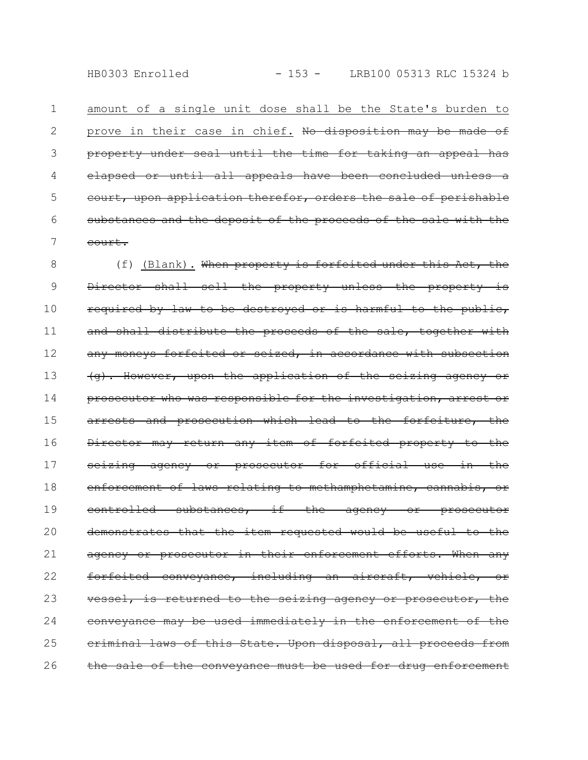amount of a single unit dose shall be the State's burden to prove in their case in chief. No disposition may be made of property under seal until the time for taking an appeal has elapsed or until all appeals have been concluded unless court, upon application therefor, orders the sale of perishable substances and the deposit of the proceeds of the sale with the court. 1 2 3 4 5 6 7

(f) (Blank). When property is forfeited under this Act, the Director shall sell the property unless the property is required by law to be destroyed or is harmful to the public, and shall distribute the proceeds of the sale, together with any moneys forfeited or seized, in accordance with subsection (g). However, upon the application of the seizing agency or prosecutor who was responsible for the investigation, arrest or arrests and prosecution which lead to the forfeiture, the Director may return any item of forfeited property to the seizing agency or prosecutor for official use in the enforcement of laws relating to methamphetamine, cannabis, or controlled substances, if the agency or prosecutor demonstrates that the item requested would be useful to the agency or prosecutor in their enforcement efforts. When any forfeited conveyance, including an aircraft, vehicle, or vessel, is returned to the seizing agency or prosecutor, the  $convergence$  may be used immediately in the enforcement of criminal laws of this State. Upon disposal, all proceeds from the sale of the conveyance must be used for drug enforcement 8 9 10 11 12 13 14 15 16 17 18 19 20 21 22 23 24 25 26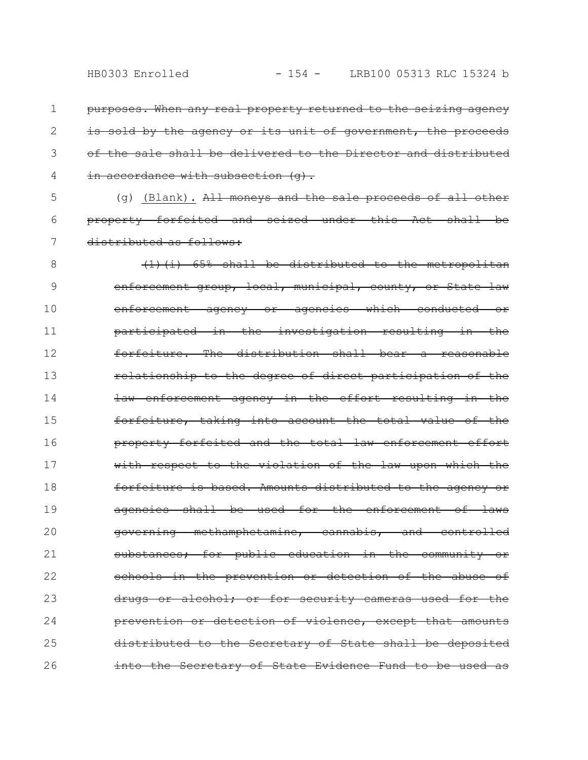- purposes. When any real property returned to the seizing agency is sold by the agency or its unit of government, the proceeds of the sale shall be delivered to the Director and distributed in accordance with subsection (q). 1 2 3 4
- (g) (Blank). All moneys and the sale proceeds of all other property forfeited and seized under this Act shall be distributed as follows: 5 6 7
- (1)(i) 65% shall be distributed to the metropolitan enforcement group, local, municipal, county, or State law enforcement agency or agencies which conducted or participated in the investigation resulting in the forfeiture. The distribution shall bear a reasonable relationship to the degree of direct participation of the law enforcement agency in the effort resulting in the forfeiture, taking into account the total value of the property forfeited and the total law enforcement effort with respect to the violation of the law upon which the forfeiture is based. Amounts distributed to the agency or agencies shall be used for the enforcement of laws governing methamphetamine, cannabis, and controlled substances; for public education in the community schools in the prevention or detection of the abuse of drugs or alcohol; or for security cameras used for the prevention or detection of violence, except that amounts distributed to the Secretary of State shall be deposited into the Secretary of State Evidence Fund to be used 8 9 10 11 12 13 14 15 16 17 18 19 20 21 22 23 24 25 26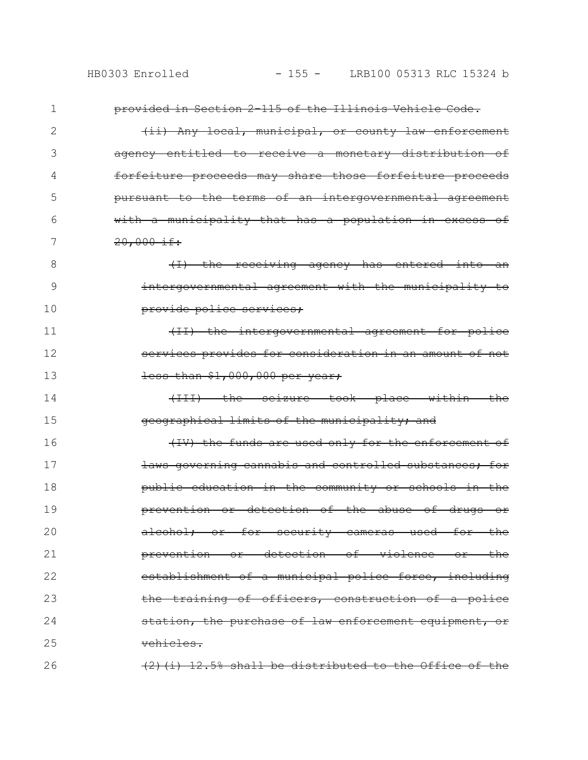provided in Section 2-115 of the Illinois Vehicle Code. (ii) Any local, municipal, or county law enforcement agency entitled to receive a monetary distribution of forfeiture proceeds may share those forfeiture proceeds pursuant to the terms of an intergovernmental agreement with a municipality that has a population in excess of 20,000 if:  $(1)$  the receiving agency has entered into intergovernmental agreement with the municipality to provide police services; (II) the intergovernmental agreement for police services provides for consideration in an amount of not less than \$1,000,000 per year; (III) the seizure took place within the geographical limits of the municipality; and (IV) the funds are used only for the enforcement of laws governing cannabis and controlled substances; for public education in the community or schools in the prevention or detection of the abuse of drugs or alcohol; or for security cameras used for the prevention or detection of violence or the establishment of a municipal police force, including the training of officers, construction of a police station, the purchase of law enforcement equipment, or vehicles.  $(2)$ (i) 12.5% shall be distributed to the Office of the 1 2 3 4 5 6 7 8 9 10 11 12 13 14 15 16 17 18 19 20 21 22 23 24 25 26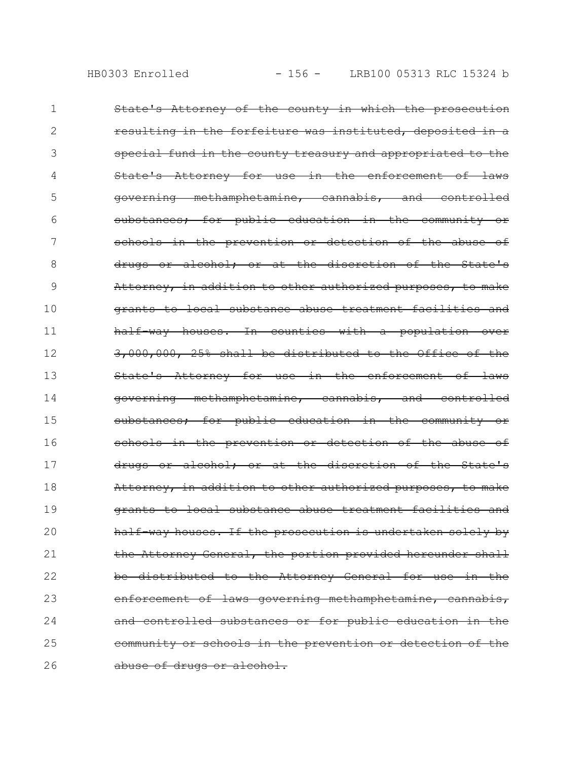| 1  | State's Attorney of the county in which the prosecution                           |
|----|-----------------------------------------------------------------------------------|
| 2  | resulting in the forfeiture was instituted, deposited in a                        |
| 3  | special fund in the county treasury and appropriated to the                       |
| 4  | State's Attorney for use in the enforcement of laws                               |
| 5  | governing methamphetamine, cannabis, and controlled                               |
| 6  | for public education in the community<br>⊖r<br>substances;                        |
| 7  | schools in the prevention or detection of the abuse of                            |
| 8  | alcohol; or at the discretion of the State's<br><del>drugs or</del>               |
| 9  | Attorney, in addition to other authorized purposes, to make                       |
| 10 | grants to local substance abuse treatment facilities and                          |
| 11 | half-way houses. In counties with a population over                               |
| 12 | 3,000,000, 25% shall be distributed to the Office of the                          |
| 13 | State's Attorney for use in the enforcement of laws                               |
| 14 | methamphetamine, cannabis, and<br><del>controlled</del><br><del>governing -</del> |
| 15 | substances; for public education in the community or                              |
| 16 | schools in the prevention or detection of the abuse of                            |
| 17 | drugs or alcohol; or at the discretion of the State's                             |
| 18 | Attorney, in addition to other authorized purposes, to make                       |
| 19 | grants to local substance abuse treatment facilities and                          |
| 20 | half-way houses. If the prosecution is undertaken solely by                       |
| 21 | the Attorney General, the portion provided hereunder shall                        |
| 22 | be distributed to the Attorney General for use in the                             |
| 23 | enforcement of laws governing methamphetamine, cannabis,                          |
| 24 | and controlled substances or for public education in the                          |
| 25 | community or schools in the prevention or detection of the                        |
| 26 | abuse of drugs or alcohol.                                                        |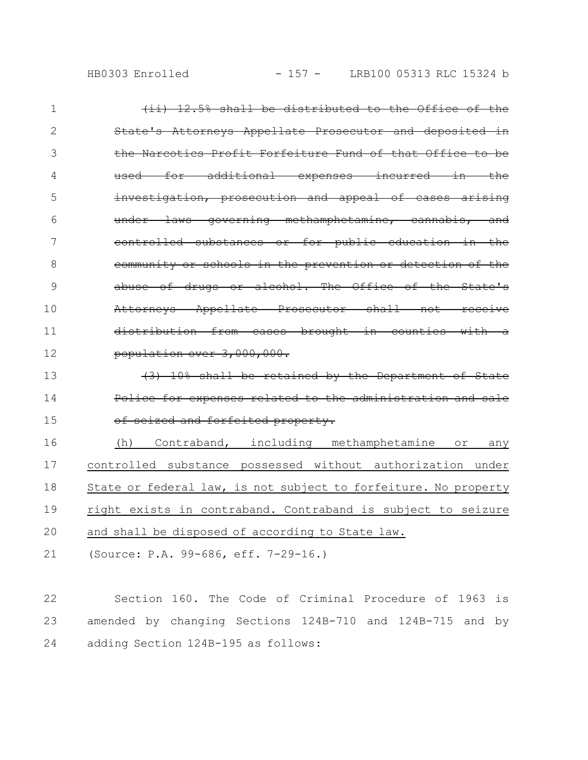| HB0303 Enrolled |
|-----------------|
|                 |

| $\mathbf{1}$ | (ii) 12.5% shall be distributed to the Office of the             |
|--------------|------------------------------------------------------------------|
| 2            | State's Attorneys Appellate Prosecutor and deposited in          |
| 3            | the Narcotics Profit Forfeiture Fund of that Office to be        |
| 4            | used for additional expenses incurred in the                     |
| 5            | investigation, prosecution and appeal of cases arising           |
| 6            | under laws governing methamphetamine, cannabis, and              |
| 7            | controlled substances or for public education in the             |
| 8            | community or schools in the prevention or detection of the       |
| 9            | abuse of drugs or alcohol. The Office of the State's             |
| 10           | Attorneys Appellate Prosecutor shall not receive                 |
| 11           | distribution from cases brought in counties with a               |
| 12           | population over 3,000,000.                                       |
| 13           | (3) 10% shall be retained by the Department of State             |
| 14           | Police for expenses related to the administration and sale       |
| 15           | of seized and forfeited property.                                |
| 16           | Contraband, including methamphetamine<br>(h)<br>$\circ$ r<br>any |
| 17           | controlled substance possessed without authorization under       |
| 18           | State or federal law, is not subject to forfeiture. No property  |
| 19           | right exists in contraband. Contraband is subject to seizure     |
| 20           | and shall be disposed of according to State law.                 |

(Source: P.A. 99-686, eff. 7-29-16.) 21

Section 160. The Code of Criminal Procedure of 1963 is amended by changing Sections 124B-710 and 124B-715 and by adding Section 124B-195 as follows: 22 23 24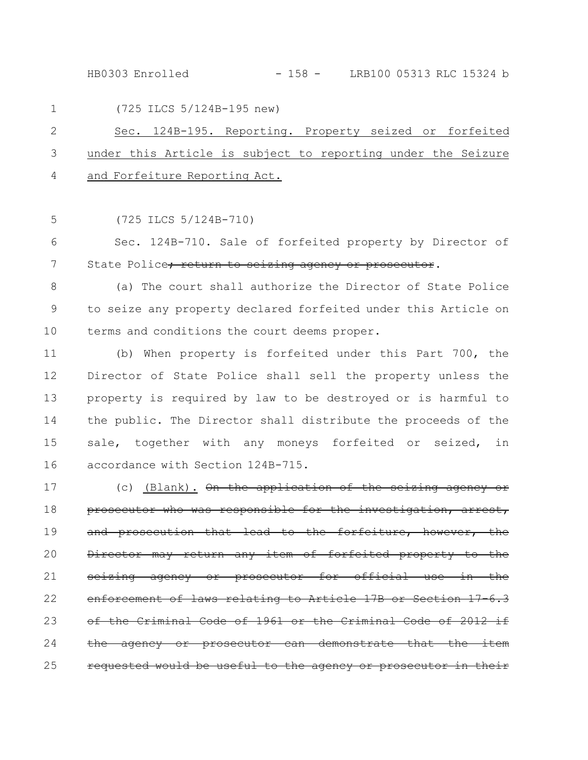HB0303 Enrolled - 158 - LRB100 05313 RLC 15324 b

|     | (725 ILCS 5/124B-195 new)<br>$1 \qquad \qquad$                 |
|-----|----------------------------------------------------------------|
| 2 — | Sec. 124B-195. Reporting. Property seized or forfeited         |
|     | 3 under this Article is subject to reporting under the Seizure |
|     | 4 and Forfeiture Reporting Act.                                |

(725 ILCS 5/124B-710) 5

Sec. 124B-710. Sale of forfeited property by Director of State Police<del>; return to seizing agency or prosecutor</del>. 6 7

(a) The court shall authorize the Director of State Police to seize any property declared forfeited under this Article on terms and conditions the court deems proper. 8 9 10

(b) When property is forfeited under this Part 700, the Director of State Police shall sell the property unless the property is required by law to be destroyed or is harmful to the public. The Director shall distribute the proceeds of the sale, together with any moneys forfeited or seized, in accordance with Section 124B-715. 11 12 13 14 15 16

(c) (Blank). On the application of the seizing agency or prosecutor who was responsible for the investigation, arrest, and prosecution that lead to the forfeiture, however, the Director may return any item of forfeited property to the seizing agency or prosecutor for official use in the enforcement of laws relating to Article 17B or Section of the Criminal Code of 1961 or the Criminal Code of 2012 if the agency or prosecutor can demonstrate that the item requested would be useful to the agency or prosecutor in their 17 18 19 20 21 22 23 24 25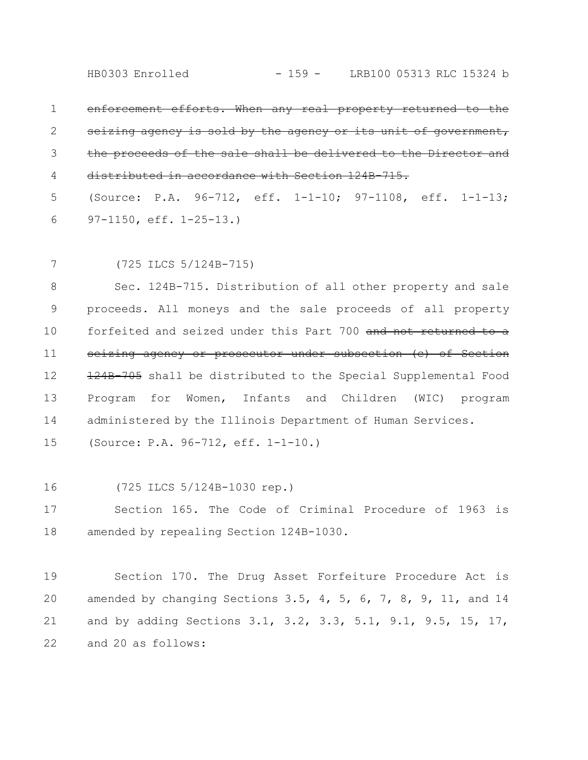enforcement efforts. When any real property returned seizing agency is sold by the agency or its unit the proceeds of the sale shall be delivered distributed in accordance with Section 124B-715. 1 2 3 4

(Source: P.A. 96-712, eff. 1-1-10; 97-1108, eff. 1-1-13; 97-1150, eff. 1-25-13.) 5 6

7

(725 ILCS 5/124B-715)

Sec. 124B-715. Distribution of all other property and sale proceeds. All moneys and the sale proceeds of all property forfeited and seized under this Part 700 and not returned to a seizing agency or prosecutor under subsection (c) of Section 124B-705 shall be distributed to the Special Supplemental Food Program for Women, Infants and Children (WIC) program administered by the Illinois Department of Human Services. 8 9 10 11 12 13 14

(Source: P.A. 96-712, eff. 1-1-10.) 15

(725 ILCS 5/124B-1030 rep.) 16

Section 165. The Code of Criminal Procedure of 1963 is amended by repealing Section 124B-1030. 17 18

Section 170. The Drug Asset Forfeiture Procedure Act is amended by changing Sections 3.5, 4, 5, 6, 7, 8, 9, 11, and 14 and by adding Sections 3.1, 3.2, 3.3, 5.1, 9.1, 9.5, 15, 17, and 20 as follows: 19 20 21 22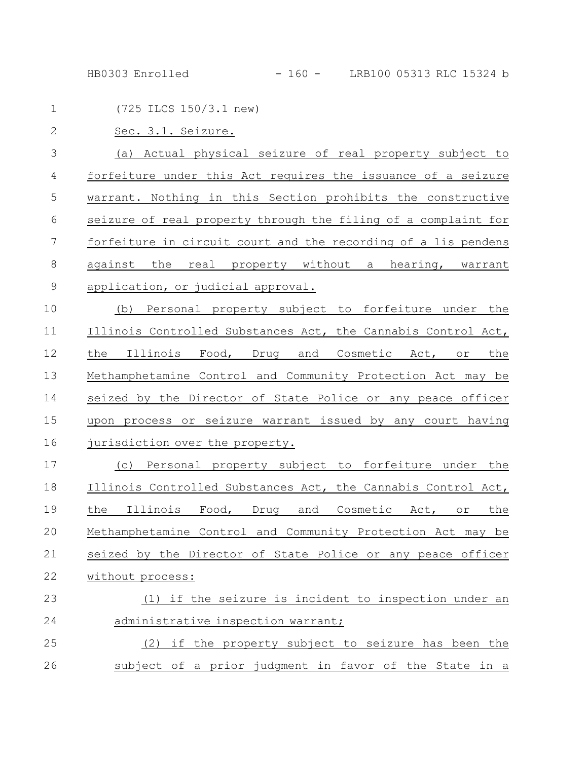HB0303 Enrolled - 160 - LRB100 05313 RLC 15324 b

| $\mathbf 1$    | (725 ILCS 150/3.1 new)                                              |
|----------------|---------------------------------------------------------------------|
| $\overline{2}$ | Sec. 3.1. Seizure.                                                  |
| 3              | (a) Actual physical seizure of real property subject to             |
| 4              | forfeiture under this Act requires the issuance of a seizure        |
| 5              | warrant. Nothing in this Section prohibits the constructive         |
| 6              | seizure of real property through the filing of a complaint for      |
| 7              | forfeiture in circuit court and the recording of a lis pendens      |
| 8              | against the real property without a hearing, warrant                |
| $\mathsf 9$    | application, or judicial approval.                                  |
| 10             | Personal property subject to forfeiture under the<br>(b)            |
| 11             | Illinois Controlled Substances Act, the Cannabis Control Act,       |
| 12             | Illinois Food, Drug and Cosmetic Act, or<br>the<br>the              |
| 13             | Methamphetamine Control and Community Protection Act may be         |
| 14             | seized by the Director of State Police or any peace officer         |
| 15             | upon process or seizure warrant issued by any court having          |
| 16             | jurisdiction over the property.                                     |
| 17             | Personal property subject to forfeiture under the<br>(C)            |
| 18             | Illinois Controlled Substances Act, the Cannabis Control Act,       |
| 19             | Illinois<br>the<br>Food, Drug and Cosmetic Act,<br>the<br>$\circ$ r |
| 20             | Methamphetamine Control and Community Protection Act may be         |
| 21             | seized by the Director of State Police or any peace officer         |
| 22             | without process:                                                    |
| 23             | (1) if the seizure is incident to inspection under an               |
| 24             | administrative inspection warrant;                                  |
| 25             | (2) if the property subject to seizure has been the                 |
| 26             | subject of a prior judgment in favor of the State in a              |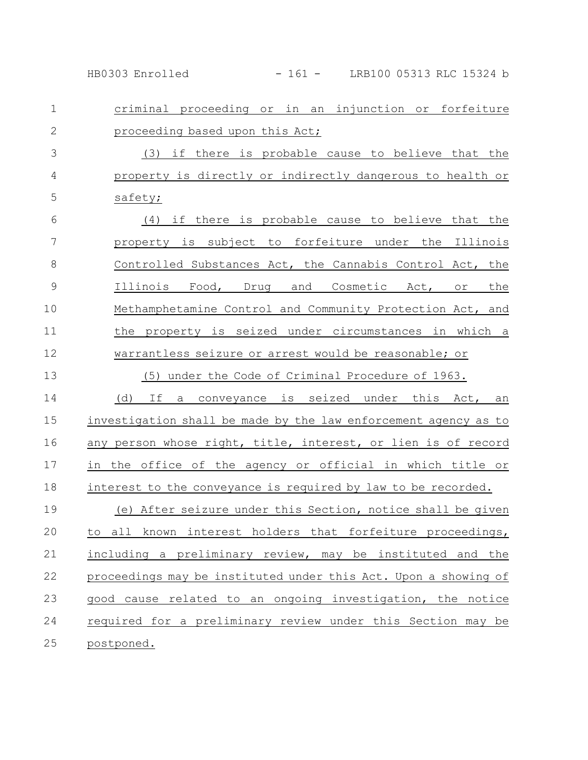HB0303 Enrolled - 161 - LRB100 05313 RLC 15324 b

criminal proceeding or in an injunction or forfeiture proceeding based upon this Act; (3) if there is probable cause to believe that the property is directly or indirectly dangerous to health or safety; (4) if there is probable cause to believe that the property is subject to forfeiture under the Illinois Controlled Substances Act, the Cannabis Control Act, the Illinois Food, Drug and Cosmetic Act, or the Methamphetamine Control and Community Protection Act, and the property is seized under circumstances in which a warrantless seizure or arrest would be reasonable; or (5) under the Code of Criminal Procedure of 1963. (d) If a conveyance is seized under this Act, an investigation shall be made by the law enforcement agency as to any person whose right, title, interest, or lien is of record in the office of the agency or official in which title or interest to the conveyance is required by law to be recorded. (e) After seizure under this Section, notice shall be given to all known interest holders that forfeiture proceedings, including a preliminary review, may be instituted and the proceedings may be instituted under this Act. Upon a showing of good cause related to an ongoing investigation, the notice required for a preliminary review under this Section may be postponed. 1 2 3 4 5 6 7 8 9 10 11 12 13 14 15 16 17 18 19 20 21 22 23 24 25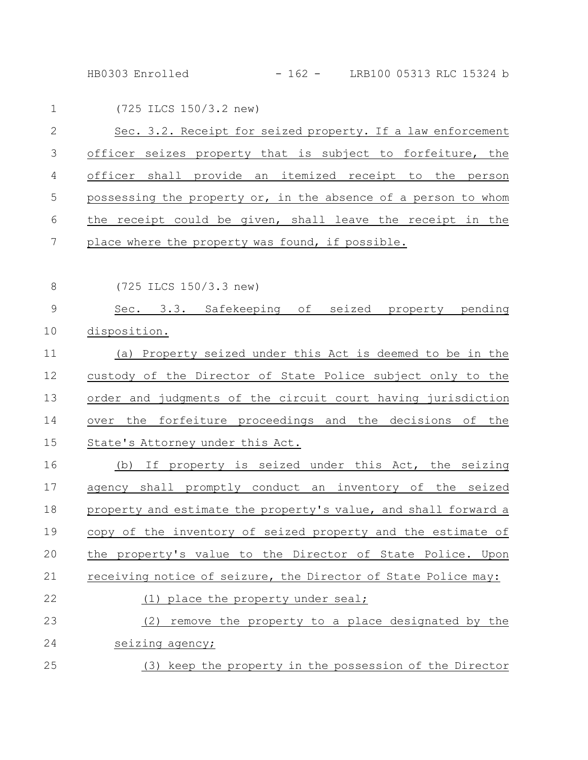HB0303 Enrolled - 162 - LRB100 05313 RLC 15324 b

| $\mathbf 1$   | (725 ILCS 150/3.2 new)                                          |
|---------------|-----------------------------------------------------------------|
| $\mathbf{2}$  | Sec. 3.2. Receipt for seized property. If a law enforcement     |
| 3             | officer seizes property that is subject to forfeiture, the      |
| 4             | officer shall provide an itemized receipt to the person         |
| 5             | possessing the property or, in the absence of a person to whom  |
| $6\,$         | the receipt could be given, shall leave the receipt in the      |
| 7             | place where the property was found, if possible.                |
| $8\,$         | (725 ILCS 150/3.3 new)                                          |
| $\mathcal{G}$ | Sec. 3.3. Safekeeping of<br>seized property pending             |
| 10            | disposition.                                                    |
| 11            | (a) Property seized under this Act is deemed to be in the       |
| 12            | custody of the Director of State Police subject only to the     |
| 13            | order and judgments of the circuit court having jurisdiction    |
| 14            | over the forfeiture proceedings and the decisions of the        |
| 15            | State's Attorney under this Act.                                |
| 16            | If property is seized under this Act, the seizing<br>(b)        |
| 17            | agency shall promptly conduct an inventory of the seized        |
| 18            | property and estimate the property's value, and shall forward a |
| 19            | copy of the inventory of seized property and the estimate of    |
| 20            | the property's value to the Director of State Police. Upon      |
| 21            | receiving notice of seizure, the Director of State Police may:  |
| 22            | (1) place the property under seal;                              |
| 23            | remove the property to a place designated by the<br>(2)         |
| 24            | seizing agency;                                                 |
| 25            | (3) keep the property in the possession of the Director         |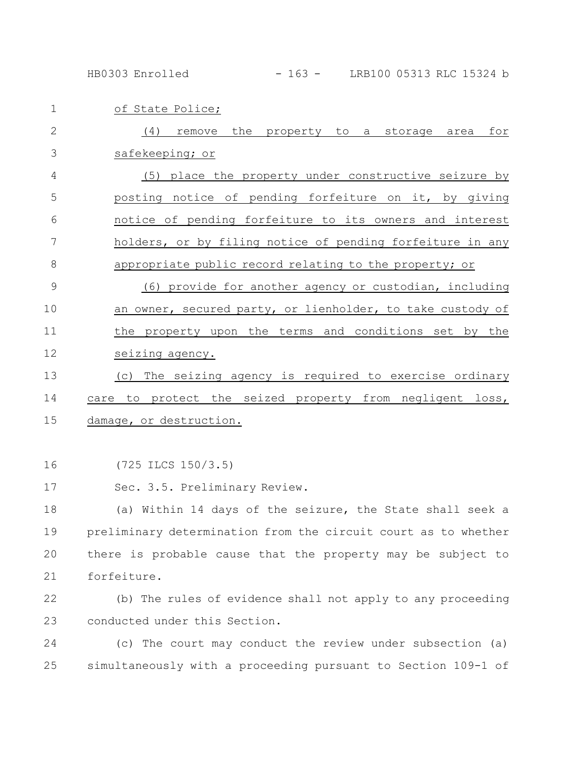HB0303 Enrolled - 163 - LRB100 05313 RLC 15324 b

of State Police; (4) remove the property to a storage area for safekeeping; or (5) place the property under constructive seizure by posting notice of pending forfeiture on it, by giving notice of pending forfeiture to its owners and interest holders, or by filing notice of pending forfeiture in any appropriate public record relating to the property; or (6) provide for another agency or custodian, including an owner, secured party, or lienholder, to take custody of the property upon the terms and conditions set by the seizing agency. (c) The seizing agency is required to exercise ordinary care to protect the seized property from negligent loss, damage, or destruction. 1 2 3 4 5 6 7 8 9 10 11 12 13 14 15

(725 ILCS 150/3.5) 16

Sec. 3.5. Preliminary Review. 17

(a) Within 14 days of the seizure, the State shall seek a preliminary determination from the circuit court as to whether there is probable cause that the property may be subject to forfeiture. 18 19 20 21

(b) The rules of evidence shall not apply to any proceeding conducted under this Section. 22 23

(c) The court may conduct the review under subsection (a) simultaneously with a proceeding pursuant to Section 109-1 of 24 25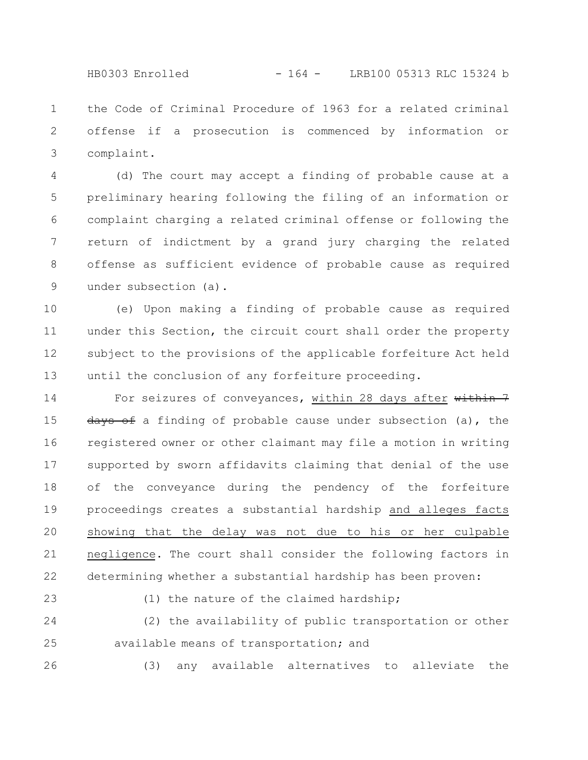HB0303 Enrolled - 164 - LRB100 05313 RLC 15324 b

the Code of Criminal Procedure of 1963 for a related criminal offense if a prosecution is commenced by information or complaint. 1 2 3

(d) The court may accept a finding of probable cause at a preliminary hearing following the filing of an information or complaint charging a related criminal offense or following the return of indictment by a grand jury charging the related offense as sufficient evidence of probable cause as required under subsection (a). 4 5 6 7 8 9

(e) Upon making a finding of probable cause as required under this Section, the circuit court shall order the property subject to the provisions of the applicable forfeiture Act held until the conclusion of any forfeiture proceeding. 10 11 12 13

For seizures of conveyances, within 28 days after within 7  $\frac{days}{dt}$  of finding of probable cause under subsection (a), the registered owner or other claimant may file a motion in writing supported by sworn affidavits claiming that denial of the use of the conveyance during the pendency of the forfeiture proceedings creates a substantial hardship and alleges facts showing that the delay was not due to his or her culpable negligence. The court shall consider the following factors in determining whether a substantial hardship has been proven: 14 15 16 17 18 19 20 21 22

23

(1) the nature of the claimed hardship;

(2) the availability of public transportation or other available means of transportation; and 24 25

26

(3) any available alternatives to alleviate the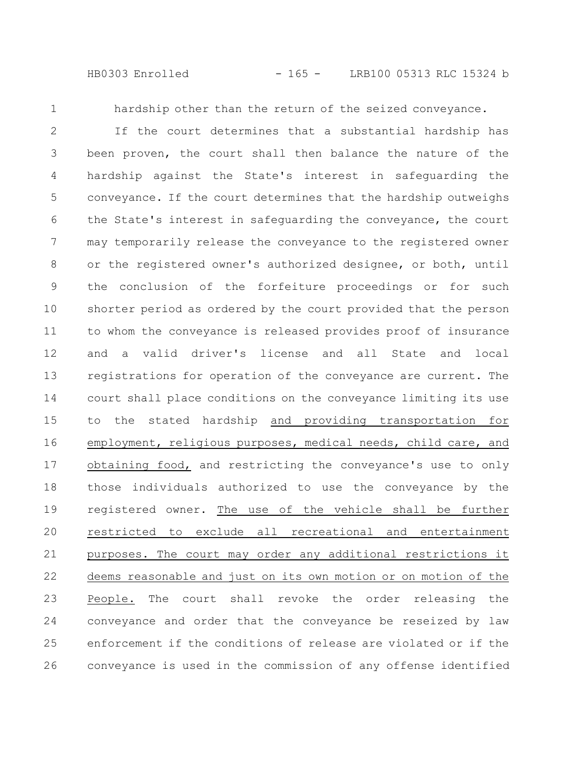HB0303 Enrolled - 165 - LRB100 05313 RLC 15324 b

1

hardship other than the return of the seized conveyance.

If the court determines that a substantial hardship has been proven, the court shall then balance the nature of the hardship against the State's interest in safeguarding the conveyance. If the court determines that the hardship outweighs the State's interest in safeguarding the conveyance, the court may temporarily release the conveyance to the registered owner or the registered owner's authorized designee, or both, until the conclusion of the forfeiture proceedings or for such shorter period as ordered by the court provided that the person to whom the conveyance is released provides proof of insurance and a valid driver's license and all State and local registrations for operation of the conveyance are current. The court shall place conditions on the conveyance limiting its use to the stated hardship and providing transportation for employment, religious purposes, medical needs, child care, and obtaining food, and restricting the conveyance's use to only those individuals authorized to use the conveyance by the registered owner. The use of the vehicle shall be further restricted to exclude all recreational and entertainment purposes. The court may order any additional restrictions it deems reasonable and just on its own motion or on motion of the People. The court shall revoke the order releasing the conveyance and order that the conveyance be reseized by law enforcement if the conditions of release are violated or if the conveyance is used in the commission of any offense identified 2 3 4 5 6 7 8 9 10 11 12 13 14 15 16 17 18 19 20 21 22 23 24 25 26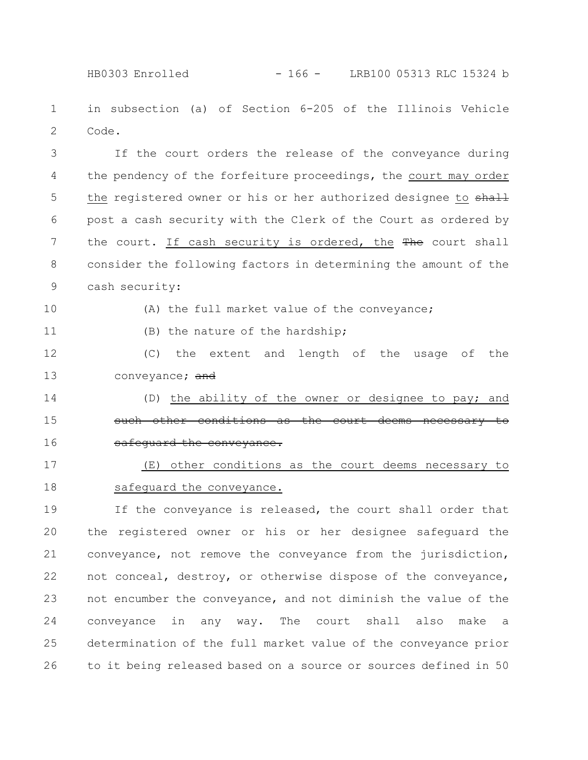HB0303 Enrolled - 166 - LRB100 05313 RLC 15324 b

in subsection (a) of Section 6-205 of the Illinois Vehicle Code. 1 2

If the court orders the release of the conveyance during the pendency of the forfeiture proceedings, the court may order the registered owner or his or her authorized designee to shall post a cash security with the Clerk of the Court as ordered by the court. If cash security is ordered, the The court shall consider the following factors in determining the amount of the cash security: 3 4 5 6 7 8 9

10

(A) the full market value of the conveyance;

11

(B) the nature of the hardship;

(C) the extent and length of the usage of the conveyance; and 12 13

14

15

16

(D) the ability of the owner or designee to pay; and such other conditions as the court deems necessary to safequard the conveyance.

(E) other conditions as the court deems necessary to safeguard the conveyance. 17 18

If the conveyance is released, the court shall order that the registered owner or his or her designee safeguard the conveyance, not remove the conveyance from the jurisdiction, not conceal, destroy, or otherwise dispose of the conveyance, not encumber the conveyance, and not diminish the value of the conveyance in any way. The court shall also make a determination of the full market value of the conveyance prior to it being released based on a source or sources defined in 50 19 20 21 22 23 24 25 26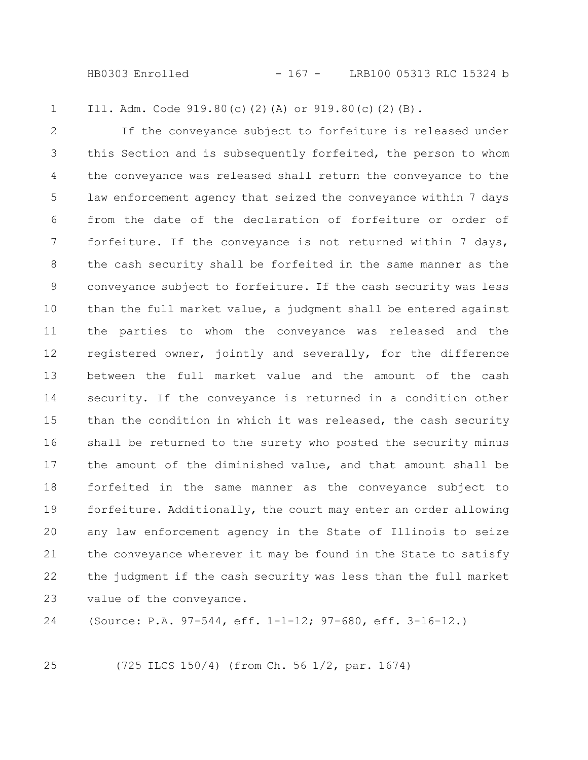HB0303 Enrolled - 167 - LRB100 05313 RLC 15324 b

Ill. Adm. Code 919.80(c)(2)(A) or 919.80(c)(2)(B). 1

If the conveyance subject to forfeiture is released under this Section and is subsequently forfeited, the person to whom the conveyance was released shall return the conveyance to the law enforcement agency that seized the conveyance within 7 days from the date of the declaration of forfeiture or order of forfeiture. If the conveyance is not returned within 7 days, the cash security shall be forfeited in the same manner as the conveyance subject to forfeiture. If the cash security was less than the full market value, a judgment shall be entered against the parties to whom the conveyance was released and the registered owner, jointly and severally, for the difference between the full market value and the amount of the cash security. If the conveyance is returned in a condition other than the condition in which it was released, the cash security shall be returned to the surety who posted the security minus the amount of the diminished value, and that amount shall be forfeited in the same manner as the conveyance subject to forfeiture. Additionally, the court may enter an order allowing any law enforcement agency in the State of Illinois to seize the conveyance wherever it may be found in the State to satisfy the judgment if the cash security was less than the full market value of the conveyance. 2 3 4 5 6 7 8 9 10 11 12 13 14 15 16 17 18 19 20 21 22 23

(Source: P.A. 97-544, eff. 1-1-12; 97-680, eff. 3-16-12.) 24

25

(725 ILCS 150/4) (from Ch. 56 1/2, par. 1674)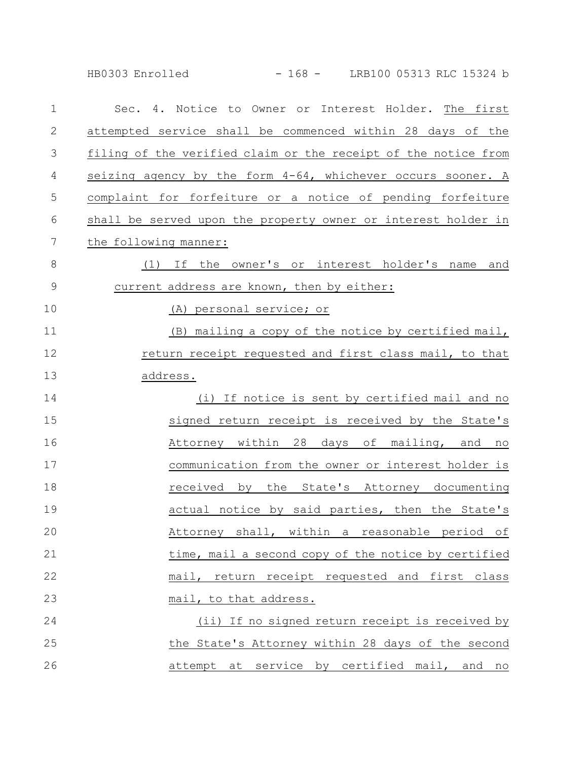HB0303 Enrolled - 168 - LRB100 05313 RLC 15324 b

| $\mathbf 1$  | Sec. 4. Notice to Owner or Interest Holder. The first          |
|--------------|----------------------------------------------------------------|
| $\mathbf{2}$ | attempted service shall be commenced within 28 days of the     |
| 3            | filing of the verified claim or the receipt of the notice from |
| 4            | seizing agency by the form 4-64, whichever occurs sooner. A    |
| 5            | complaint for forfeiture or a notice of pending forfeiture     |
| 6            | shall be served upon the property owner or interest holder in  |
| 7            | the following manner:                                          |
| $8\,$        | (1) If the owner's or interest holder's name and               |
| 9            | current address are known, then by either:                     |
| 10           | (A) personal service; or                                       |
| 11           | (B) mailing a copy of the notice by certified mail,            |
| 12           | return receipt requested and first class mail, to that         |
| 13           | address.                                                       |
| 14           | (i) If notice is sent by certified mail and no                 |
| 15           | signed return receipt is received by the State's               |
| 16           | Attorney within 28 days of mailing, and no                     |
| 17           | communication from the owner or interest holder is             |
| 18           | received by the State's Attorney documenting                   |
| 19           | actual notice by said parties, then the State's                |
| 20           | Attorney shall, within a<br>reasonable period of               |
| 21           | time, mail a second copy of the notice by certified            |
| 22           | mail, return receipt requested and first class                 |
| 23           | mail, to that address.                                         |
| 24           | (ii) If no signed return receipt is received by                |
| 25           | the State's Attorney within 28 days of the second              |
| 26           | attempt at service by certified mail, and no                   |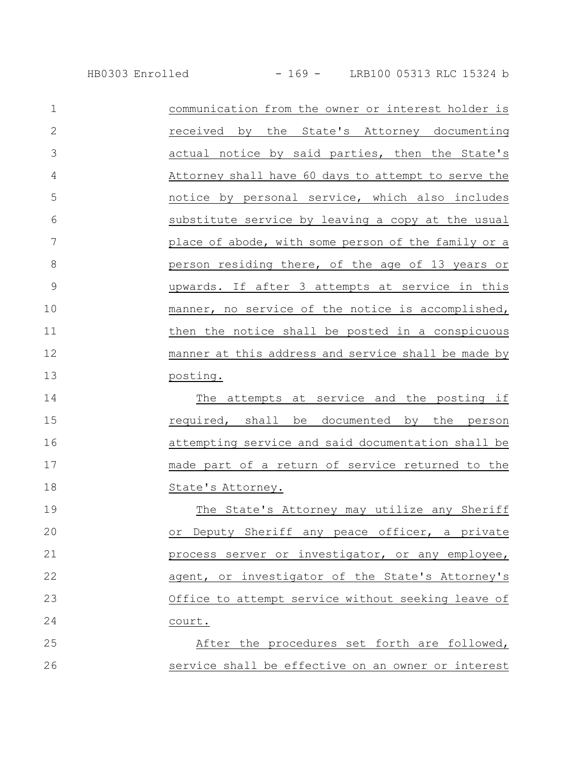| $\mathbf{1}$   | communication from the owner or interest holder is  |
|----------------|-----------------------------------------------------|
| $\overline{2}$ | received by the State's Attorney documenting        |
| 3              | actual notice by said parties, then the State's     |
| 4              | Attorney shall have 60 days to attempt to serve the |
| 5              | notice by personal service, which also includes     |
| 6              | substitute service by leaving a copy at the usual   |
| 7              | place of abode, with some person of the family or a |
| 8              | person residing there, of the age of 13 years or    |
| 9              | upwards. If after 3 attempts at service in this     |
| 10             | manner, no service of the notice is accomplished,   |
| 11             | then the notice shall be posted in a conspicuous    |
| 12             | manner at this address and service shall be made by |
| 13             | posting.                                            |
| $\sim$ $\sim$  |                                                     |

The attempts at service and the posting if required, shall be documented by the person attempting service and said documentation shall be made part of a return of service returned to the State's Attorney. 14 15 16 17 18

The State's Attorney may utilize any Sheriff or Deputy Sheriff any peace officer, a private process server or investigator, or any employee, agent, or investigator of the State's Attorney's Office to attempt service without seeking leave of court. 19 20 21 22 23 24

After the procedures set forth are followed, service shall be effective on an owner or interest 25 26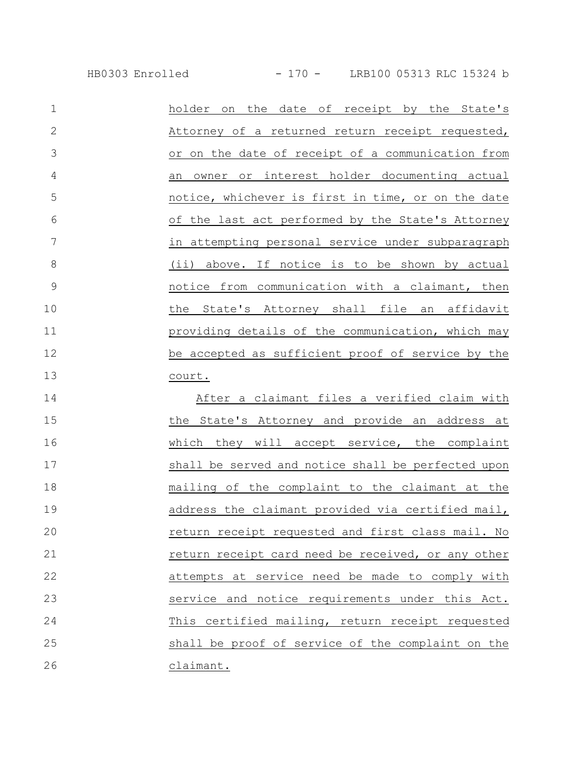HB0303 Enrolled - 170 - LRB100 05313 RLC 15324 b

| $\mathbf 1$    | on the date of receipt by the State's<br>holder    |
|----------------|----------------------------------------------------|
| $\overline{2}$ | Attorney of a returned return receipt requested,   |
| 3              | or on the date of receipt of a communication from  |
| 4              | an owner or interest holder documenting actual     |
| 5              | notice, whichever is first in time, or on the date |
| 6              | of the last act performed by the State's Attorney  |
| 7              | in attempting personal service under subparagraph  |
| 8              | (ii) above. If notice is to be shown by actual     |
| 9              | notice from communication with a claimant, then    |
| 10             | the State's Attorney shall file an affidavit       |
| 11             | providing details of the communication, which may  |
| 12             | be accepted as sufficient proof of service by the  |
| 13             | court.                                             |
| 14             | After a claimant files a verified claim with       |
| 15             | the State's Attorney and provide an address at     |
|                |                                                    |

which they will accept service, the complaint shall be served and notice shall be perfected upon mailing of the complaint to the claimant at the address the claimant provided via certified mail, return receipt requested and first class mail. No return receipt card need be received, or any other attempts at service need be made to comply with service and notice requirements under this Act. This certified mailing, return receipt requested shall be proof of service of the complaint on the 16 17 18 19 20 21 22 23 24 25 26

claimant.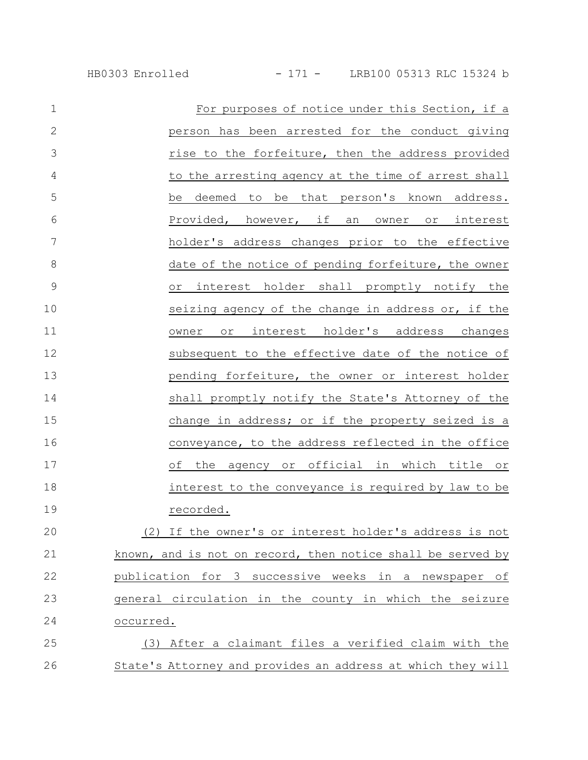| $\mathbf 1$    | For purposes of notice under this Section, if a             |
|----------------|-------------------------------------------------------------|
| $\mathbf{2}$   | person has been arrested for the conduct giving             |
| 3              | rise to the forfeiture, then the address provided           |
| $\overline{4}$ | to the arresting agency at the time of arrest shall         |
| 5              | deemed to be that person's known address.<br>be             |
| 6              | Provided, however, if an owner or interest                  |
| $\overline{7}$ | holder's address changes prior to the effective             |
| 8              | date of the notice of pending forfeiture, the owner         |
| $\mathcal{G}$  | or interest holder shall promptly notify the                |
| 10             | seizing agency of the change in address or, if the          |
| 11             | interest holder's address changes<br>owner<br>Or            |
| 12             | subsequent to the effective date of the notice of           |
| 13             | pending forfeiture, the owner or interest holder            |
| 14             | shall promptly notify the State's Attorney of the           |
| 15             | change in address; or if the property seized is a           |
| 16             | conveyance, to the address reflected in the office          |
| 17             | of the agency or official in which title or                 |
| 18             | interest to the conveyance is required by law to be         |
| 19             | recorded.                                                   |
| 20             | (2) If the owner's or interest holder's address is not      |
| 21             | known, and is not on record, then notice shall be served by |
| 22             | publication for 3 successive weeks in a newspaper of        |
| 23             | general circulation in the county in which the seizure      |
| 24             | occurred.                                                   |
| 25             | (3) After a claimant files a verified claim with the        |
| 26             | State's Attorney and provides an address at which they will |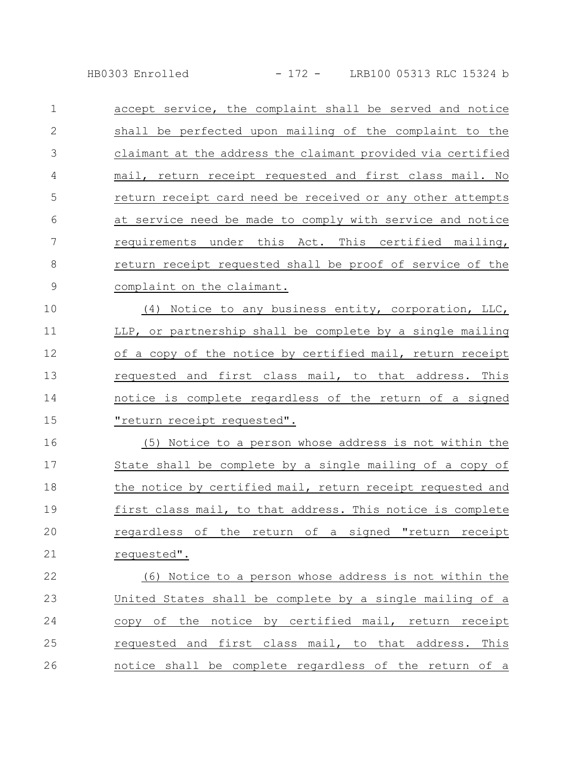HB0303 Enrolled - 172 - LRB100 05313 RLC 15324 b

accept service, the complaint shall be served and notice shall be perfected upon mailing of the complaint to the claimant at the address the claimant provided via certified mail, return receipt requested and first class mail. No return receipt card need be received or any other attempts at service need be made to comply with service and notice requirements under this Act. This certified mailing, return receipt requested shall be proof of service of the complaint on the claimant. (4) Notice to any business entity, corporation, LLC, 1 2 3 4 5 6 7 8 9 10

LLP, or partnership shall be complete by a single mailing of a copy of the notice by certified mail, return receipt requested and first class mail, to that address. This notice is complete regardless of the return of a signed "return receipt requested". 11 12 13 14 15

(5) Notice to a person whose address is not within the State shall be complete by a single mailing of a copy of the notice by certified mail, return receipt requested and first class mail, to that address. This notice is complete regardless of the return of a signed "return receipt requested". 16 17 18 19 20 21

(6) Notice to a person whose address is not within the United States shall be complete by a single mailing of a copy of the notice by certified mail, return receipt requested and first class mail, to that address. This notice shall be complete regardless of the return of a 22 23 24 25 26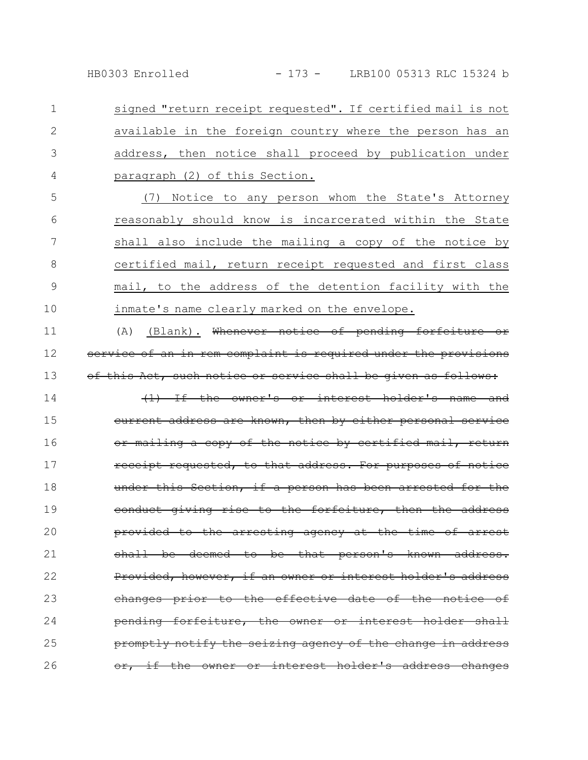HB0303 Enrolled - 173 - LRB100 05313 RLC 15324 b

signed "return receipt requested". If certified mail is not available in the foreign country where the person has an address, then notice shall proceed by publication under paragraph (2) of this Section. 1 2 3 4

(7) Notice to any person whom the State's Attorney reasonably should know is incarcerated within the State shall also include the mailing a copy of the notice by certified mail, return receipt requested and first class mail, to the address of the detention facility with the inmate's name clearly marked on the envelope. 5 6 7 8 9 10

(A) (Blank). Whenever notice of pending forfeiture or vice of an in rem complaint is required under the provisions this Act, such notice or service shall be given as 11 12 13

 $(1)$  If the owner's or interest holder's name current address are known, then by either personal mailing a copy of the notice by certified mail, receipt requested, to that address. For purposes of notice this Section, if a person has been arrested conduct giving rise to the forfeiture, then the address provided to the arresting agency at the time shall be deemed to be that person's Provided, however, if an owner or interest holder's address changes prior to the effective date of the pending forfeiture, the owner or interest promptly notify the seizing agency of the change in address the owner or interest holder's address changes 14 15 16 17 18 19 20 21 22 23 24 25 26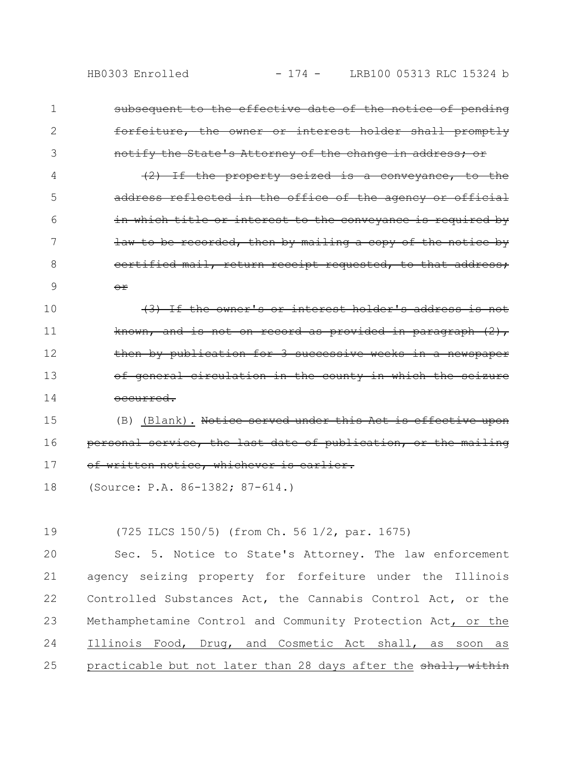1

2

3

subsequent to the effective date of the notice of pending forfeiture, the owner or interest holder shall promptly notify the State's Attorney of the change in address;

property seized is a conveyance, address reflected in the office of the agency in which title or interest to the conveyance is required by law to be recorded, then by mailing a copy of the notice by certified mail, return receipt requested, or 4 5 6 7 8 9

(3) If the owner's or interest holder's address is not known, and is not on record as provided in paragraph  $(2)$ , then by publication for 3 successive weeks in general circulation in the county in which occurred. 10 11 12 13 14

(B) (Blank). Notice served under this Act is effecti personal service, the last date of publication, or the of written notice, whichever is earlier. 15 16 17

```
(Source: P.A. 86-1382; 87-614.)
18
```
(725 ILCS 150/5) (from Ch. 56 1/2, par. 1675) 19

Sec. 5. Notice to State's Attorney. The law enforcement agency seizing property for forfeiture under the Illinois Controlled Substances Act, the Cannabis Control Act, or the Methamphetamine Control and Community Protection Act, or the Illinois Food, Drug, and Cosmetic Act shall, as soon as practicable but not later than 28 days after the shall, within 20 21 22 23 24 25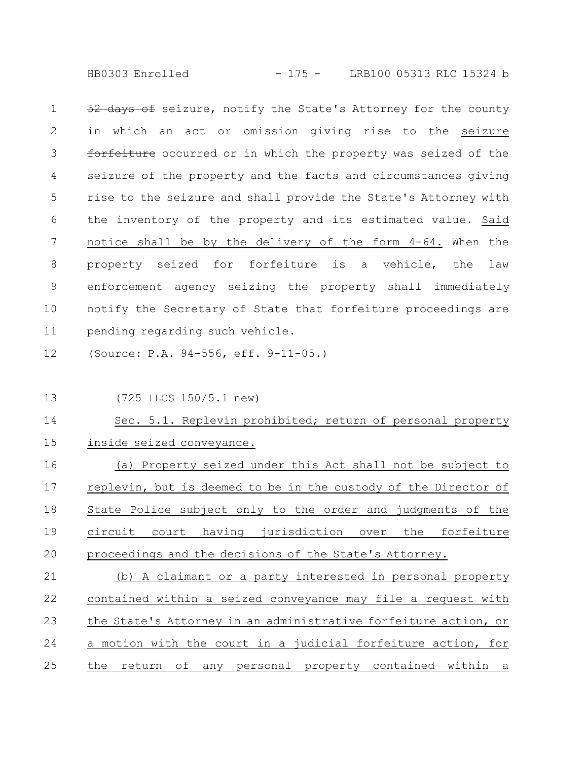HB0303 Enrolled - 175 - LRB100 05313 RLC 15324 b

52 days of seizure, notify the State's Attorney for the county in which an act or omission giving rise to the seizure forfeiture occurred or in which the property was seized of the seizure of the property and the facts and circumstances giving rise to the seizure and shall provide the State's Attorney with the inventory of the property and its estimated value. Said notice shall be by the delivery of the form 4-64. When the property seized for forfeiture is a vehicle, the law enforcement agency seizing the property shall immediately notify the Secretary of State that forfeiture proceedings are pending regarding such vehicle. 1 2 3 4 5 6 7 8 9 10 11

(Source: P.A. 94-556, eff. 9-11-05.) 12

13

(725 ILCS 150/5.1 new)

Sec. 5.1. Replevin prohibited; return of personal property inside seized conveyance. 14 15

(a) Property seized under this Act shall not be subject to replevin, but is deemed to be in the custody of the Director of State Police subject only to the order and judgments of the circuit court having jurisdiction over the forfeiture proceedings and the decisions of the State's Attorney. 16 17 18 19 20

(b) A claimant or a party interested in personal property contained within a seized conveyance may file a request with the State's Attorney in an administrative forfeiture action, or a motion with the court in a judicial forfeiture action, for the return of any personal property contained within a 21 22 23 24 25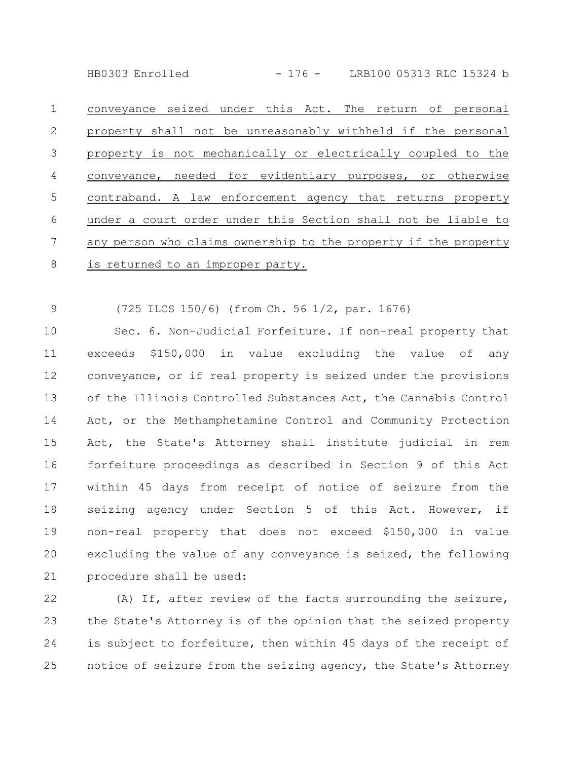HB0303 Enrolled - 176 - LRB100 05313 RLC 15324 b

conveyance seized under this Act. The return of personal property shall not be unreasonably withheld if the personal property is not mechanically or electrically coupled to the conveyance, needed for evidentiary purposes, or otherwise contraband. A law enforcement agency that returns property under a court order under this Section shall not be liable to any person who claims ownership to the property if the property is returned to an improper party. 1 2 3 4 5 6 7 8

(725 ILCS 150/6) (from Ch. 56 1/2, par. 1676) 9

Sec. 6. Non-Judicial Forfeiture. If non-real property that exceeds \$150,000 in value excluding the value of any conveyance, or if real property is seized under the provisions of the Illinois Controlled Substances Act, the Cannabis Control Act, or the Methamphetamine Control and Community Protection Act, the State's Attorney shall institute judicial in rem forfeiture proceedings as described in Section 9 of this Act within 45 days from receipt of notice of seizure from the seizing agency under Section 5 of this Act. However, if non-real property that does not exceed \$150,000 in value excluding the value of any conveyance is seized, the following procedure shall be used: 10 11 12 13 14 15 16 17 18 19 20 21

(A) If, after review of the facts surrounding the seizure, the State's Attorney is of the opinion that the seized property is subject to forfeiture, then within 45 days of the receipt of notice of seizure from the seizing agency, the State's Attorney 22 23 24 25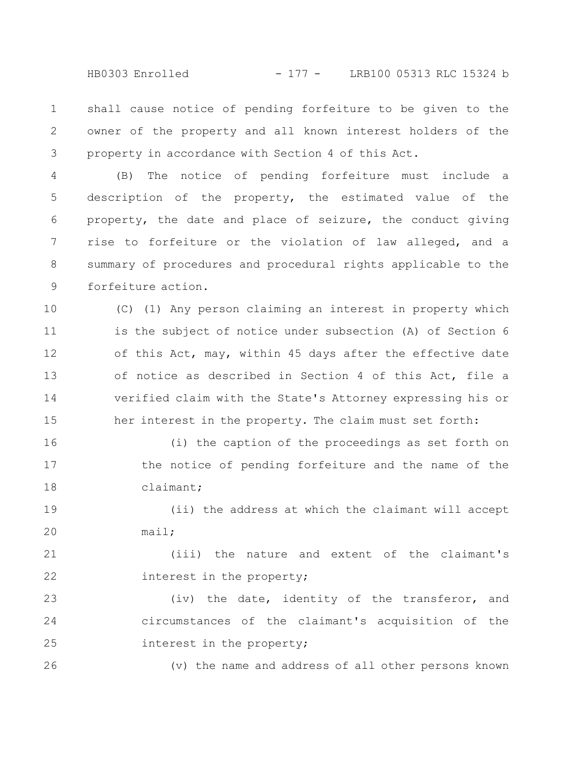HB0303 Enrolled - 177 - LRB100 05313 RLC 15324 b

shall cause notice of pending forfeiture to be given to the owner of the property and all known interest holders of the property in accordance with Section 4 of this Act. 1 2 3

(B) The notice of pending forfeiture must include a description of the property, the estimated value of the property, the date and place of seizure, the conduct giving rise to forfeiture or the violation of law alleged, and a summary of procedures and procedural rights applicable to the forfeiture action. 4 5 6 7 8 9

(C) (1) Any person claiming an interest in property which is the subject of notice under subsection (A) of Section 6 of this Act, may, within 45 days after the effective date of notice as described in Section 4 of this Act, file a verified claim with the State's Attorney expressing his or her interest in the property. The claim must set forth: 10 11 12 13 14 15

(i) the caption of the proceedings as set forth on the notice of pending forfeiture and the name of the claimant; 16 17 18

(ii) the address at which the claimant will accept mail; 19 20

(iii) the nature and extent of the claimant's interest in the property; 21 22

(iv) the date, identity of the transferor, and circumstances of the claimant's acquisition of the interest in the property; 23 24 25

(v) the name and address of all other persons known 26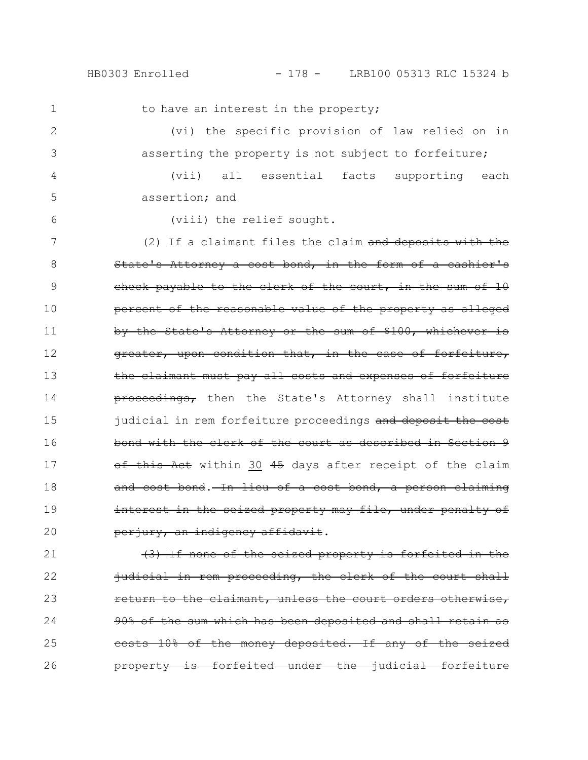## HB0303 Enrolled - 178 - LRB100 05313 RLC 15324 b

1 2

4

5

to have an interest in the property;

(vi) the specific provision of law relied on in asserting the property is not subject to forfeiture; 3

(vii) all essential facts supporting each assertion; and

6

(viii) the relief sought.

(2) If a claimant files the claim and deposits with the State's Attorney a cost bond, in the form of a cashier's check payable to the clerk of the court, in the sum of 10 percent of the reasonable value of the property as alleged by the State's Attorney or the sum of \$100, whichever is greater, upon condition that, in the case of forfeiture, the claimant must pay all costs and expenses of forfeiture proceedings, then the State's Attorney shall institute judicial in rem forfeiture proceedings and deposit the cost bond with the clerk of the court as described in Section 9 of this Act within 30 45 days after receipt of the claim and cost bond. In lieu of a cost bond, a person claiming interest in the seized property may file, under penalty of perjury, an indigency affidavit. 7 8 9 10 11 12 13 14 15 16 17 18 19 20

(3) If none of the seized property is forfeited in the judicial in rem proceeding, the clerk of the court shall return to the claimant, unless the court orders otherwise, 90% of the sum which has been deposited and shall retain costs 10% of the money deposited. If any of the seized property is forfeited under the judicial forfeiture 21 22 23 24 25 26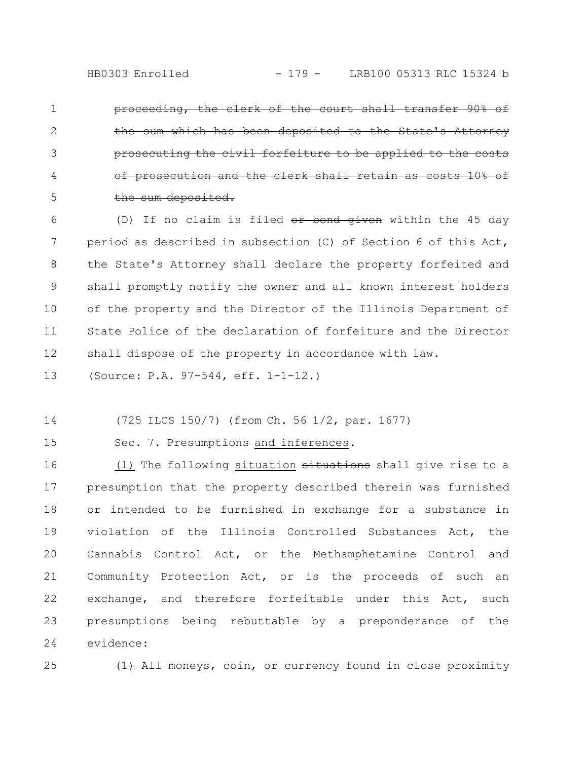proceeding, the clerk of the court shall transfer 90% of the sum which has been deposited to the State's prosecuting the civil forfeiture to be app of prosecution and the clerk shall retain as costs 10% of the sum deposited. 1 2 3 4 5

(D) If no claim is filed  $or$  bond given within the 45 day period as described in subsection (C) of Section 6 of this Act, the State's Attorney shall declare the property forfeited and shall promptly notify the owner and all known interest holders of the property and the Director of the Illinois Department of State Police of the declaration of forfeiture and the Director shall dispose of the property in accordance with law. 6 7 8 9 10 11 12

(Source: P.A. 97-544, eff. 1-1-12.) 13

(725 ILCS 150/7) (from Ch. 56 1/2, par. 1677) 14

15

Sec. 7. Presumptions and inferences.

(1) The following situation  $s$ ituations shall give rise to a presumption that the property described therein was furnished or intended to be furnished in exchange for a substance in violation of the Illinois Controlled Substances Act, the Cannabis Control Act, or the Methamphetamine Control and Community Protection Act, or is the proceeds of such an exchange, and therefore forfeitable under this Act, such presumptions being rebuttable by a preponderance of the evidence: 16 17 18 19 20 21 22 23 24

25

 $(1)$  All moneys, coin, or currency found in close proximity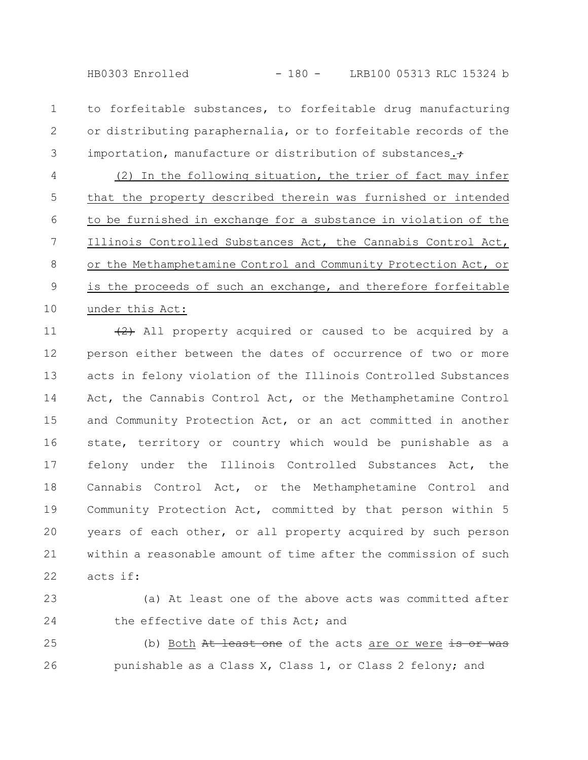HB0303 Enrolled - 180 - LRB100 05313 RLC 15324 b

to forfeitable substances, to forfeitable drug manufacturing or distributing paraphernalia, or to forfeitable records of the importation, manufacture or distribution of substances.+ 1 2 3

(2) In the following situation, the trier of fact may infer that the property described therein was furnished or intended to be furnished in exchange for a substance in violation of the Illinois Controlled Substances Act, the Cannabis Control Act, or the Methamphetamine Control and Community Protection Act, or is the proceeds of such an exchange, and therefore forfeitable under this Act: 4 5 6 7 8 9 10

 $(2)$  All property acquired or caused to be acquired by a person either between the dates of occurrence of two or more acts in felony violation of the Illinois Controlled Substances Act, the Cannabis Control Act, or the Methamphetamine Control and Community Protection Act, or an act committed in another state, territory or country which would be punishable as a felony under the Illinois Controlled Substances Act, the Cannabis Control Act, or the Methamphetamine Control and Community Protection Act, committed by that person within 5 years of each other, or all property acquired by such person within a reasonable amount of time after the commission of such acts if: 11 12 13 14 15 16 17 18 19 20 21 22

(a) At least one of the above acts was committed after the effective date of this Act; and 23 24

(b) Both At least one of the acts are or were is or was punishable as a Class X, Class 1, or Class 2 felony; and 25 26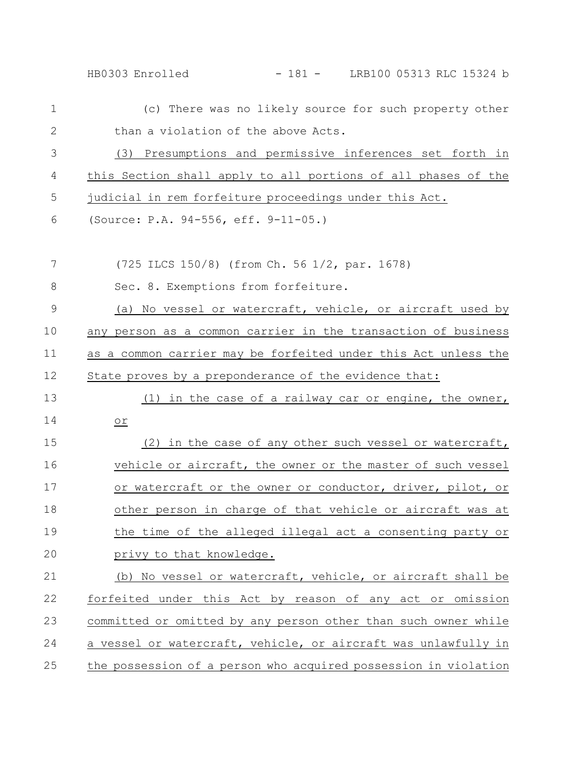| $\mathbf{1}$ | (c) There was no likely source for such property other          |
|--------------|-----------------------------------------------------------------|
| $\mathbf{2}$ | than a violation of the above Acts.                             |
| 3            | (3) Presumptions and permissive inferences set forth in         |
| 4            | this Section shall apply to all portions of all phases of the   |
| 5            | judicial in rem forfeiture proceedings under this Act.          |
| 6            | (Source: P.A. 94-556, eff. 9-11-05.)                            |
| 7            | (725 ILCS 150/8) (from Ch. 56 1/2, par. 1678)                   |
| 8            | Sec. 8. Exemptions from forfeiture.                             |
| $\mathsf 9$  | (a) No vessel or watercraft, vehicle, or aircraft used by       |
| 10           | any person as a common carrier in the transaction of business   |
| 11           | as a common carrier may be forfeited under this Act unless the  |
| 12           | State proves by a preponderance of the evidence that:           |
| 13           | (1) in the case of a railway car or engine, the owner,          |
| 14           | or                                                              |
| 15           | (2) in the case of any other such vessel or watercraft,         |
| 16           | vehicle or aircraft, the owner or the master of such vessel     |
| 17           | or watercraft or the owner or conductor, driver, pilot, or      |
| 18           | other person in charge of that vehicle or aircraft was at       |
| 19           | the time of the alleged illegal act a consenting party or       |
| 20           | privy to that knowledge.                                        |
| 21           | (b) No vessel or watercraft, vehicle, or aircraft shall be      |
| 22           | forfeited under this Act by reason of any act or omission       |
| 23           | committed or omitted by any person other than such owner while  |
| 24           | a vessel or watercraft, vehicle, or aircraft was unlawfully in  |
| 25           | the possession of a person who acquired possession in violation |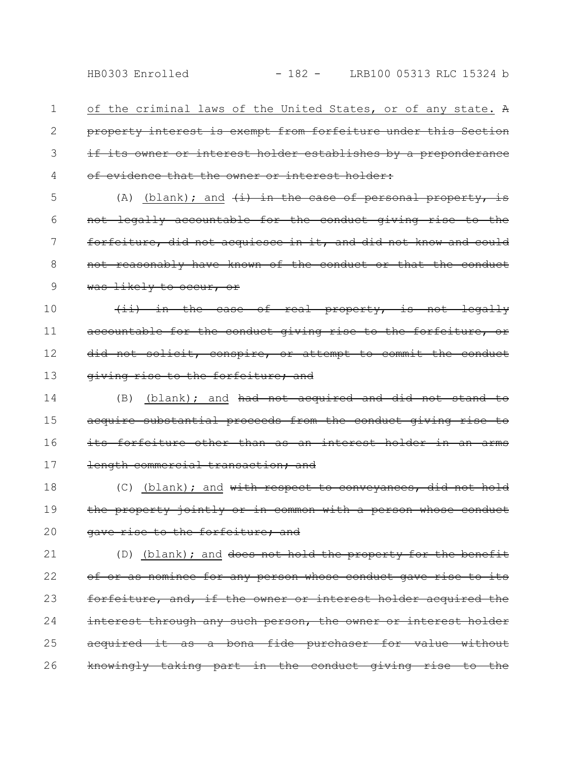of the criminal laws of the United States, or of any state. A property interest is exempt from forfeiture under this Section if its owner or interest holder establishes by a preponderance of evidence that the owner or interest holder: 1 2 3 4

(A) (blank); and  $(i)$  in the case of personal property, is not legally accountable for the conduct giving rise to the forfeiture, did not acquiesce in it, and did not know and could not reasonably have known of the conduct or that was likely to occur, or 5 6 7 8 9

(ii) in the case of real property, is not legally accountable for the conduct giving rise to the forfeiture, or did not solicit, conspire, or attempt to commit the conduct giving rise to the forfeiture; and 10 11 12 13

(B) (blank); and had not acquired and did not stand to acquire substantial proceeds from the conduct giving rise to its forfeiture other than as an interest holder in an length commercial transaction; and 14 15 16 17

(C) (blank); and with respect to conveyances, did not hold the property jointly or in common with a person whose conduct gave rise to the forfeiture; and 18 19 20

(D) (blank); and does not hold the property for the benefit of or as nominee for any person whose conduct gave rise to its forfeiture, and, if the owner or interest holder acquired interest through any such person, the owner or interest holder acquired it as a bona fide purchaser for value without knowingly taking part in the conduct giving rise to 21 22 23 24 25 26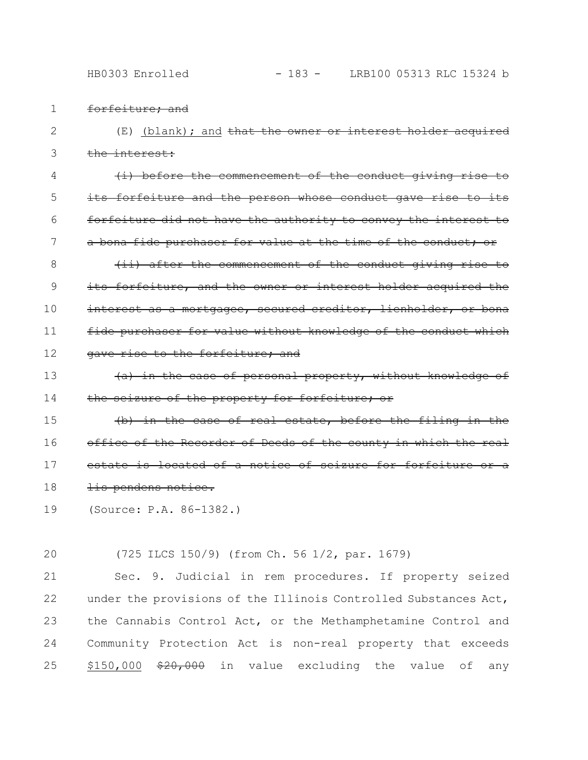HB0303 Enrolled - 183 - LRB100 05313 RLC 15324 b

- forfeiture; and 1
- $(E)$  (blank); and that the owner or interest holder acquired the interest: 2 3

 $(i)$  before the commencement of the conduct giving its forfeiture and the person whose conduct gave rise forfeiture did not have the authority to convey the interest to a bona fide purchaser for value at the time of the conduct; or (ii) after the commencement of the conduct giving rise to 4 5 6 7 8

its forfeiture, and the owner or interest holder acquired the interest as a mortgagee, secured creditor, lienholder, or bona fide purchaser for value without knowledge of the conduct which gave rise to the forfeiture; and 9 10 11 12

(a) in the case of personal property, without knowledge of the seizure of the property for forfeiture; or 13 14

(b) in the case of real estate, before the filing in the office of the Recorder of Deeds of the county in which the real estate is located of a notice of seizure for forfeiture lis pendens notice. 15 16 17 18

- (Source: P.A. 86-1382.) 19
- (725 ILCS 150/9) (from Ch. 56 1/2, par. 1679) 20

Sec. 9. Judicial in rem procedures. If property seized under the provisions of the Illinois Controlled Substances Act, the Cannabis Control Act, or the Methamphetamine Control and Community Protection Act is non-real property that exceeds  $$150,000$   $$20,000$  in value excluding the value of any 21 22 23 24 25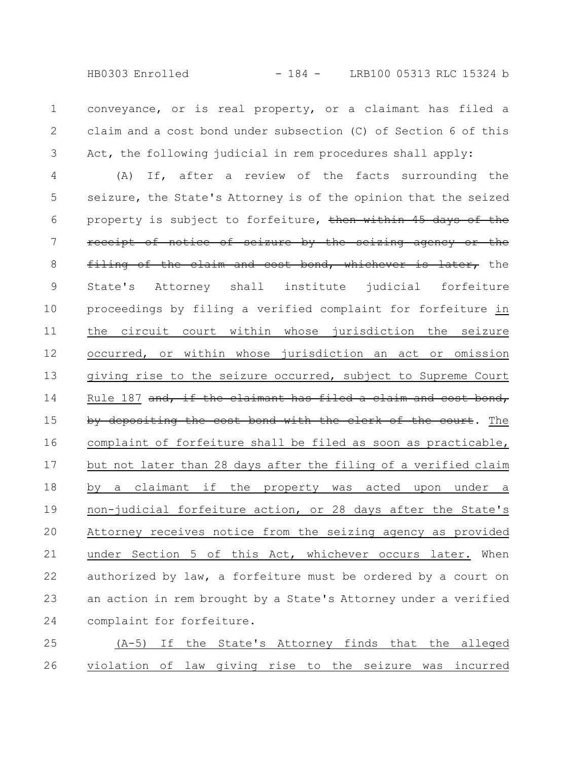conveyance, or is real property, or a claimant has filed a claim and a cost bond under subsection (C) of Section 6 of this Act, the following judicial in rem procedures shall apply: 1 2 3

(A) If, after a review of the facts surrounding the seizure, the State's Attorney is of the opinion that the seized property is subject to forfeiture, then within 45 days of the receipt of notice of seizure by the seizing agency or the filing of the claim and cost bond, whichever is later, the State's Attorney shall institute judicial forfeiture proceedings by filing a verified complaint for forfeiture in the circuit court within whose jurisdiction the seizure occurred, or within whose jurisdiction an act or omission giving rise to the seizure occurred, subject to Supreme Court Rule 187 and, if the claimant has filed a claim and cost bond, by depositing the cost bond with the clerk of the court. The complaint of forfeiture shall be filed as soon as practicable, but not later than 28 days after the filing of a verified claim by a claimant if the property was acted upon under a non-judicial forfeiture action, or 28 days after the State's Attorney receives notice from the seizing agency as provided under Section 5 of this Act, whichever occurs later. When authorized by law, a forfeiture must be ordered by a court on an action in rem brought by a State's Attorney under a verified complaint for forfeiture. 4 5 6 7 8 9 10 11 12 13 14 15 16 17 18 19 20 21 22 23 24

(A-5) If the State's Attorney finds that the alleged violation of law giving rise to the seizure was incurred 25 26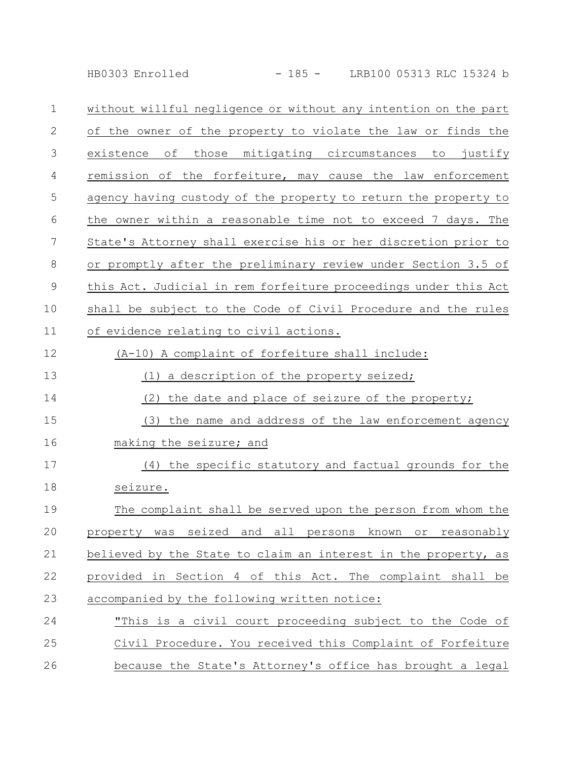HB0303 Enrolled - 185 - LRB100 05313 RLC 15324 b

| $\mathbf 1$ | without willful negligence or without any intention on the part |
|-------------|-----------------------------------------------------------------|
| 2           | of the owner of the property to violate the law or finds the    |
| 3           | those mitigating circumstances to<br>existence<br>оf<br>justify |
| 4           | remission of the forfeiture, may cause the law enforcement      |
| 5           | agency having custody of the property to return the property to |
| 6           | the owner within a reasonable time not to exceed 7 days. The    |
| 7           | State's Attorney shall exercise his or her discretion prior to  |
| 8           | or promptly after the preliminary review under Section 3.5 of   |
| $\mathsf 9$ | this Act. Judicial in rem forfeiture proceedings under this Act |
| 10          | shall be subject to the Code of Civil Procedure and the rules   |
| 11          | of evidence relating to civil actions.                          |
| 12          | (A-10) A complaint of forfeiture shall include:                 |
| 13          | a description of the property seized;<br>(1)                    |
| 14          | the date and place of seizure of the property;<br>(2)           |
| 15          | the name and address of the law enforcement agency<br>(3)       |
| 16          | making the seizure; and                                         |
| 17          | (4) the specific statutory and factual grounds for the          |
| 18          | seizure.                                                        |
| 19          | The complaint shall be served upon the person from whom the     |
| 20          | property was seized and all persons known or reasonably         |
| 21          | believed by the State to claim an interest in the property, as  |
|             |                                                                 |

provided in Section 4 of this Act. The complaint shall be accompanied by the following written notice: 22 23

## "This is a civil court proceeding subject to the Code of Civil Procedure. You received this Complaint of Forfeiture because the State's Attorney's office has brought a legal 24 25 26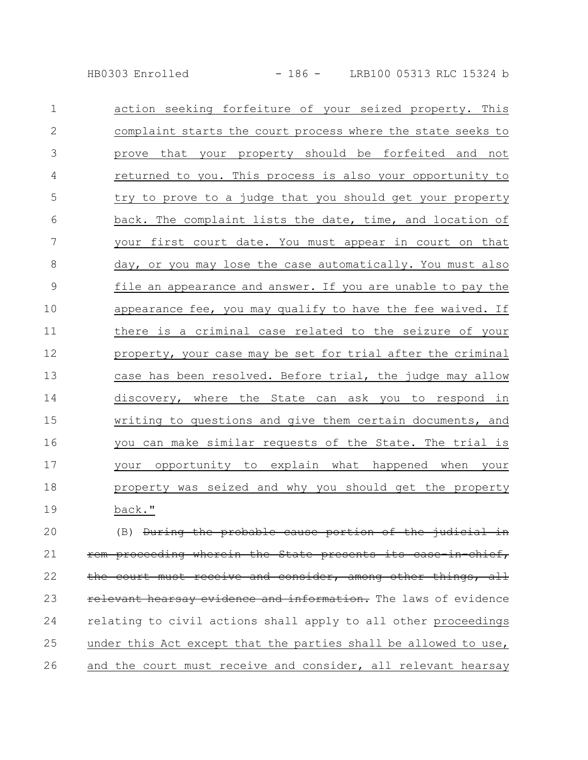HB0303 Enrolled - 186 - LRB100 05313 RLC 15324 b

| $\mathbf 1$    | action seeking forfeiture of your seized property. This     |
|----------------|-------------------------------------------------------------|
| $\mathbf{2}$   | complaint starts the court process where the state seeks to |
| 3              | prove that your property should be forfeited and not        |
| $\overline{4}$ | returned to you. This process is also your opportunity to   |
| 5              | try to prove to a judge that you should get your property   |
| 6              | back. The complaint lists the date, time, and location of   |
| 7              | your first court date. You must appear in court on that     |
| 8              | day, or you may lose the case automatically. You must also  |
| $\mathcal{G}$  | file an appearance and answer. If you are unable to pay the |
| 10             | appearance fee, you may qualify to have the fee waived. If  |
| 11             | there is a criminal case related to the seizure of your     |
| 12             | property, your case may be set for trial after the criminal |
| 13             | case has been resolved. Before trial, the judge may allow   |
| 14             | discovery, where the State can ask you to respond in        |
| 15             | writing to questions and give them certain documents, and   |
| 16             | you can make similar requests of the State. The trial is    |
| 17             | your opportunity to explain what happened when your         |
| 18             | property was seized and why you should get the property     |
| 19             | back."                                                      |

(B) During the probable cause portion of the judicial in rem proceeding wherein the State presents its case-in-chief, the court must receive and consider, among other things, all relevant hearsay evidence and information. The laws of evidence relating to civil actions shall apply to all other proceedings under this Act except that the parties shall be allowed to use, and the court must receive and consider, all relevant hearsay 20 21 22 23 24 25 26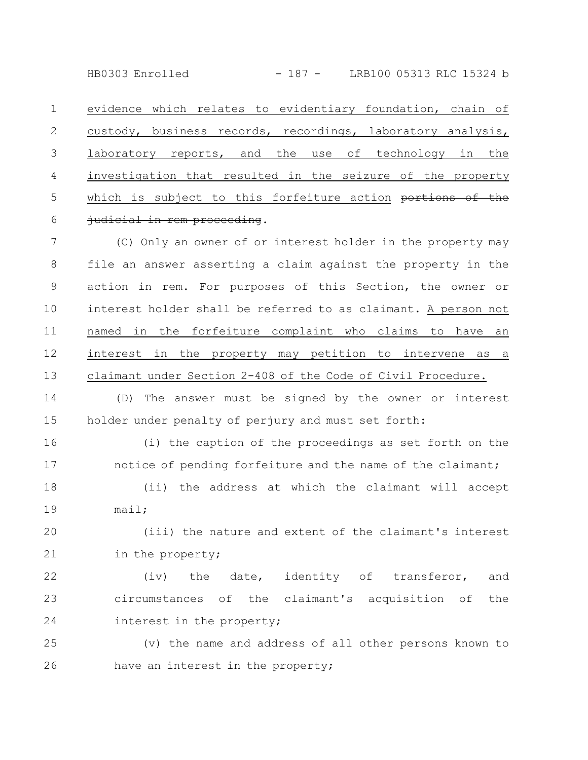HB0303 Enrolled - 187 - LRB100 05313 RLC 15324 b

evidence which relates to evidentiary foundation, chain of custody, business records, recordings, laboratory analysis, laboratory reports, and the use of technology in the investigation that resulted in the seizure of the property which is subject to this forfeiture action portions of the judicial in rem proceeding. 1 2 3 4 5 6

(C) Only an owner of or interest holder in the property may file an answer asserting a claim against the property in the action in rem. For purposes of this Section, the owner or interest holder shall be referred to as claimant. A person not named in the forfeiture complaint who claims to have an interest in the property may petition to intervene as a claimant under Section 2-408 of the Code of Civil Procedure. 7 8 9 10 11 12 13

(D) The answer must be signed by the owner or interest holder under penalty of perjury and must set forth: 14 15

(i) the caption of the proceedings as set forth on the notice of pending forfeiture and the name of the claimant; 16 17

(ii) the address at which the claimant will accept mail; 18 19

(iii) the nature and extent of the claimant's interest in the property; 20 21

(iv) the date, identity of transferor, and circumstances of the claimant's acquisition of the interest in the property; 22 23 24

(v) the name and address of all other persons known to have an interest in the property; 25 26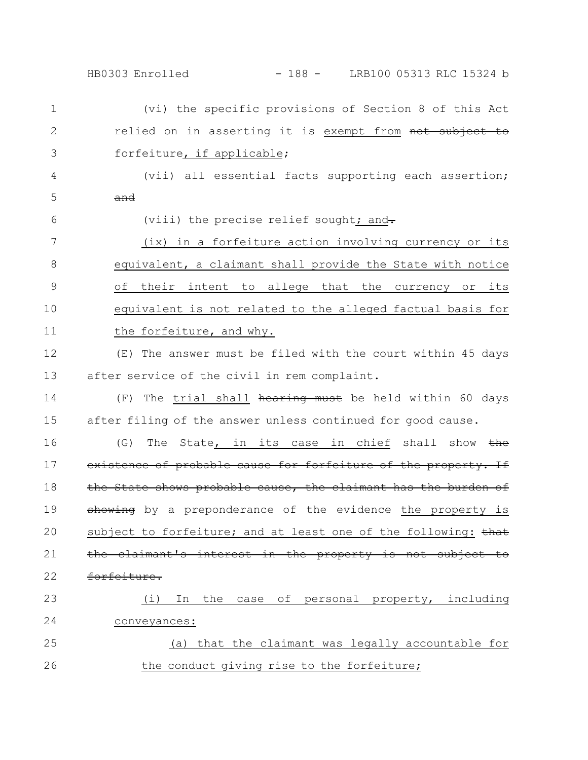HB0303 Enrolled - 188 - LRB100 05313 RLC 15324 b

(vi) the specific provisions of Section 8 of this Act relied on in asserting it is exempt from not subject to forfeiture, if applicable; (vii) all essential facts supporting each assertion; and (viii) the precise relief sought; and-(ix) in a forfeiture action involving currency or its equivalent, a claimant shall provide the State with notice of their intent to allege that the currency or its equivalent is not related to the alleged factual basis for the forfeiture, and why. (E) The answer must be filed with the court within 45 days after service of the civil in rem complaint. (F) The trial shall hearing must be held within 60 days after filing of the answer unless continued for good cause. (G) The State, in its case in chief shall show  $the$ existence of probable cause for forfeiture of the property. If the State shows probable cause, the claimant has the burden of showing by a preponderance of the evidence the property is subject to forfeiture; and at least one of the following: that the claimant's interest in the property is not subject to forfeiture. (i) In the case of personal property, including conveyances: (a) that the claimant was legally accountable for the conduct giving rise to the forfeiture; 1 2 3 4 5 6 7 8 9 10 11 12 13 14 15 16 17 18 19 20 21 22 23 24 25 26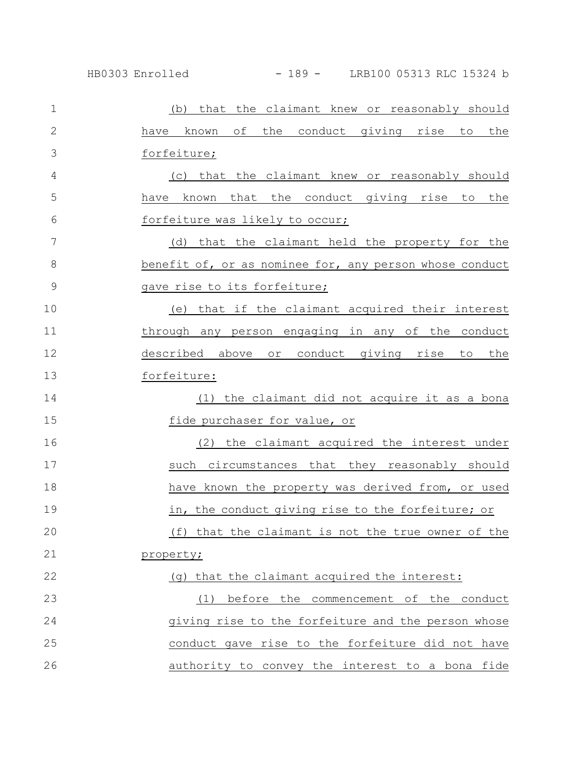| $\mathbf 1$  | (b) that the claimant knew or reasonably should         |
|--------------|---------------------------------------------------------|
| $\mathbf{2}$ | of the conduct giving rise to<br>the<br>have known      |
| 3            | forfeiture;                                             |
| 4            | (c) that the claimant knew or reasonably should         |
| 5            | have known that the conduct giving rise to<br>the       |
| 6            | forfeiture was likely to occur;                         |
| 7            | (d) that the claimant held the property for the         |
| 8            | benefit of, or as nominee for, any person whose conduct |
| $\mathsf 9$  | gave rise to its forfeiture;                            |
| 10           | (e) that if the claimant acquired their interest        |
| 11           | through any person engaging in any of the conduct       |
| 12           | described above or conduct giving rise<br>the<br>to     |
| 13           | forfeiture:                                             |
| 14           | (1) the claimant did not acquire it as a bona           |
| 15           | fide purchaser for value, or                            |
| 16           | (2) the claimant acquired the interest under            |
| 17           | such circumstances that they reasonably should          |
| 18           | have known the property was derived from, or used       |
| 19           | in, the conduct giving rise to the forfeiture; or       |
| 20           | (f) that the claimant is not the true owner of the      |
| 21           | property;                                               |
| 22           | (g) that the claimant acquired the interest:            |
| 23           | before the commencement of the conduct<br>(1)           |
| 24           | giving rise to the forfeiture and the person whose      |
| 25           | conduct gave rise to the forfeiture did not have        |
| 26           | authority to convey the interest to a bona fide         |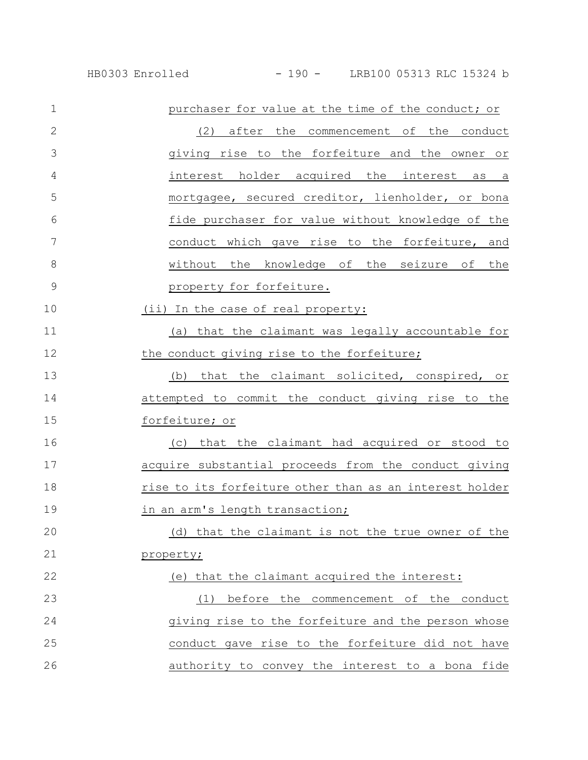| $\mathbf 1$   | purchaser for value at the time of the conduct; or      |
|---------------|---------------------------------------------------------|
| $\mathbf{2}$  | (2)<br>after the commencement of the conduct            |
| 3             | giving rise to the forfeiture and the owner or          |
| 4             | interest holder acquired the interest as a              |
| 5             | mortgagee, secured creditor, lienholder, or bona        |
| 6             | fide purchaser for value without knowledge of the       |
| 7             | conduct which gave rise to the forfeiture, and          |
| 8             | without the knowledge of the seizure of the             |
| $\mathcal{G}$ | property for forfeiture.                                |
| 10            | (ii) In the case of real property:                      |
| 11            | (a) that the claimant was legally accountable for       |
| 12            | the conduct giving rise to the forfeiture;              |
| 13            | that the claimant solicited, conspired, or<br>(b)       |
| 14            | attempted to commit the conduct giving rise to the      |
| 15            | forfeiture; or                                          |
| 16            | (c) that the claimant had acquired or stood to          |
| 17            | acquire substantial proceeds from the conduct giving    |
| 18            | rise to its forfeiture other than as an interest holder |
| 19            | in an arm's length transaction;                         |
| 20            | (d) that the claimant is not the true owner of the      |
| 21            | property;                                               |
| 22            | (e) that the claimant acquired the interest:            |
| 23            | (1) before the commencement of the conduct              |
| 24            | giving rise to the forfeiture and the person whose      |
| 25            | conduct gave rise to the forfeiture did not have        |
| 26            | authority to convey the interest to a bona fide         |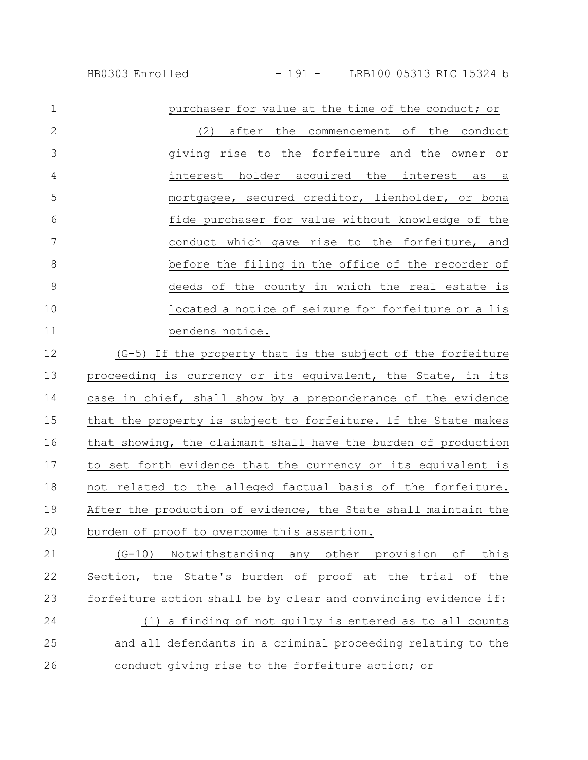| HB0303 Enrolled |
|-----------------|
|                 |

| $\mathbf 1$    | purchaser for value at the time of the conduct; or                 |
|----------------|--------------------------------------------------------------------|
| $\overline{2}$ | (2) after the commencement of the conduct                          |
| 3              | giving rise to the forfeiture and the owner or                     |
| 4              | interest holder acquired the interest<br>as a                      |
| 5              | mortgagee, secured creditor, lienholder, or bona                   |
| 6              | fide purchaser for value without knowledge of the                  |
| 7              | conduct which gave rise to the forfeiture, and                     |
| 8              | before the filing in the office of the recorder of                 |
| $\overline{9}$ | deeds of the county in which the real estate is                    |
| 10             | located a notice of seizure for forfeiture or a lis                |
| 11             | pendens notice.                                                    |
| 12             | (G-5) If the property that is the subject of the forfeiture        |
| 13             | proceeding is currency or its equivalent, the State, in its        |
| 14             | case in chief, shall show by a preponderance of the evidence       |
| 15             | that the property is subject to forfeiture. If the State makes     |
| 16             | that showing, the claimant shall have the burden of production     |
| 17             | to set forth evidence that the currency or its equivalent is       |
| 18             | not related to the alleged factual basis of the forfeiture.        |
| $\sim$         | المواد والمستحدث والمستحدث والمستحدث والمستحدث والمستحدث والمستحدث |

After the production of evidence, the State shall maintain the burden of proof to overcome this assertion. 19 20

(G-10) Notwithstanding any other provision of this Section, the State's burden of proof at the trial of the forfeiture action shall be by clear and convincing evidence if: (1) a finding of not guilty is entered as to all counts and all defendants in a criminal proceeding relating to the conduct giving rise to the forfeiture action; or 21 22 23 24 25 26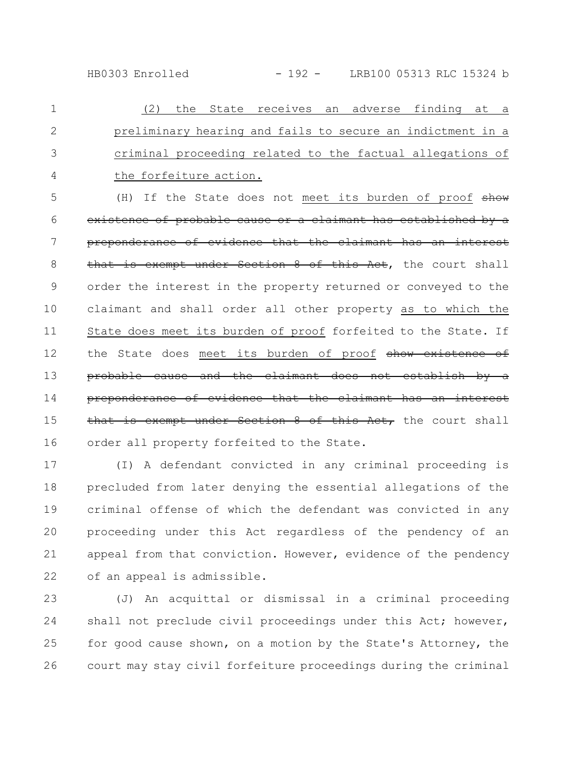HB0303 Enrolled - 192 - LRB100 05313 RLC 15324 b

(2) the State receives an adverse finding at a preliminary hearing and fails to secure an indictment in a criminal proceeding related to the factual allegations of the forfeiture action. 1 2 3 4

(H) If the State does not meet its burden of proof show existence of probable cause or a claimant has established by a preponderance of evidence that the claimant has an interest that is exempt under Section 8 of this Act, the court shall order the interest in the property returned or conveyed to the claimant and shall order all other property as to which the State does meet its burden of proof forfeited to the State. If the State does meet its burden of proof show existence of probable cause and the claimant does not establ: preponderance of evidence that the claimant has an interest that is exempt under Section 8 of this Act, the court shall order all property forfeited to the State. 5 6 7 8 9 10 11 12 13 14 15 16

(I) A defendant convicted in any criminal proceeding is precluded from later denying the essential allegations of the criminal offense of which the defendant was convicted in any proceeding under this Act regardless of the pendency of an appeal from that conviction. However, evidence of the pendency of an appeal is admissible. 17 18 19 20 21 22

(J) An acquittal or dismissal in a criminal proceeding shall not preclude civil proceedings under this Act; however, for good cause shown, on a motion by the State's Attorney, the court may stay civil forfeiture proceedings during the criminal 23 24 25 26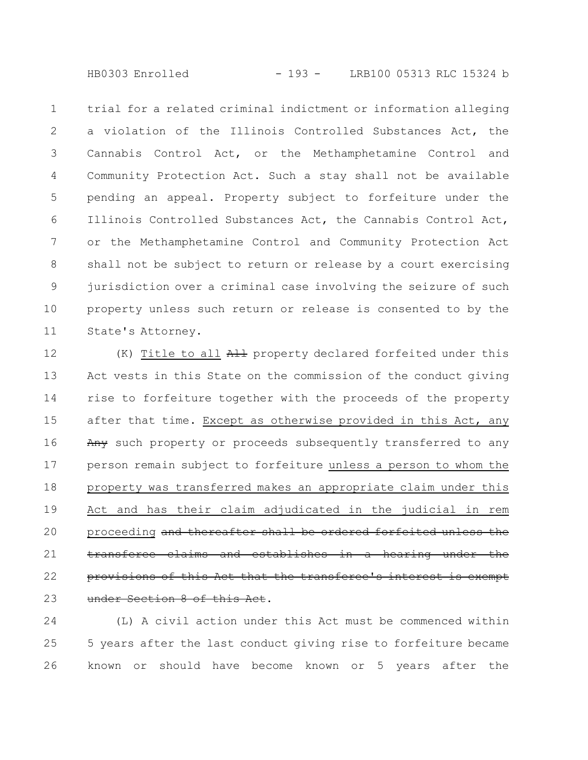HB0303 Enrolled - 193 - LRB100 05313 RLC 15324 b

trial for a related criminal indictment or information alleging a violation of the Illinois Controlled Substances Act, the Cannabis Control Act, or the Methamphetamine Control and Community Protection Act. Such a stay shall not be available pending an appeal. Property subject to forfeiture under the Illinois Controlled Substances Act, the Cannabis Control Act, or the Methamphetamine Control and Community Protection Act shall not be subject to return or release by a court exercising jurisdiction over a criminal case involving the seizure of such property unless such return or release is consented to by the State's Attorney. 1 2 3 4 5 6 7 8 9 10 11

(K) Title to all All property declared forfeited under this Act vests in this State on the commission of the conduct giving rise to forfeiture together with the proceeds of the property after that time. Except as otherwise provided in this Act, any Any such property or proceeds subsequently transferred to any person remain subject to forfeiture unless a person to whom the property was transferred makes an appropriate claim under this Act and has their claim adjudicated in the judicial in rem proceeding and thereafter shall be ordered forfeited unless the transferee claims and establishes in a hearing under provisions of this Act that the transferee's interest is exempt under Section 8 of this Act. 12 13 14 15 16 17 18 19 20 21 22 23

(L) A civil action under this Act must be commenced within 5 years after the last conduct giving rise to forfeiture became known or should have become known or 5 years after the 24 25 26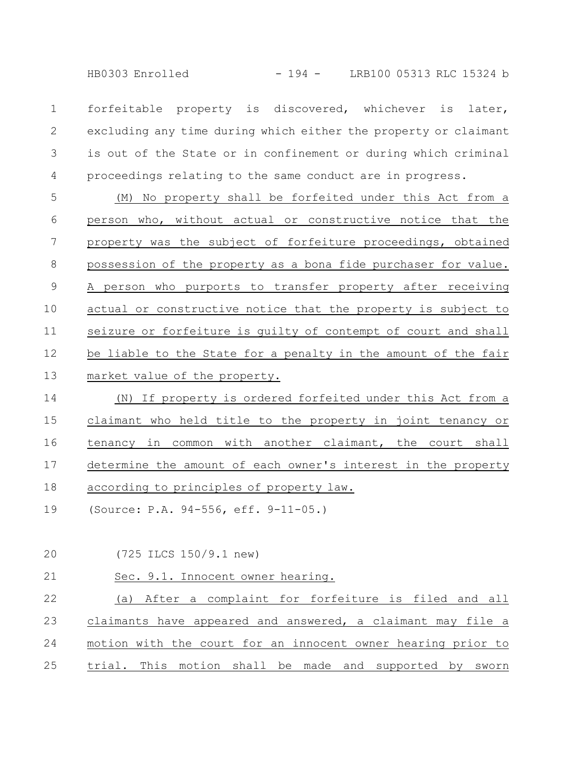HB0303 Enrolled - 194 - LRB100 05313 RLC 15324 b

forfeitable property is discovered, whichever is later, excluding any time during which either the property or claimant is out of the State or in confinement or during which criminal proceedings relating to the same conduct are in progress. 1 2 3 4

(M) No property shall be forfeited under this Act from a person who, without actual or constructive notice that the property was the subject of forfeiture proceedings, obtained possession of the property as a bona fide purchaser for value. A person who purports to transfer property after receiving actual or constructive notice that the property is subject to seizure or forfeiture is guilty of contempt of court and shall be liable to the State for a penalty in the amount of the fair market value of the property. 5 6 7 8 9 10 11 12 13

(N) If property is ordered forfeited under this Act from a claimant who held title to the property in joint tenancy or tenancy in common with another claimant, the court shall determine the amount of each owner's interest in the property according to principles of property law. 14 15 16 17 18

(Source: P.A. 94-556, eff. 9-11-05.) 19

(725 ILCS 150/9.1 new) 20

Sec. 9.1. Innocent owner hearing. 21

(a) After a complaint for forfeiture is filed and all claimants have appeared and answered, a claimant may file a motion with the court for an innocent owner hearing prior to trial. This motion shall be made and supported by sworn 22 23 24 25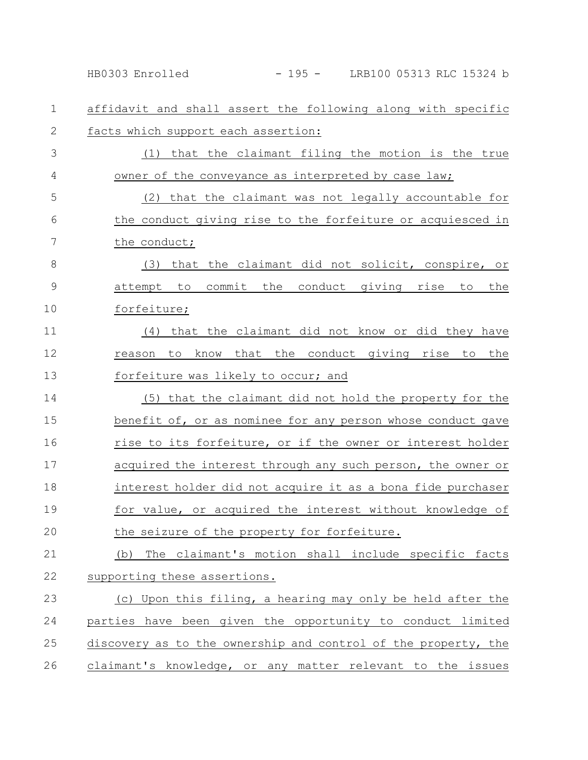affidavit and shall assert the following along with specific facts which support each assertion: (1) that the claimant filing the motion is the true owner of the conveyance as interpreted by case law; (2) that the claimant was not legally accountable for the conduct giving rise to the forfeiture or acquiesced in the conduct; (3) that the claimant did not solicit, conspire, or attempt to commit the conduct giving rise to the forfeiture; (4) that the claimant did not know or did they have reason to know that the conduct giving rise to the forfeiture was likely to occur; and (5) that the claimant did not hold the property for the benefit of, or as nominee for any person whose conduct gave rise to its forfeiture, or if the owner or interest holder acquired the interest through any such person, the owner or interest holder did not acquire it as a bona fide purchaser for value, or acquired the interest without knowledge of the seizure of the property for forfeiture. (b) The claimant's motion shall include specific facts supporting these assertions. (c) Upon this filing, a hearing may only be held after the parties have been given the opportunity to conduct limited discovery as to the ownership and control of the property, the claimant's knowledge, or any matter relevant to the issues 1 2 3 4 5 6 7 8 9 10 11 12 13 14 15 16 17 18 19 20 21 22 23 24 25 26 HB0303 Enrolled - 195 - LRB100 05313 RLC 15324 b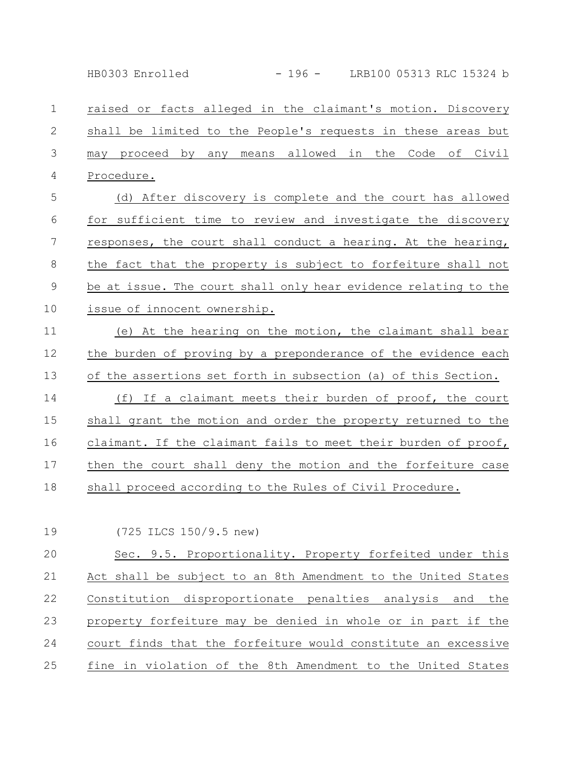HB0303 Enrolled - 196 - LRB100 05313 RLC 15324 b

raised or facts alleged in the claimant's motion. Discovery shall be limited to the People's requests in these areas but may proceed by any means allowed in the Code of Civil Procedure. 1 2 3 4

(d) After discovery is complete and the court has allowed for sufficient time to review and investigate the discovery responses, the court shall conduct a hearing. At the hearing, the fact that the property is subject to forfeiture shall not be at issue. The court shall only hear evidence relating to the issue of innocent ownership. 5 6 7 8 9 10

(e) At the hearing on the motion, the claimant shall bear the burden of proving by a preponderance of the evidence each of the assertions set forth in subsection (a) of this Section. 11 12 13

(f) If a claimant meets their burden of proof, the court shall grant the motion and order the property returned to the claimant. If the claimant fails to meet their burden of proof, then the court shall deny the motion and the forfeiture case shall proceed according to the Rules of Civil Procedure. 14 15 16 17 18

(725 ILCS 150/9.5 new) 19

Sec. 9.5. Proportionality. Property forfeited under this Act shall be subject to an 8th Amendment to the United States Constitution disproportionate penalties analysis and the property forfeiture may be denied in whole or in part if the court finds that the forfeiture would constitute an excessive fine in violation of the 8th Amendment to the United States 20 21 22 23 24 25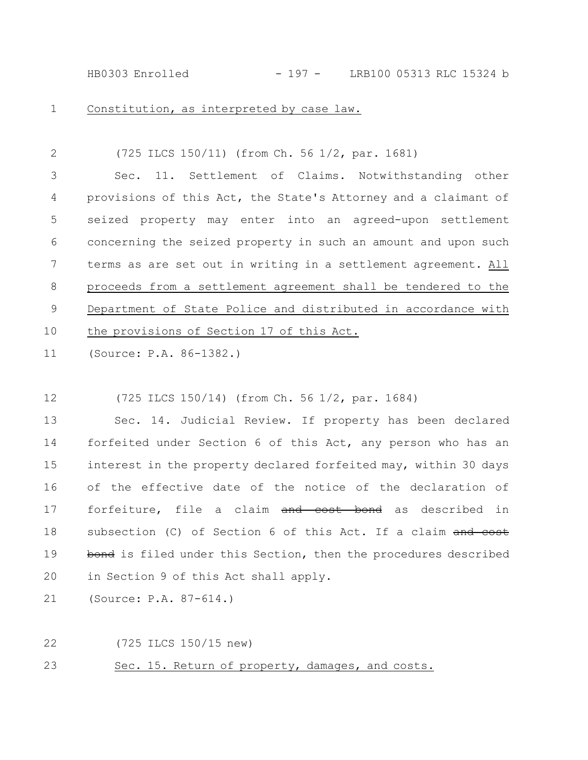HB0303 Enrolled - 197 - LRB100 05313 RLC 15324 b

1

Constitution, as interpreted by case law.

(725 ILCS 150/11) (from Ch. 56 1/2, par. 1681) Sec. 11. Settlement of Claims. Notwithstanding other provisions of this Act, the State's Attorney and a claimant of seized property may enter into an agreed-upon settlement concerning the seized property in such an amount and upon such terms as are set out in writing in a settlement agreement. All proceeds from a settlement agreement shall be tendered to the Department of State Police and distributed in accordance with the provisions of Section 17 of this Act. 2 3 4 5 6 7 8 9 10

(Source: P.A. 86-1382.) 11

(725 ILCS 150/14) (from Ch. 56 1/2, par. 1684) 12

Sec. 14. Judicial Review. If property has been declared forfeited under Section 6 of this Act, any person who has an interest in the property declared forfeited may, within 30 days of the effective date of the notice of the declaration of forfeiture, file a claim and cost bond as described in subsection (C) of Section 6 of this Act. If a claim and cost bond is filed under this Section, then the procedures described in Section 9 of this Act shall apply. 13 14 15 16 17 18 19 20

(Source: P.A. 87-614.) 21

22

(725 ILCS 150/15 new)

Sec. 15. Return of property, damages, and costs. 23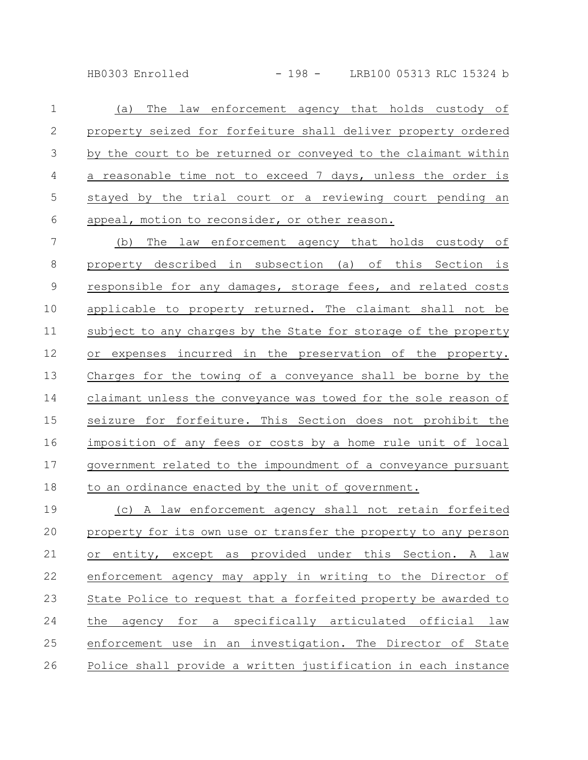HB0303 Enrolled - 198 - LRB100 05313 RLC 15324 b

(a) The law enforcement agency that holds custody of property seized for forfeiture shall deliver property ordered by the court to be returned or conveyed to the claimant within a reasonable time not to exceed 7 days, unless the order is stayed by the trial court or a reviewing court pending an appeal, motion to reconsider, or other reason. 1 2 3 4 5 6

(b) The law enforcement agency that holds custody of property described in subsection (a) of this Section is responsible for any damages, storage fees, and related costs applicable to property returned. The claimant shall not be subject to any charges by the State for storage of the property or expenses incurred in the preservation of the property. Charges for the towing of a conveyance shall be borne by the claimant unless the conveyance was towed for the sole reason of seizure for forfeiture. This Section does not prohibit the imposition of any fees or costs by a home rule unit of local government related to the impoundment of a conveyance pursuant to an ordinance enacted by the unit of government. 7 8 9 10 11 12 13 14 15 16 17 18

(c) A law enforcement agency shall not retain forfeited property for its own use or transfer the property to any person or entity, except as provided under this Section. A law enforcement agency may apply in writing to the Director of State Police to request that a forfeited property be awarded to the agency for a specifically articulated official law enforcement use in an investigation. The Director of State Police shall provide a written justification in each instance 19 20 21 22 23 24 25 26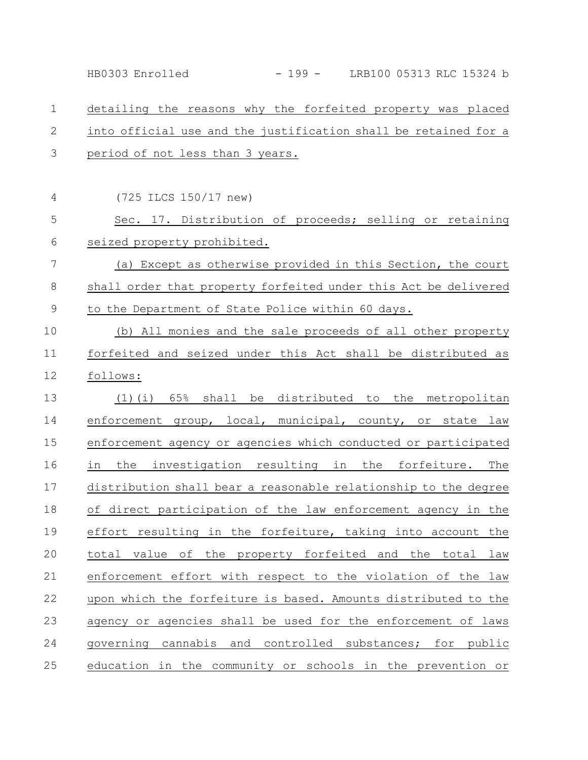HB0303 Enrolled - 199 - LRB100 05313 RLC 15324 b

## detailing the reasons why the forfeited property was placed into official use and the justification shall be retained for a period of not less than 3 years. (725 ILCS 150/17 new) Sec. 17. Distribution of proceeds; selling or retaining seized property prohibited. (a) Except as otherwise provided in this Section, the court shall order that property forfeited under this Act be delivered to the Department of State Police within 60 days. (b) All monies and the sale proceeds of all other property forfeited and seized under this Act shall be distributed as follows: (1)(i) 65% shall be distributed to the metropolitan enforcement group, local, municipal, county, or state law enforcement agency or agencies which conducted or participated in the investigation resulting in the forfeiture. The distribution shall bear a reasonable relationship to the degree of direct participation of the law enforcement agency in the effort resulting in the forfeiture, taking into account the total value of the property forfeited and the total law enforcement effort with respect to the violation of the law upon which the forfeiture is based. Amounts distributed to the agency or agencies shall be used for the enforcement of laws governing cannabis and controlled substances; for public education in the community or schools in the prevention or 1 2 3 4 5 6 7 8 9 10 11 12 13 14 15 16 17 18 19 20 21 22 23 24 25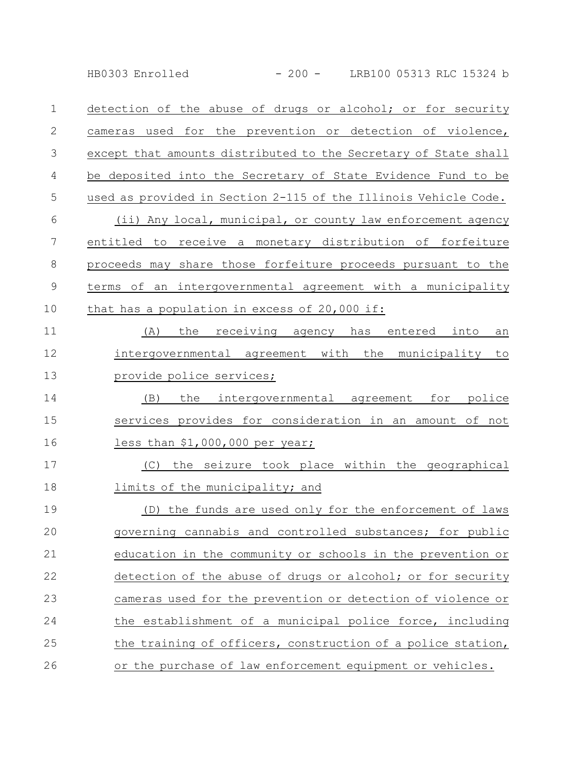HB0303 Enrolled - 200 - LRB100 05313 RLC 15324 b

detection of the abuse of drugs or alcohol; or for security cameras used for the prevention or detection of violence, except that amounts distributed to the Secretary of State shall be deposited into the Secretary of State Evidence Fund to be used as provided in Section 2-115 of the Illinois Vehicle Code. (ii) Any local, municipal, or county law enforcement agency entitled to receive a monetary distribution of forfeiture proceeds may share those forfeiture proceeds pursuant to the terms of an intergovernmental agreement with a municipality that has a population in excess of 20,000 if: (A) the receiving agency has entered into an intergovernmental agreement with the municipality to provide police services; (B) the intergovernmental agreement for police services provides for consideration in an amount of not less than \$1,000,000 per year; (C) the seizure took place within the geographical limits of the municipality; and (D) the funds are used only for the enforcement of laws governing cannabis and controlled substances; for public education in the community or schools in the prevention or detection of the abuse of drugs or alcohol; or for security cameras used for the prevention or detection of violence or the establishment of a municipal police force, including the training of officers, construction of a police station, or the purchase of law enforcement equipment or vehicles. 1 2 3 4 5 6 7 8 9 10 11 12 13 14 15 16 17 18 19 20 21 22 23 24 25 26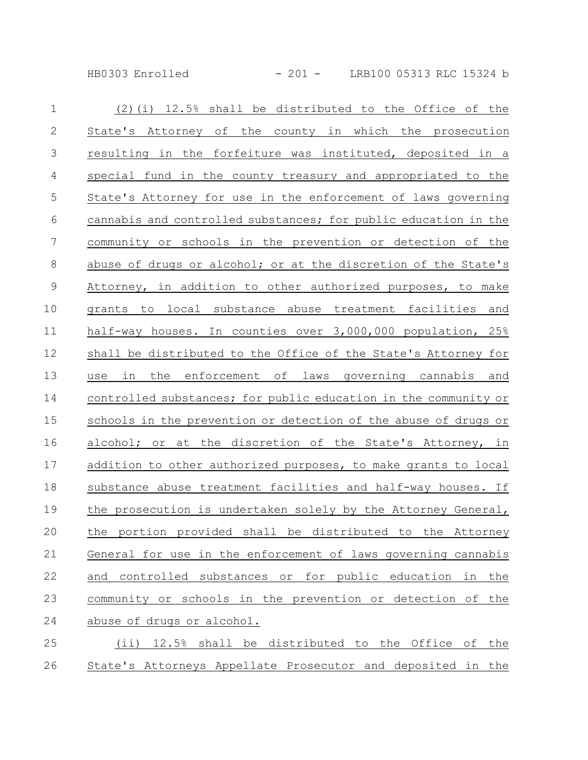HB0303 Enrolled - 201 - LRB100 05313 RLC 15324 b

| $\mathbf 1$   | $(2)$ (i) 12.5% shall be distributed to the Office of the       |
|---------------|-----------------------------------------------------------------|
| $\mathbf{2}$  | State's Attorney of the county in which the prosecution         |
| $\mathcal{S}$ | resulting in the forfeiture was instituted, deposited in a      |
| 4             | special fund in the county treasury and appropriated to the     |
| 5             | State's Attorney for use in the enforcement of laws governing   |
| 6             | cannabis and controlled substances; for public education in the |
| 7             | community or schools in the prevention or detection of the      |
| 8             | abuse of drugs or alcohol; or at the discretion of the State's  |
| $\mathsf 9$   | Attorney, in addition to other authorized purposes, to make     |
| 10            | grants to local substance abuse treatment facilities<br>and     |
| 11            | half-way houses. In counties over 3,000,000 population, 25%     |
| 12            | shall be distributed to the Office of the State's Attorney for  |
| 13            | in the enforcement of laws governing cannabis and<br>use        |
| 14            | controlled substances; for public education in the community or |
| 15            | schools in the prevention or detection of the abuse of drugs or |
| 16            | alcohol; or at the discretion of the State's Attorney, in       |
| 17            | addition to other authorized purposes, to make grants to local  |
| 18            | substance abuse treatment facilities and half-way houses. If    |
| 19            | the prosecution is undertaken solely by the Attorney General,   |
| 20            | the portion provided shall be distributed to the Attorney       |
| 21            | General for use in the enforcement of laws governing cannabis   |
| 22            | and controlled substances or for public education in<br>the     |
| 23            | community or schools in the prevention or detection of the      |
| 24            | abuse of drugs or alcohol.                                      |
| 25            | (ii) 12.5% shall be distributed to the Office of the            |
|               |                                                                 |

26 State's Attorneys Appellate Prosecutor and deposited in the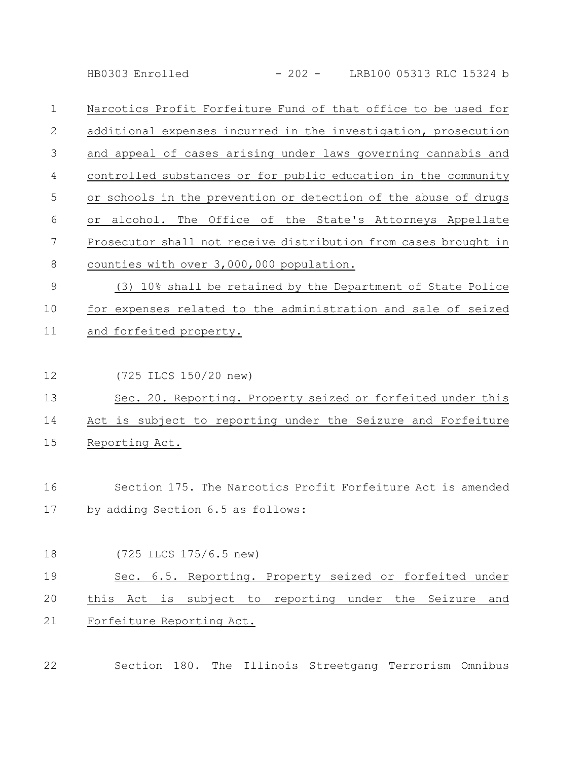HB0303 Enrolled - 202 - LRB100 05313 RLC 15324 b

Narcotics Profit Forfeiture Fund of that office to be used for additional expenses incurred in the investigation, prosecution and appeal of cases arising under laws governing cannabis and controlled substances or for public education in the community or schools in the prevention or detection of the abuse of drugs or alcohol. The Office of the State's Attorneys Appellate Prosecutor shall not receive distribution from cases brought in counties with over 3,000,000 population. 1 2 3 4 5 6 7 8

(3) 10% shall be retained by the Department of State Police for expenses related to the administration and sale of seized and forfeited property. 9 10 11

(725 ILCS 150/20 new) 12

Sec. 20. Reporting. Property seized or forfeited under this Act is subject to reporting under the Seizure and Forfeiture Reporting Act. 13 14 15

Section 175. The Narcotics Profit Forfeiture Act is amended by adding Section 6.5 as follows: 16 17

- (725 ILCS 175/6.5 new) Sec. 6.5. Reporting. Property seized or forfeited under this Act is subject to reporting under the Seizure and Forfeiture Reporting Act. 18 19 20 21
- 22

Section 180. The Illinois Streetgang Terrorism Omnibus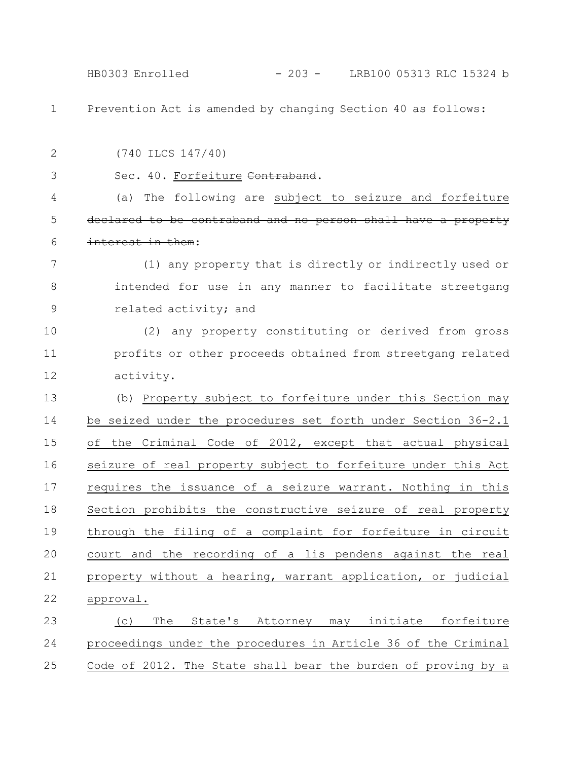HB0303 Enrolled - 203 - LRB100 05313 RLC 15324 b

Prevention Act is amended by changing Section 40 as follows: 1

(740 ILCS 147/40) Sec. 40. Forfeiture Contraband. (a) The following are subject to seizure and forfeiture declared to be contraband and no person shall have a property interest in them: (1) any property that is directly or indirectly used or intended for use in any manner to facilitate streetgang related activity; and (2) any property constituting or derived from gross profits or other proceeds obtained from streetgang related activity. (b) Property subject to forfeiture under this Section may be seized under the procedures set forth under Section 36-2.1 of the Criminal Code of 2012, except that actual physical seizure of real property subject to forfeiture under this Act requires the issuance of a seizure warrant. Nothing in this Section prohibits the constructive seizure of real property through the filing of a complaint for forfeiture in circuit court and the recording of a lis pendens against the real property without a hearing, warrant application, or judicial approval. (c) The State's Attorney may initiate forfeiture 2 3 4 5 6 7 8 9 10 11 12 13 14 15 16 17 18 19 20 21 22 23

proceedings under the procedures in Article 36 of the Criminal Code of 2012. The State shall bear the burden of proving by a 24 25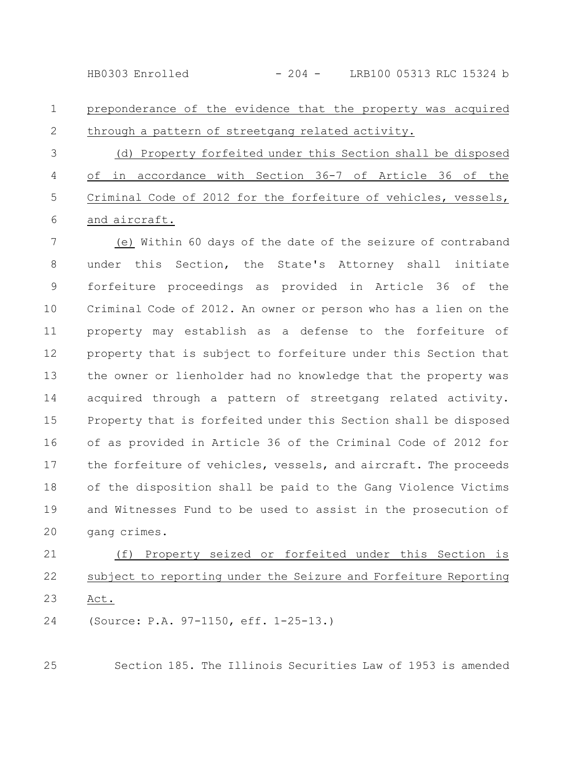HB0303 Enrolled - 204 - LRB100 05313 RLC 15324 b

preponderance of the evidence that the property was acquired through a pattern of streetgang related activity. 1 2

(d) Property forfeited under this Section shall be disposed of in accordance with Section 36-7 of Article 36 of the Criminal Code of 2012 for the forfeiture of vehicles, vessels, and aircraft. 3 4 5 6

(e) Within 60 days of the date of the seizure of contraband under this Section, the State's Attorney shall initiate forfeiture proceedings as provided in Article 36 of the Criminal Code of 2012. An owner or person who has a lien on the property may establish as a defense to the forfeiture of property that is subject to forfeiture under this Section that the owner or lienholder had no knowledge that the property was acquired through a pattern of streetgang related activity. Property that is forfeited under this Section shall be disposed of as provided in Article 36 of the Criminal Code of 2012 for the forfeiture of vehicles, vessels, and aircraft. The proceeds of the disposition shall be paid to the Gang Violence Victims and Witnesses Fund to be used to assist in the prosecution of gang crimes. 7 8 9 10 11 12 13 14 15 16 17 18 19 20

(f) Property seized or forfeited under this Section is subject to reporting under the Seizure and Forfeiture Reporting Act. 21 22 23

(Source: P.A. 97-1150, eff. 1-25-13.) 24

25

Section 185. The Illinois Securities Law of 1953 is amended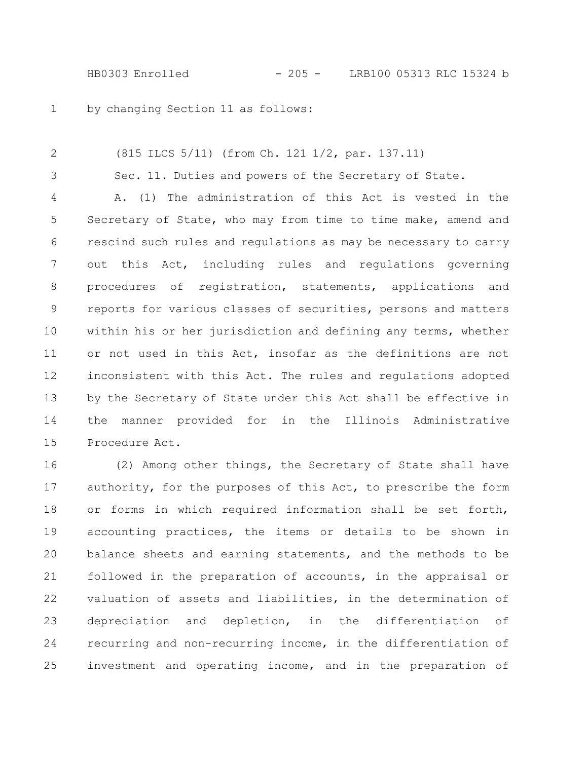HB0303 Enrolled - 205 - LRB100 05313 RLC 15324 b

by changing Section 11 as follows: 1

(815 ILCS 5/11) (from Ch. 121 1/2, par. 137.11) Sec. 11. Duties and powers of the Secretary of State. A. (1) The administration of this Act is vested in the Secretary of State, who may from time to time make, amend and rescind such rules and regulations as may be necessary to carry out this Act, including rules and regulations governing procedures of registration, statements, applications and reports for various classes of securities, persons and matters within his or her jurisdiction and defining any terms, whether or not used in this Act, insofar as the definitions are not inconsistent with this Act. The rules and regulations adopted by the Secretary of State under this Act shall be effective in the manner provided for in the Illinois Administrative Procedure Act. 2 3 4 5 6 7 8 9 10 11 12 13 14 15

(2) Among other things, the Secretary of State shall have authority, for the purposes of this Act, to prescribe the form or forms in which required information shall be set forth, accounting practices, the items or details to be shown in balance sheets and earning statements, and the methods to be followed in the preparation of accounts, in the appraisal or valuation of assets and liabilities, in the determination of depreciation and depletion, in the differentiation of recurring and non-recurring income, in the differentiation of investment and operating income, and in the preparation of 16 17 18 19 20 21 22 23 24 25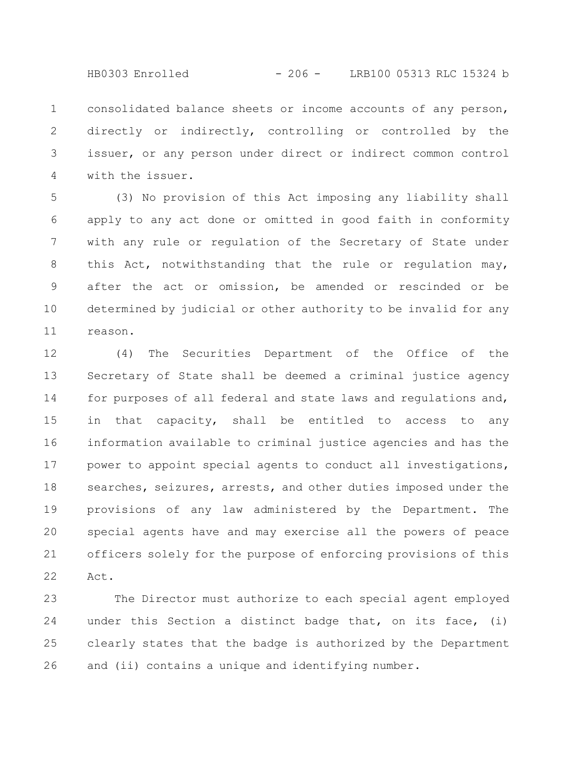HB0303 Enrolled - 206 - LRB100 05313 RLC 15324 b

consolidated balance sheets or income accounts of any person, directly or indirectly, controlling or controlled by the issuer, or any person under direct or indirect common control with the issuer. 1 2 3 4

(3) No provision of this Act imposing any liability shall apply to any act done or omitted in good faith in conformity with any rule or regulation of the Secretary of State under this Act, notwithstanding that the rule or regulation may, after the act or omission, be amended or rescinded or be determined by judicial or other authority to be invalid for any reason. 5 6 7 8 9 10 11

(4) The Securities Department of the Office of the Secretary of State shall be deemed a criminal justice agency for purposes of all federal and state laws and regulations and, in that capacity, shall be entitled to access to any information available to criminal justice agencies and has the power to appoint special agents to conduct all investigations, searches, seizures, arrests, and other duties imposed under the provisions of any law administered by the Department. The special agents have and may exercise all the powers of peace officers solely for the purpose of enforcing provisions of this Act. 12 13 14 15 16 17 18 19 20 21 22

The Director must authorize to each special agent employed under this Section a distinct badge that, on its face, (i) clearly states that the badge is authorized by the Department and (ii) contains a unique and identifying number. 23 24 25 26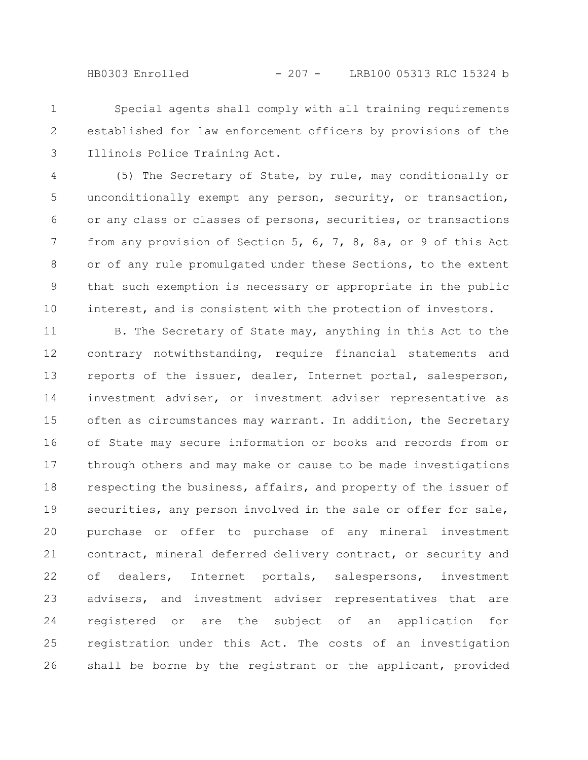HB0303 Enrolled - 207 - LRB100 05313 RLC 15324 b

Special agents shall comply with all training requirements established for law enforcement officers by provisions of the Illinois Police Training Act. 1 2 3

(5) The Secretary of State, by rule, may conditionally or unconditionally exempt any person, security, or transaction, or any class or classes of persons, securities, or transactions from any provision of Section 5, 6, 7, 8, 8a, or 9 of this Act or of any rule promulgated under these Sections, to the extent that such exemption is necessary or appropriate in the public interest, and is consistent with the protection of investors. 4 5 6 7 8 9 10

B. The Secretary of State may, anything in this Act to the contrary notwithstanding, require financial statements and reports of the issuer, dealer, Internet portal, salesperson, investment adviser, or investment adviser representative as often as circumstances may warrant. In addition, the Secretary of State may secure information or books and records from or through others and may make or cause to be made investigations respecting the business, affairs, and property of the issuer of securities, any person involved in the sale or offer for sale, purchase or offer to purchase of any mineral investment contract, mineral deferred delivery contract, or security and of dealers, Internet portals, salespersons, investment advisers, and investment adviser representatives that are registered or are the subject of an application for registration under this Act. The costs of an investigation shall be borne by the registrant or the applicant, provided 11 12 13 14 15 16 17 18 19 20 21 22 23 24 25 26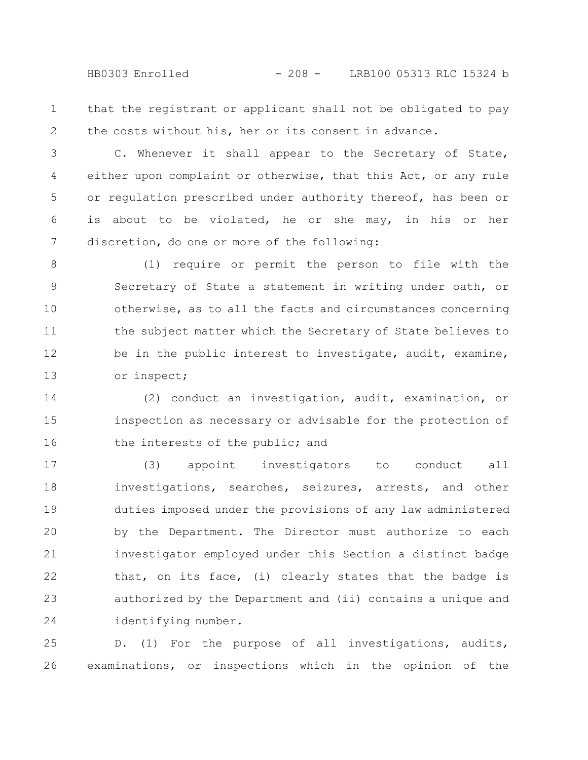HB0303 Enrolled - 208 - LRB100 05313 RLC 15324 b

that the registrant or applicant shall not be obligated to pay the costs without his, her or its consent in advance. 1 2

C. Whenever it shall appear to the Secretary of State, either upon complaint or otherwise, that this Act, or any rule or regulation prescribed under authority thereof, has been or is about to be violated, he or she may, in his or her discretion, do one or more of the following: 3 4 5 6 7

(1) require or permit the person to file with the Secretary of State a statement in writing under oath, or otherwise, as to all the facts and circumstances concerning the subject matter which the Secretary of State believes to be in the public interest to investigate, audit, examine, or inspect; 8 9 10 11 12 13

(2) conduct an investigation, audit, examination, or inspection as necessary or advisable for the protection of the interests of the public; and 14 15 16

(3) appoint investigators to conduct all investigations, searches, seizures, arrests, and other duties imposed under the provisions of any law administered by the Department. The Director must authorize to each investigator employed under this Section a distinct badge that, on its face, (i) clearly states that the badge is authorized by the Department and (ii) contains a unique and identifying number. 17 18 19 20 21 22 23 24

D. (1) For the purpose of all investigations, audits, examinations, or inspections which in the opinion of the 25 26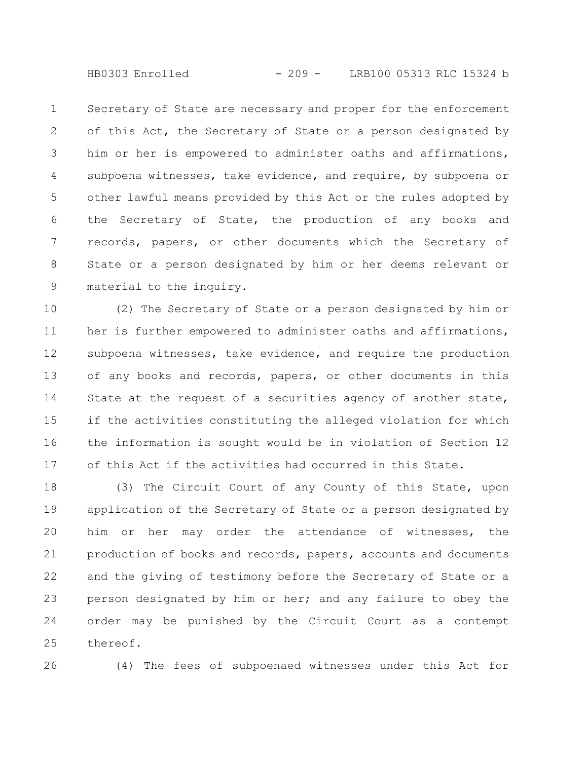HB0303 Enrolled - 209 - LRB100 05313 RLC 15324 b

Secretary of State are necessary and proper for the enforcement of this Act, the Secretary of State or a person designated by him or her is empowered to administer oaths and affirmations, subpoena witnesses, take evidence, and require, by subpoena or other lawful means provided by this Act or the rules adopted by the Secretary of State, the production of any books and records, papers, or other documents which the Secretary of State or a person designated by him or her deems relevant or material to the inquiry. 1 2 3 4 5 6 7 8 9

(2) The Secretary of State or a person designated by him or her is further empowered to administer oaths and affirmations, subpoena witnesses, take evidence, and require the production of any books and records, papers, or other documents in this State at the request of a securities agency of another state, if the activities constituting the alleged violation for which the information is sought would be in violation of Section 12 of this Act if the activities had occurred in this State. 10 11 12 13 14 15 16 17

(3) The Circuit Court of any County of this State, upon application of the Secretary of State or a person designated by him or her may order the attendance of witnesses, the production of books and records, papers, accounts and documents and the giving of testimony before the Secretary of State or a person designated by him or her; and any failure to obey the order may be punished by the Circuit Court as a contempt thereof. 18 19 20 21 22 23 24 25

26

(4) The fees of subpoenaed witnesses under this Act for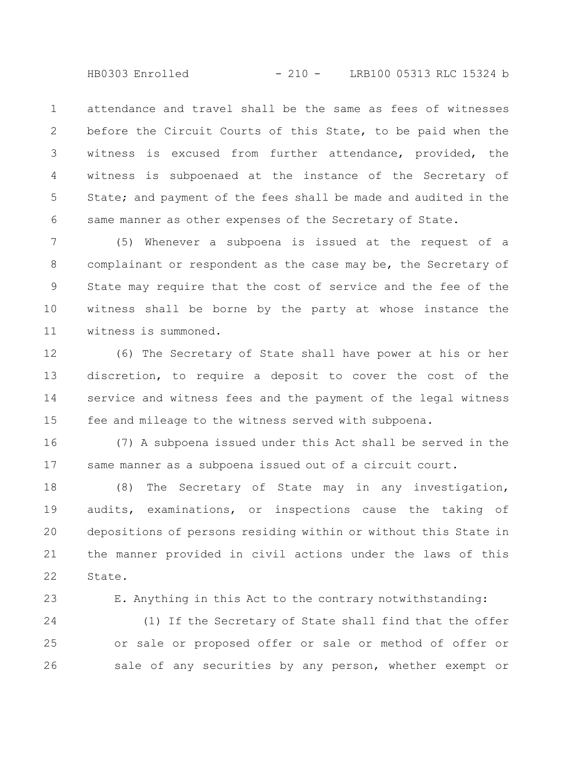HB0303 Enrolled - 210 - LRB100 05313 RLC 15324 b

attendance and travel shall be the same as fees of witnesses before the Circuit Courts of this State, to be paid when the witness is excused from further attendance, provided, the witness is subpoenaed at the instance of the Secretary of State; and payment of the fees shall be made and audited in the same manner as other expenses of the Secretary of State. 1 2 3 4 5 6

(5) Whenever a subpoena is issued at the request of a complainant or respondent as the case may be, the Secretary of State may require that the cost of service and the fee of the witness shall be borne by the party at whose instance the witness is summoned. 7 8 9 10 11

(6) The Secretary of State shall have power at his or her discretion, to require a deposit to cover the cost of the service and witness fees and the payment of the legal witness fee and mileage to the witness served with subpoena. 12 13 14 15

(7) A subpoena issued under this Act shall be served in the same manner as a subpoena issued out of a circuit court. 16 17

(8) The Secretary of State may in any investigation, audits, examinations, or inspections cause the taking of depositions of persons residing within or without this State in the manner provided in civil actions under the laws of this State. 18 19 20 21 22

23

E. Anything in this Act to the contrary notwithstanding:

(1) If the Secretary of State shall find that the offer or sale or proposed offer or sale or method of offer or sale of any securities by any person, whether exempt or 24 25 26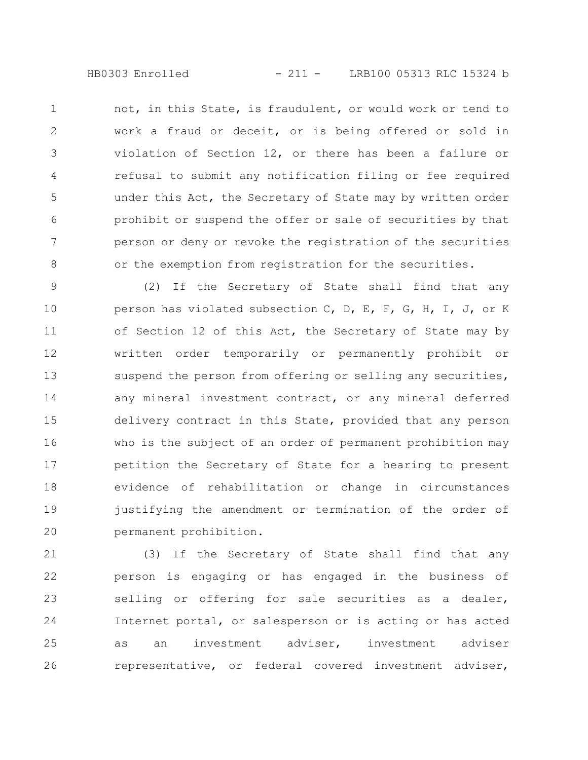HB0303 Enrolled - 211 - LRB100 05313 RLC 15324 b

not, in this State, is fraudulent, or would work or tend to work a fraud or deceit, or is being offered or sold in violation of Section 12, or there has been a failure or refusal to submit any notification filing or fee required under this Act, the Secretary of State may by written order prohibit or suspend the offer or sale of securities by that person or deny or revoke the registration of the securities or the exemption from registration for the securities. 1 2 3 4 5 6 7 8

(2) If the Secretary of State shall find that any person has violated subsection C, D, E, F, G, H, I, J, or K of Section 12 of this Act, the Secretary of State may by written order temporarily or permanently prohibit or suspend the person from offering or selling any securities, any mineral investment contract, or any mineral deferred delivery contract in this State, provided that any person who is the subject of an order of permanent prohibition may petition the Secretary of State for a hearing to present evidence of rehabilitation or change in circumstances justifying the amendment or termination of the order of permanent prohibition. 9 10 11 12 13 14 15 16 17 18 19 20

(3) If the Secretary of State shall find that any person is engaging or has engaged in the business of selling or offering for sale securities as a dealer, Internet portal, or salesperson or is acting or has acted as an investment adviser, investment adviser representative, or federal covered investment adviser, 21 22 23 24 25 26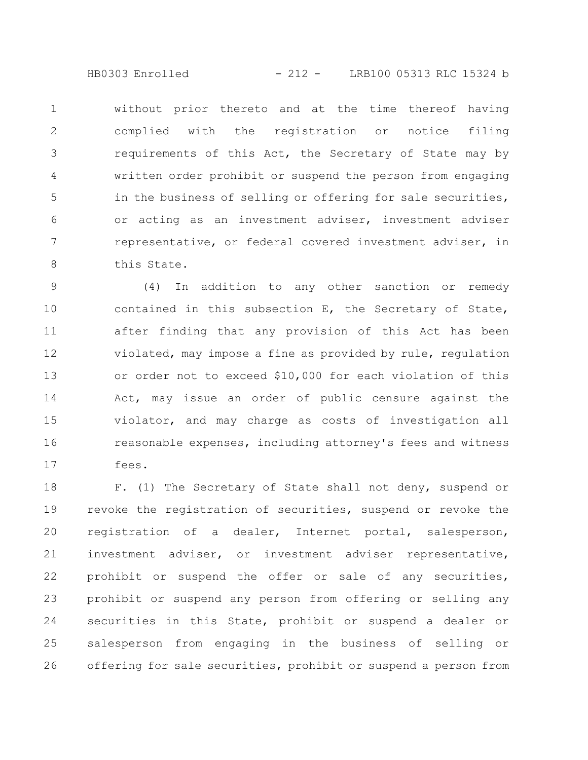HB0303 Enrolled - 212 - LRB100 05313 RLC 15324 b

without prior thereto and at the time thereof having complied with the registration or notice filing requirements of this Act, the Secretary of State may by written order prohibit or suspend the person from engaging in the business of selling or offering for sale securities, or acting as an investment adviser, investment adviser representative, or federal covered investment adviser, in this State. 1 2 3 4 5 6 7 8

(4) In addition to any other sanction or remedy contained in this subsection E, the Secretary of State, after finding that any provision of this Act has been violated, may impose a fine as provided by rule, regulation or order not to exceed \$10,000 for each violation of this Act, may issue an order of public censure against the violator, and may charge as costs of investigation all reasonable expenses, including attorney's fees and witness fees. 9 10 11 12 13 14 15 16 17

F. (1) The Secretary of State shall not deny, suspend or revoke the registration of securities, suspend or revoke the registration of a dealer, Internet portal, salesperson, investment adviser, or investment adviser representative, prohibit or suspend the offer or sale of any securities, prohibit or suspend any person from offering or selling any securities in this State, prohibit or suspend a dealer or salesperson from engaging in the business of selling or offering for sale securities, prohibit or suspend a person from 18 19 20 21 22 23 24 25 26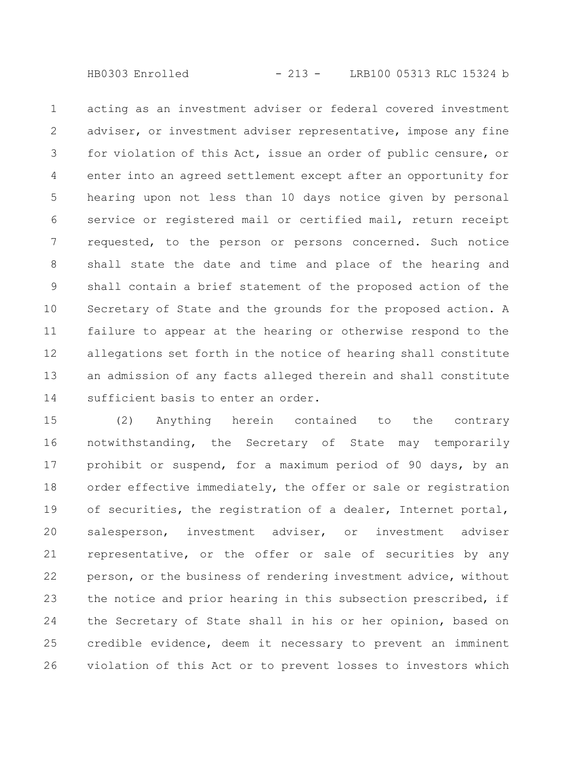HB0303 Enrolled - 213 - LRB100 05313 RLC 15324 b

acting as an investment adviser or federal covered investment adviser, or investment adviser representative, impose any fine for violation of this Act, issue an order of public censure, or enter into an agreed settlement except after an opportunity for hearing upon not less than 10 days notice given by personal service or registered mail or certified mail, return receipt requested, to the person or persons concerned. Such notice shall state the date and time and place of the hearing and shall contain a brief statement of the proposed action of the Secretary of State and the grounds for the proposed action. A failure to appear at the hearing or otherwise respond to the allegations set forth in the notice of hearing shall constitute an admission of any facts alleged therein and shall constitute sufficient basis to enter an order. 1 2 3 4 5 6 7 8 9 10 11 12 13 14

(2) Anything herein contained to the contrary notwithstanding, the Secretary of State may temporarily prohibit or suspend, for a maximum period of 90 days, by an order effective immediately, the offer or sale or registration of securities, the registration of a dealer, Internet portal, salesperson, investment adviser, or investment adviser representative, or the offer or sale of securities by any person, or the business of rendering investment advice, without the notice and prior hearing in this subsection prescribed, if the Secretary of State shall in his or her opinion, based on credible evidence, deem it necessary to prevent an imminent violation of this Act or to prevent losses to investors which 15 16 17 18 19 20 21 22 23 24 25 26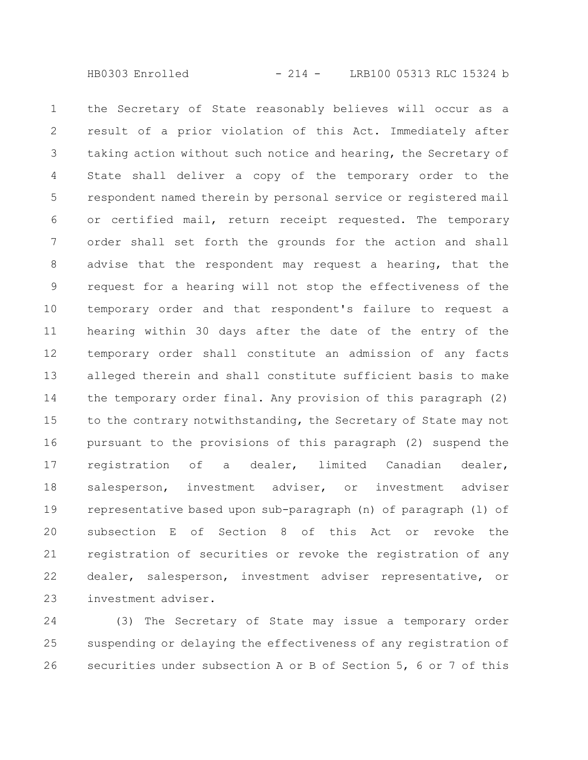the Secretary of State reasonably believes will occur as a result of a prior violation of this Act. Immediately after taking action without such notice and hearing, the Secretary of State shall deliver a copy of the temporary order to the respondent named therein by personal service or registered mail or certified mail, return receipt requested. The temporary order shall set forth the grounds for the action and shall advise that the respondent may request a hearing, that the request for a hearing will not stop the effectiveness of the temporary order and that respondent's failure to request a hearing within 30 days after the date of the entry of the temporary order shall constitute an admission of any facts alleged therein and shall constitute sufficient basis to make the temporary order final. Any provision of this paragraph (2) to the contrary notwithstanding, the Secretary of State may not pursuant to the provisions of this paragraph (2) suspend the registration of a dealer, limited Canadian dealer, salesperson, investment adviser, or investment adviser representative based upon sub-paragraph (n) of paragraph (l) of subsection E of Section 8 of this Act or revoke the registration of securities or revoke the registration of any dealer, salesperson, investment adviser representative, or investment adviser. 1 2 3 4 5 6 7 8 9 10 11 12 13 14 15 16 17 18 19 20 21 22 23

(3) The Secretary of State may issue a temporary order suspending or delaying the effectiveness of any registration of securities under subsection A or B of Section 5, 6 or 7 of this 24 25 26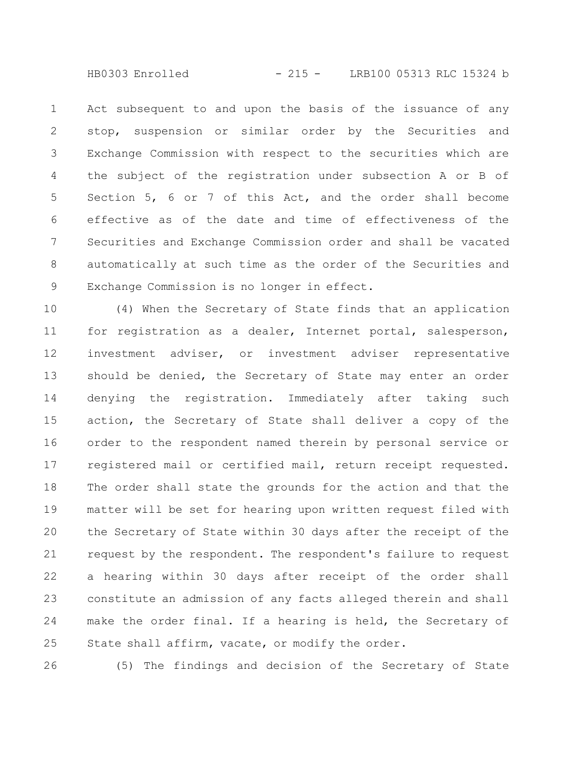Act subsequent to and upon the basis of the issuance of any stop, suspension or similar order by the Securities and Exchange Commission with respect to the securities which are the subject of the registration under subsection A or B of Section 5, 6 or 7 of this Act, and the order shall become effective as of the date and time of effectiveness of the Securities and Exchange Commission order and shall be vacated automatically at such time as the order of the Securities and Exchange Commission is no longer in effect. 1 2 3 4 5 6 7 8 9

(4) When the Secretary of State finds that an application for registration as a dealer, Internet portal, salesperson, investment adviser, or investment adviser representative should be denied, the Secretary of State may enter an order denying the registration. Immediately after taking such action, the Secretary of State shall deliver a copy of the order to the respondent named therein by personal service or registered mail or certified mail, return receipt requested. The order shall state the grounds for the action and that the matter will be set for hearing upon written request filed with the Secretary of State within 30 days after the receipt of the request by the respondent. The respondent's failure to request a hearing within 30 days after receipt of the order shall constitute an admission of any facts alleged therein and shall make the order final. If a hearing is held, the Secretary of State shall affirm, vacate, or modify the order. 10 11 12 13 14 15 16 17 18 19 20 21 22 23 24 25

26

(5) The findings and decision of the Secretary of State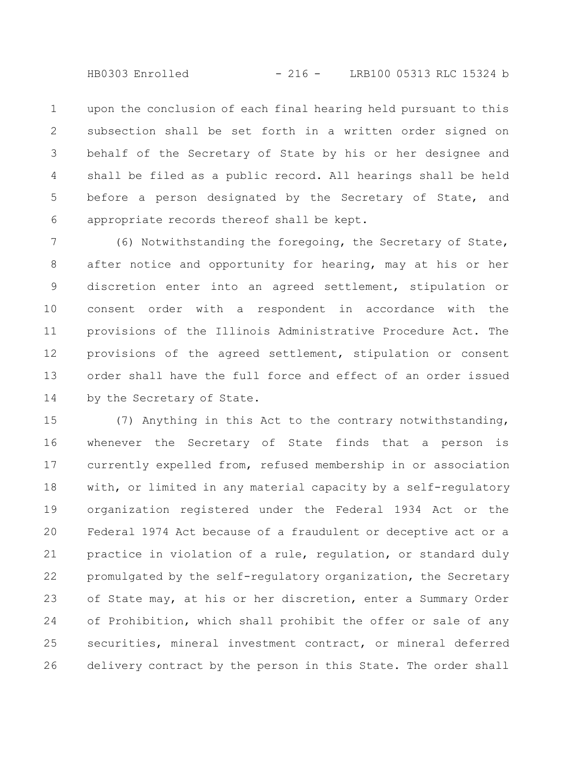HB0303 Enrolled - 216 - LRB100 05313 RLC 15324 b

upon the conclusion of each final hearing held pursuant to this subsection shall be set forth in a written order signed on behalf of the Secretary of State by his or her designee and shall be filed as a public record. All hearings shall be held before a person designated by the Secretary of State, and appropriate records thereof shall be kept. 1 2 3 4 5 6

(6) Notwithstanding the foregoing, the Secretary of State, after notice and opportunity for hearing, may at his or her discretion enter into an agreed settlement, stipulation or consent order with a respondent in accordance with the provisions of the Illinois Administrative Procedure Act. The provisions of the agreed settlement, stipulation or consent order shall have the full force and effect of an order issued by the Secretary of State. 7 8 9 10 11 12 13 14

(7) Anything in this Act to the contrary notwithstanding, whenever the Secretary of State finds that a person is currently expelled from, refused membership in or association with, or limited in any material capacity by a self-regulatory organization registered under the Federal 1934 Act or the Federal 1974 Act because of a fraudulent or deceptive act or a practice in violation of a rule, regulation, or standard duly promulgated by the self-regulatory organization, the Secretary of State may, at his or her discretion, enter a Summary Order of Prohibition, which shall prohibit the offer or sale of any securities, mineral investment contract, or mineral deferred delivery contract by the person in this State. The order shall 15 16 17 18 19 20 21 22 23 24 25 26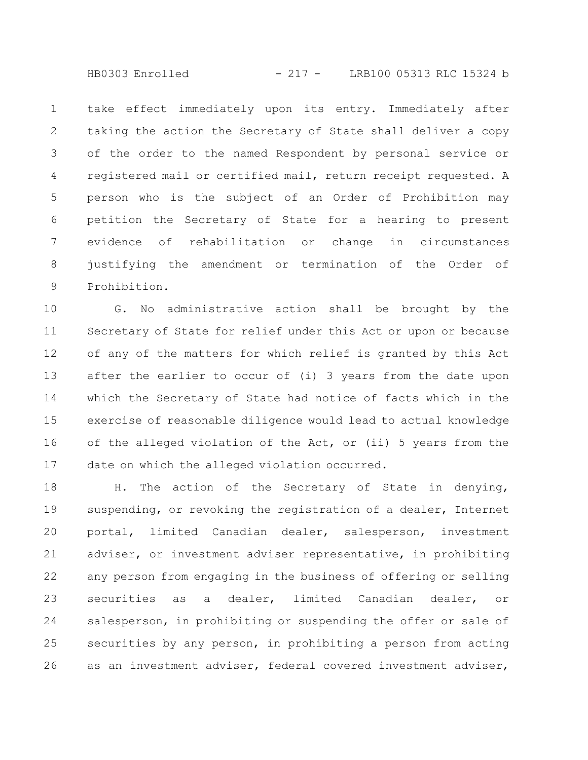take effect immediately upon its entry. Immediately after taking the action the Secretary of State shall deliver a copy of the order to the named Respondent by personal service or registered mail or certified mail, return receipt requested. A person who is the subject of an Order of Prohibition may petition the Secretary of State for a hearing to present evidence of rehabilitation or change in circumstances justifying the amendment or termination of the Order of Prohibition. 1 2 3 4 5 6 7 8 9

G. No administrative action shall be brought by the Secretary of State for relief under this Act or upon or because of any of the matters for which relief is granted by this Act after the earlier to occur of (i) 3 years from the date upon which the Secretary of State had notice of facts which in the exercise of reasonable diligence would lead to actual knowledge of the alleged violation of the Act, or (ii) 5 years from the date on which the alleged violation occurred. 10 11 12 13 14 15 16 17

H. The action of the Secretary of State in denying, suspending, or revoking the registration of a dealer, Internet portal, limited Canadian dealer, salesperson, investment adviser, or investment adviser representative, in prohibiting any person from engaging in the business of offering or selling securities as a dealer, limited Canadian dealer, or salesperson, in prohibiting or suspending the offer or sale of securities by any person, in prohibiting a person from acting as an investment adviser, federal covered investment adviser, 18 19 20 21 22 23 24 25 26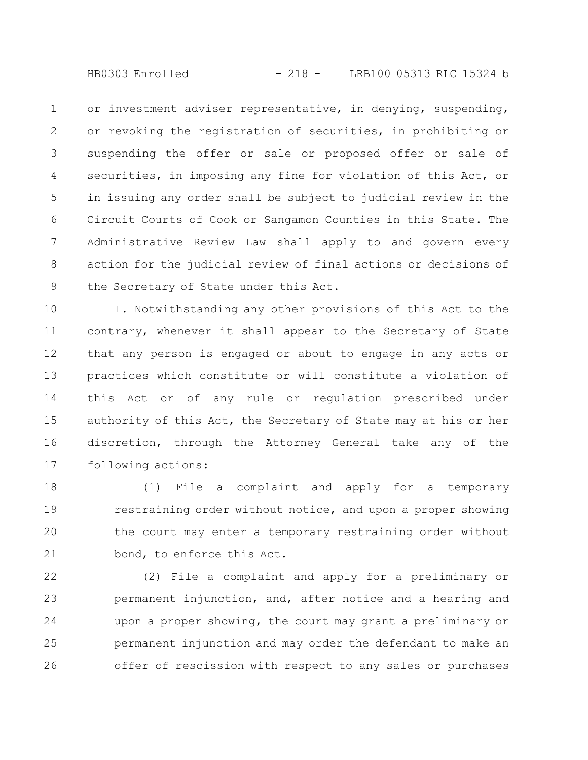or investment adviser representative, in denying, suspending, or revoking the registration of securities, in prohibiting or suspending the offer or sale or proposed offer or sale of securities, in imposing any fine for violation of this Act, or in issuing any order shall be subject to judicial review in the Circuit Courts of Cook or Sangamon Counties in this State. The Administrative Review Law shall apply to and govern every action for the judicial review of final actions or decisions of the Secretary of State under this Act. 1 2 3 4 5 6 7 8 9

I. Notwithstanding any other provisions of this Act to the contrary, whenever it shall appear to the Secretary of State that any person is engaged or about to engage in any acts or practices which constitute or will constitute a violation of this Act or of any rule or regulation prescribed under authority of this Act, the Secretary of State may at his or her discretion, through the Attorney General take any of the following actions: 10 11 12 13 14 15 16 17

(1) File a complaint and apply for a temporary restraining order without notice, and upon a proper showing the court may enter a temporary restraining order without bond, to enforce this Act. 18 19 20 21

(2) File a complaint and apply for a preliminary or permanent injunction, and, after notice and a hearing and upon a proper showing, the court may grant a preliminary or permanent injunction and may order the defendant to make an offer of rescission with respect to any sales or purchases 22 23 24 25 26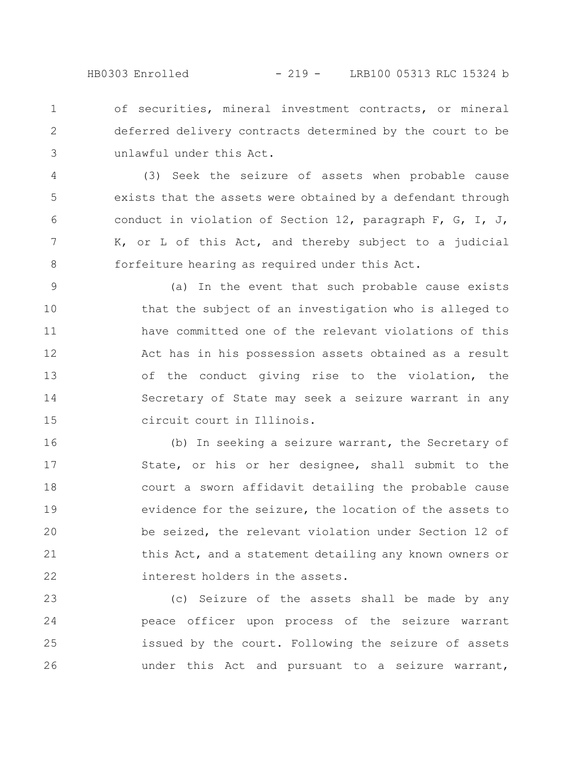of securities, mineral investment contracts, or mineral deferred delivery contracts determined by the court to be unlawful under this Act. 1 2 3

(3) Seek the seizure of assets when probable cause exists that the assets were obtained by a defendant through conduct in violation of Section 12, paragraph F, G, I, J, K, or L of this Act, and thereby subject to a judicial forfeiture hearing as required under this Act. 4 5 6 7 8

(a) In the event that such probable cause exists that the subject of an investigation who is alleged to have committed one of the relevant violations of this Act has in his possession assets obtained as a result of the conduct giving rise to the violation, the Secretary of State may seek a seizure warrant in any circuit court in Illinois. 9 10 11 12 13 14 15

(b) In seeking a seizure warrant, the Secretary of State, or his or her designee, shall submit to the court a sworn affidavit detailing the probable cause evidence for the seizure, the location of the assets to be seized, the relevant violation under Section 12 of this Act, and a statement detailing any known owners or interest holders in the assets. 16 17 18 19 20 21 22

(c) Seizure of the assets shall be made by any peace officer upon process of the seizure warrant issued by the court. Following the seizure of assets under this Act and pursuant to a seizure warrant, 23 24 25 26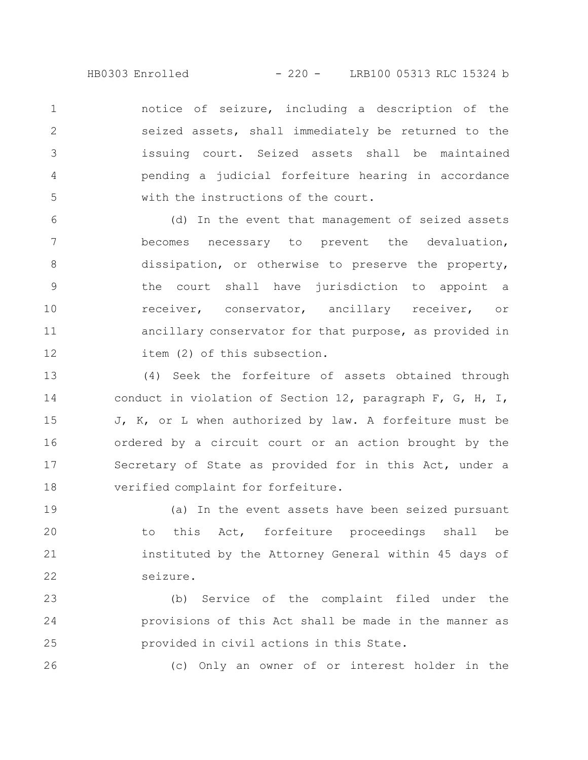HB0303 Enrolled - 220 - LRB100 05313 RLC 15324 b

notice of seizure, including a description of the seized assets, shall immediately be returned to the issuing court. Seized assets shall be maintained pending a judicial forfeiture hearing in accordance with the instructions of the court. 1 2 3 4 5

(d) In the event that management of seized assets becomes necessary to prevent the devaluation, dissipation, or otherwise to preserve the property, the court shall have jurisdiction to appoint a receiver, conservator, ancillary receiver, or ancillary conservator for that purpose, as provided in item (2) of this subsection. 6 7 8 9 10 11 12

(4) Seek the forfeiture of assets obtained through conduct in violation of Section 12, paragraph F, G, H, I, J, K, or L when authorized by law. A forfeiture must be ordered by a circuit court or an action brought by the Secretary of State as provided for in this Act, under a verified complaint for forfeiture. 13 14 15 16 17 18

(a) In the event assets have been seized pursuant to this Act, forfeiture proceedings shall be instituted by the Attorney General within 45 days of seizure. 19 20 21 22

(b) Service of the complaint filed under the provisions of this Act shall be made in the manner as provided in civil actions in this State. 23 24 25

26

(c) Only an owner of or interest holder in the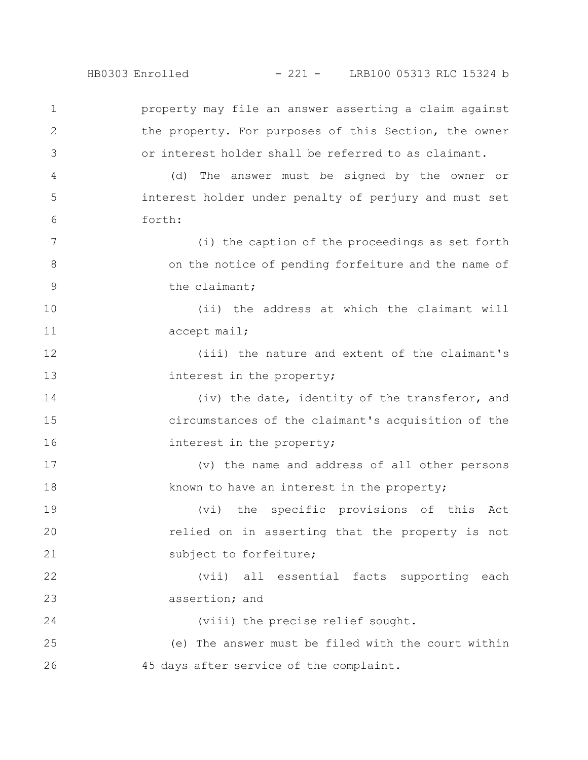HB0303 Enrolled - 221 - LRB100 05313 RLC 15324 b

property may file an answer asserting a claim against the property. For purposes of this Section, the owner or interest holder shall be referred to as claimant. (d) The answer must be signed by the owner or interest holder under penalty of perjury and must set forth: (i) the caption of the proceedings as set forth on the notice of pending forfeiture and the name of the claimant; (ii) the address at which the claimant will accept mail; (iii) the nature and extent of the claimant's interest in the property; (iv) the date, identity of the transferor, and circumstances of the claimant's acquisition of the interest in the property; (v) the name and address of all other persons known to have an interest in the property; (vi) the specific provisions of this Act relied on in asserting that the property is not subject to forfeiture; (vii) all essential facts supporting each assertion; and (viii) the precise relief sought. (e) The answer must be filed with the court within 45 days after service of the complaint. 1 2 3 4 5 6 7 8 9 10 11 12 13 14 15 16 17 18 19 20 21 22 23 24 25 26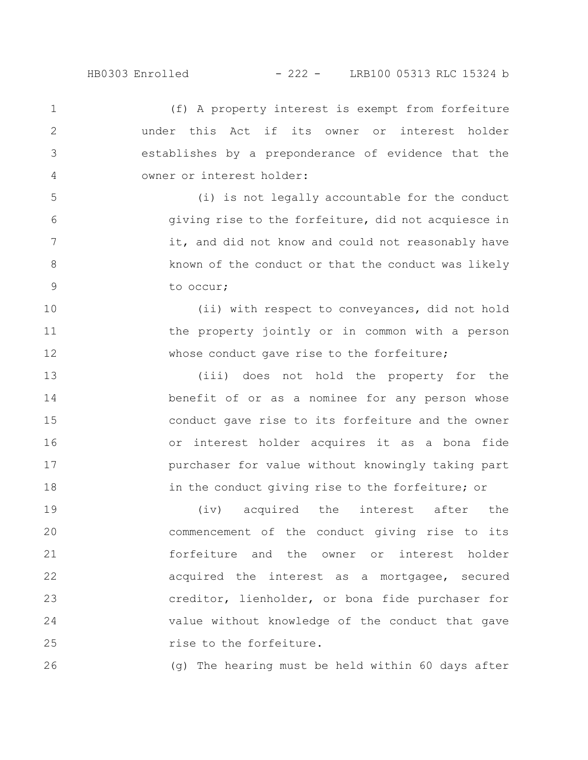1

2

3

4

5

6

7

8

9

(f) A property interest is exempt from forfeiture under this Act if its owner or interest holder establishes by a preponderance of evidence that the owner or interest holder:

(i) is not legally accountable for the conduct giving rise to the forfeiture, did not acquiesce in it, and did not know and could not reasonably have known of the conduct or that the conduct was likely to occur;

(ii) with respect to conveyances, did not hold the property jointly or in common with a person whose conduct gave rise to the forfeiture; 10 11 12

(iii) does not hold the property for the benefit of or as a nominee for any person whose conduct gave rise to its forfeiture and the owner or interest holder acquires it as a bona fide purchaser for value without knowingly taking part in the conduct giving rise to the forfeiture; or 13 14 15 16 17 18

(iv) acquired the interest after the commencement of the conduct giving rise to its forfeiture and the owner or interest holder acquired the interest as a mortgagee, secured creditor, lienholder, or bona fide purchaser for value without knowledge of the conduct that gave rise to the forfeiture. 19 20 21 22 23 24 25

(g) The hearing must be held within 60 days after 26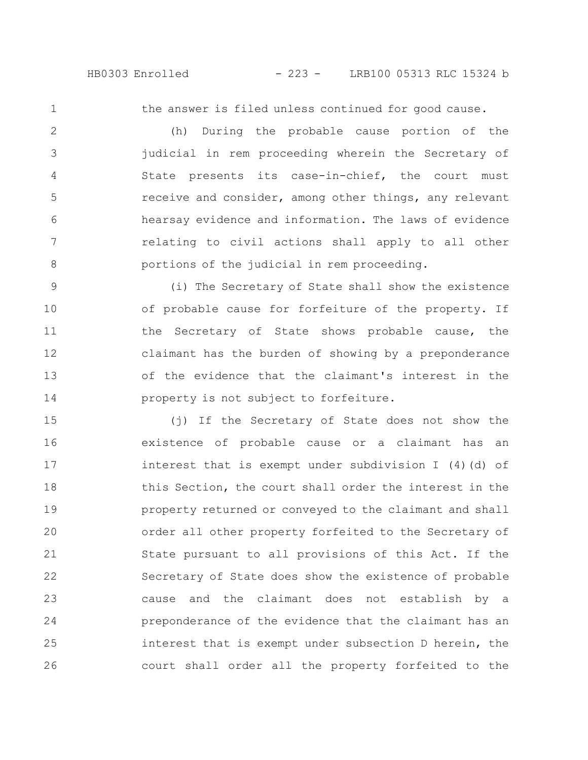1

the answer is filed unless continued for good cause.

(h) During the probable cause portion of the judicial in rem proceeding wherein the Secretary of State presents its case-in-chief, the court must receive and consider, among other things, any relevant hearsay evidence and information. The laws of evidence relating to civil actions shall apply to all other portions of the judicial in rem proceeding. 2 3 4 5 6 7 8

(i) The Secretary of State shall show the existence of probable cause for forfeiture of the property. If the Secretary of State shows probable cause, the claimant has the burden of showing by a preponderance of the evidence that the claimant's interest in the property is not subject to forfeiture. 9 10 11 12 13 14

(j) If the Secretary of State does not show the existence of probable cause or a claimant has an interest that is exempt under subdivision I (4)(d) of this Section, the court shall order the interest in the property returned or conveyed to the claimant and shall order all other property forfeited to the Secretary of State pursuant to all provisions of this Act. If the Secretary of State does show the existence of probable cause and the claimant does not establish by a preponderance of the evidence that the claimant has an interest that is exempt under subsection D herein, the court shall order all the property forfeited to the 15 16 17 18 19 20 21 22 23 24 25 26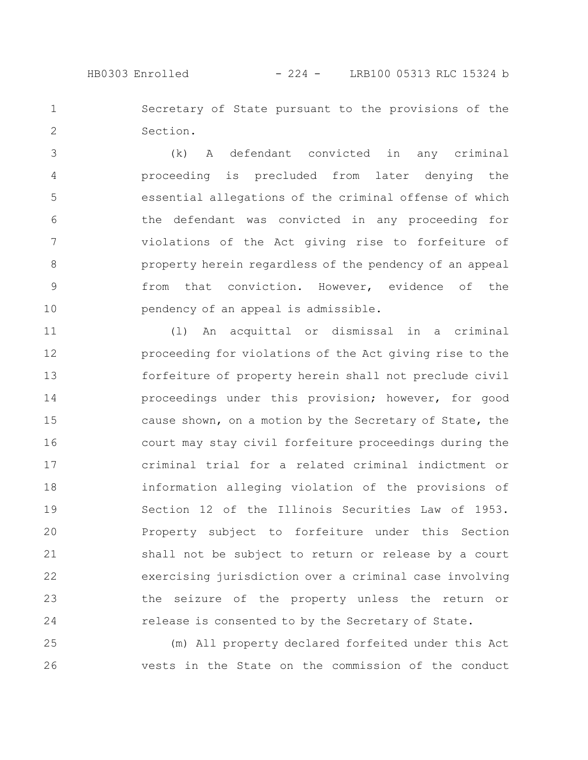Secretary of State pursuant to the provisions of the Section. 1 2

(k) A defendant convicted in any criminal proceeding is precluded from later denying the essential allegations of the criminal offense of which the defendant was convicted in any proceeding for violations of the Act giving rise to forfeiture of property herein regardless of the pendency of an appeal from that conviction. However, evidence of the pendency of an appeal is admissible. 3 4 5 6 7 8 9 10

(l) An acquittal or dismissal in a criminal proceeding for violations of the Act giving rise to the forfeiture of property herein shall not preclude civil proceedings under this provision; however, for good cause shown, on a motion by the Secretary of State, the court may stay civil forfeiture proceedings during the criminal trial for a related criminal indictment or information alleging violation of the provisions of Section 12 of the Illinois Securities Law of 1953. Property subject to forfeiture under this Section shall not be subject to return or release by a court exercising jurisdiction over a criminal case involving the seizure of the property unless the return or release is consented to by the Secretary of State. 11 12 13 14 15 16 17 18 19 20 21 22 23 24

(m) All property declared forfeited under this Act vests in the State on the commission of the conduct 25 26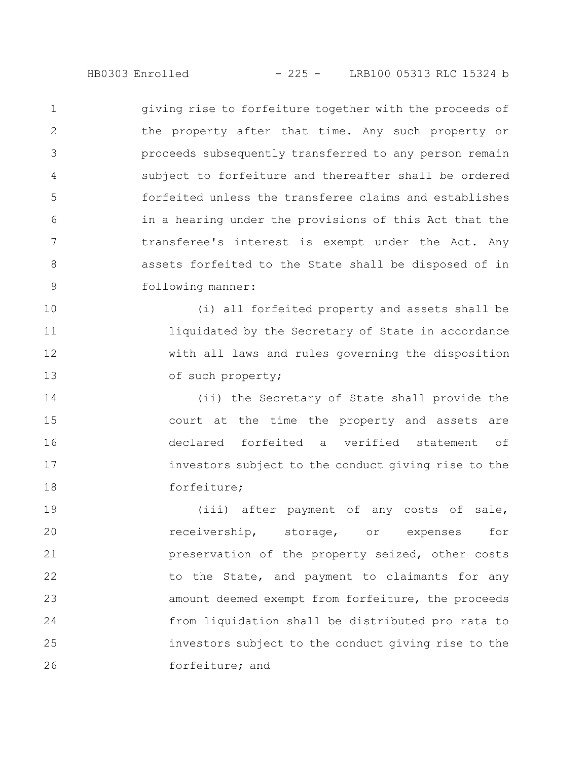giving rise to forfeiture together with the proceeds of the property after that time. Any such property or proceeds subsequently transferred to any person remain subject to forfeiture and thereafter shall be ordered forfeited unless the transferee claims and establishes in a hearing under the provisions of this Act that the transferee's interest is exempt under the Act. Any assets forfeited to the State shall be disposed of in following manner: 1 2 3 4 5 6 7 8 9

(i) all forfeited property and assets shall be liquidated by the Secretary of State in accordance with all laws and rules governing the disposition of such property; 10 11 12 13

(ii) the Secretary of State shall provide the court at the time the property and assets are declared forfeited a verified statement of investors subject to the conduct giving rise to the forfeiture; 14 15 16 17 18

(iii) after payment of any costs of sale, receivership, storage, or expenses for preservation of the property seized, other costs to the State, and payment to claimants for any amount deemed exempt from forfeiture, the proceeds from liquidation shall be distributed pro rata to investors subject to the conduct giving rise to the forfeiture; and 19 20 21 22 23 24 25 26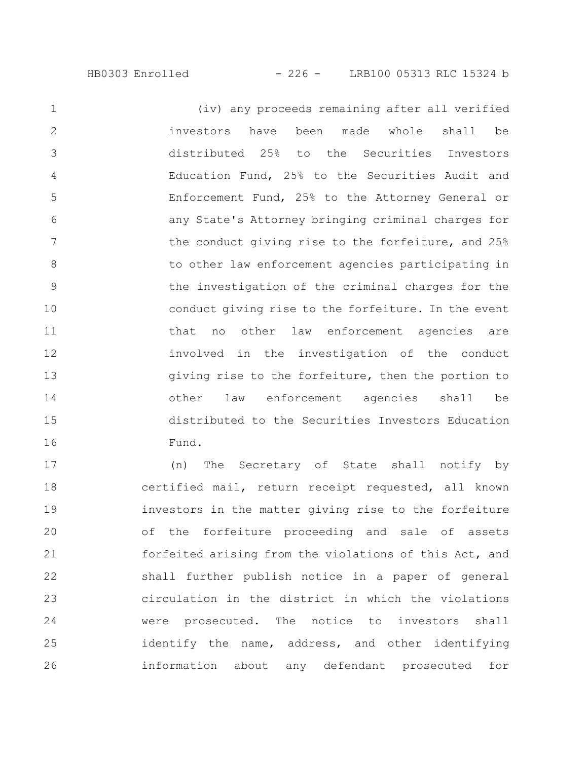(iv) any proceeds remaining after all verified investors have been made whole shall be distributed 25% to the Securities Investors Education Fund, 25% to the Securities Audit and Enforcement Fund, 25% to the Attorney General or any State's Attorney bringing criminal charges for the conduct giving rise to the forfeiture, and 25% to other law enforcement agencies participating in the investigation of the criminal charges for the conduct giving rise to the forfeiture. In the event that no other law enforcement agencies are involved in the investigation of the conduct giving rise to the forfeiture, then the portion to other law enforcement agencies shall be distributed to the Securities Investors Education Fund. 1 2 3 4 5 6 7 8 9 10 11 12 13 14 15 16

(n) The Secretary of State shall notify by certified mail, return receipt requested, all known investors in the matter giving rise to the forfeiture of the forfeiture proceeding and sale of assets forfeited arising from the violations of this Act, and shall further publish notice in a paper of general circulation in the district in which the violations were prosecuted. The notice to investors shall identify the name, address, and other identifying information about any defendant prosecuted for 17 18 19 20 21 22 23 24 25 26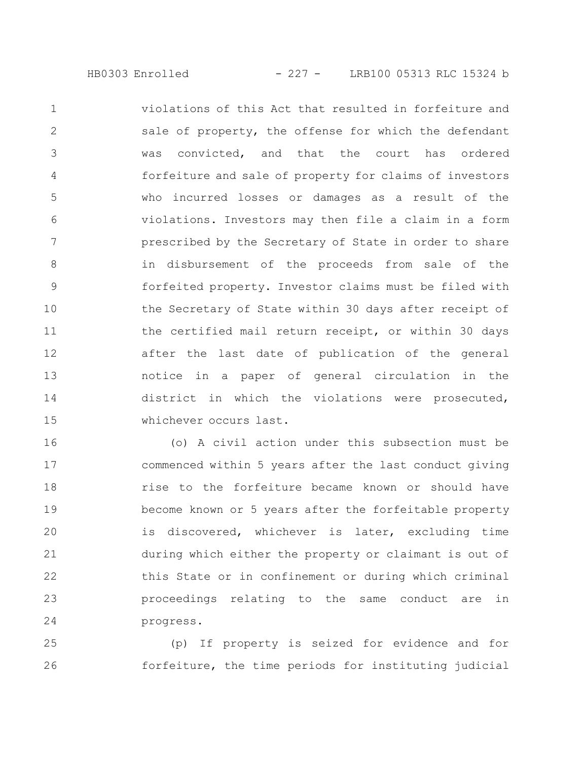violations of this Act that resulted in forfeiture and sale of property, the offense for which the defendant was convicted, and that the court has ordered forfeiture and sale of property for claims of investors who incurred losses or damages as a result of the violations. Investors may then file a claim in a form prescribed by the Secretary of State in order to share in disbursement of the proceeds from sale of the forfeited property. Investor claims must be filed with the Secretary of State within 30 days after receipt of the certified mail return receipt, or within 30 days after the last date of publication of the general notice in a paper of general circulation in the district in which the violations were prosecuted, whichever occurs last. 1 2 3 4 5 6 7 8 9 10 11 12 13 14 15

(o) A civil action under this subsection must be commenced within 5 years after the last conduct giving rise to the forfeiture became known or should have become known or 5 years after the forfeitable property is discovered, whichever is later, excluding time during which either the property or claimant is out of this State or in confinement or during which criminal proceedings relating to the same conduct are in progress. 16 17 18 19 20 21 22 23 24

(p) If property is seized for evidence and for forfeiture, the time periods for instituting judicial 25 26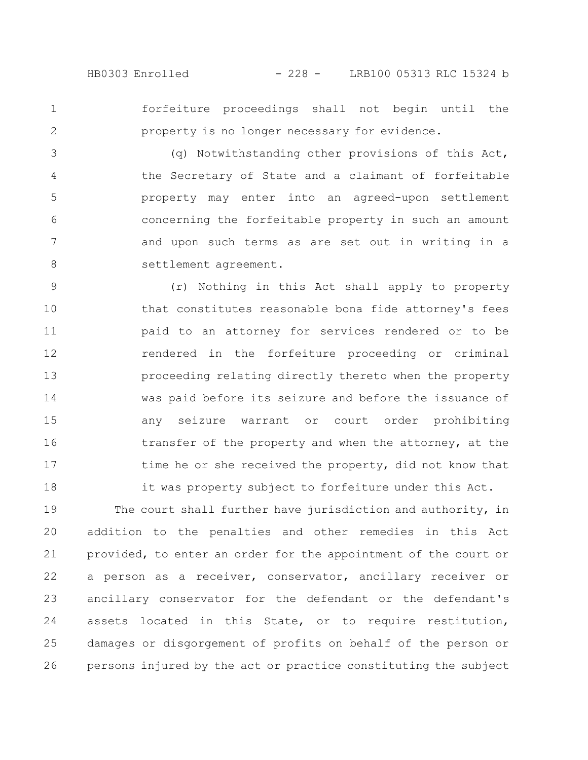1 2

forfeiture proceedings shall not begin until the property is no longer necessary for evidence.

(q) Notwithstanding other provisions of this Act, the Secretary of State and a claimant of forfeitable property may enter into an agreed-upon settlement concerning the forfeitable property in such an amount and upon such terms as are set out in writing in a settlement agreement. 3 4 5 6 7 8

(r) Nothing in this Act shall apply to property that constitutes reasonable bona fide attorney's fees paid to an attorney for services rendered or to be rendered in the forfeiture proceeding or criminal proceeding relating directly thereto when the property was paid before its seizure and before the issuance of any seizure warrant or court order prohibiting transfer of the property and when the attorney, at the time he or she received the property, did not know that it was property subject to forfeiture under this Act. 9 10 11 12 13 14 15 16 17 18

The court shall further have jurisdiction and authority, in addition to the penalties and other remedies in this Act provided, to enter an order for the appointment of the court or a person as a receiver, conservator, ancillary receiver or ancillary conservator for the defendant or the defendant's assets located in this State, or to require restitution, damages or disgorgement of profits on behalf of the person or persons injured by the act or practice constituting the subject 19 20 21 22 23 24 25 26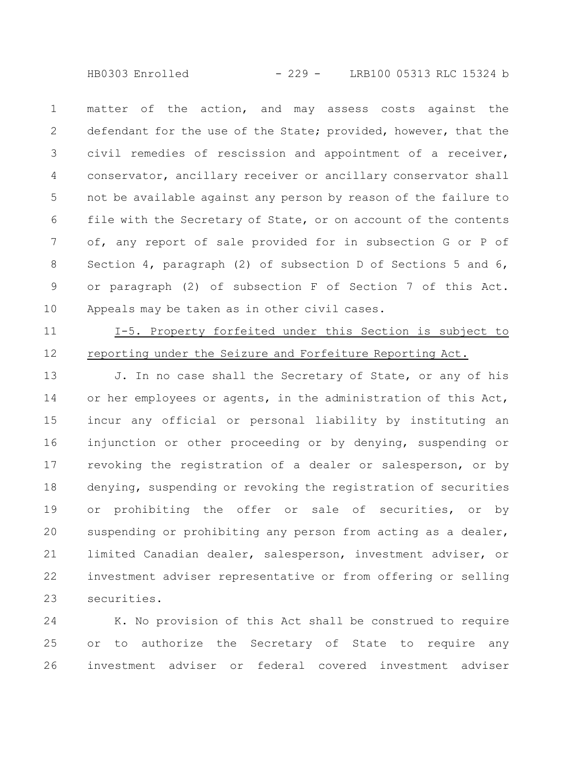HB0303 Enrolled - 229 - LRB100 05313 RLC 15324 b

matter of the action, and may assess costs against the defendant for the use of the State; provided, however, that the civil remedies of rescission and appointment of a receiver, conservator, ancillary receiver or ancillary conservator shall not be available against any person by reason of the failure to file with the Secretary of State, or on account of the contents of, any report of sale provided for in subsection G or P of Section 4, paragraph (2) of subsection D of Sections 5 and 6, or paragraph (2) of subsection F of Section 7 of this Act. Appeals may be taken as in other civil cases. 1 2 3 4 5 6 7 8 9 10

11

12

I-5. Property forfeited under this Section is subject to reporting under the Seizure and Forfeiture Reporting Act.

J. In no case shall the Secretary of State, or any of his or her employees or agents, in the administration of this Act, incur any official or personal liability by instituting an injunction or other proceeding or by denying, suspending or revoking the registration of a dealer or salesperson, or by denying, suspending or revoking the registration of securities or prohibiting the offer or sale of securities, or by suspending or prohibiting any person from acting as a dealer, limited Canadian dealer, salesperson, investment adviser, or investment adviser representative or from offering or selling securities. 13 14 15 16 17 18 19 20 21 22 23

K. No provision of this Act shall be construed to require or to authorize the Secretary of State to require any investment adviser or federal covered investment adviser 24 25 26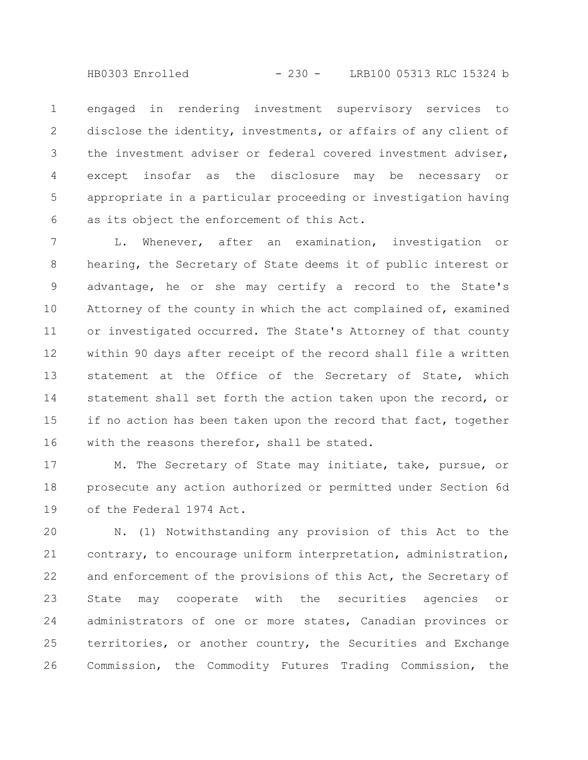HB0303 Enrolled - 230 - LRB100 05313 RLC 15324 b

engaged in rendering investment supervisory services to disclose the identity, investments, or affairs of any client of the investment adviser or federal covered investment adviser, except insofar as the disclosure may be necessary or appropriate in a particular proceeding or investigation having as its object the enforcement of this Act. 1 2 3 4 5 6

L. Whenever, after an examination, investigation or hearing, the Secretary of State deems it of public interest or advantage, he or she may certify a record to the State's Attorney of the county in which the act complained of, examined or investigated occurred. The State's Attorney of that county within 90 days after receipt of the record shall file a written statement at the Office of the Secretary of State, which statement shall set forth the action taken upon the record, or if no action has been taken upon the record that fact, together with the reasons therefor, shall be stated. 7 8 9 10 11 12 13 14 15 16

M. The Secretary of State may initiate, take, pursue, or prosecute any action authorized or permitted under Section 6d of the Federal 1974 Act. 17 18 19

N. (1) Notwithstanding any provision of this Act to the contrary, to encourage uniform interpretation, administration, and enforcement of the provisions of this Act, the Secretary of State may cooperate with the securities agencies or administrators of one or more states, Canadian provinces or territories, or another country, the Securities and Exchange Commission, the Commodity Futures Trading Commission, the 20 21 22 23 24 25 26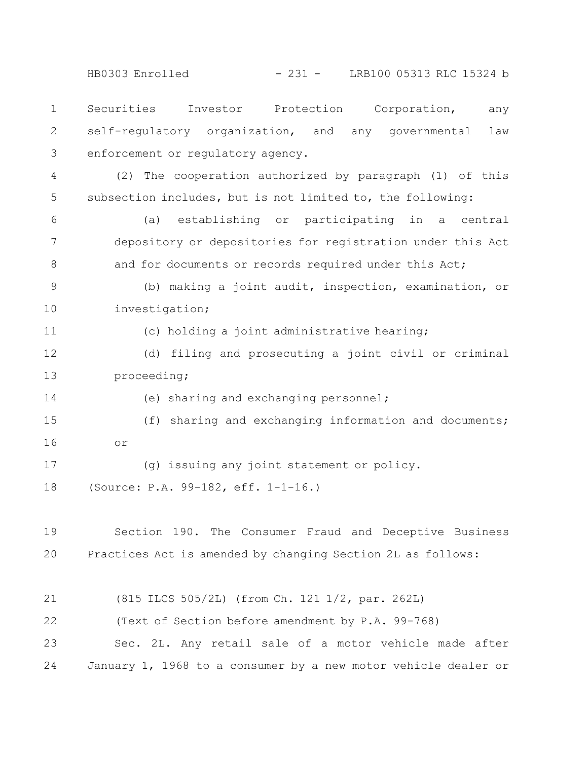HB0303 Enrolled - 231 - LRB100 05313 RLC 15324 b

Securities Investor Protection Corporation, any self-regulatory organization, and any governmental law enforcement or regulatory agency. 1 2 3

(2) The cooperation authorized by paragraph (1) of this subsection includes, but is not limited to, the following: 4 5

(a) establishing or participating in a central depository or depositories for registration under this Act and for documents or records required under this Act; 6 7 8

(b) making a joint audit, inspection, examination, or investigation; 9 10

11

(c) holding a joint administrative hearing;

(d) filing and prosecuting a joint civil or criminal proceeding; 12 13

14

(e) sharing and exchanging personnel;

(f) sharing and exchanging information and documents; or 15 16

(g) issuing any joint statement or policy. (Source: P.A. 99-182, eff. 1-1-16.) 17 18

Section 190. The Consumer Fraud and Deceptive Business Practices Act is amended by changing Section 2L as follows: 19 20

(815 ILCS 505/2L) (from Ch. 121 1/2, par. 262L) (Text of Section before amendment by P.A. 99-768) Sec. 2L. Any retail sale of a motor vehicle made after January 1, 1968 to a consumer by a new motor vehicle dealer or 21 22 23 24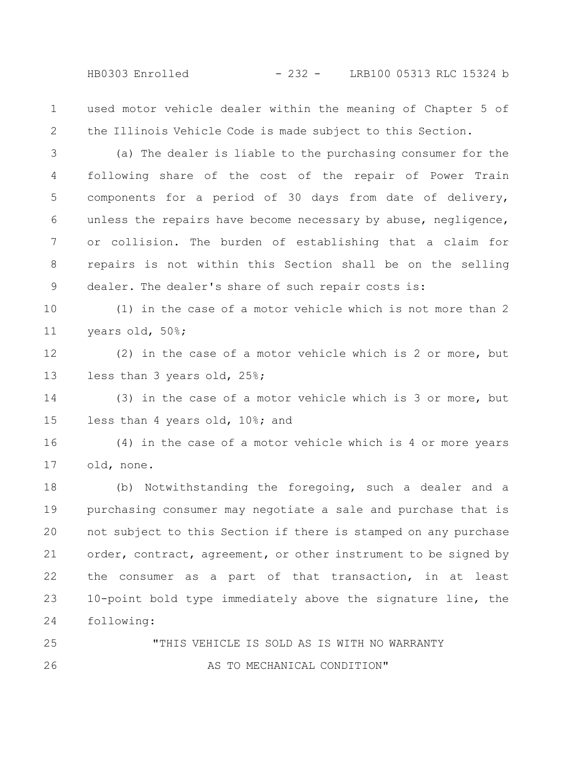used motor vehicle dealer within the meaning of Chapter 5 of the Illinois Vehicle Code is made subject to this Section. 1 2

(a) The dealer is liable to the purchasing consumer for the following share of the cost of the repair of Power Train components for a period of 30 days from date of delivery, unless the repairs have become necessary by abuse, negligence, or collision. The burden of establishing that a claim for repairs is not within this Section shall be on the selling dealer. The dealer's share of such repair costs is: 3 4 5 6 7 8 9

(1) in the case of a motor vehicle which is not more than 2 years old, 50%; 10 11

(2) in the case of a motor vehicle which is 2 or more, but less than 3 years old, 25%; 12 13

(3) in the case of a motor vehicle which is 3 or more, but less than 4 years old, 10%; and 14 15

(4) in the case of a motor vehicle which is 4 or more years old, none. 16 17

(b) Notwithstanding the foregoing, such a dealer and a purchasing consumer may negotiate a sale and purchase that is not subject to this Section if there is stamped on any purchase order, contract, agreement, or other instrument to be signed by the consumer as a part of that transaction, in at least 10-point bold type immediately above the signature line, the following: 18 19 20 21 22 23 24

"THIS VEHICLE IS SOLD AS IS WITH NO WARRANTY AS TO MECHANICAL CONDITION" 25 26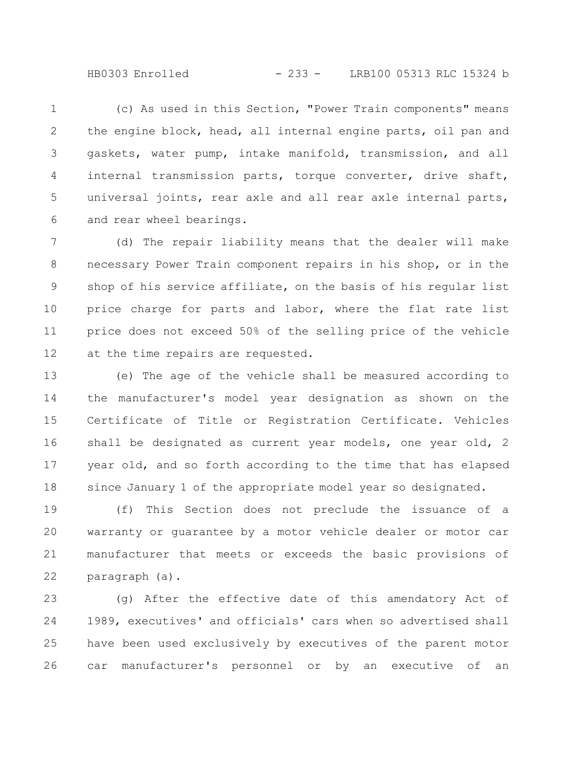HB0303 Enrolled - 233 - LRB100 05313 RLC 15324 b

(c) As used in this Section, "Power Train components" means the engine block, head, all internal engine parts, oil pan and gaskets, water pump, intake manifold, transmission, and all internal transmission parts, torque converter, drive shaft, universal joints, rear axle and all rear axle internal parts, and rear wheel bearings. 1 2 3 4 5 6

(d) The repair liability means that the dealer will make necessary Power Train component repairs in his shop, or in the shop of his service affiliate, on the basis of his regular list price charge for parts and labor, where the flat rate list price does not exceed 50% of the selling price of the vehicle at the time repairs are requested. 7 8 9 10 11 12

(e) The age of the vehicle shall be measured according to the manufacturer's model year designation as shown on the Certificate of Title or Registration Certificate. Vehicles shall be designated as current year models, one year old, 2 year old, and so forth according to the time that has elapsed since January 1 of the appropriate model year so designated. 13 14 15 16 17 18

(f) This Section does not preclude the issuance of a warranty or guarantee by a motor vehicle dealer or motor car manufacturer that meets or exceeds the basic provisions of paragraph (a). 19 20 21 22

(g) After the effective date of this amendatory Act of 1989, executives' and officials' cars when so advertised shall have been used exclusively by executives of the parent motor car manufacturer's personnel or by an executive of an 23 24 25 26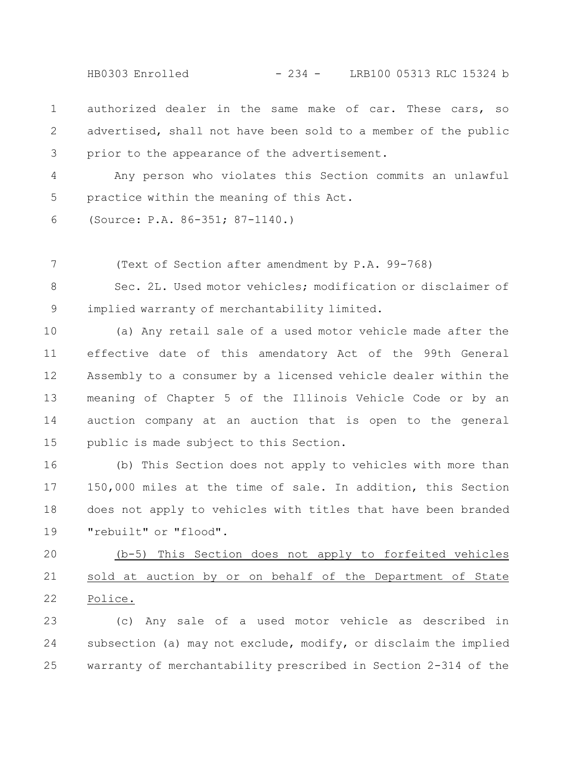HB0303 Enrolled - 234 - LRB100 05313 RLC 15324 b

authorized dealer in the same make of car. These cars, so advertised, shall not have been sold to a member of the public prior to the appearance of the advertisement. 1 2 3

Any person who violates this Section commits an unlawful practice within the meaning of this Act. 4 5

(Source: P.A. 86-351; 87-1140.) 6

(Text of Section after amendment by P.A. 99-768) 7

Sec. 2L. Used motor vehicles; modification or disclaimer of implied warranty of merchantability limited. 8 9

(a) Any retail sale of a used motor vehicle made after the effective date of this amendatory Act of the 99th General Assembly to a consumer by a licensed vehicle dealer within the meaning of Chapter 5 of the Illinois Vehicle Code or by an auction company at an auction that is open to the general public is made subject to this Section. 10 11 12 13 14 15

(b) This Section does not apply to vehicles with more than 150,000 miles at the time of sale. In addition, this Section does not apply to vehicles with titles that have been branded "rebuilt" or "flood". 16 17 18 19

(b-5) This Section does not apply to forfeited vehicles sold at auction by or on behalf of the Department of State Police. 20 21 22

(c) Any sale of a used motor vehicle as described in subsection (a) may not exclude, modify, or disclaim the implied warranty of merchantability prescribed in Section 2-314 of the 23 24 25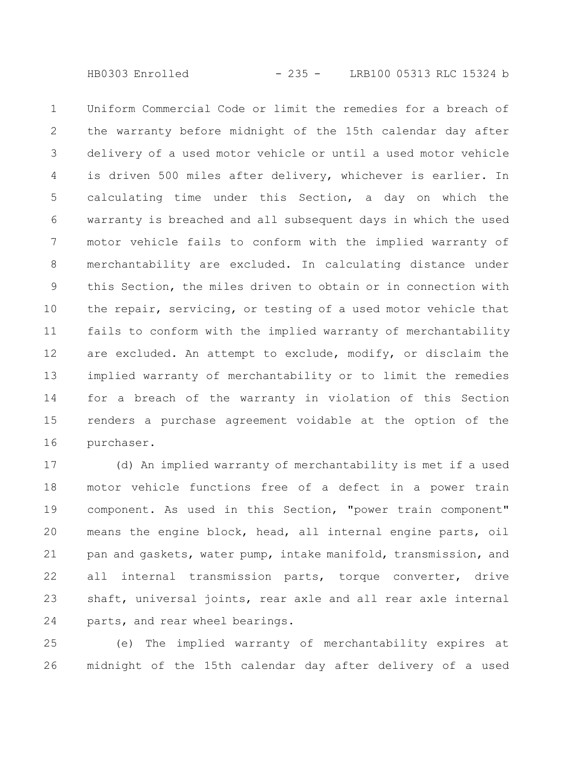Uniform Commercial Code or limit the remedies for a breach of the warranty before midnight of the 15th calendar day after delivery of a used motor vehicle or until a used motor vehicle is driven 500 miles after delivery, whichever is earlier. In calculating time under this Section, a day on which the warranty is breached and all subsequent days in which the used motor vehicle fails to conform with the implied warranty of merchantability are excluded. In calculating distance under this Section, the miles driven to obtain or in connection with the repair, servicing, or testing of a used motor vehicle that fails to conform with the implied warranty of merchantability are excluded. An attempt to exclude, modify, or disclaim the implied warranty of merchantability or to limit the remedies for a breach of the warranty in violation of this Section renders a purchase agreement voidable at the option of the purchaser. 1 2 3 4 5 6 7 8 9 10 11 12 13 14 15 16

(d) An implied warranty of merchantability is met if a used motor vehicle functions free of a defect in a power train component. As used in this Section, "power train component" means the engine block, head, all internal engine parts, oil pan and gaskets, water pump, intake manifold, transmission, and all internal transmission parts, torque converter, drive shaft, universal joints, rear axle and all rear axle internal parts, and rear wheel bearings. 17 18 19 20 21 22 23 24

(e) The implied warranty of merchantability expires at midnight of the 15th calendar day after delivery of a used 25 26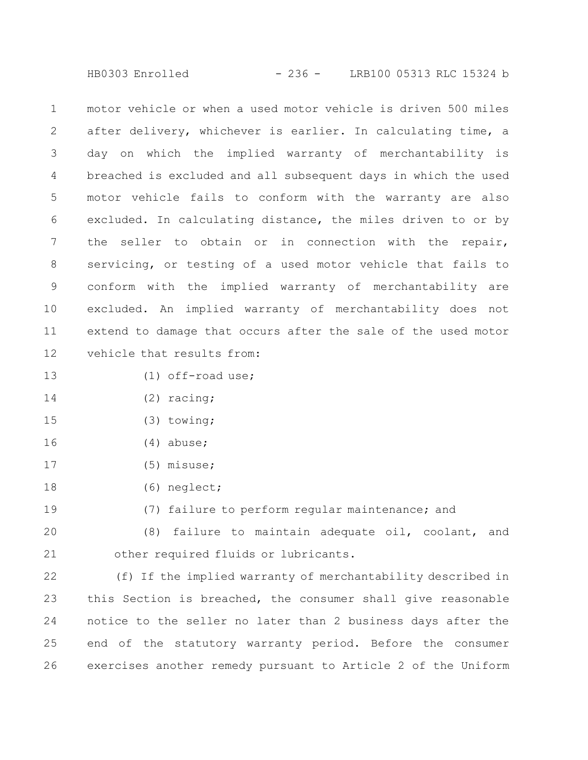HB0303 Enrolled - 236 - LRB100 05313 RLC 15324 b

motor vehicle or when a used motor vehicle is driven 500 miles after delivery, whichever is earlier. In calculating time, a day on which the implied warranty of merchantability is breached is excluded and all subsequent days in which the used motor vehicle fails to conform with the warranty are also excluded. In calculating distance, the miles driven to or by the seller to obtain or in connection with the repair, servicing, or testing of a used motor vehicle that fails to conform with the implied warranty of merchantability are excluded. An implied warranty of merchantability does not extend to damage that occurs after the sale of the used motor vehicle that results from: 1 2 3 4 5 6 7 8 9 10 11 12

- (1) off-road use; 13
- (2) racing; 14
- (3) towing; 15
- (4) abuse; 16
- (5) misuse; 17
- (6) neglect; 18

19

(7) failure to perform regular maintenance; and

(8) failure to maintain adequate oil, coolant, and other required fluids or lubricants. 20 21

(f) If the implied warranty of merchantability described in this Section is breached, the consumer shall give reasonable notice to the seller no later than 2 business days after the end of the statutory warranty period. Before the consumer exercises another remedy pursuant to Article 2 of the Uniform 22 23 24 25 26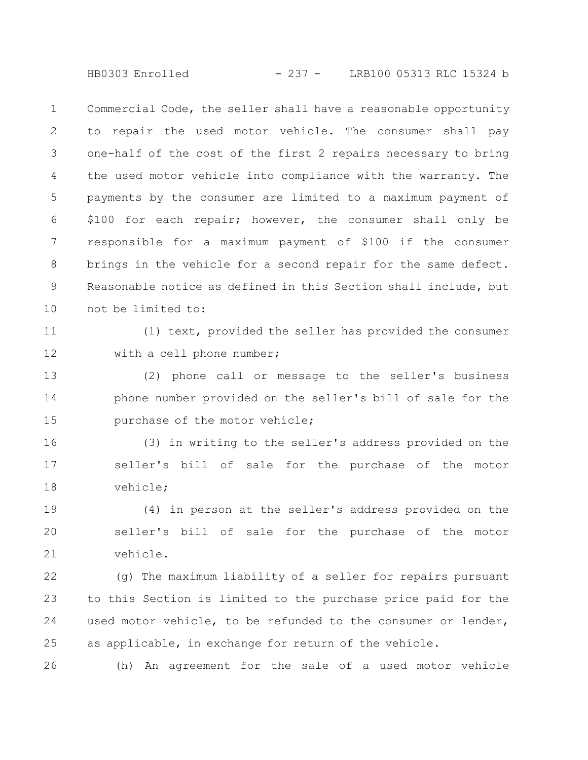HB0303 Enrolled - 237 - LRB100 05313 RLC 15324 b

Commercial Code, the seller shall have a reasonable opportunity to repair the used motor vehicle. The consumer shall pay one-half of the cost of the first 2 repairs necessary to bring the used motor vehicle into compliance with the warranty. The payments by the consumer are limited to a maximum payment of \$100 for each repair; however, the consumer shall only be responsible for a maximum payment of \$100 if the consumer brings in the vehicle for a second repair for the same defect. Reasonable notice as defined in this Section shall include, but not be limited to: 1 2 3 4 5 6 7 8 9 10

11

12

(1) text, provided the seller has provided the consumer with a cell phone number;

(2) phone call or message to the seller's business phone number provided on the seller's bill of sale for the purchase of the motor vehicle; 13 14 15

(3) in writing to the seller's address provided on the seller's bill of sale for the purchase of the motor vehicle; 16 17 18

(4) in person at the seller's address provided on the seller's bill of sale for the purchase of the motor vehicle. 19 20 21

(g) The maximum liability of a seller for repairs pursuant to this Section is limited to the purchase price paid for the used motor vehicle, to be refunded to the consumer or lender, as applicable, in exchange for return of the vehicle. 22 23 24 25

(h) An agreement for the sale of a used motor vehicle 26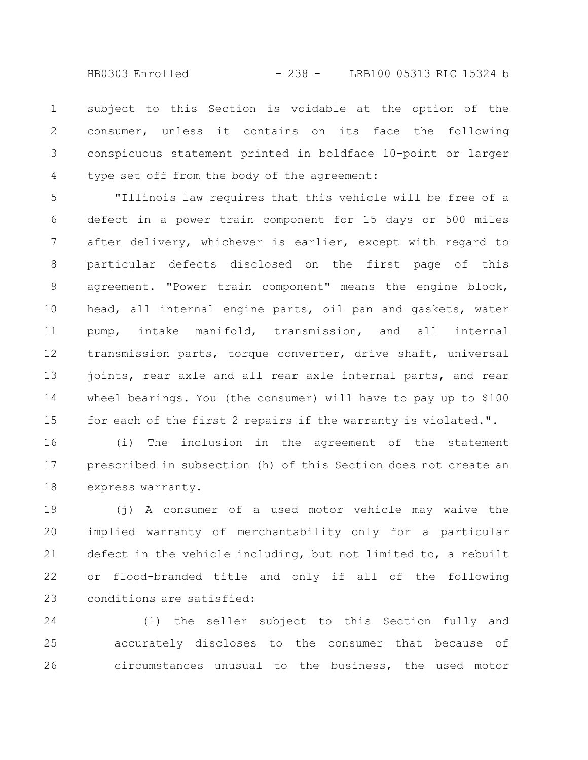subject to this Section is voidable at the option of the consumer, unless it contains on its face the following conspicuous statement printed in boldface 10-point or larger type set off from the body of the agreement: 1 2 3 4

"Illinois law requires that this vehicle will be free of a defect in a power train component for 15 days or 500 miles after delivery, whichever is earlier, except with regard to particular defects disclosed on the first page of this agreement. "Power train component" means the engine block, head, all internal engine parts, oil pan and gaskets, water pump, intake manifold, transmission, and all internal transmission parts, torque converter, drive shaft, universal joints, rear axle and all rear axle internal parts, and rear wheel bearings. You (the consumer) will have to pay up to \$100 for each of the first 2 repairs if the warranty is violated.". 5 6 7 8 9 10 11 12 13 14 15

(i) The inclusion in the agreement of the statement prescribed in subsection (h) of this Section does not create an express warranty. 16 17 18

(j) A consumer of a used motor vehicle may waive the implied warranty of merchantability only for a particular defect in the vehicle including, but not limited to, a rebuilt or flood-branded title and only if all of the following conditions are satisfied: 19 20 21 22 23

(1) the seller subject to this Section fully and accurately discloses to the consumer that because of circumstances unusual to the business, the used motor 24 25 26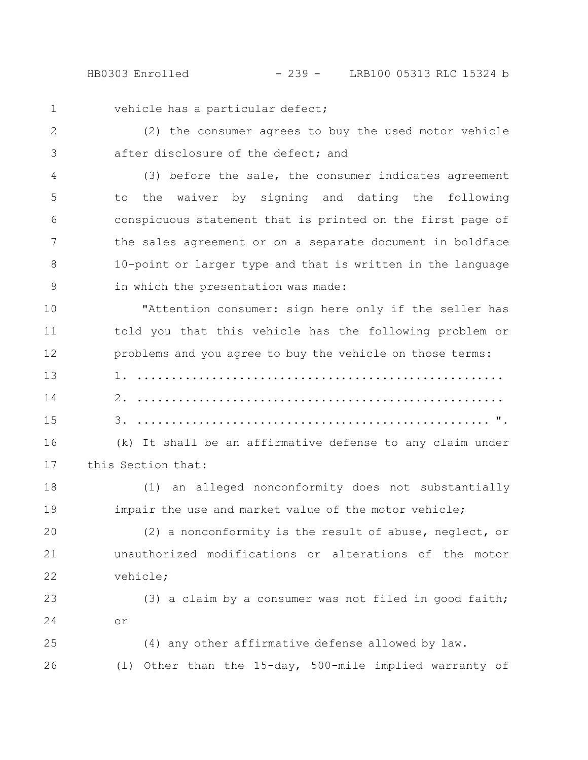HB0303 Enrolled - 239 - LRB100 05313 RLC 15324 b

1

vehicle has a particular defect;

(2) the consumer agrees to buy the used motor vehicle after disclosure of the defect; and 2 3

(3) before the sale, the consumer indicates agreement to the waiver by signing and dating the following conspicuous statement that is printed on the first page of the sales agreement or on a separate document in boldface 10-point or larger type and that is written in the language in which the presentation was made: 4 5 6 7 8 9

"Attention consumer: sign here only if the seller has told you that this vehicle has the following problem or problems and you agree to buy the vehicle on those terms: 10 11 12

1. ...................................................... 2. ...................................................... 3. .................................................... ". 13 14 15

(k) It shall be an affirmative defense to any claim under this Section that: 16 17

(1) an alleged nonconformity does not substantially impair the use and market value of the motor vehicle; 18 19

(2) a nonconformity is the result of abuse, neglect, or unauthorized modifications or alterations of the motor vehicle; 20 21 22

(3) a claim by a consumer was not filed in good faith; or 23 24

(4) any other affirmative defense allowed by law. (l) Other than the 15-day, 500-mile implied warranty of 25 26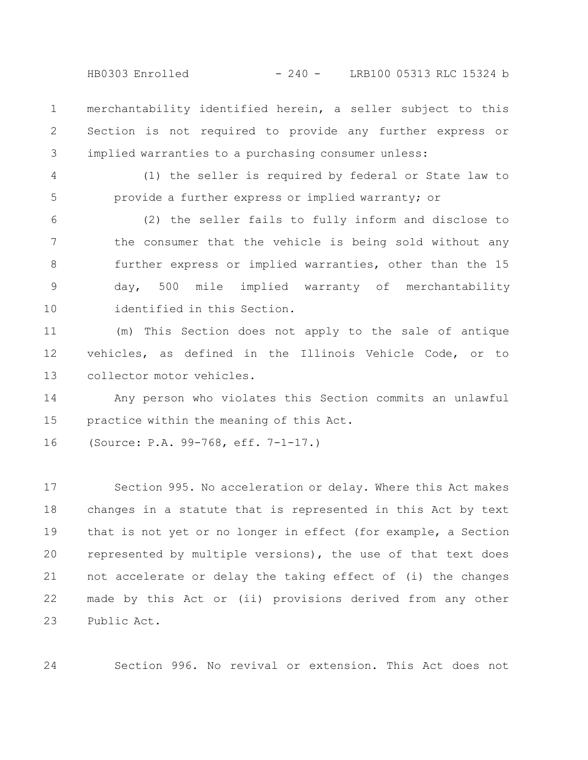HB0303 Enrolled - 240 - LRB100 05313 RLC 15324 b

merchantability identified herein, a seller subject to this Section is not required to provide any further express or implied warranties to a purchasing consumer unless: 1 2 3

(1) the seller is required by federal or State law to provide a further express or implied warranty; or 4 5

(2) the seller fails to fully inform and disclose to the consumer that the vehicle is being sold without any further express or implied warranties, other than the 15 day, 500 mile implied warranty of merchantability identified in this Section. 6 7 8 9 10

(m) This Section does not apply to the sale of antique vehicles, as defined in the Illinois Vehicle Code, or to collector motor vehicles. 11 12 13

Any person who violates this Section commits an unlawful practice within the meaning of this Act. 14 15

(Source: P.A. 99-768, eff. 7-1-17.) 16

24

Section 995. No acceleration or delay. Where this Act makes changes in a statute that is represented in this Act by text that is not yet or no longer in effect (for example, a Section represented by multiple versions), the use of that text does not accelerate or delay the taking effect of (i) the changes made by this Act or (ii) provisions derived from any other Public Act. 17 18 19 20 21 22 23

Section 996. No revival or extension. This Act does not